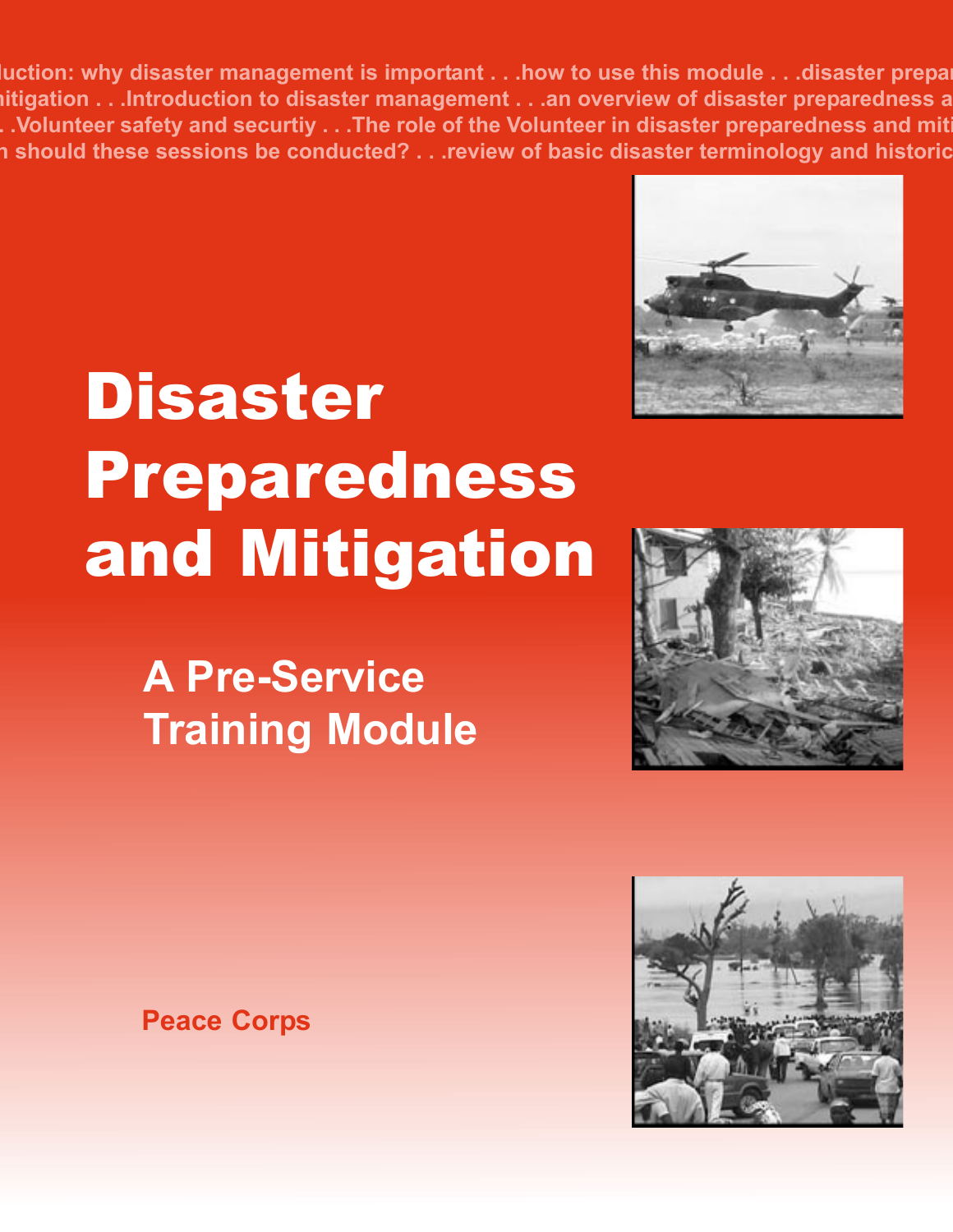**duction: why disaster management is important . . .how to use this module . . .disaster prepar mitigation . . .Introduction to disaster management . . .an overview of disaster preparedness a . .Volunteer safety and securtiy . . .The role of the Volunteer in disaster preparedness and miti n should these sessions be conducted? . . .review of basic disaster terminology and historic**



# Disaster Preparedness and Mitigation

**A Pre-Service Training Module**



**Peace Corps**

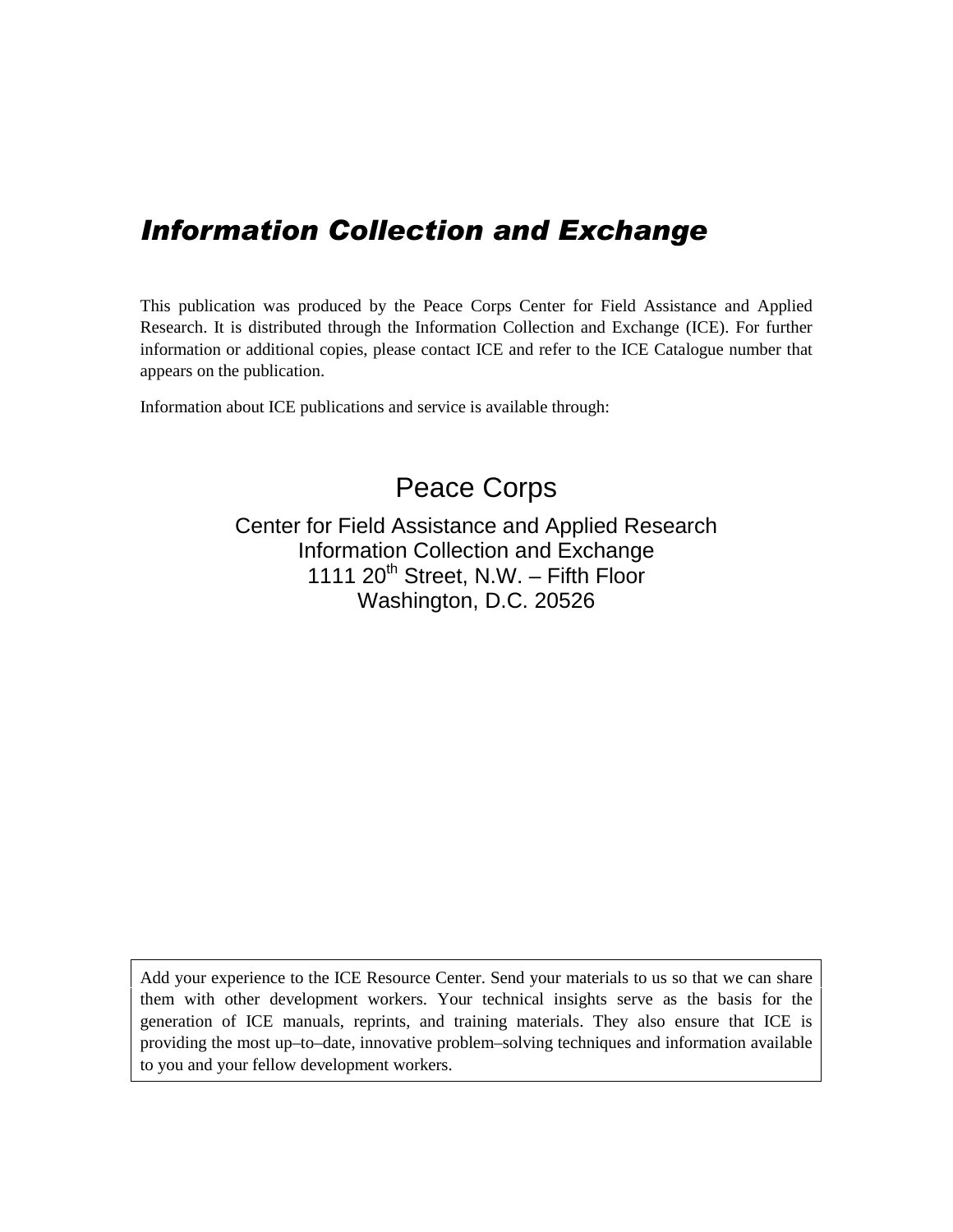# *Information Collection and Exchange*

This publication was produced by the Peace Corps Center for Field Assistance and Applied Research. It is distributed through the Information Collection and Exchange (ICE). For further information or additional copies, please contact ICE and refer to the ICE Catalogue number that appears on the publication.

Information about ICE publications and service is available through:

### Peace Corps

Center for Field Assistance and Applied Research Information Collection and Exchange 1111  $20^{th}$  Street, N.W. - Fifth Floor Washington, D.C. 20526

Add your experience to the ICE Resource Center. Send your materials to us so that we can share them with other development workers. Your technical insights serve as the basis for the generation of ICE manuals, reprints, and training materials. They also ensure that ICE is providing the most up–to–date, innovative problem–solving techniques and information available to you and your fellow development workers.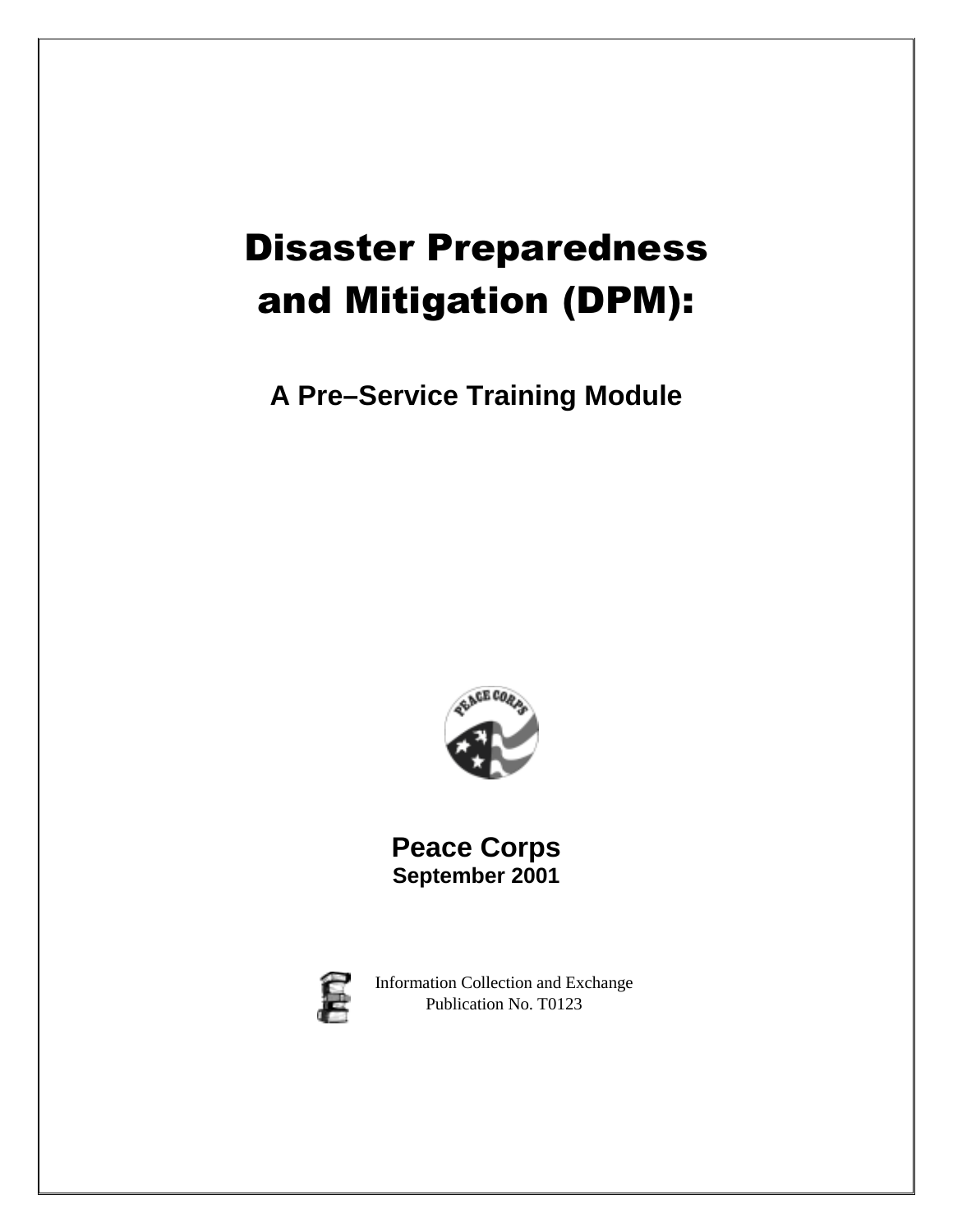# **Disaster Preparedness** and Mitigation (DPM):

**A Pre–Service Training Module** 







 Information Collection and Exchange Publication No. T0123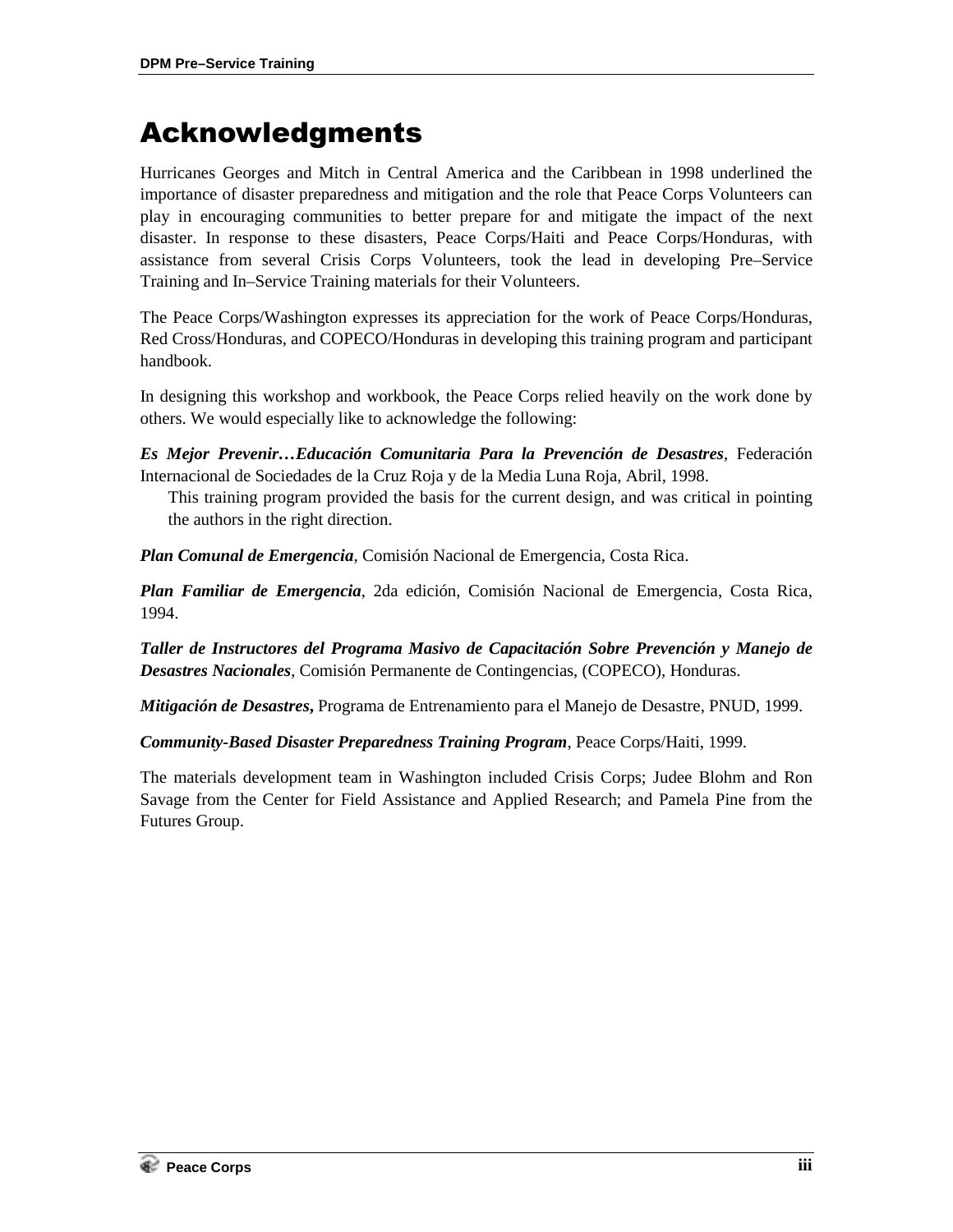# **Acknowledgments**

Hurricanes Georges and Mitch in Central America and the Caribbean in 1998 underlined the importance of disaster preparedness and mitigation and the role that Peace Corps Volunteers can play in encouraging communities to better prepare for and mitigate the impact of the next disaster. In response to these disasters, Peace Corps/Haiti and Peace Corps/Honduras, with assistance from several Crisis Corps Volunteers, took the lead in developing Pre–Service Training and In–Service Training materials for their Volunteers.

The Peace Corps/Washington expresses its appreciation for the work of Peace Corps/Honduras, Red Cross/Honduras, and COPECO/Honduras in developing this training program and participant handbook.

In designing this workshop and workbook, the Peace Corps relied heavily on the work done by others. We would especially like to acknowledge the following:

*Es Mejor Prevenir…Educación Comunitaria Para la Prevención de Desastres*, Federación Internacional de Sociedades de la Cruz Roja y de la Media Luna Roja, Abril, 1998.

This training program provided the basis for the current design, and was critical in pointing the authors in the right direction.

*Plan Comunal de Emergencia*, Comisión Nacional de Emergencia, Costa Rica.

*Plan Familiar de Emergencia*, 2da edición, Comisión Nacional de Emergencia, Costa Rica, 1994.

*Taller de Instructores del Programa Masivo de Capacitación Sobre Prevención y Manejo de Desastres Nacionales*, Comisión Permanente de Contingencias, (COPECO), Honduras.

*Mitigación de Desastres***,** Programa de Entrenamiento para el Manejo de Desastre, PNUD, 1999.

*Community-Based Disaster Preparedness Training Program*, Peace Corps/Haiti, 1999.

The materials development team in Washington included Crisis Corps; Judee Blohm and Ron Savage from the Center for Field Assistance and Applied Research; and Pamela Pine from the Futures Group.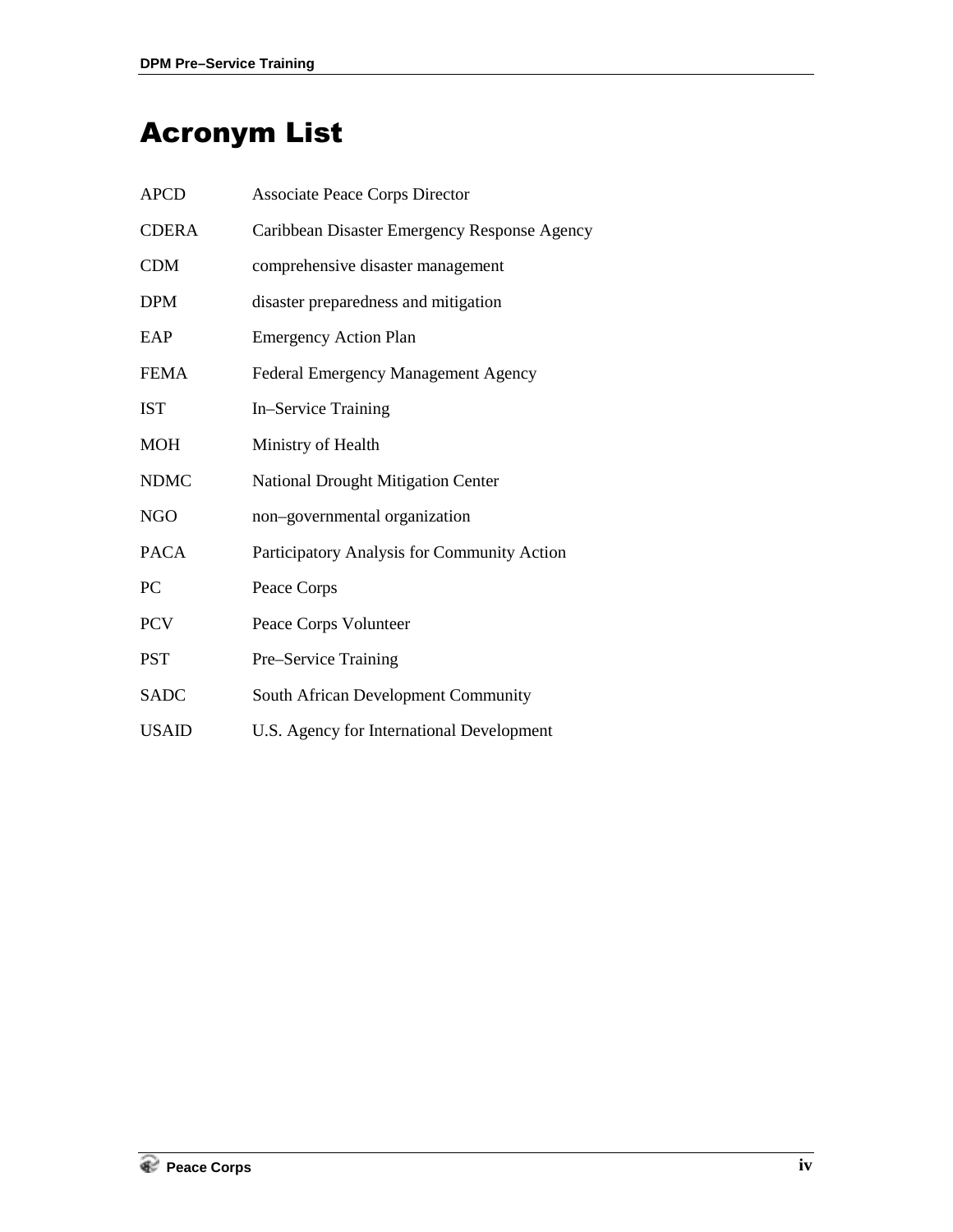# **Acronym List**

| <b>APCD</b>  | <b>Associate Peace Corps Director</b>        |
|--------------|----------------------------------------------|
| <b>CDERA</b> | Caribbean Disaster Emergency Response Agency |
| <b>CDM</b>   | comprehensive disaster management            |
| <b>DPM</b>   | disaster preparedness and mitigation         |
| EAP          | <b>Emergency Action Plan</b>                 |
| <b>FEMA</b>  | Federal Emergency Management Agency          |
| <b>IST</b>   | In-Service Training                          |
| <b>MOH</b>   | Ministry of Health                           |
| <b>NDMC</b>  | <b>National Drought Mitigation Center</b>    |
| <b>NGO</b>   | non-governmental organization                |
| <b>PACA</b>  | Participatory Analysis for Community Action  |
| PC           | Peace Corps                                  |
| <b>PCV</b>   | Peace Corps Volunteer                        |
| <b>PST</b>   | Pre-Service Training                         |
| <b>SADC</b>  | South African Development Community          |
| <b>USAID</b> | U.S. Agency for International Development    |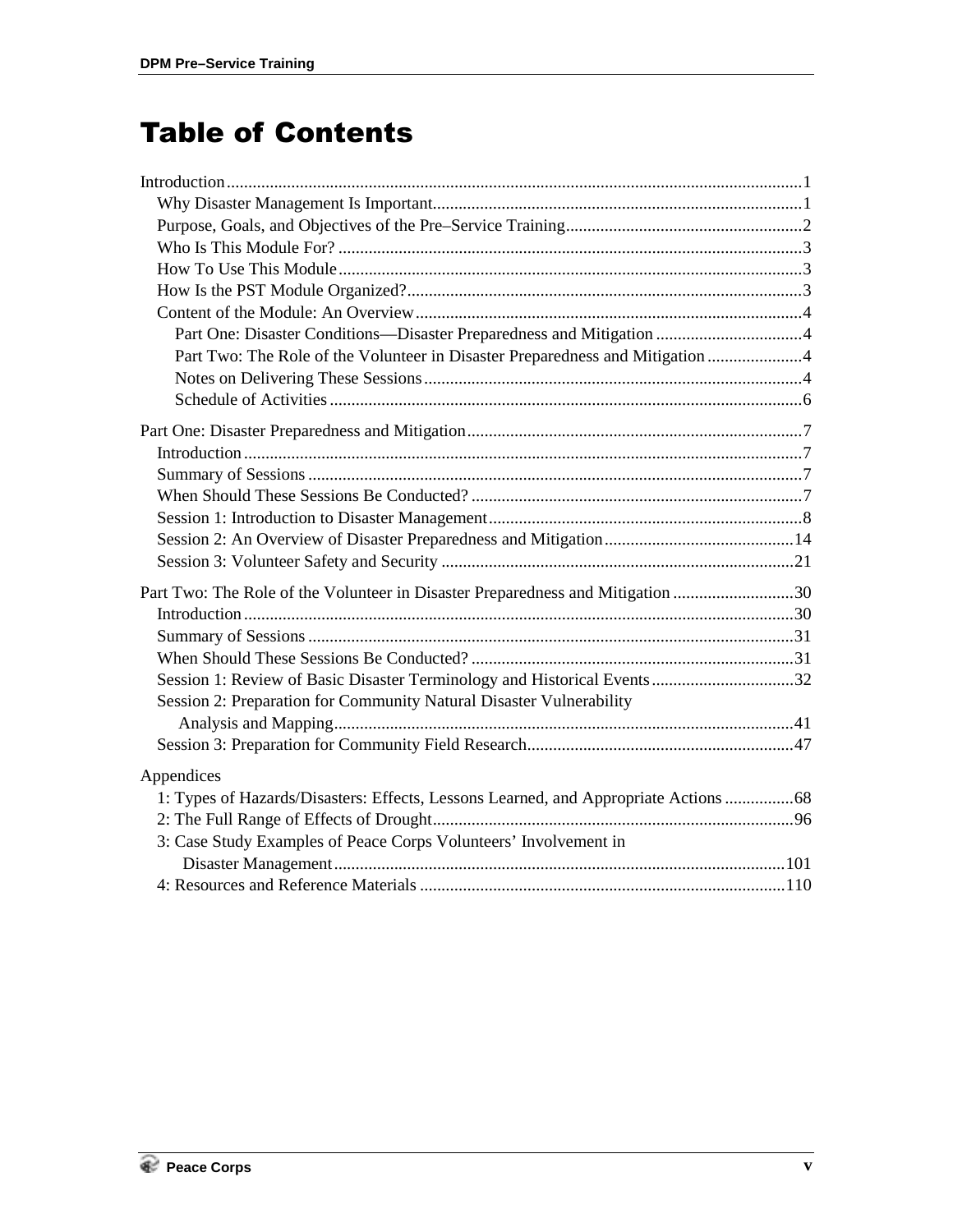# **Table of Contents**

| Part Two: The Role of the Volunteer in Disaster Preparedness and Mitigation 4       |  |
|-------------------------------------------------------------------------------------|--|
|                                                                                     |  |
|                                                                                     |  |
|                                                                                     |  |
|                                                                                     |  |
|                                                                                     |  |
|                                                                                     |  |
|                                                                                     |  |
|                                                                                     |  |
|                                                                                     |  |
|                                                                                     |  |
| Part Two: The Role of the Volunteer in Disaster Preparedness and Mitigation 30      |  |
|                                                                                     |  |
|                                                                                     |  |
|                                                                                     |  |
| Session 1: Review of Basic Disaster Terminology and Historical Events32             |  |
| Session 2: Preparation for Community Natural Disaster Vulnerability                 |  |
|                                                                                     |  |
|                                                                                     |  |
| Appendices                                                                          |  |
| 1: Types of Hazards/Disasters: Effects, Lessons Learned, and Appropriate Actions 68 |  |
|                                                                                     |  |
| 3: Case Study Examples of Peace Corps Volunteers' Involvement in                    |  |
|                                                                                     |  |
|                                                                                     |  |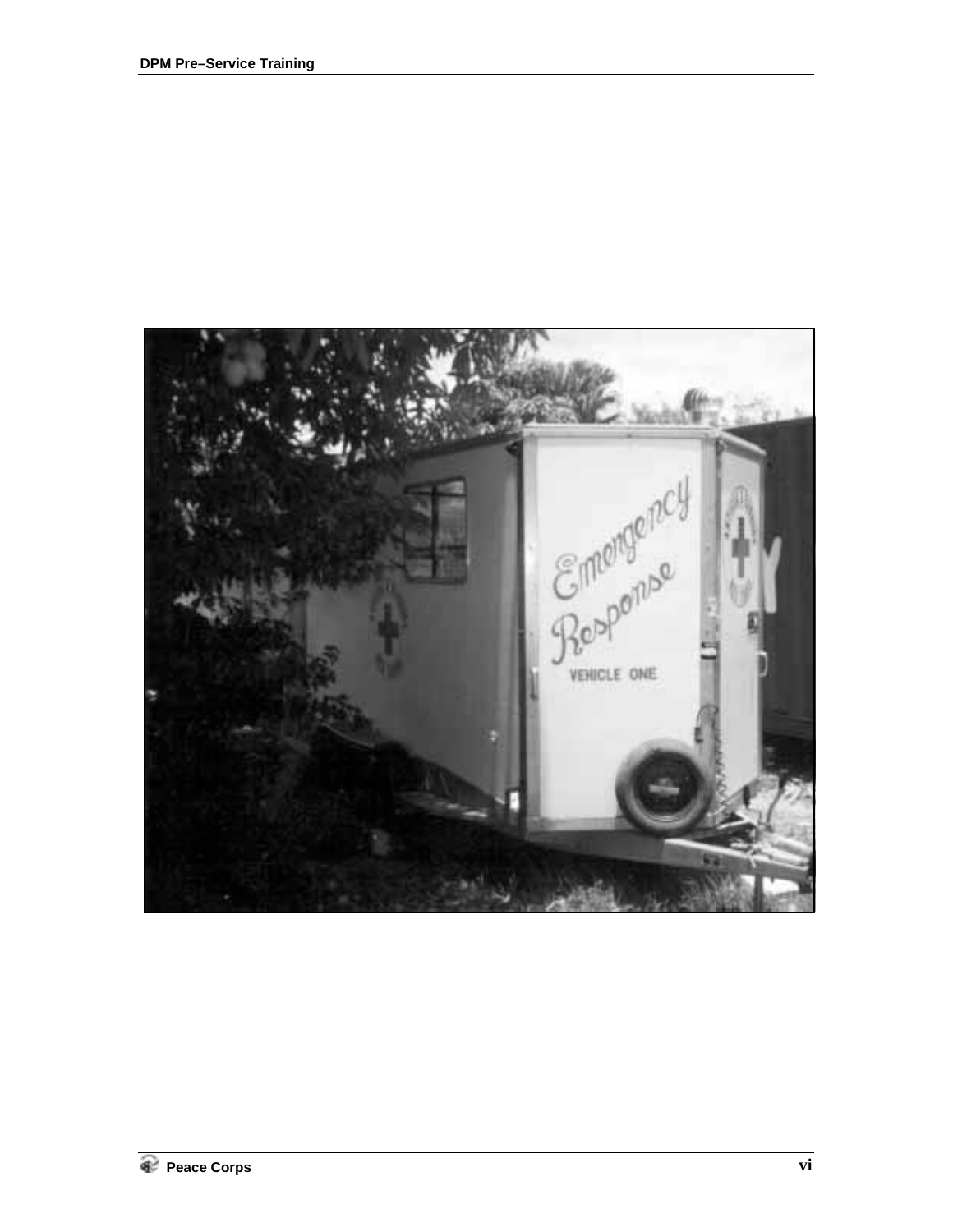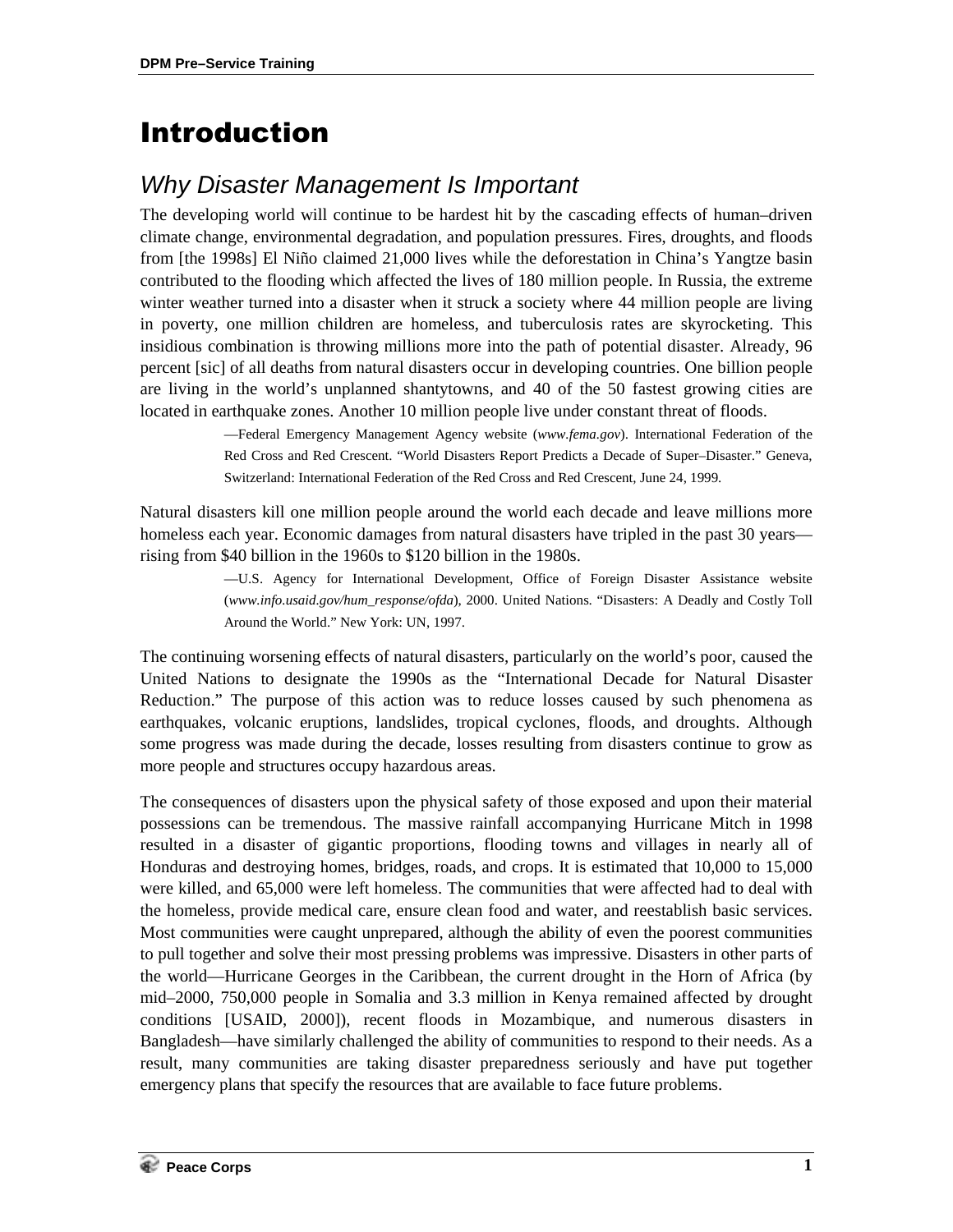# **Introduction**

### Why Disaster Management Is Important

The developing world will continue to be hardest hit by the cascading effects of human–driven climate change, environmental degradation, and population pressures. Fires, droughts, and floods from [the 1998s] El Niño claimed 21,000 lives while the deforestation in China's Yangtze basin contributed to the flooding which affected the lives of 180 million people. In Russia, the extreme winter weather turned into a disaster when it struck a society where 44 million people are living in poverty, one million children are homeless, and tuberculosis rates are skyrocketing. This insidious combination is throwing millions more into the path of potential disaster. Already, 96 percent [sic] of all deaths from natural disasters occur in developing countries. One billion people are living in the world's unplanned shantytowns, and 40 of the 50 fastest growing cities are located in earthquake zones. Another 10 million people live under constant threat of floods.

> —Federal Emergency Management Agency website (*www.fema.gov*). International Federation of the Red Cross and Red Crescent. "World Disasters Report Predicts a Decade of Super–Disaster." Geneva, Switzerland: International Federation of the Red Cross and Red Crescent, June 24, 1999.

Natural disasters kill one million people around the world each decade and leave millions more homeless each year. Economic damages from natural disasters have tripled in the past 30 years rising from \$40 billion in the 1960s to \$120 billion in the 1980s.

> —U.S. Agency for International Development, Office of Foreign Disaster Assistance website (*www.info.usaid.gov/hum\_response/ofda*), 2000. United Nations. "Disasters: A Deadly and Costly Toll Around the World." New York: UN, 1997.

The continuing worsening effects of natural disasters, particularly on the world's poor, caused the United Nations to designate the 1990s as the "International Decade for Natural Disaster Reduction." The purpose of this action was to reduce losses caused by such phenomena as earthquakes, volcanic eruptions, landslides, tropical cyclones, floods, and droughts. Although some progress was made during the decade, losses resulting from disasters continue to grow as more people and structures occupy hazardous areas.

The consequences of disasters upon the physical safety of those exposed and upon their material possessions can be tremendous. The massive rainfall accompanying Hurricane Mitch in 1998 resulted in a disaster of gigantic proportions, flooding towns and villages in nearly all of Honduras and destroying homes, bridges, roads, and crops. It is estimated that 10,000 to 15,000 were killed, and 65,000 were left homeless. The communities that were affected had to deal with the homeless, provide medical care, ensure clean food and water, and reestablish basic services. Most communities were caught unprepared, although the ability of even the poorest communities to pull together and solve their most pressing problems was impressive. Disasters in other parts of the world—Hurricane Georges in the Caribbean, the current drought in the Horn of Africa (by mid–2000, 750,000 people in Somalia and 3.3 million in Kenya remained affected by drought conditions [USAID, 2000]), recent floods in Mozambique, and numerous disasters in Bangladesh—have similarly challenged the ability of communities to respond to their needs. As a result, many communities are taking disaster preparedness seriously and have put together emergency plans that specify the resources that are available to face future problems.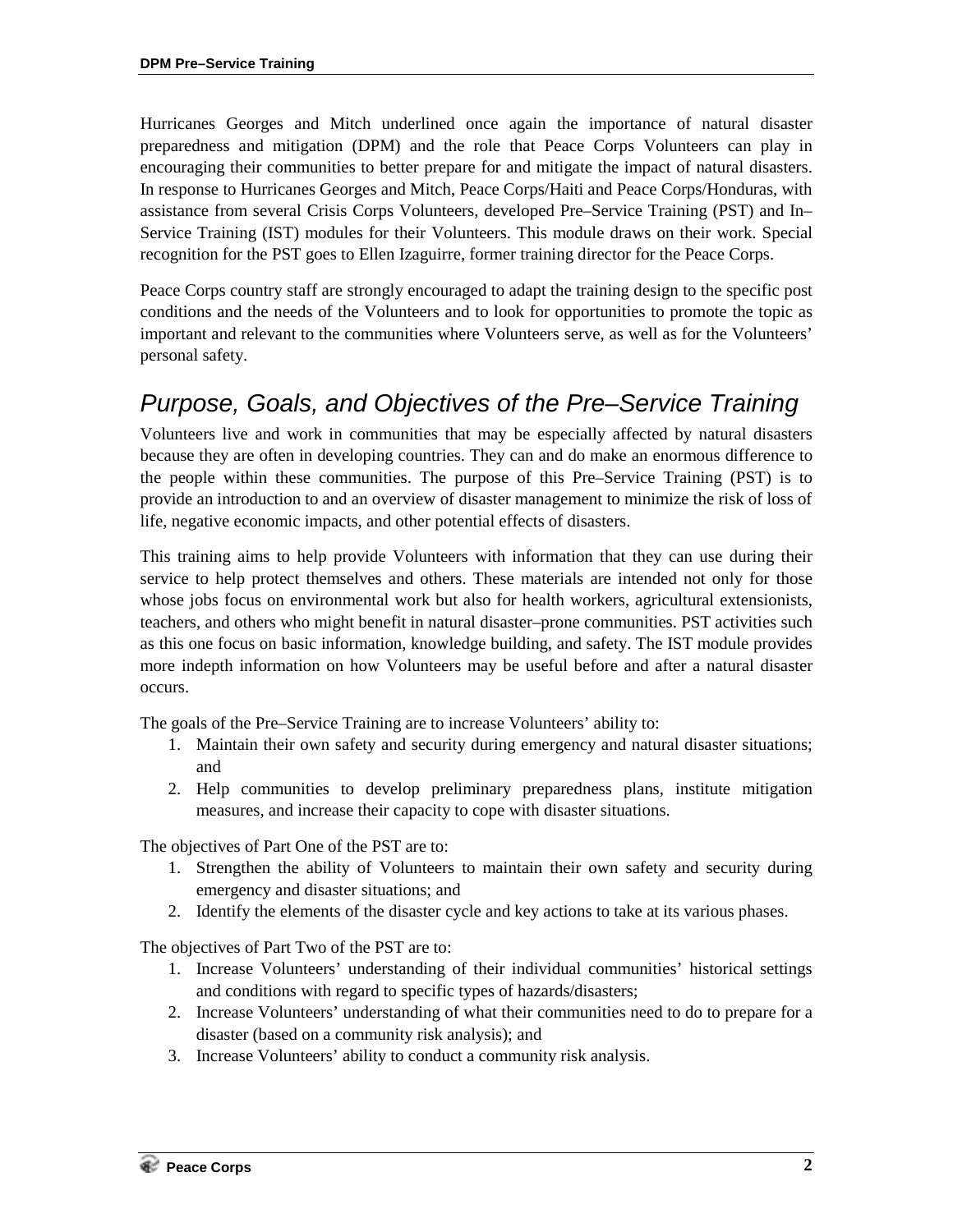Hurricanes Georges and Mitch underlined once again the importance of natural disaster preparedness and mitigation (DPM) and the role that Peace Corps Volunteers can play in encouraging their communities to better prepare for and mitigate the impact of natural disasters. In response to Hurricanes Georges and Mitch, Peace Corps/Haiti and Peace Corps/Honduras, with assistance from several Crisis Corps Volunteers, developed Pre–Service Training (PST) and In– Service Training (IST) modules for their Volunteers. This module draws on their work. Special recognition for the PST goes to Ellen Izaguirre, former training director for the Peace Corps.

Peace Corps country staff are strongly encouraged to adapt the training design to the specific post conditions and the needs of the Volunteers and to look for opportunities to promote the topic as important and relevant to the communities where Volunteers serve, as well as for the Volunteers' personal safety.

### Purpose, Goals, and Objectives of the Pre–Service Training

Volunteers live and work in communities that may be especially affected by natural disasters because they are often in developing countries. They can and do make an enormous difference to the people within these communities. The purpose of this Pre–Service Training (PST) is to provide an introduction to and an overview of disaster management to minimize the risk of loss of life, negative economic impacts, and other potential effects of disasters.

This training aims to help provide Volunteers with information that they can use during their service to help protect themselves and others. These materials are intended not only for those whose jobs focus on environmental work but also for health workers, agricultural extensionists, teachers, and others who might benefit in natural disaster–prone communities. PST activities such as this one focus on basic information, knowledge building, and safety. The IST module provides more indepth information on how Volunteers may be useful before and after a natural disaster occurs.

The goals of the Pre–Service Training are to increase Volunteers' ability to:

- 1. Maintain their own safety and security during emergency and natural disaster situations; and
- 2. Help communities to develop preliminary preparedness plans, institute mitigation measures, and increase their capacity to cope with disaster situations.

The objectives of Part One of the PST are to:

- 1. Strengthen the ability of Volunteers to maintain their own safety and security during emergency and disaster situations; and
- 2. Identify the elements of the disaster cycle and key actions to take at its various phases.

The objectives of Part Two of the PST are to:

- 1. Increase Volunteers' understanding of their individual communities' historical settings and conditions with regard to specific types of hazards/disasters;
- 2. Increase Volunteers' understanding of what their communities need to do to prepare for a disaster (based on a community risk analysis); and
- 3. Increase Volunteers' ability to conduct a community risk analysis.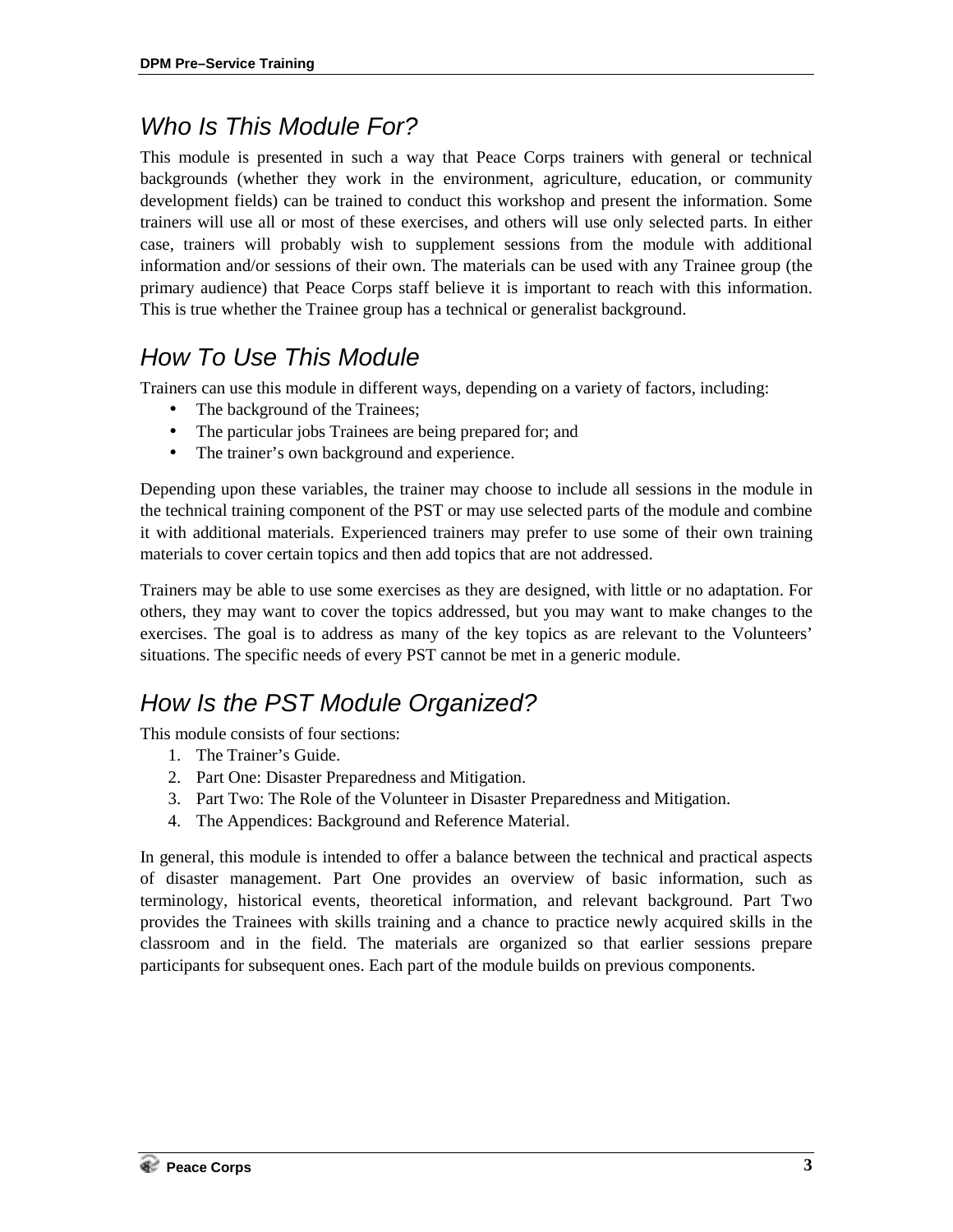### Who Is This Module For?

This module is presented in such a way that Peace Corps trainers with general or technical backgrounds (whether they work in the environment, agriculture, education, or community development fields) can be trained to conduct this workshop and present the information. Some trainers will use all or most of these exercises, and others will use only selected parts. In either case, trainers will probably wish to supplement sessions from the module with additional information and/or sessions of their own. The materials can be used with any Trainee group (the primary audience) that Peace Corps staff believe it is important to reach with this information. This is true whether the Trainee group has a technical or generalist background.

### How To Use This Module

Trainers can use this module in different ways, depending on a variety of factors, including:

- The background of the Trainees;
- The particular jobs Trainees are being prepared for; and
- The trainer's own background and experience.

Depending upon these variables, the trainer may choose to include all sessions in the module in the technical training component of the PST or may use selected parts of the module and combine it with additional materials. Experienced trainers may prefer to use some of their own training materials to cover certain topics and then add topics that are not addressed.

Trainers may be able to use some exercises as they are designed, with little or no adaptation. For others, they may want to cover the topics addressed, but you may want to make changes to the exercises. The goal is to address as many of the key topics as are relevant to the Volunteers' situations. The specific needs of every PST cannot be met in a generic module.

### How Is the PST Module Organized?

This module consists of four sections:

- 1. The Trainer's Guide.
- 2. Part One: Disaster Preparedness and Mitigation.
- 3. Part Two: The Role of the Volunteer in Disaster Preparedness and Mitigation.
- 4. The Appendices: Background and Reference Material.

In general, this module is intended to offer a balance between the technical and practical aspects of disaster management. Part One provides an overview of basic information, such as terminology, historical events, theoretical information, and relevant background. Part Two provides the Trainees with skills training and a chance to practice newly acquired skills in the classroom and in the field. The materials are organized so that earlier sessions prepare participants for subsequent ones. Each part of the module builds on previous components.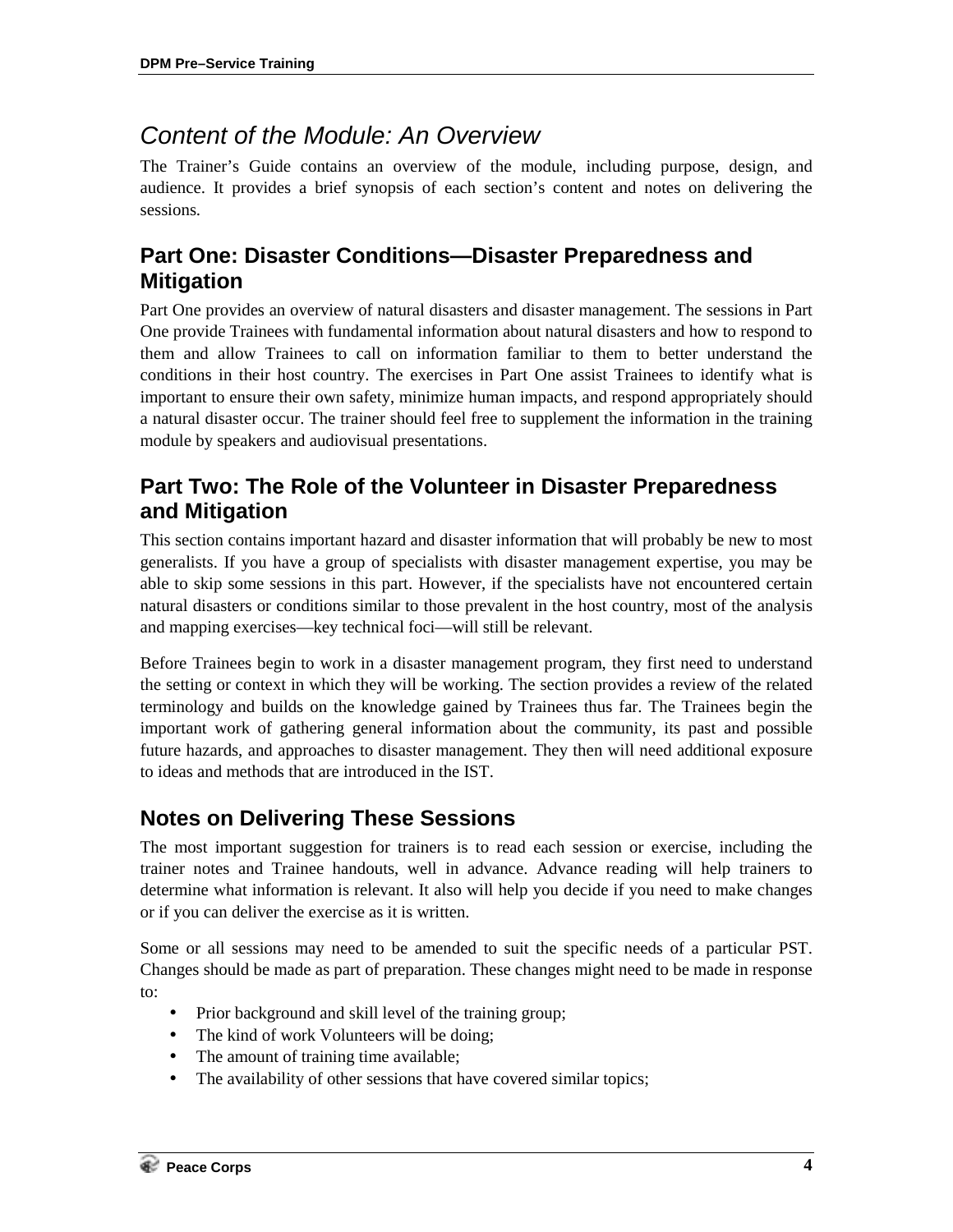### Content of the Module: An Overview

The Trainer's Guide contains an overview of the module, including purpose, design, and audience. It provides a brief synopsis of each section's content and notes on delivering the sessions.

### **Part One: Disaster Conditions—Disaster Preparedness and Mitigation**

Part One provides an overview of natural disasters and disaster management. The sessions in Part One provide Trainees with fundamental information about natural disasters and how to respond to them and allow Trainees to call on information familiar to them to better understand the conditions in their host country. The exercises in Part One assist Trainees to identify what is important to ensure their own safety, minimize human impacts, and respond appropriately should a natural disaster occur. The trainer should feel free to supplement the information in the training module by speakers and audiovisual presentations.

### **Part Two: The Role of the Volunteer in Disaster Preparedness and Mitigation**

This section contains important hazard and disaster information that will probably be new to most generalists. If you have a group of specialists with disaster management expertise, you may be able to skip some sessions in this part. However, if the specialists have not encountered certain natural disasters or conditions similar to those prevalent in the host country, most of the analysis and mapping exercises—key technical foci—will still be relevant.

Before Trainees begin to work in a disaster management program, they first need to understand the setting or context in which they will be working. The section provides a review of the related terminology and builds on the knowledge gained by Trainees thus far. The Trainees begin the important work of gathering general information about the community, its past and possible future hazards, and approaches to disaster management. They then will need additional exposure to ideas and methods that are introduced in the IST.

### **Notes on Delivering These Sessions**

The most important suggestion for trainers is to read each session or exercise, including the trainer notes and Trainee handouts, well in advance. Advance reading will help trainers to determine what information is relevant. It also will help you decide if you need to make changes or if you can deliver the exercise as it is written.

Some or all sessions may need to be amended to suit the specific needs of a particular PST. Changes should be made as part of preparation. These changes might need to be made in response to:

- Prior background and skill level of the training group;
- The kind of work Volunteers will be doing;
- The amount of training time available;
- The availability of other sessions that have covered similar topics;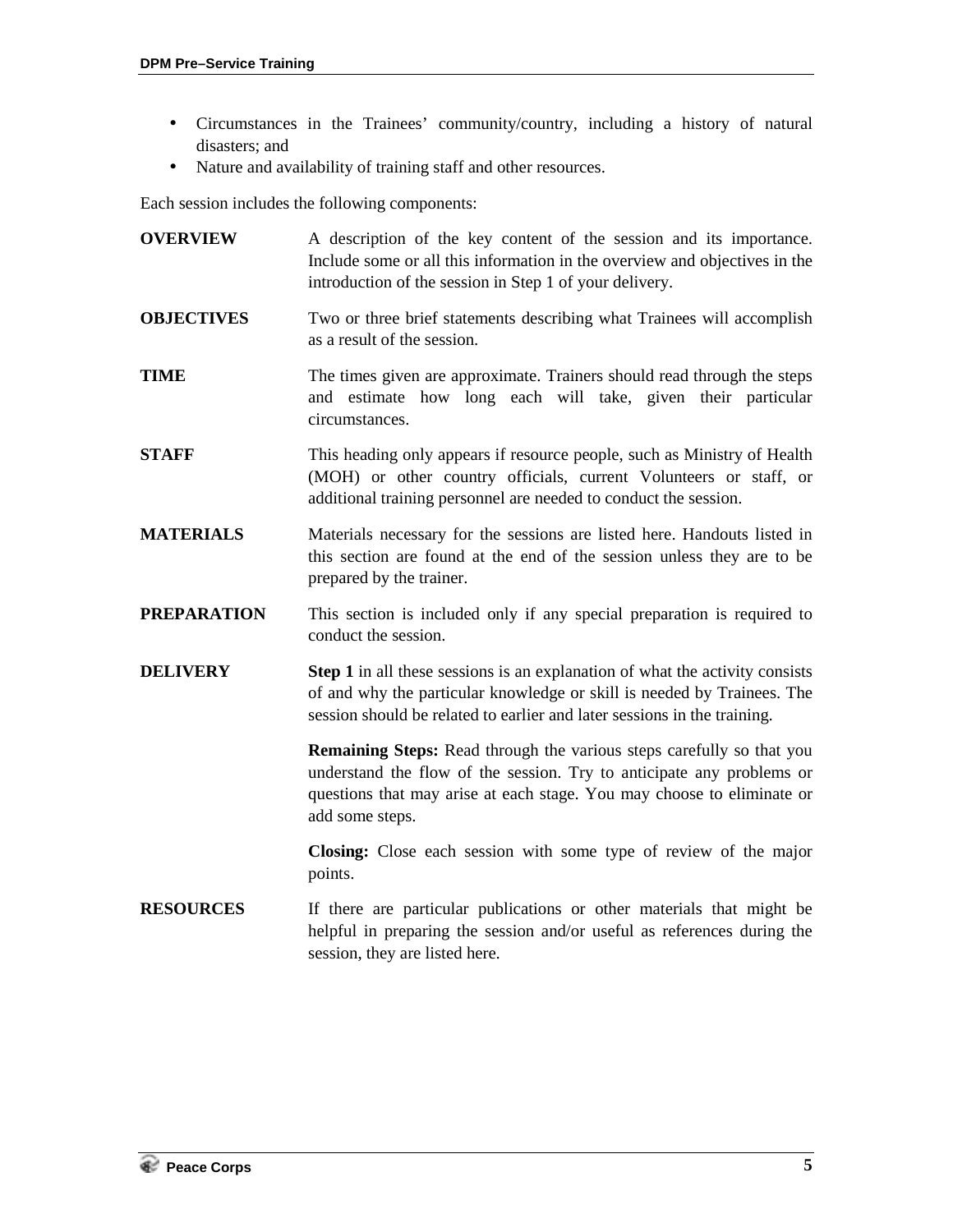- Circumstances in the Trainees' community/country, including a history of natural disasters; and
- Nature and availability of training staff and other resources.

Each session includes the following components:

| <b>OVERVIEW</b>    | A description of the key content of the session and its importance.<br>Include some or all this information in the overview and objectives in the<br>introduction of the session in Step 1 of your delivery.                                |
|--------------------|---------------------------------------------------------------------------------------------------------------------------------------------------------------------------------------------------------------------------------------------|
| <b>OBJECTIVES</b>  | Two or three brief statements describing what Trainees will accomplish<br>as a result of the session.                                                                                                                                       |
| <b>TIME</b>        | The times given are approximate. Trainers should read through the steps<br>and estimate how long each will take, given their particular<br>circumstances.                                                                                   |
| <b>STAFF</b>       | This heading only appears if resource people, such as Ministry of Health<br>(MOH) or other country officials, current Volunteers or staff, or<br>additional training personnel are needed to conduct the session.                           |
| <b>MATERIALS</b>   | Materials necessary for the sessions are listed here. Handouts listed in<br>this section are found at the end of the session unless they are to be<br>prepared by the trainer.                                                              |
| <b>PREPARATION</b> | This section is included only if any special preparation is required to<br>conduct the session.                                                                                                                                             |
| <b>DELIVERY</b>    | <b>Step 1</b> in all these sessions is an explanation of what the activity consists<br>of and why the particular knowledge or skill is needed by Trainees. The<br>session should be related to earlier and later sessions in the training.  |
|                    | Remaining Steps: Read through the various steps carefully so that you<br>understand the flow of the session. Try to anticipate any problems or<br>questions that may arise at each stage. You may choose to eliminate or<br>add some steps. |
|                    | Closing: Close each session with some type of review of the major<br>points.                                                                                                                                                                |
| <b>RESOURCES</b>   | If there are particular publications or other materials that might be<br>helpful in preparing the session and/or useful as references during the<br>session, they are listed here.                                                          |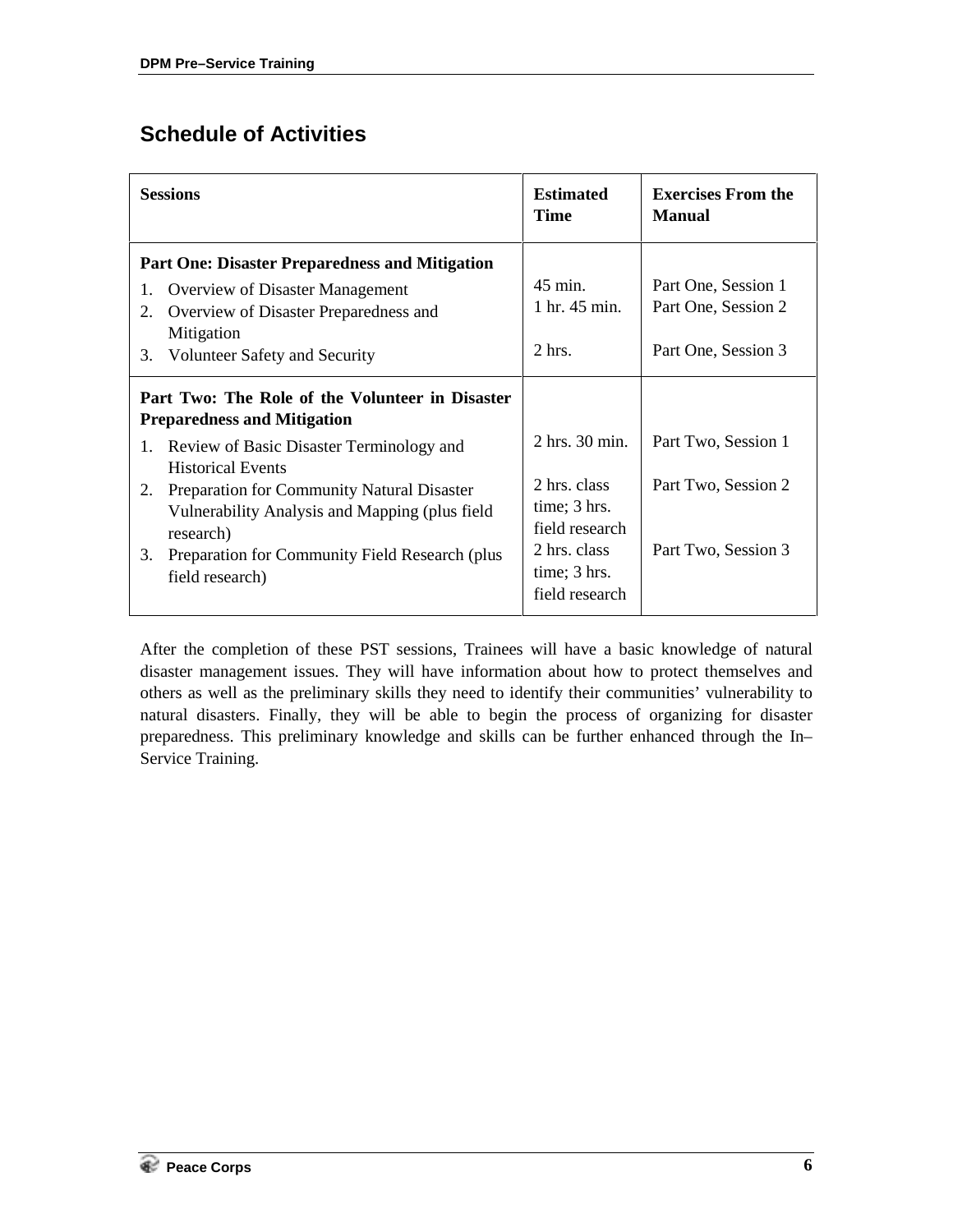### **Schedule of Activities**

| <b>Sessions</b>                                                                                                        | <b>Estimated</b><br><b>Time</b>                          | <b>Exercises From the</b><br><b>Manual</b> |
|------------------------------------------------------------------------------------------------------------------------|----------------------------------------------------------|--------------------------------------------|
| <b>Part One: Disaster Preparedness and Mitigation</b><br>Overview of Disaster Management<br>1.                         | 45 min.                                                  | Part One, Session 1                        |
| Overview of Disaster Preparedness and<br>2.<br>Mitigation                                                              | 1 hr. 45 min.<br>$2$ hrs.                                | Part One, Session 2                        |
| <b>Volunteer Safety and Security</b><br>3.<br>Part Two: The Role of the Volunteer in Disaster                          |                                                          | Part One, Session 3                        |
| <b>Preparedness and Mitigation</b>                                                                                     |                                                          |                                            |
| Review of Basic Disaster Terminology and<br>1.<br><b>Historical Events</b>                                             | 2 hrs. 30 min.                                           | Part Two, Session 1                        |
| <b>Preparation for Community Natural Disaster</b><br>2.<br>Vulnerability Analysis and Mapping (plus field<br>research) | 2 hrs. class<br>time; $3 \text{ hrs.}$<br>field research | Part Two, Session 2                        |
| Preparation for Community Field Research (plus<br>3.<br>field research)                                                | 2 hrs. class<br>time; 3 hrs.<br>field research           | Part Two, Session 3                        |

After the completion of these PST sessions, Trainees will have a basic knowledge of natural disaster management issues. They will have information about how to protect themselves and others as well as the preliminary skills they need to identify their communities' vulnerability to natural disasters. Finally, they will be able to begin the process of organizing for disaster preparedness. This preliminary knowledge and skills can be further enhanced through the In– Service Training.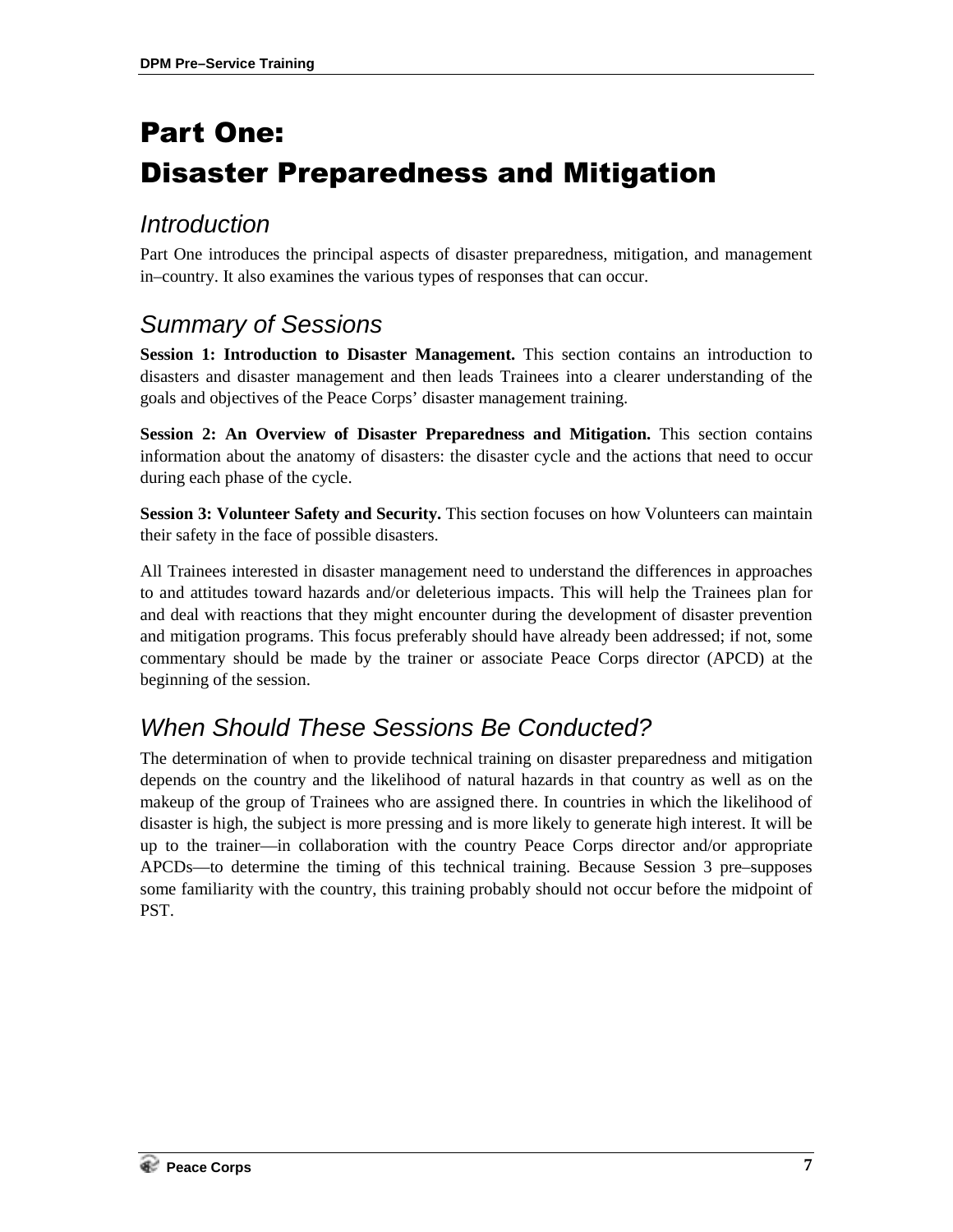# **Part One: Disaster Preparedness and Mitigation**

### **Introduction**

Part One introduces the principal aspects of disaster preparedness, mitigation, and management in–country. It also examines the various types of responses that can occur.

### Summary of Sessions

**Session 1: Introduction to Disaster Management.** This section contains an introduction to disasters and disaster management and then leads Trainees into a clearer understanding of the goals and objectives of the Peace Corps' disaster management training.

**Session 2: An Overview of Disaster Preparedness and Mitigation.** This section contains information about the anatomy of disasters: the disaster cycle and the actions that need to occur during each phase of the cycle.

**Session 3: Volunteer Safety and Security.** This section focuses on how Volunteers can maintain their safety in the face of possible disasters.

All Trainees interested in disaster management need to understand the differences in approaches to and attitudes toward hazards and/or deleterious impacts. This will help the Trainees plan for and deal with reactions that they might encounter during the development of disaster prevention and mitigation programs. This focus preferably should have already been addressed; if not, some commentary should be made by the trainer or associate Peace Corps director (APCD) at the beginning of the session.

# When Should These Sessions Be Conducted?

The determination of when to provide technical training on disaster preparedness and mitigation depends on the country and the likelihood of natural hazards in that country as well as on the makeup of the group of Trainees who are assigned there. In countries in which the likelihood of disaster is high, the subject is more pressing and is more likely to generate high interest. It will be up to the trainer—in collaboration with the country Peace Corps director and/or appropriate APCDs—to determine the timing of this technical training. Because Session 3 pre–supposes some familiarity with the country, this training probably should not occur before the midpoint of PST.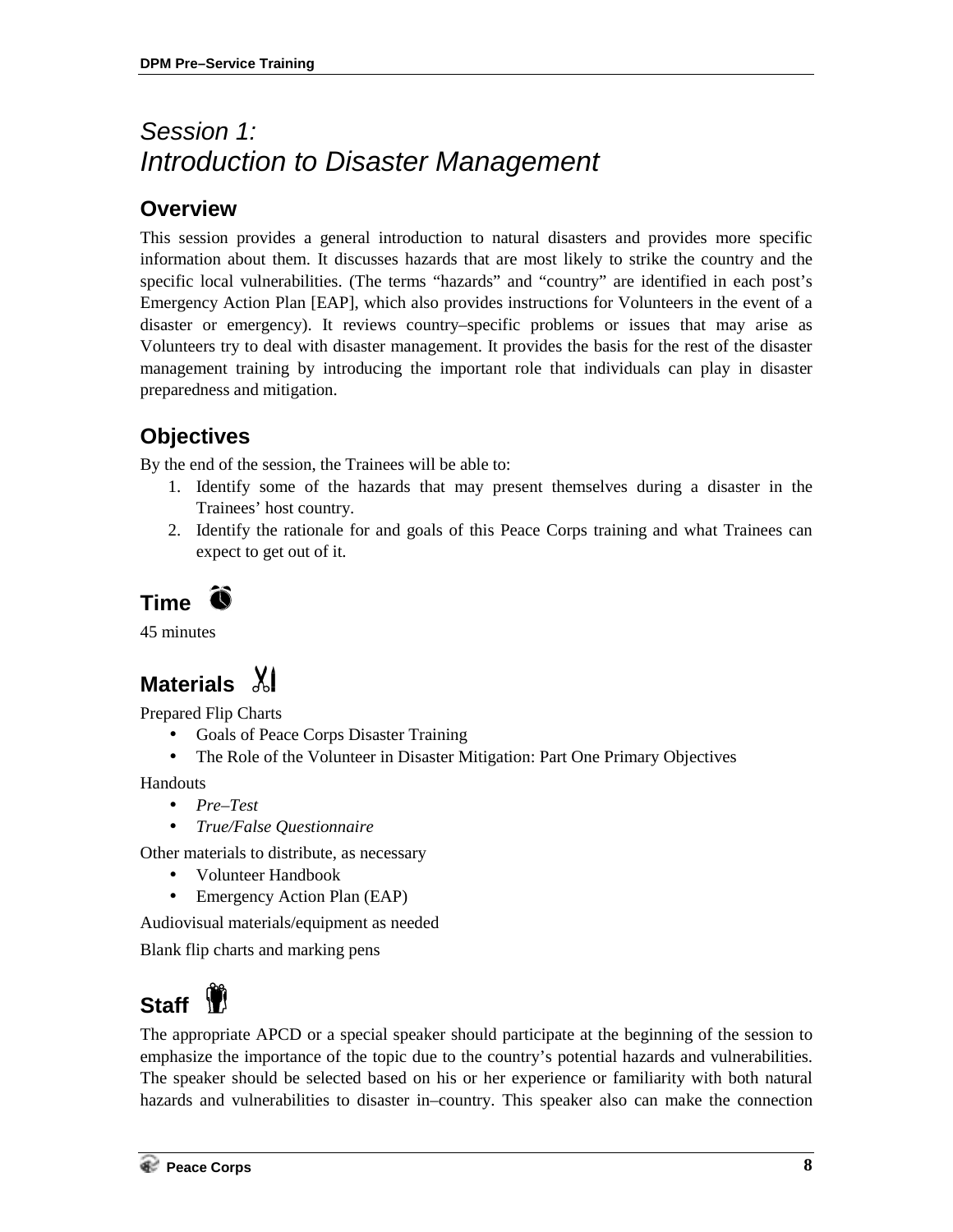# Session 1: Introduction to Disaster Management

### **Overview**

This session provides a general introduction to natural disasters and provides more specific information about them. It discusses hazards that are most likely to strike the country and the specific local vulnerabilities. (The terms "hazards" and "country" are identified in each post's Emergency Action Plan [EAP], which also provides instructions for Volunteers in the event of a disaster or emergency). It reviews country–specific problems or issues that may arise as Volunteers try to deal with disaster management. It provides the basis for the rest of the disaster management training by introducing the important role that individuals can play in disaster preparedness and mitigation.

### **Objectives**

By the end of the session, the Trainees will be able to:

- 1. Identify some of the hazards that may present themselves during a disaster in the Trainees' host country.
- 2. Identify the rationale for and goals of this Peace Corps training and what Trainees can expect to get out of it.



45 minutes

# **Materials**

Prepared Flip Charts

- Goals of Peace Corps Disaster Training
- The Role of the Volunteer in Disaster Mitigation: Part One Primary Objectives

**Handouts** 

- *Pre–Test*
- *True/False Questionnaire*

Other materials to distribute, as necessary

- Volunteer Handbook
- Emergency Action Plan (EAP)

Audiovisual materials/equipment as needed

Blank flip charts and marking pens

# **Staff**

The appropriate APCD or a special speaker should participate at the beginning of the session to emphasize the importance of the topic due to the country's potential hazards and vulnerabilities. The speaker should be selected based on his or her experience or familiarity with both natural hazards and vulnerabilities to disaster in–country. This speaker also can make the connection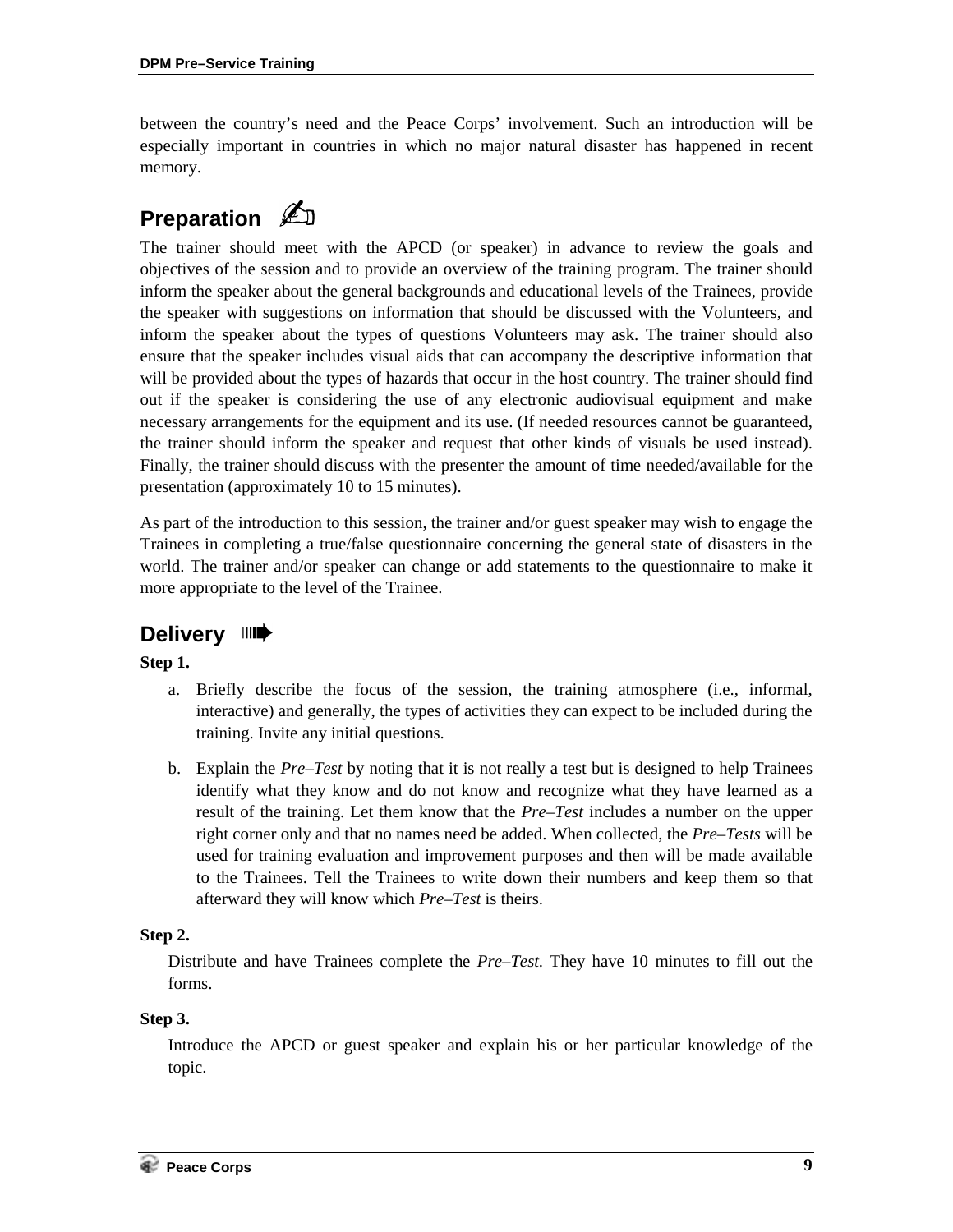between the country's need and the Peace Corps' involvement. Such an introduction will be especially important in countries in which no major natural disaster has happened in recent memory.

# **Preparation**

The trainer should meet with the APCD (or speaker) in advance to review the goals and objectives of the session and to provide an overview of the training program. The trainer should inform the speaker about the general backgrounds and educational levels of the Trainees, provide the speaker with suggestions on information that should be discussed with the Volunteers, and inform the speaker about the types of questions Volunteers may ask. The trainer should also ensure that the speaker includes visual aids that can accompany the descriptive information that will be provided about the types of hazards that occur in the host country. The trainer should find out if the speaker is considering the use of any electronic audiovisual equipment and make necessary arrangements for the equipment and its use. (If needed resources cannot be guaranteed, the trainer should inform the speaker and request that other kinds of visuals be used instead). Finally, the trainer should discuss with the presenter the amount of time needed/available for the presentation (approximately 10 to 15 minutes).

As part of the introduction to this session, the trainer and/or guest speaker may wish to engage the Trainees in completing a true/false questionnaire concerning the general state of disasters in the world. The trainer and/or speaker can change or add statements to the questionnaire to make it more appropriate to the level of the Trainee.

#### Delivery **III**

#### **Step 1.**

- a. Briefly describe the focus of the session, the training atmosphere (i.e., informal, interactive) and generally, the types of activities they can expect to be included during the training. Invite any initial questions.
- b. Explain the *Pre–Test* by noting that it is not really a test but is designed to help Trainees identify what they know and do not know and recognize what they have learned as a result of the training. Let them know that the *Pre–Test* includes a number on the upper right corner only and that no names need be added. When collected, the *Pre–Tests* will be used for training evaluation and improvement purposes and then will be made available to the Trainees. Tell the Trainees to write down their numbers and keep them so that afterward they will know which *Pre–Test* is theirs.

#### **Step 2.**

Distribute and have Trainees complete the *Pre–Test.* They have 10 minutes to fill out the forms.

#### **Step 3.**

Introduce the APCD or guest speaker and explain his or her particular knowledge of the topic.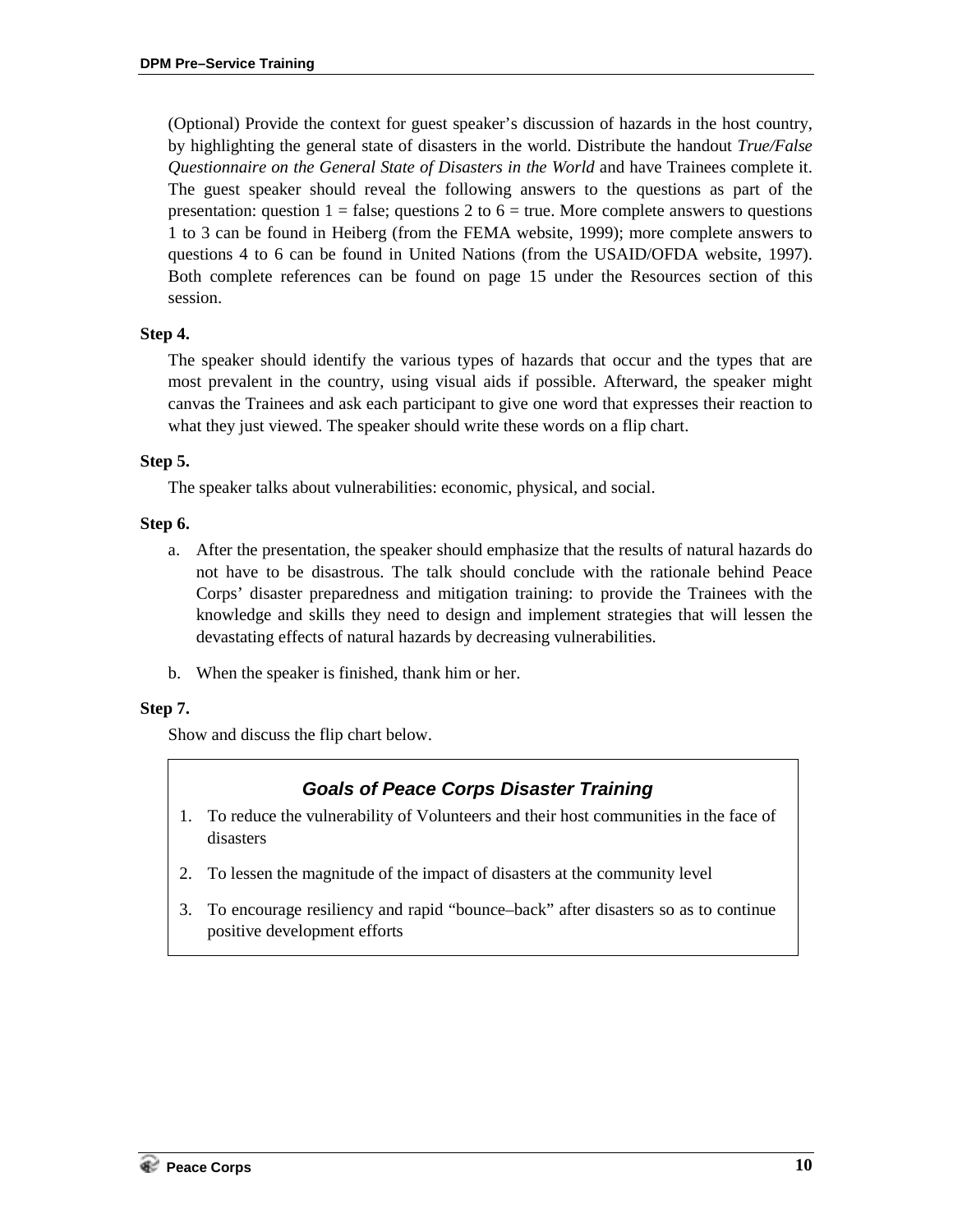(Optional) Provide the context for guest speaker's discussion of hazards in the host country, by highlighting the general state of disasters in the world. Distribute the handout *True/False Questionnaire on the General State of Disasters in the World* and have Trainees complete it. The guest speaker should reveal the following answers to the questions as part of the presentation: question  $1 =$  false; questions 2 to  $6 =$  true. More complete answers to questions 1 to 3 can be found in Heiberg (from the FEMA website, 1999); more complete answers to questions 4 to 6 can be found in United Nations (from the USAID/OFDA website, 1997). Both complete references can be found on page 15 under the Resources section of this session.

#### **Step 4.**

The speaker should identify the various types of hazards that occur and the types that are most prevalent in the country, using visual aids if possible. Afterward, the speaker might canvas the Trainees and ask each participant to give one word that expresses their reaction to what they just viewed. The speaker should write these words on a flip chart.

#### **Step 5.**

The speaker talks about vulnerabilities: economic, physical, and social.

#### **Step 6.**

- a. After the presentation, the speaker should emphasize that the results of natural hazards do not have to be disastrous. The talk should conclude with the rationale behind Peace Corps' disaster preparedness and mitigation training: to provide the Trainees with the knowledge and skills they need to design and implement strategies that will lessen the devastating effects of natural hazards by decreasing vulnerabilities.
- b. When the speaker is finished, thank him or her.

#### **Step 7.**

Show and discuss the flip chart below.

#### **Goals of Peace Corps Disaster Training**

- 1. To reduce the vulnerability of Volunteers and their host communities in the face of disasters
- 2. To lessen the magnitude of the impact of disasters at the community level
- 3. To encourage resiliency and rapid "bounce–back" after disasters so as to continue positive development efforts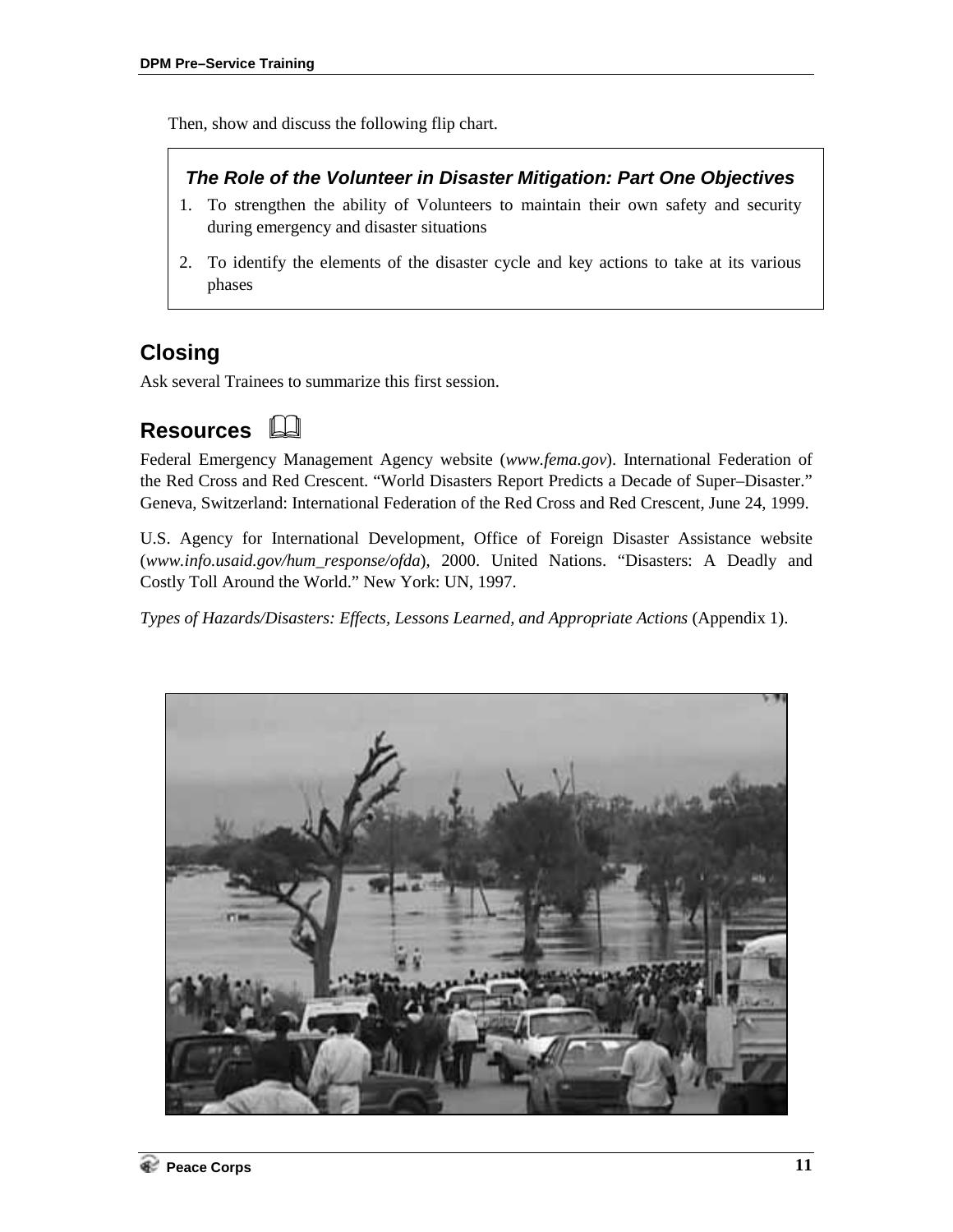Then, show and discuss the following flip chart.

#### **The Role of the Volunteer in Disaster Mitigation: Part One Objectives**

- 1. To strengthen the ability of Volunteers to maintain their own safety and security during emergency and disaster situations
- 2. To identify the elements of the disaster cycle and key actions to take at its various phases

### **Closing**

Ask several Trainees to summarize this first session.

### **Resources**



Federal Emergency Management Agency website (*www.fema.gov*). International Federation of the Red Cross and Red Crescent. "World Disasters Report Predicts a Decade of Super–Disaster." Geneva, Switzerland: International Federation of the Red Cross and Red Crescent, June 24, 1999.

U.S. Agency for International Development, Office of Foreign Disaster Assistance website (*www.info.usaid.gov/hum\_response/ofda*), 2000. United Nations. "Disasters: A Deadly and Costly Toll Around the World." New York: UN, 1997.

*Types of Hazards/Disasters: Effects, Lessons Learned, and Appropriate Actions* (Appendix 1).

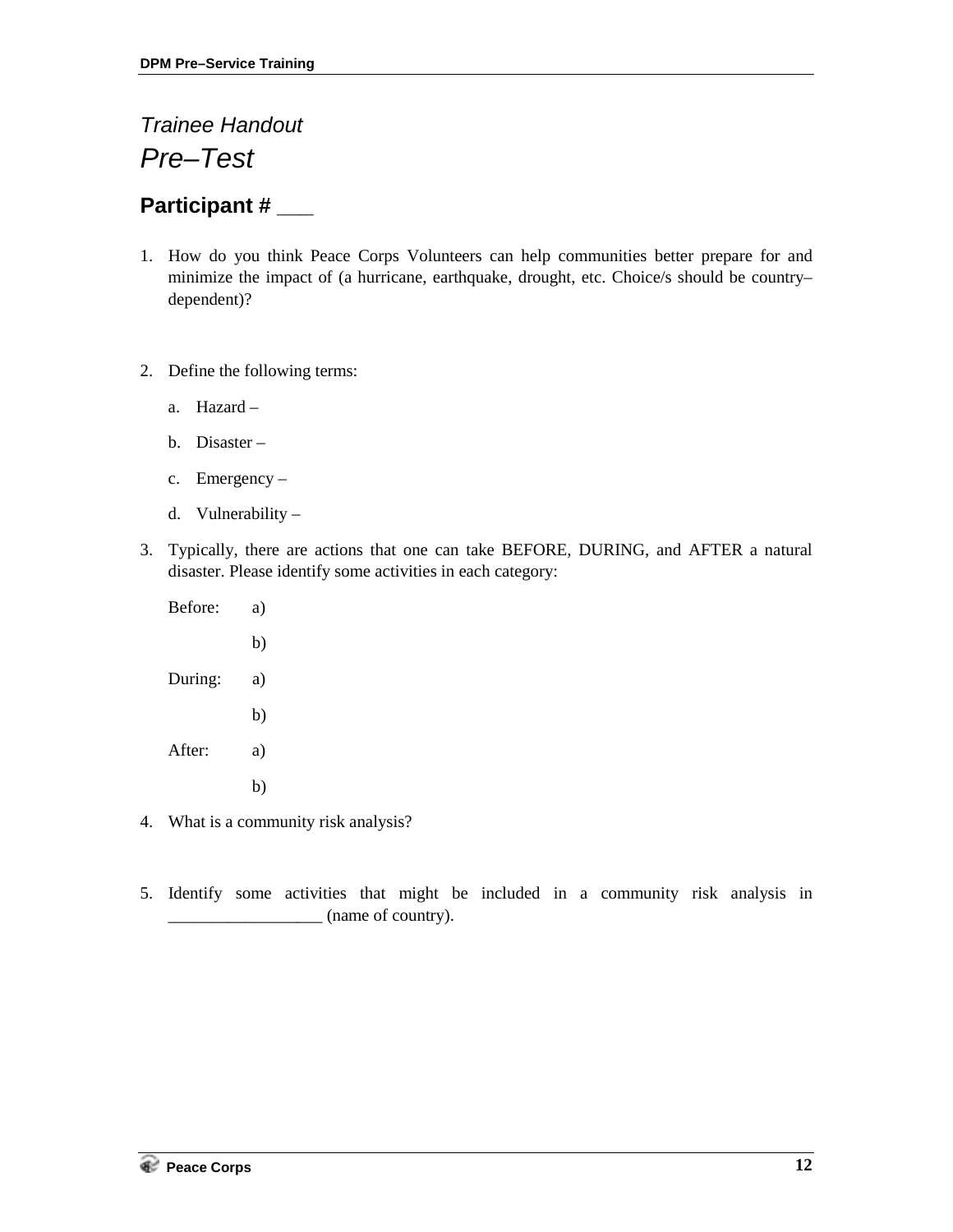# Trainee Handout Pre–Test

### **Participant # \_\_\_**

- 1. How do you think Peace Corps Volunteers can help communities better prepare for and minimize the impact of (a hurricane, earthquake, drought, etc. Choice/s should be country– dependent)?
- 2. Define the following terms:
	- a. Hazard –
	- b. Disaster –
	- c. Emergency –
	- d. Vulnerability –
- 3. Typically, there are actions that one can take BEFORE, DURING, and AFTER a natural disaster. Please identify some activities in each category:
	- Before: a) b) During: a) b) After: a) b)
- 4. What is a community risk analysis?
- 5. Identify some activities that might be included in a community risk analysis in \_\_\_\_\_\_\_\_\_\_\_\_\_\_\_\_\_\_ (name of country).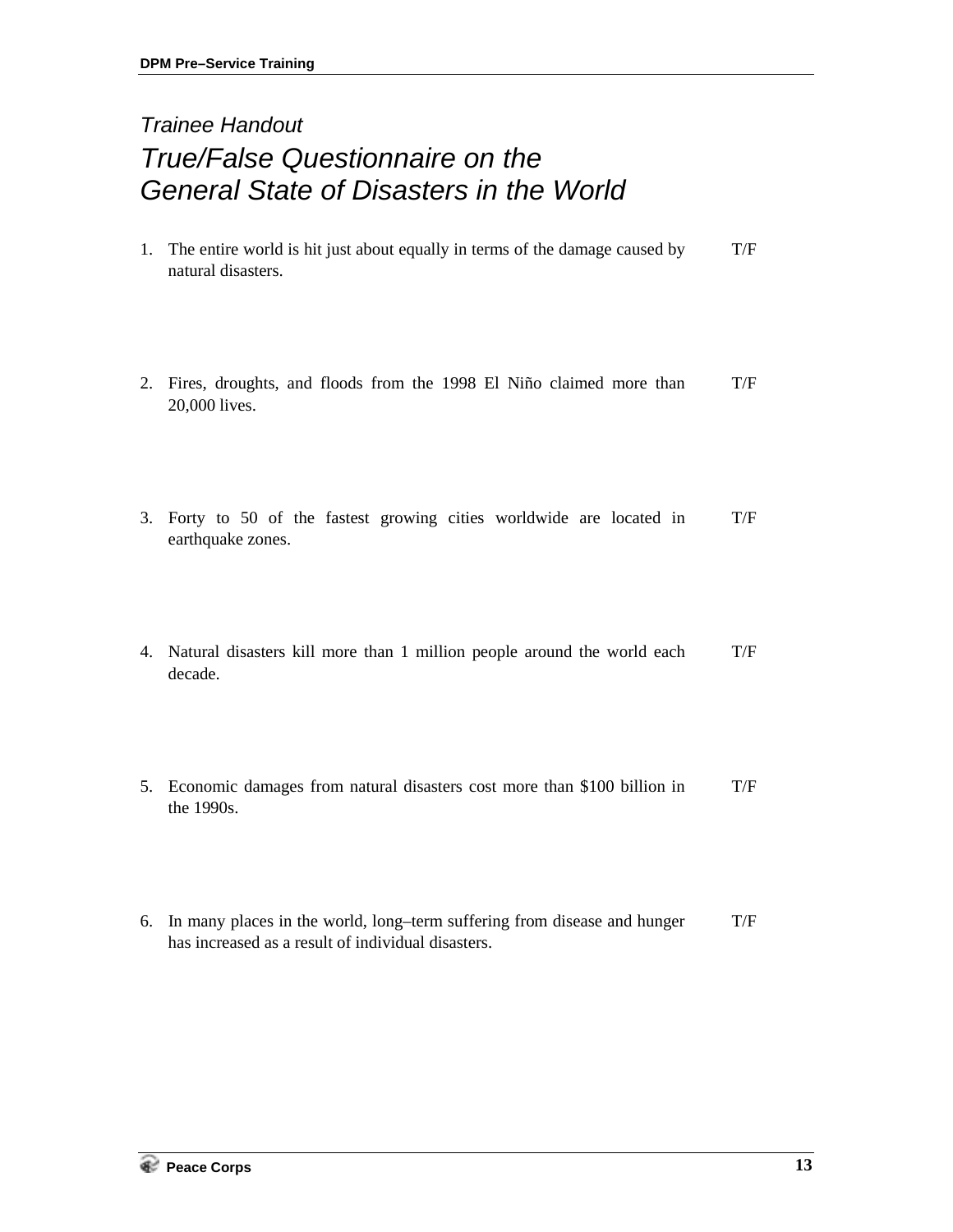# Trainee Handout True/False Questionnaire on the General State of Disasters in the World

- 1. The entire world is hit just about equally in terms of the damage caused by natural disasters. T/F
- 2. Fires, droughts, and floods from the 1998 El Niño claimed more than 20,000 lives. T/F
- 3. Forty to 50 of the fastest growing cities worldwide are located in earthquake zones. T/F
- 4. Natural disasters kill more than 1 million people around the world each decade. T/F
- 5. Economic damages from natural disasters cost more than \$100 billion in the 1990s. T/F
- 6. In many places in the world, long–term suffering from disease and hunger has increased as a result of individual disasters. T/F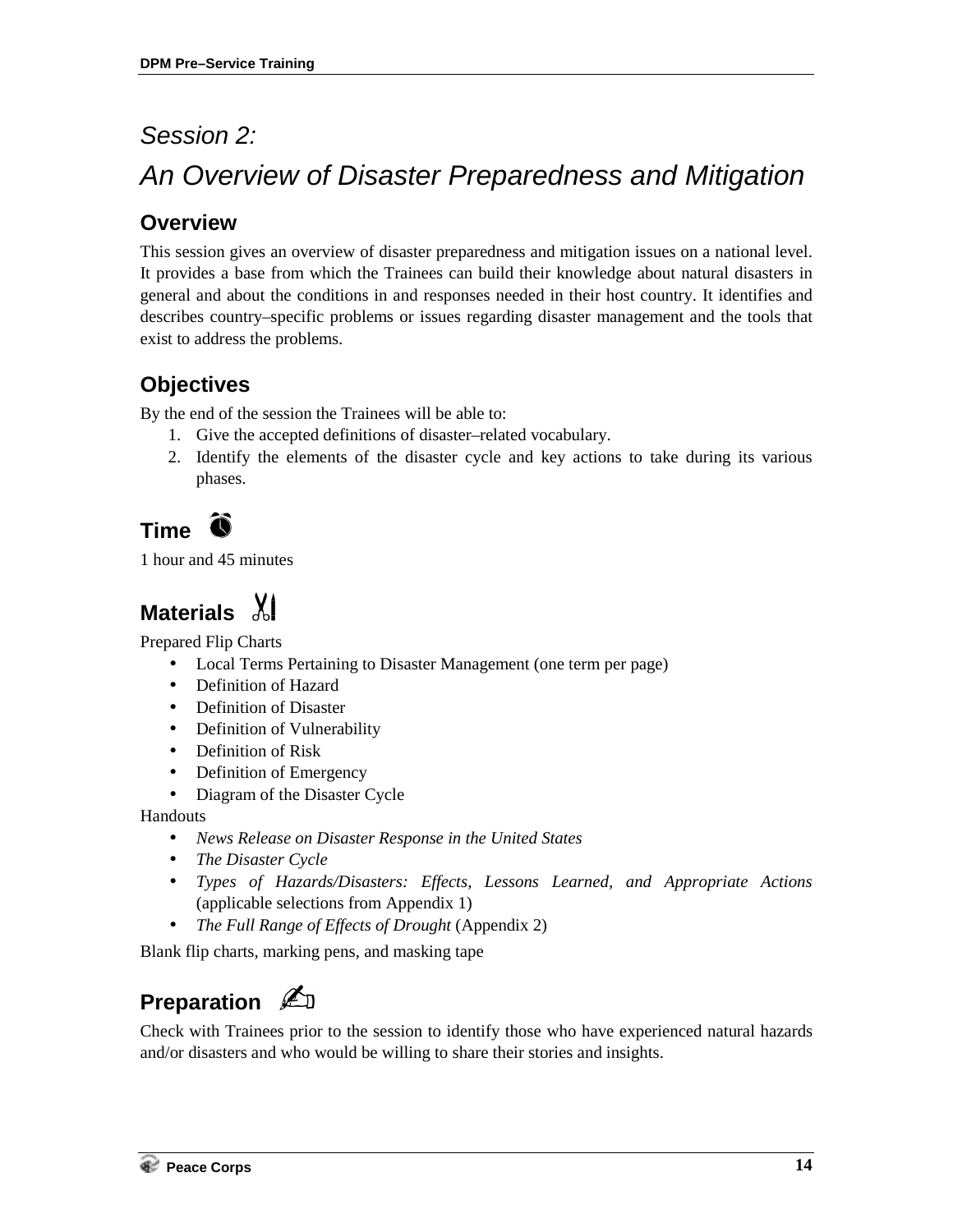# Session 2: An Overview of Disaster Preparedness and Mitigation

### **Overview**

This session gives an overview of disaster preparedness and mitigation issues on a national level. It provides a base from which the Trainees can build their knowledge about natural disasters in general and about the conditions in and responses needed in their host country. It identifies and describes country–specific problems or issues regarding disaster management and the tools that exist to address the problems.

### **Objectives**

By the end of the session the Trainees will be able to:

- 1. Give the accepted definitions of disaster–related vocabulary.
- 2. Identify the elements of the disaster cycle and key actions to take during its various phases.

#### A **Time**

1 hour and 45 minutes

# **Materials**  $\lambda$

Prepared Flip Charts

- Local Terms Pertaining to Disaster Management (one term per page)
- Definition of Hazard
- Definition of Disaster
- Definition of Vulnerability
- Definition of Risk
- Definition of Emergency
- Diagram of the Disaster Cycle

Handouts

- *News Release on Disaster Response in the United States*
- *The Disaster Cycle*
- *Types of Hazards/Disasters: Effects, Lessons Learned, and Appropriate Actions* (applicable selections from Appendix 1)
- *The Full Range of Effects of Drought* (Appendix 2)

Blank flip charts, marking pens, and masking tape

# **Preparation**  $\mathbb{Z}_D$

Check with Trainees prior to the session to identify those who have experienced natural hazards and/or disasters and who would be willing to share their stories and insights.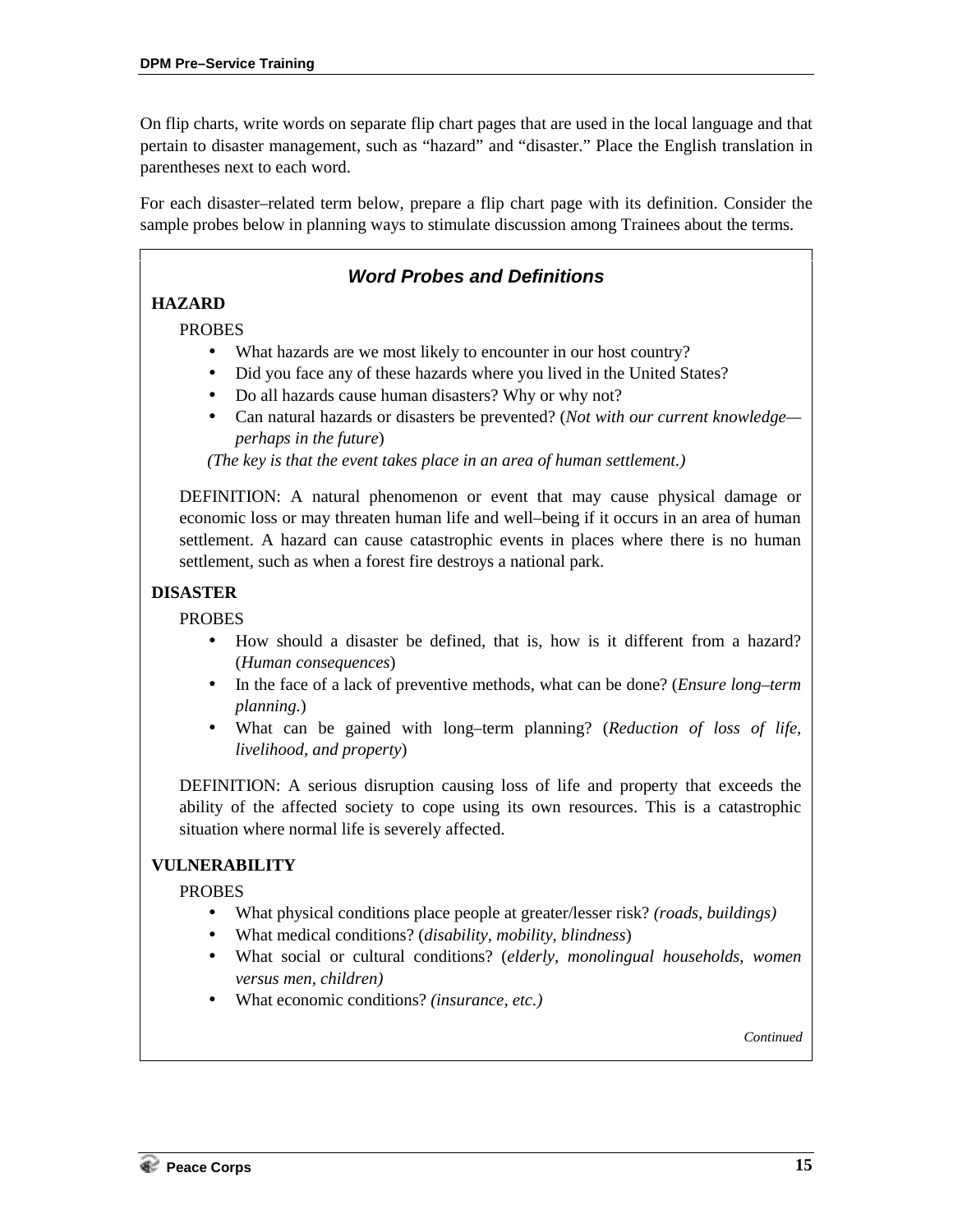On flip charts, write words on separate flip chart pages that are used in the local language and that pertain to disaster management, such as "hazard" and "disaster." Place the English translation in parentheses next to each word.

For each disaster–related term below, prepare a flip chart page with its definition. Consider the sample probes below in planning ways to stimulate discussion among Trainees about the terms.

#### **Word Probes and Definitions**

#### **HAZARD**

#### PROBES

- What hazards are we most likely to encounter in our host country?
- Did you face any of these hazards where you lived in the United States?
- Do all hazards cause human disasters? Why or why not?
- Can natural hazards or disasters be prevented? (*Not with our current knowledge perhaps in the future*)

 *(The key is that the event takes place in an area of human settlement.)* 

DEFINITION: A natural phenomenon or event that may cause physical damage or economic loss or may threaten human life and well–being if it occurs in an area of human settlement. A hazard can cause catastrophic events in places where there is no human settlement, such as when a forest fire destroys a national park.

#### **DISASTER**

PROBES

- How should a disaster be defined, that is, how is it different from a hazard? (*Human consequences*)
- In the face of a lack of preventive methods, what can be done? (*Ensure long–term planning.*)
- What can be gained with long–term planning? (*Reduction of loss of life, livelihood, and property*)

DEFINITION: A serious disruption causing loss of life and property that exceeds the ability of the affected society to cope using its own resources. This is a catastrophic situation where normal life is severely affected.

#### **VULNERABILITY**

PROBES

- What physical conditions place people at greater/lesser risk? *(roads, buildings)*
- What medical conditions? (*disability, mobility, blindness*)
- What social or cultural conditions? (*elderly, monolingual households, women versus men, children)*
- What economic conditions? *(insurance, etc.)*

*Continued*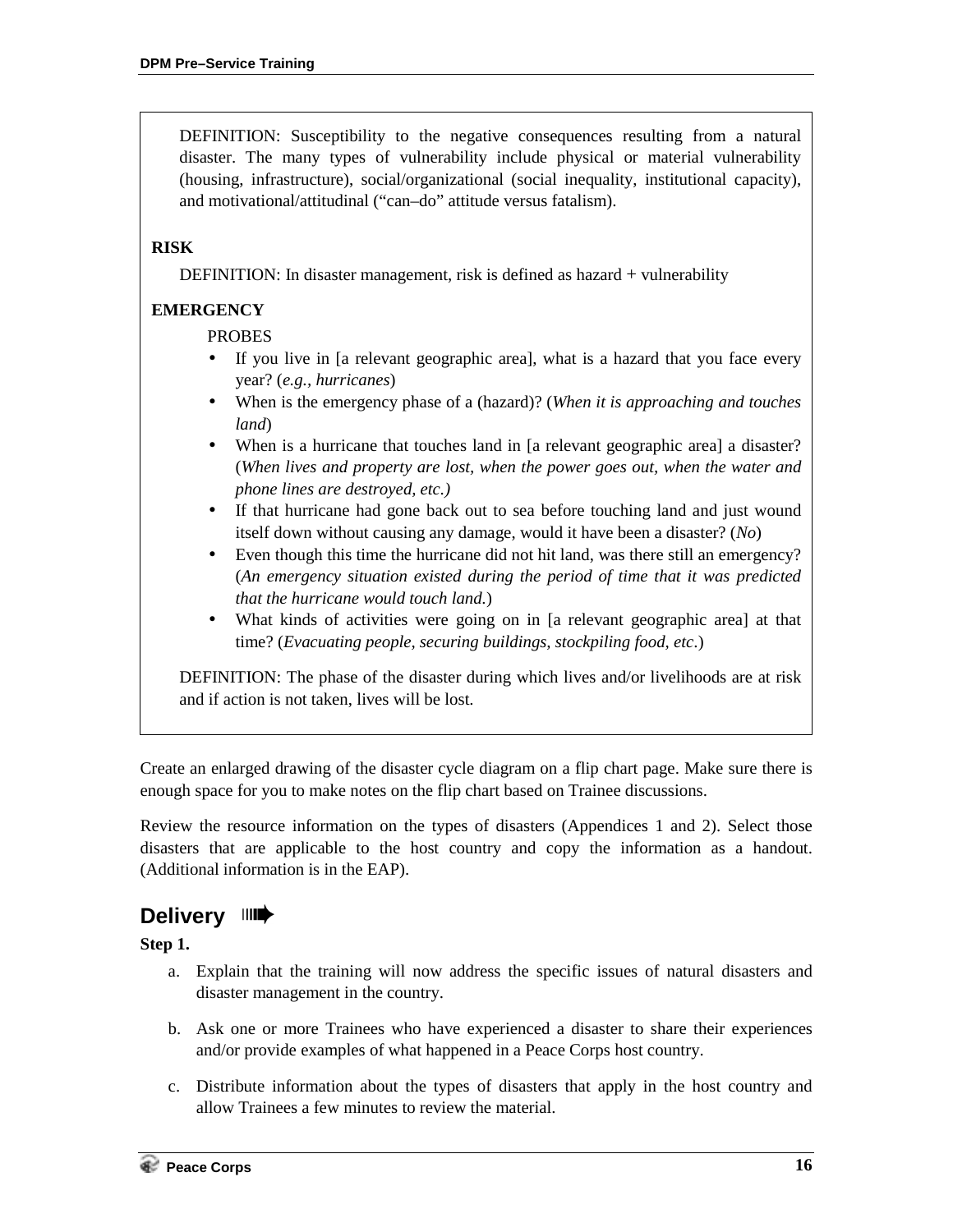DEFINITION: Susceptibility to the negative consequences resulting from a natural disaster. The many types of vulnerability include physical or material vulnerability (housing, infrastructure), social/organizational (social inequality, institutional capacity), and motivational/attitudinal ("can–do" attitude versus fatalism).

#### **RISK**

DEFINITION: In disaster management, risk is defined as hazard + vulnerability

#### **EMERGENCY**

#### **PROBES**

- If you live in [a relevant geographic area], what is a hazard that you face every year? (*e.g., hurricanes*)
- When is the emergency phase of a (hazard)? (*When it is approaching and touches land*)
- When is a hurricane that touches land in [a relevant geographic area] a disaster? (*When lives and property are lost, when the power goes out, when the water and phone lines are destroyed, etc.)*
- If that hurricane had gone back out to sea before touching land and just wound itself down without causing any damage, would it have been a disaster? (*No*)
- Even though this time the hurricane did not hit land, was there still an emergency? (*An emergency situation existed during the period of time that it was predicted that the hurricane would touch land.*)
- What kinds of activities were going on in [a relevant geographic area] at that time? (*Evacuating people, securing buildings, stockpiling food, etc*.)

DEFINITION: The phase of the disaster during which lives and/or livelihoods are at risk and if action is not taken, lives will be lost.

Create an enlarged drawing of the disaster cycle diagram on a flip chart page. Make sure there is enough space for you to make notes on the flip chart based on Trainee discussions.

Review the resource information on the types of disasters (Appendices 1 and 2). Select those disasters that are applicable to the host country and copy the information as a handout. (Additional information is in the EAP).

### **Delivery IIII**

**Step 1.** 

- a. Explain that the training will now address the specific issues of natural disasters and disaster management in the country.
- b. Ask one or more Trainees who have experienced a disaster to share their experiences and/or provide examples of what happened in a Peace Corps host country.
- c. Distribute information about the types of disasters that apply in the host country and allow Trainees a few minutes to review the material.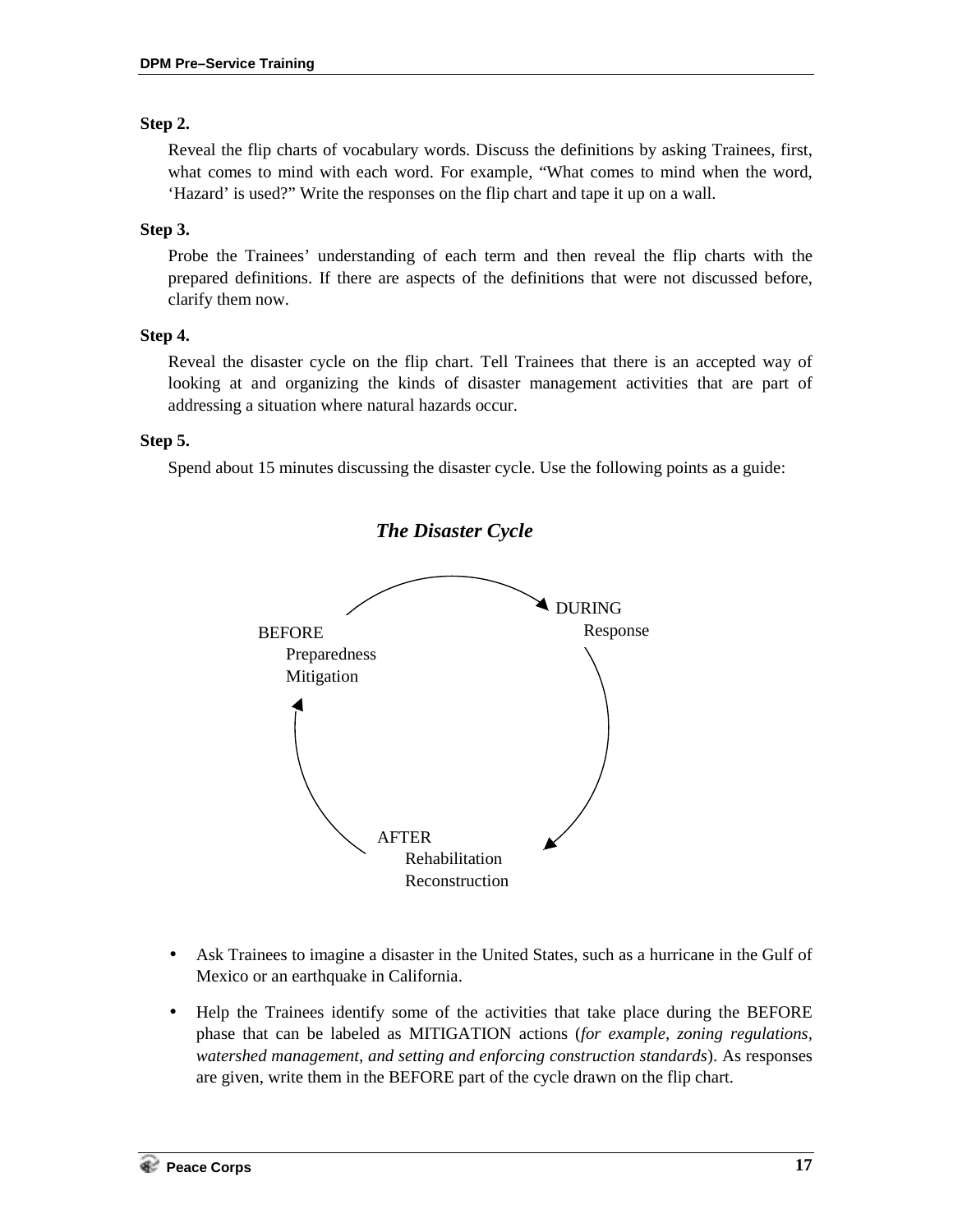#### **Step 2.**

Reveal the flip charts of vocabulary words. Discuss the definitions by asking Trainees, first, what comes to mind with each word. For example, "What comes to mind when the word, 'Hazard' is used?" Write the responses on the flip chart and tape it up on a wall.

#### **Step 3.**

Probe the Trainees' understanding of each term and then reveal the flip charts with the prepared definitions. If there are aspects of the definitions that were not discussed before, clarify them now.

#### **Step 4.**

Reveal the disaster cycle on the flip chart. Tell Trainees that there is an accepted way of looking at and organizing the kinds of disaster management activities that are part of addressing a situation where natural hazards occur.

#### **Step 5.**

Spend about 15 minutes discussing the disaster cycle. Use the following points as a guide:



- Ask Trainees to imagine a disaster in the United States, such as a hurricane in the Gulf of Mexico or an earthquake in California.
- Help the Trainees identify some of the activities that take place during the BEFORE phase that can be labeled as MITIGATION actions (*for example, zoning regulations, watershed management, and setting and enforcing construction standards*). As responses are given, write them in the BEFORE part of the cycle drawn on the flip chart.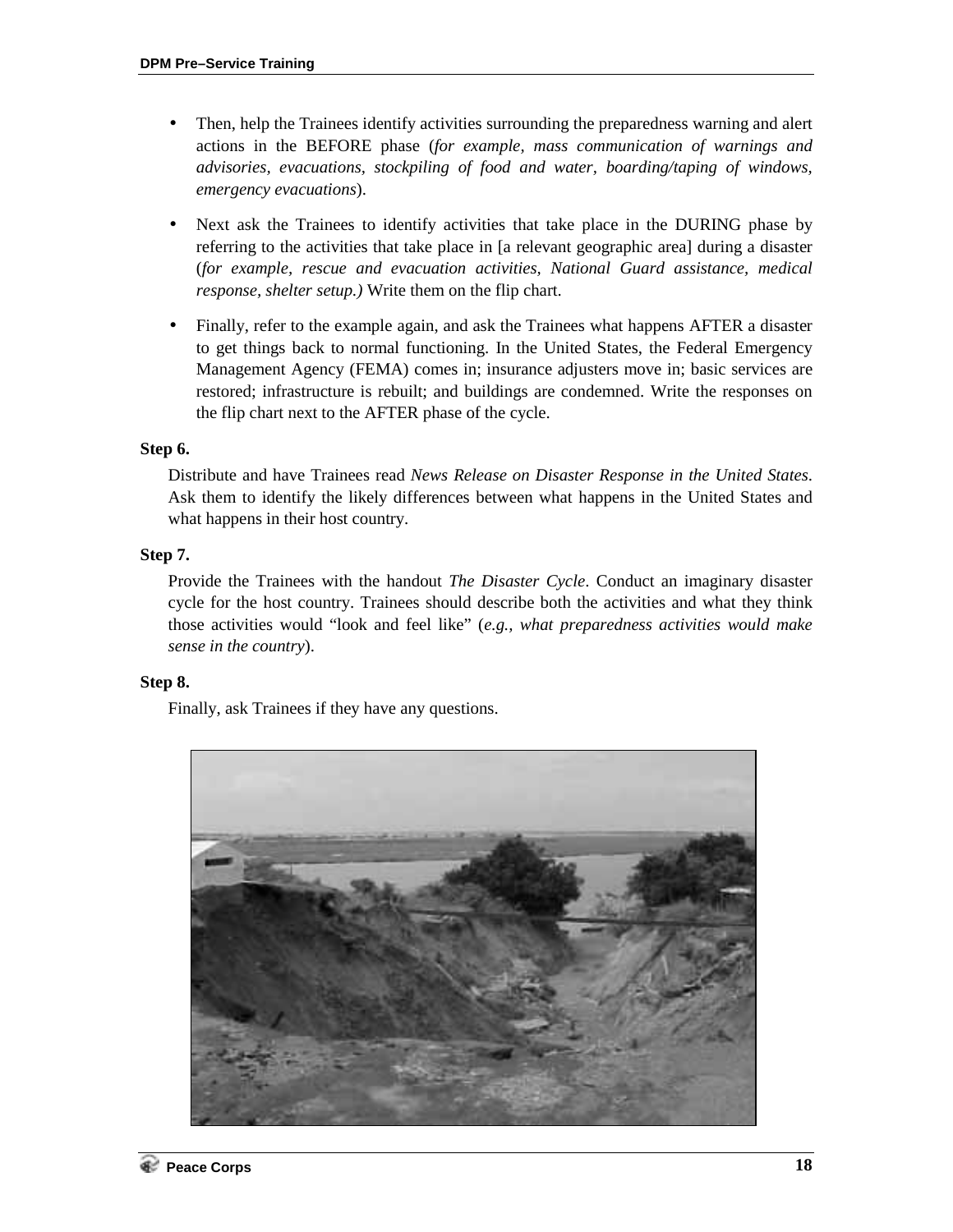- Then, help the Trainees identify activities surrounding the preparedness warning and alert actions in the BEFORE phase (*for example, mass communication of warnings and advisories, evacuations, stockpiling of food and water, boarding/taping of windows, emergency evacuations*).
- Next ask the Trainees to identify activities that take place in the DURING phase by referring to the activities that take place in [a relevant geographic area] during a disaster (*for example, rescue and evacuation activities, National Guard assistance, medical response, shelter setup.)* Write them on the flip chart.
- Finally, refer to the example again, and ask the Trainees what happens AFTER a disaster to get things back to normal functioning. In the United States, the Federal Emergency Management Agency (FEMA) comes in; insurance adjusters move in; basic services are restored; infrastructure is rebuilt; and buildings are condemned. Write the responses on the flip chart next to the AFTER phase of the cycle.

#### **Step 6.**

Distribute and have Trainees read *News Release on Disaster Response in the United States*. Ask them to identify the likely differences between what happens in the United States and what happens in their host country.

#### **Step 7.**

Provide the Trainees with the handout *The Disaster Cycle*. Conduct an imaginary disaster cycle for the host country. Trainees should describe both the activities and what they think those activities would "look and feel like" (*e.g., what preparedness activities would make sense in the country*).

#### **Step 8.**

Finally, ask Trainees if they have any questions.

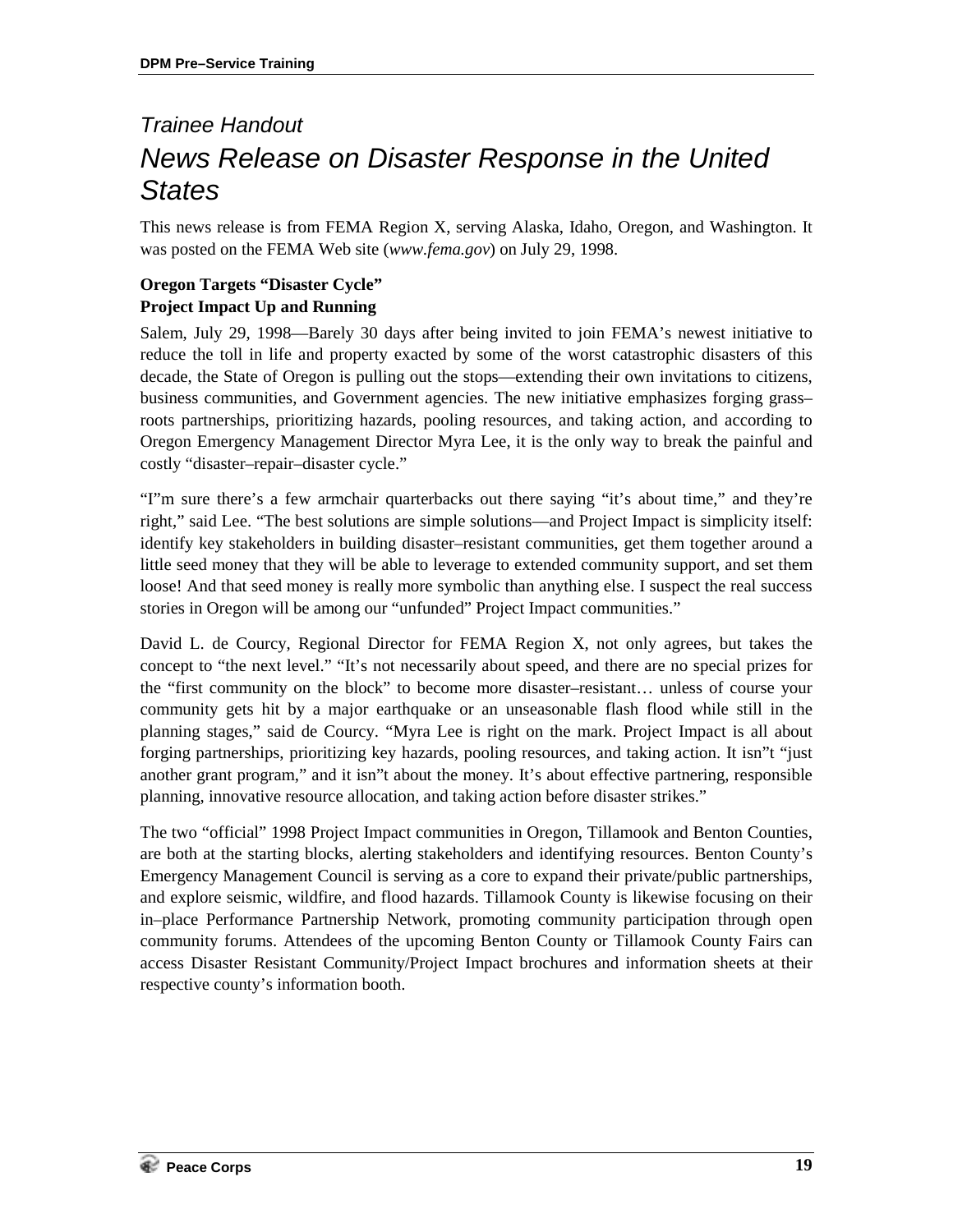# Trainee Handout News Release on Disaster Response in the United **States**

This news release is from FEMA Region X, serving Alaska, Idaho, Oregon, and Washington. It was posted on the FEMA Web site (*www.fema.gov*) on July 29, 1998.

#### **Oregon Targets "Disaster Cycle" Project Impact Up and Running**

Salem, July 29, 1998—Barely 30 days after being invited to join FEMA's newest initiative to reduce the toll in life and property exacted by some of the worst catastrophic disasters of this decade, the State of Oregon is pulling out the stops—extending their own invitations to citizens, business communities, and Government agencies. The new initiative emphasizes forging grass– roots partnerships, prioritizing hazards, pooling resources, and taking action, and according to Oregon Emergency Management Director Myra Lee, it is the only way to break the painful and costly "disaster–repair–disaster cycle."

"I"m sure there's a few armchair quarterbacks out there saying "it's about time," and they're right," said Lee. "The best solutions are simple solutions—and Project Impact is simplicity itself: identify key stakeholders in building disaster–resistant communities, get them together around a little seed money that they will be able to leverage to extended community support, and set them loose! And that seed money is really more symbolic than anything else. I suspect the real success stories in Oregon will be among our "unfunded" Project Impact communities."

David L. de Courcy, Regional Director for FEMA Region X, not only agrees, but takes the concept to "the next level." "It's not necessarily about speed, and there are no special prizes for the "first community on the block" to become more disaster–resistant… unless of course your community gets hit by a major earthquake or an unseasonable flash flood while still in the planning stages," said de Courcy. "Myra Lee is right on the mark. Project Impact is all about forging partnerships, prioritizing key hazards, pooling resources, and taking action. It isn"t "just another grant program," and it isn"t about the money. It's about effective partnering, responsible planning, innovative resource allocation, and taking action before disaster strikes."

The two "official" 1998 Project Impact communities in Oregon, Tillamook and Benton Counties, are both at the starting blocks, alerting stakeholders and identifying resources. Benton County's Emergency Management Council is serving as a core to expand their private/public partnerships, and explore seismic, wildfire, and flood hazards. Tillamook County is likewise focusing on their in–place Performance Partnership Network, promoting community participation through open community forums. Attendees of the upcoming Benton County or Tillamook County Fairs can access Disaster Resistant Community/Project Impact brochures and information sheets at their respective county's information booth.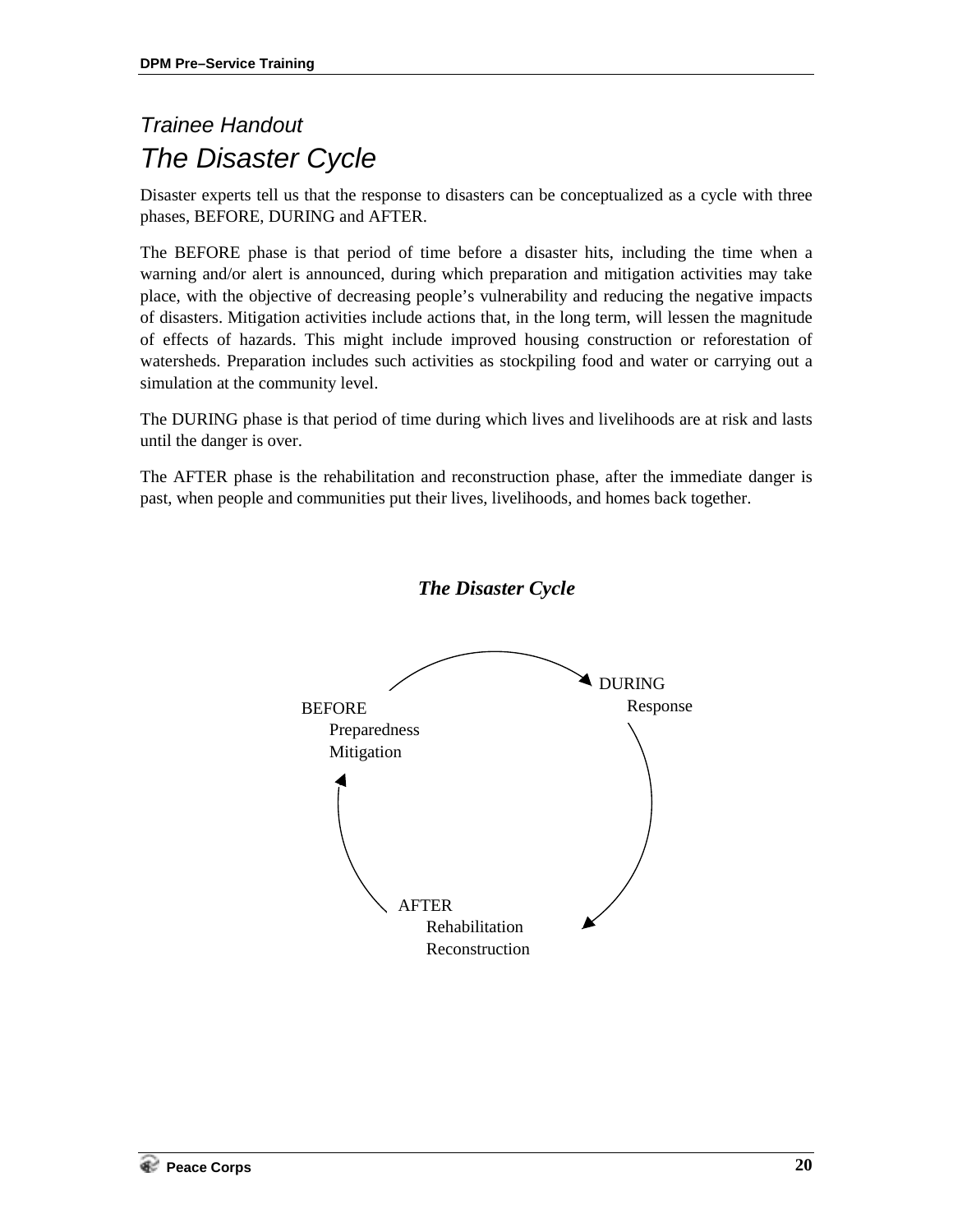# Trainee Handout The Disaster Cycle

Disaster experts tell us that the response to disasters can be conceptualized as a cycle with three phases, BEFORE, DURING and AFTER.

The BEFORE phase is that period of time before a disaster hits, including the time when a warning and/or alert is announced, during which preparation and mitigation activities may take place, with the objective of decreasing people's vulnerability and reducing the negative impacts of disasters. Mitigation activities include actions that, in the long term, will lessen the magnitude of effects of hazards. This might include improved housing construction or reforestation of watersheds. Preparation includes such activities as stockpiling food and water or carrying out a simulation at the community level.

The DURING phase is that period of time during which lives and livelihoods are at risk and lasts until the danger is over.

The AFTER phase is the rehabilitation and reconstruction phase, after the immediate danger is past, when people and communities put their lives, livelihoods, and homes back together.



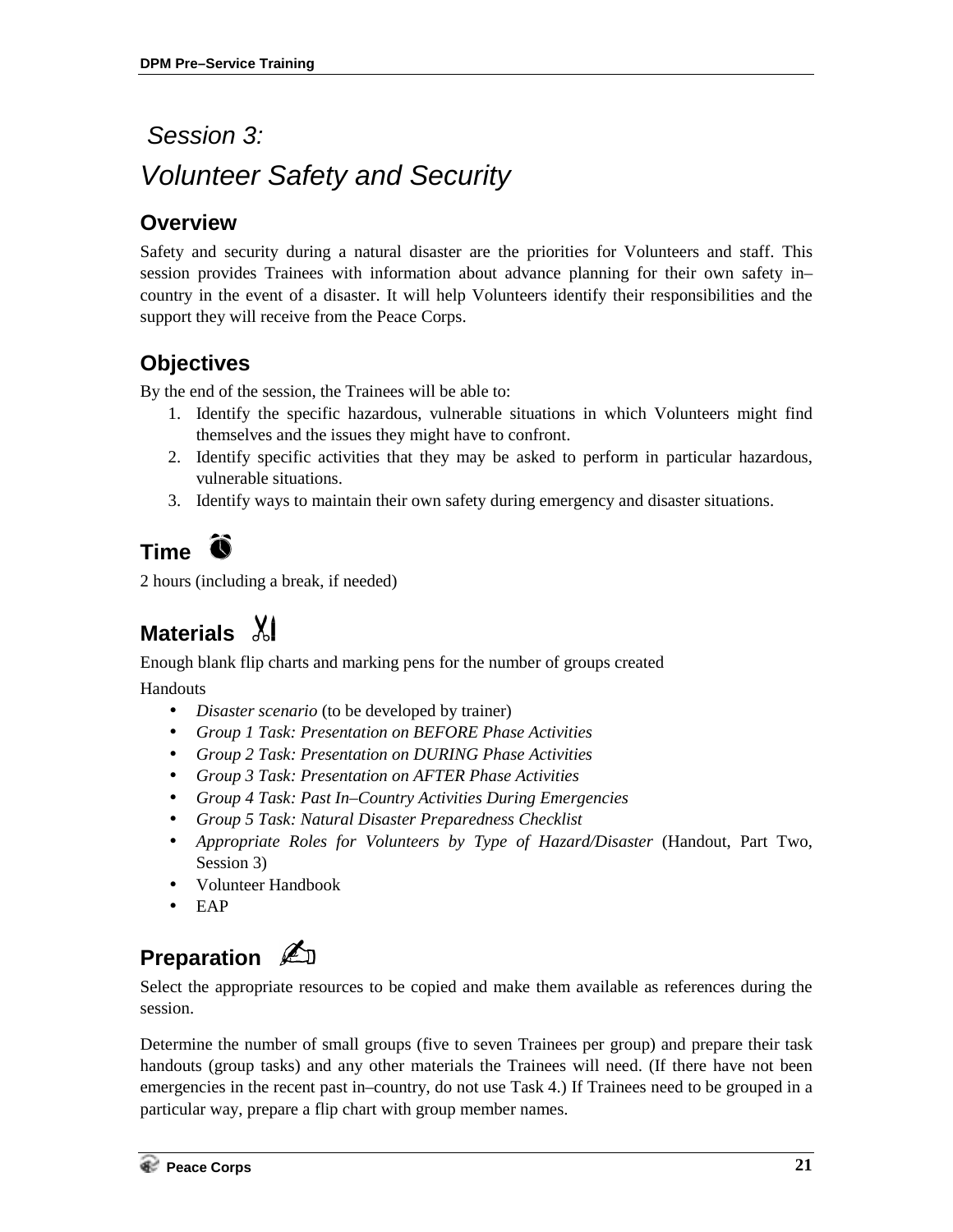# Session 3: Volunteer Safety and Security

### **Overview**

Safety and security during a natural disaster are the priorities for Volunteers and staff. This session provides Trainees with information about advance planning for their own safety in– country in the event of a disaster. It will help Volunteers identify their responsibilities and the support they will receive from the Peace Corps.

### **Objectives**

By the end of the session, the Trainees will be able to:

- 1. Identify the specific hazardous, vulnerable situations in which Volunteers might find themselves and the issues they might have to confront.
- 2. Identify specific activities that they may be asked to perform in particular hazardous, vulnerable situations.
- 3. Identify ways to maintain their own safety during emergency and disaster situations.

# **Time**

2 hours (including a break, if needed)

# **Materials**

Enough blank flip charts and marking pens for the number of groups created Handouts

- *Disaster scenario* (to be developed by trainer)
- *Group 1 Task: Presentation on BEFORE Phase Activities*
- *Group 2 Task: Presentation on DURING Phase Activities*
- *Group 3 Task: Presentation on AFTER Phase Activities*
- *Group 4 Task: Past In–Country Activities During Emergencies*
- *Group 5 Task: Natural Disaster Preparedness Checklist*
- *Appropriate Roles for Volunteers by Type of Hazard/Disaster* (Handout, Part Two, Session 3)
- Volunteer Handbook
- EAP

# **Preparation**

Select the appropriate resources to be copied and make them available as references during the session.

Determine the number of small groups (five to seven Trainees per group) and prepare their task handouts (group tasks) and any other materials the Trainees will need. (If there have not been emergencies in the recent past in–country, do not use Task 4.) If Trainees need to be grouped in a particular way, prepare a flip chart with group member names.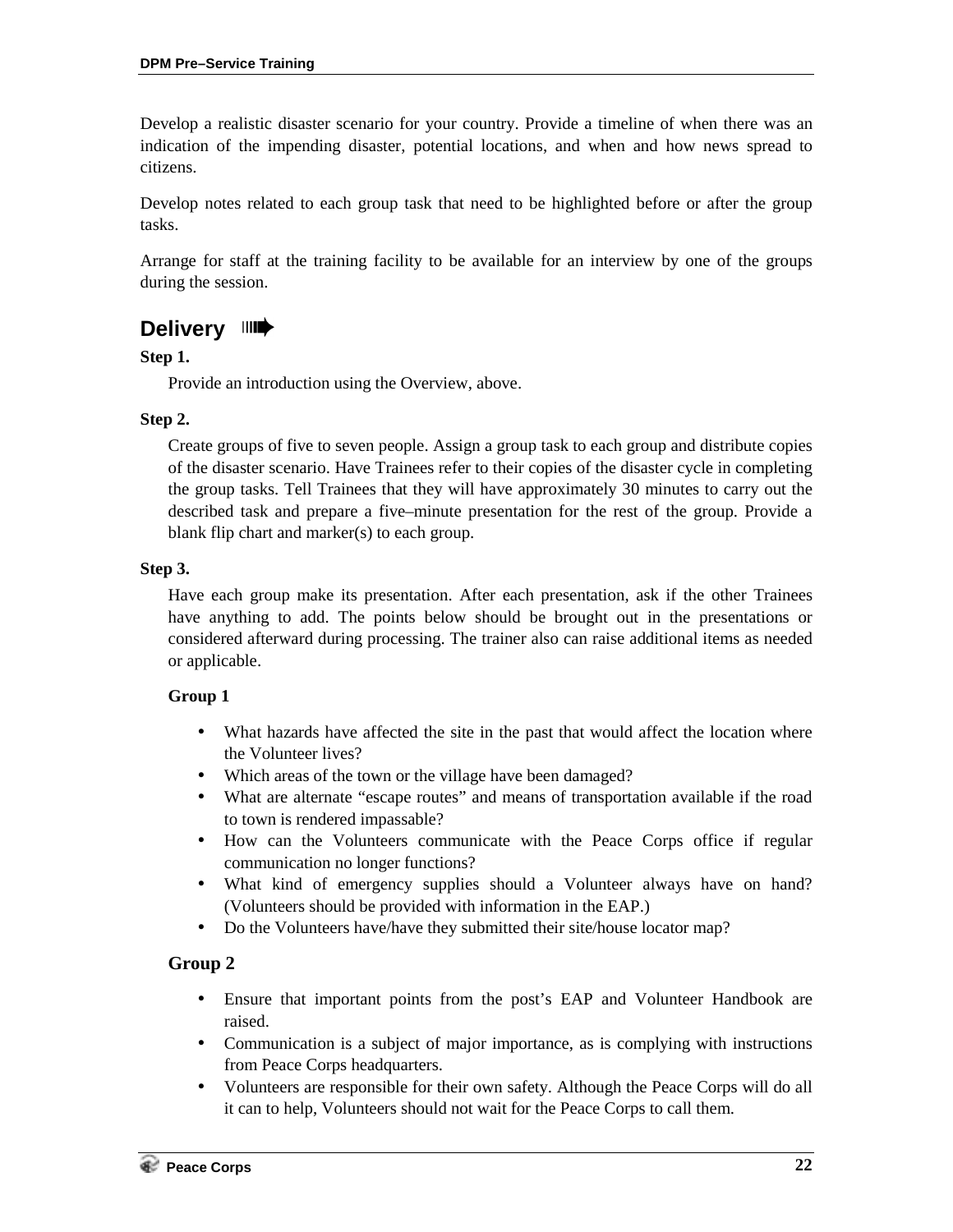Develop a realistic disaster scenario for your country. Provide a timeline of when there was an indication of the impending disaster, potential locations, and when and how news spread to citizens.

Develop notes related to each group task that need to be highlighted before or after the group tasks.

Arrange for staff at the training facility to be available for an interview by one of the groups during the session.

#### **Delivery IIII**

#### **Step 1.**

Provide an introduction using the Overview, above.

#### **Step 2.**

Create groups of five to seven people. Assign a group task to each group and distribute copies of the disaster scenario. Have Trainees refer to their copies of the disaster cycle in completing the group tasks. Tell Trainees that they will have approximately 30 minutes to carry out the described task and prepare a five–minute presentation for the rest of the group. Provide a blank flip chart and marker(s) to each group.

#### **Step 3.**

Have each group make its presentation. After each presentation, ask if the other Trainees have anything to add. The points below should be brought out in the presentations or considered afterward during processing. The trainer also can raise additional items as needed or applicable.

#### **Group 1**

- What hazards have affected the site in the past that would affect the location where the Volunteer lives?
- Which areas of the town or the village have been damaged?
- What are alternate "escape routes" and means of transportation available if the road to town is rendered impassable?
- How can the Volunteers communicate with the Peace Corps office if regular communication no longer functions?
- What kind of emergency supplies should a Volunteer always have on hand? (Volunteers should be provided with information in the EAP.)
- Do the Volunteers have/have they submitted their site/house locator map?

#### **Group 2**

- Ensure that important points from the post's EAP and Volunteer Handbook are raised.
- Communication is a subject of major importance, as is complying with instructions from Peace Corps headquarters.
- Volunteers are responsible for their own safety. Although the Peace Corps will do all it can to help, Volunteers should not wait for the Peace Corps to call them.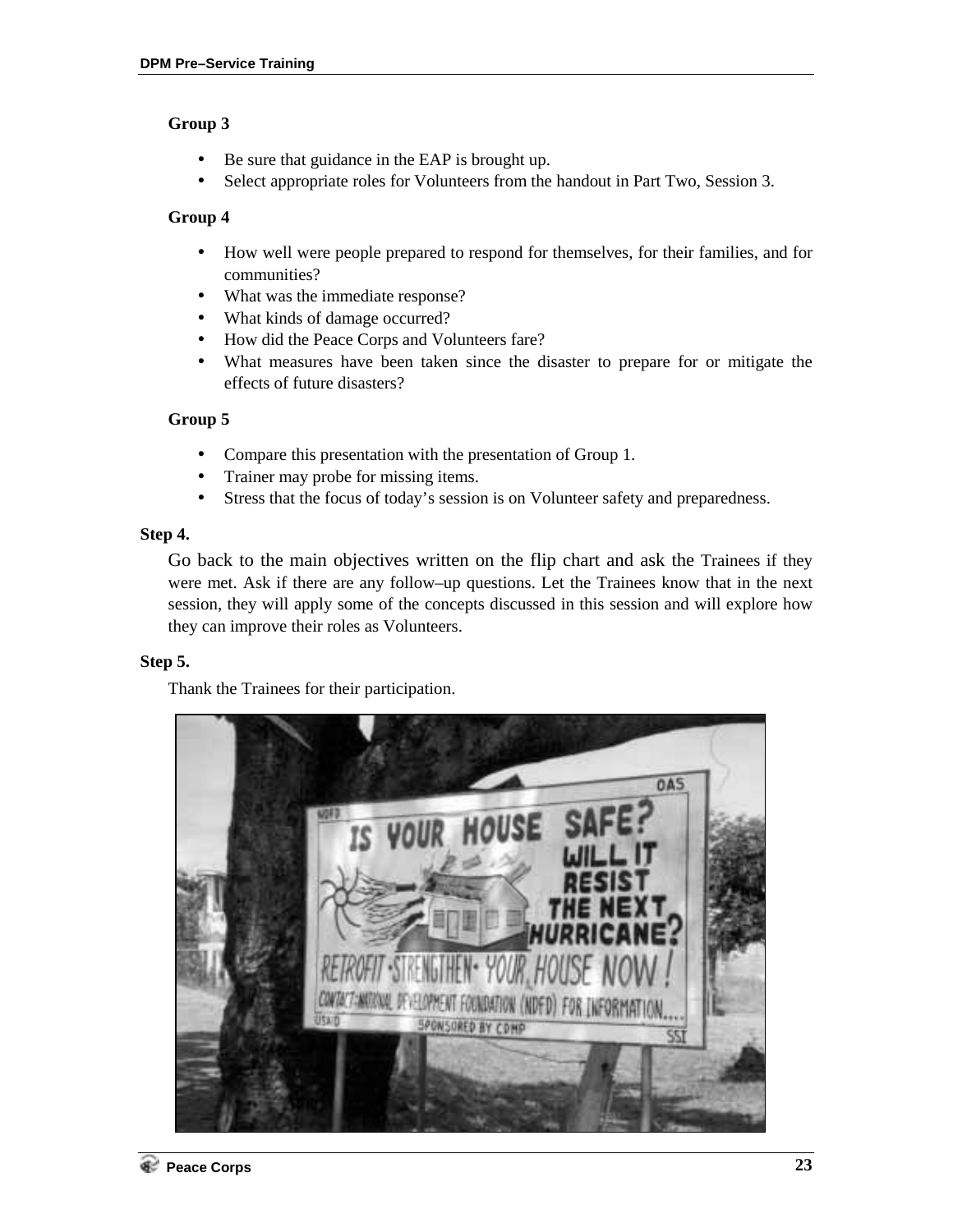#### **Group 3**

- Be sure that guidance in the EAP is brought up.
- Select appropriate roles for Volunteers from the handout in Part Two, Session 3.

#### **Group 4**

- How well were people prepared to respond for themselves, for their families, and for communities?
- What was the immediate response?
- What kinds of damage occurred?
- How did the Peace Corps and Volunteers fare?
- What measures have been taken since the disaster to prepare for or mitigate the effects of future disasters?

#### **Group 5**

- Compare this presentation with the presentation of Group 1.
- Trainer may probe for missing items.
- Stress that the focus of today's session is on Volunteer safety and preparedness.

#### **Step 4.**

Go back to the main objectives written on the flip chart and ask the Trainees if they were met. Ask if there are any follow–up questions. Let the Trainees know that in the next session, they will apply some of the concepts discussed in this session and will explore how they can improve their roles as Volunteers.

#### **Step 5.**

Thank the Trainees for their participation.

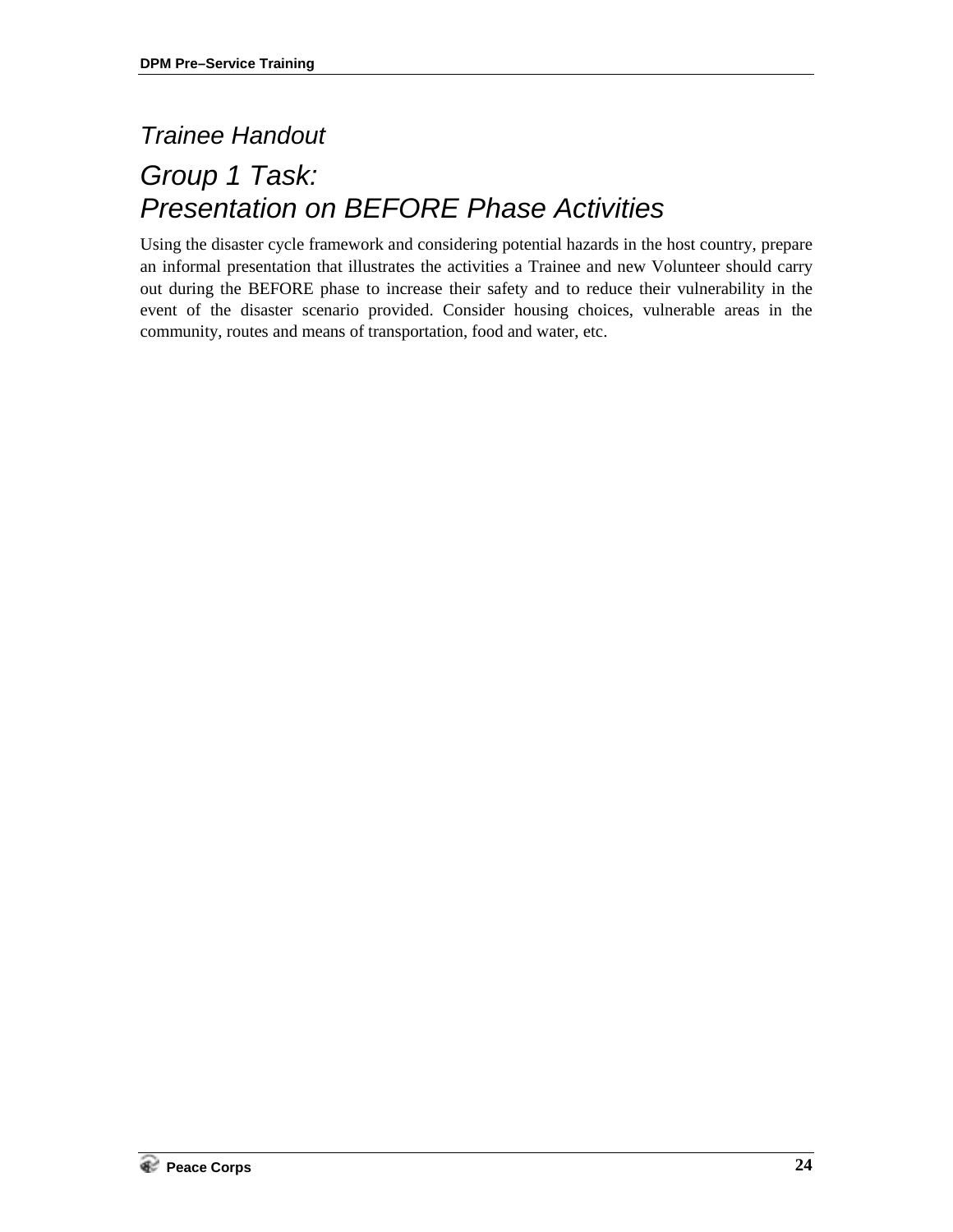### Trainee Handout

# Group 1 Task: Presentation on BEFORE Phase Activities

Using the disaster cycle framework and considering potential hazards in the host country, prepare an informal presentation that illustrates the activities a Trainee and new Volunteer should carry out during the BEFORE phase to increase their safety and to reduce their vulnerability in the event of the disaster scenario provided. Consider housing choices, vulnerable areas in the community, routes and means of transportation, food and water, etc.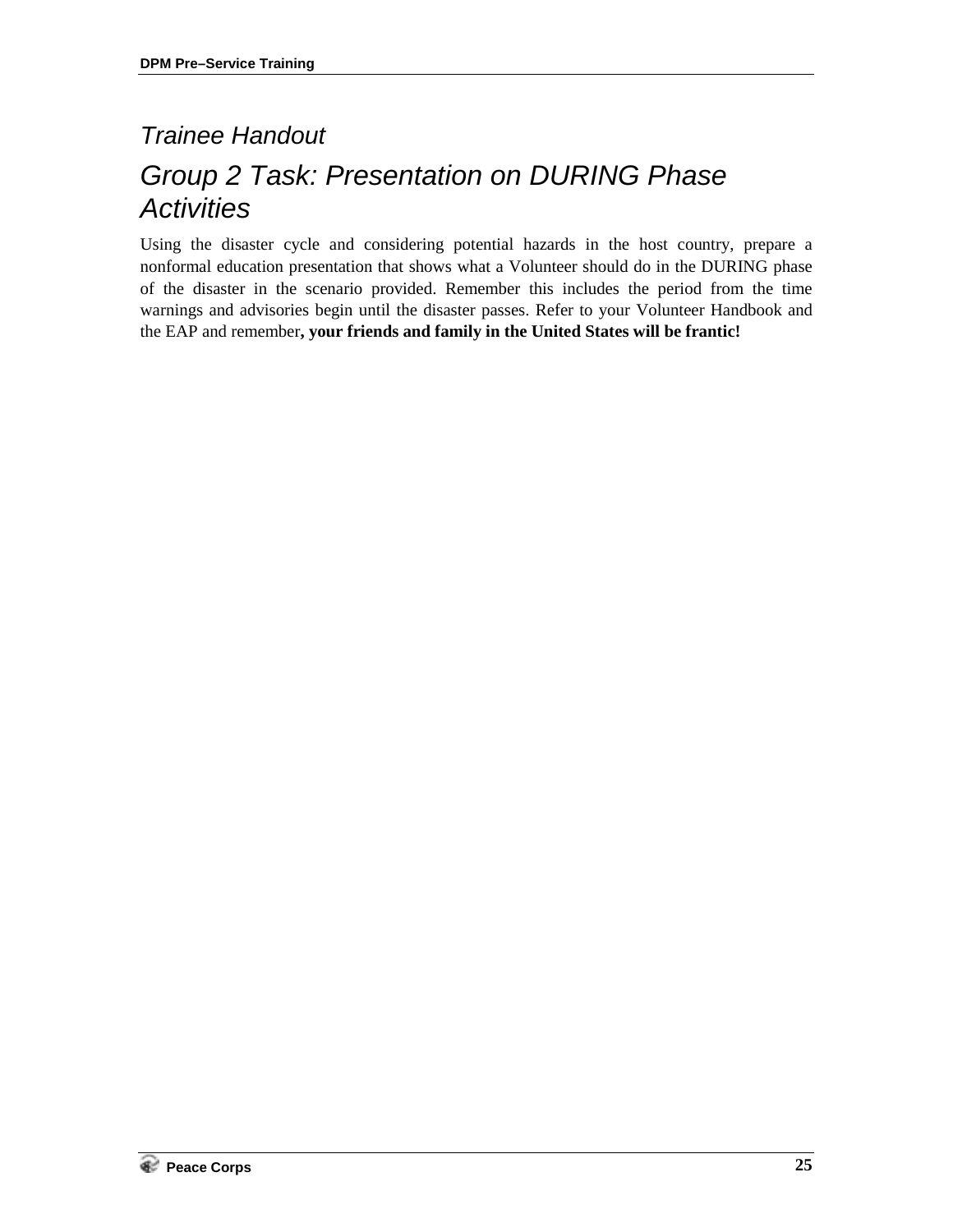# Trainee Handout Group 2 Task: Presentation on DURING Phase **Activities**

Using the disaster cycle and considering potential hazards in the host country, prepare a nonformal education presentation that shows what a Volunteer should do in the DURING phase of the disaster in the scenario provided. Remember this includes the period from the time warnings and advisories begin until the disaster passes. Refer to your Volunteer Handbook and the EAP and remember**, your friends and family in the United States will be frantic!**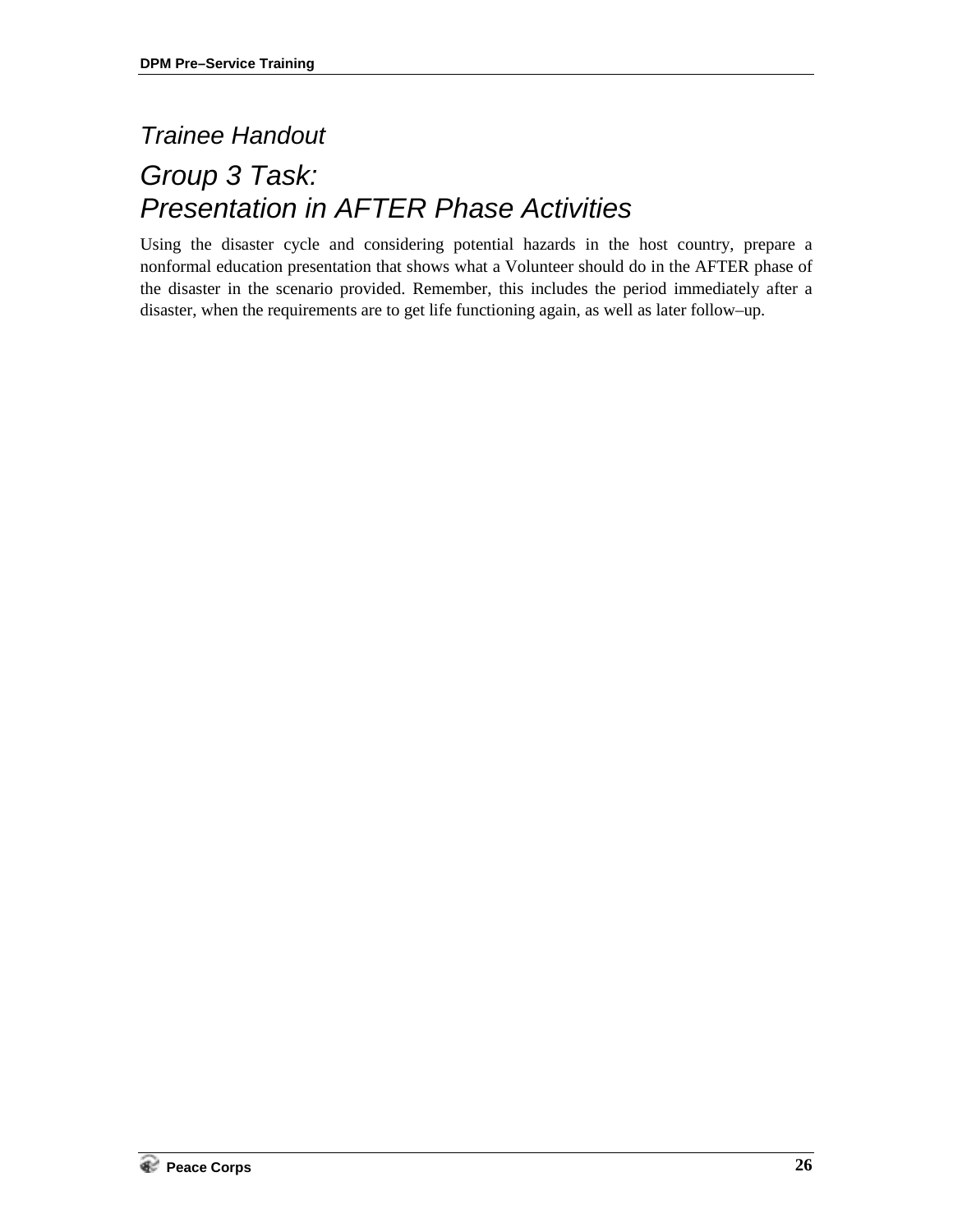# Trainee Handout Group 3 Task: Presentation in AFTER Phase Activities

Using the disaster cycle and considering potential hazards in the host country, prepare a nonformal education presentation that shows what a Volunteer should do in the AFTER phase of the disaster in the scenario provided. Remember, this includes the period immediately after a disaster, when the requirements are to get life functioning again, as well as later follow–up.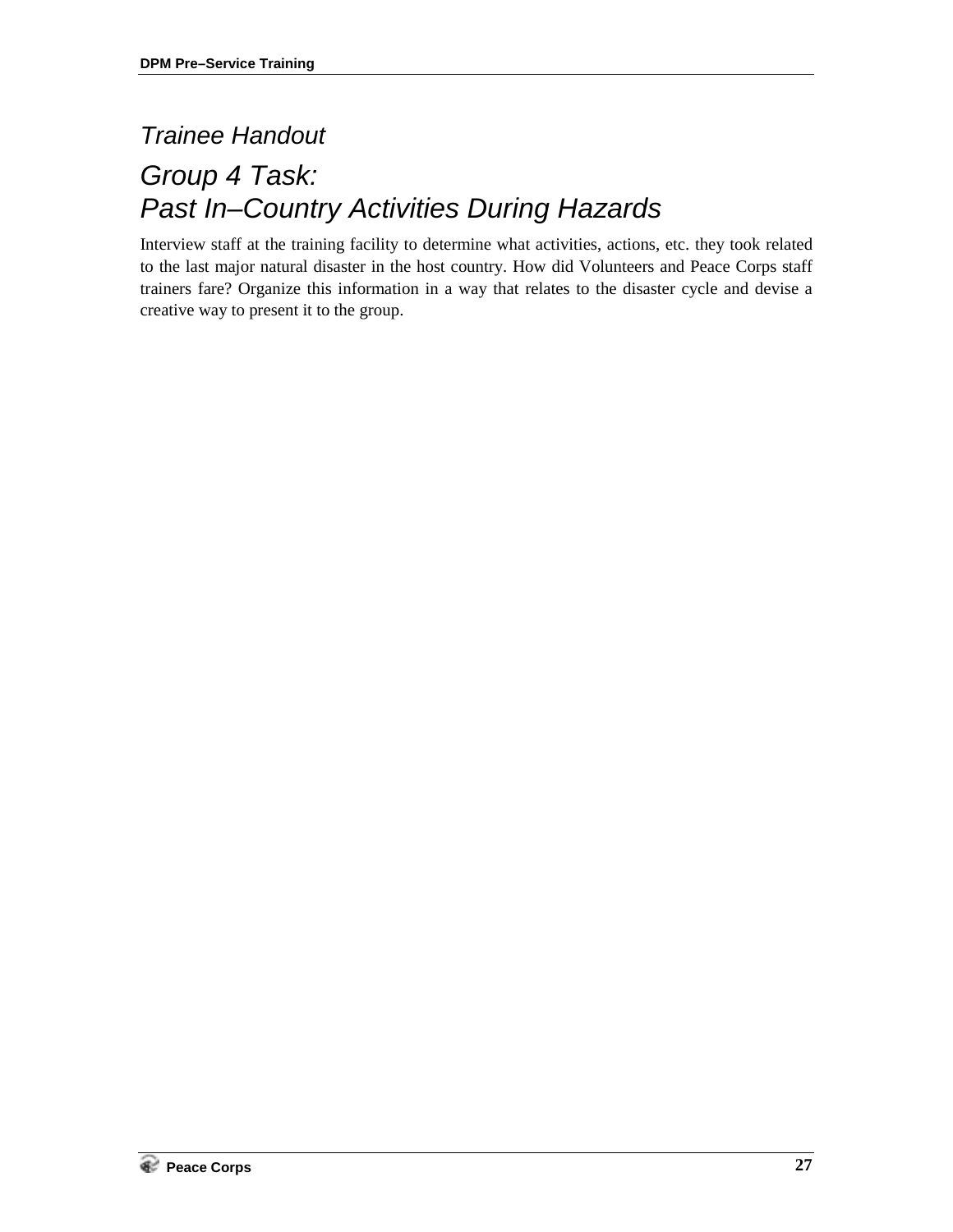# Trainee Handout Group 4 Task: Past In–Country Activities During Hazards

Interview staff at the training facility to determine what activities, actions, etc. they took related to the last major natural disaster in the host country. How did Volunteers and Peace Corps staff trainers fare? Organize this information in a way that relates to the disaster cycle and devise a creative way to present it to the group.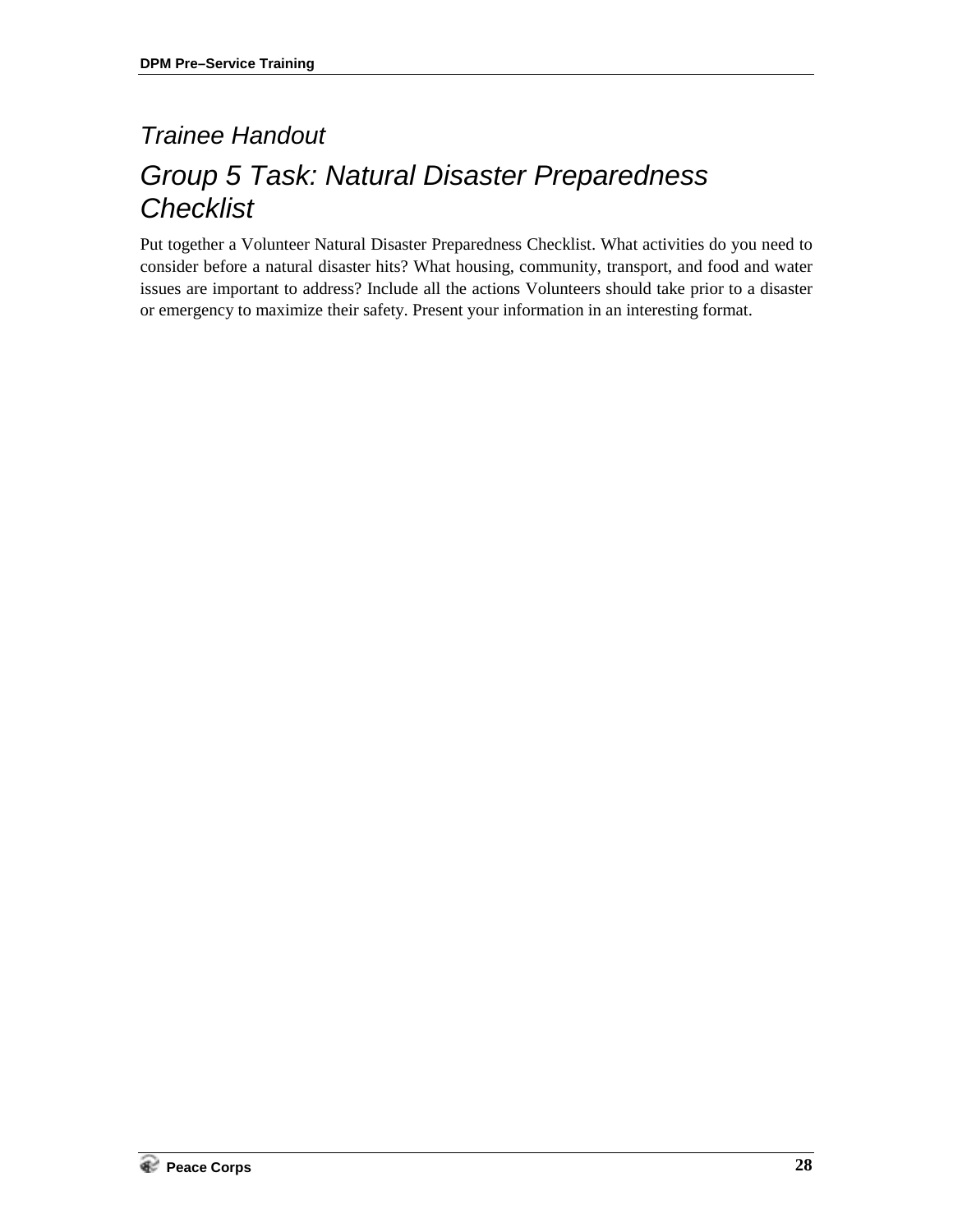# Trainee Handout Group 5 Task: Natural Disaster Preparedness **Checklist**

Put together a Volunteer Natural Disaster Preparedness Checklist. What activities do you need to consider before a natural disaster hits? What housing, community, transport, and food and water issues are important to address? Include all the actions Volunteers should take prior to a disaster or emergency to maximize their safety. Present your information in an interesting format.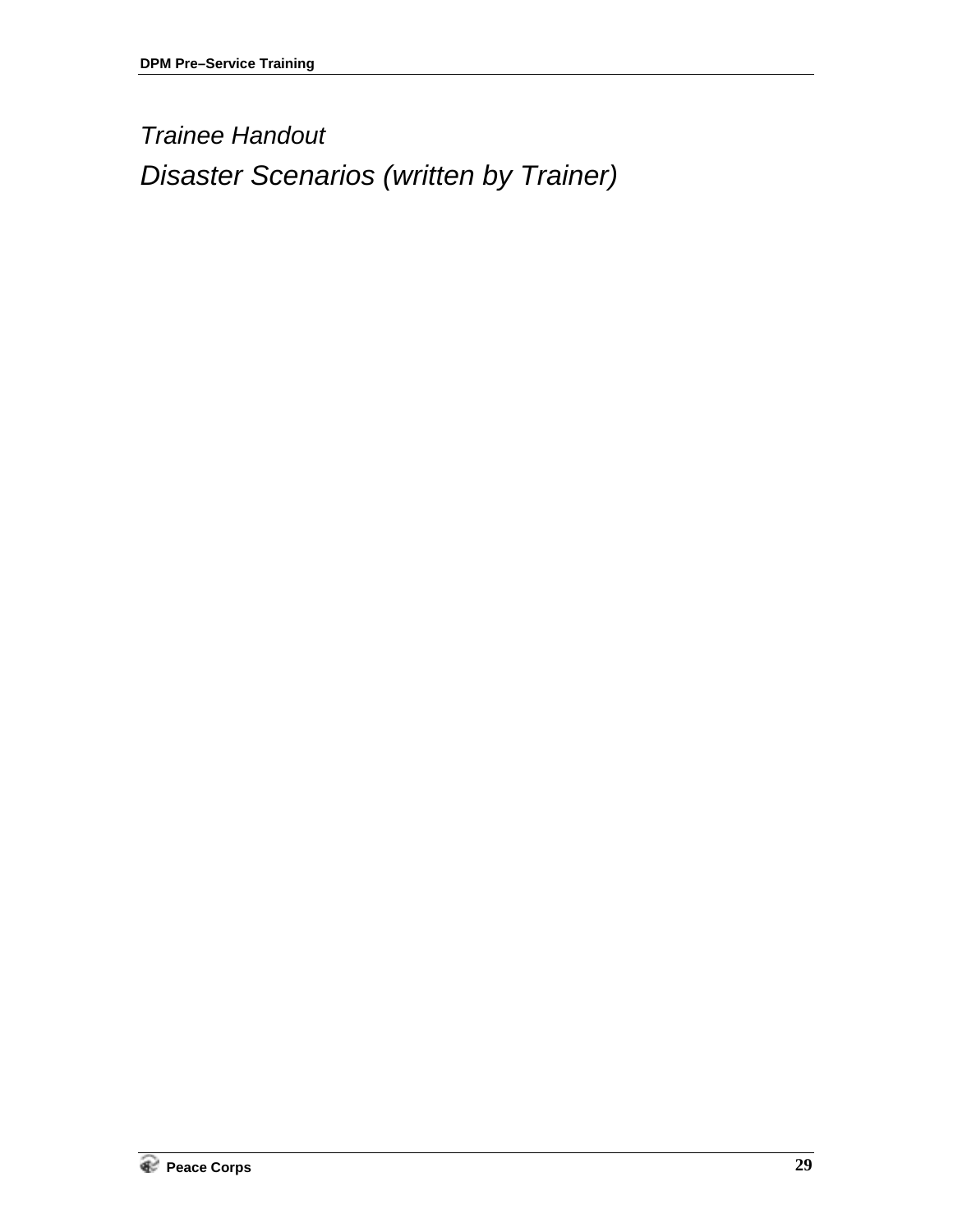Trainee Handout Disaster Scenarios (written by Trainer)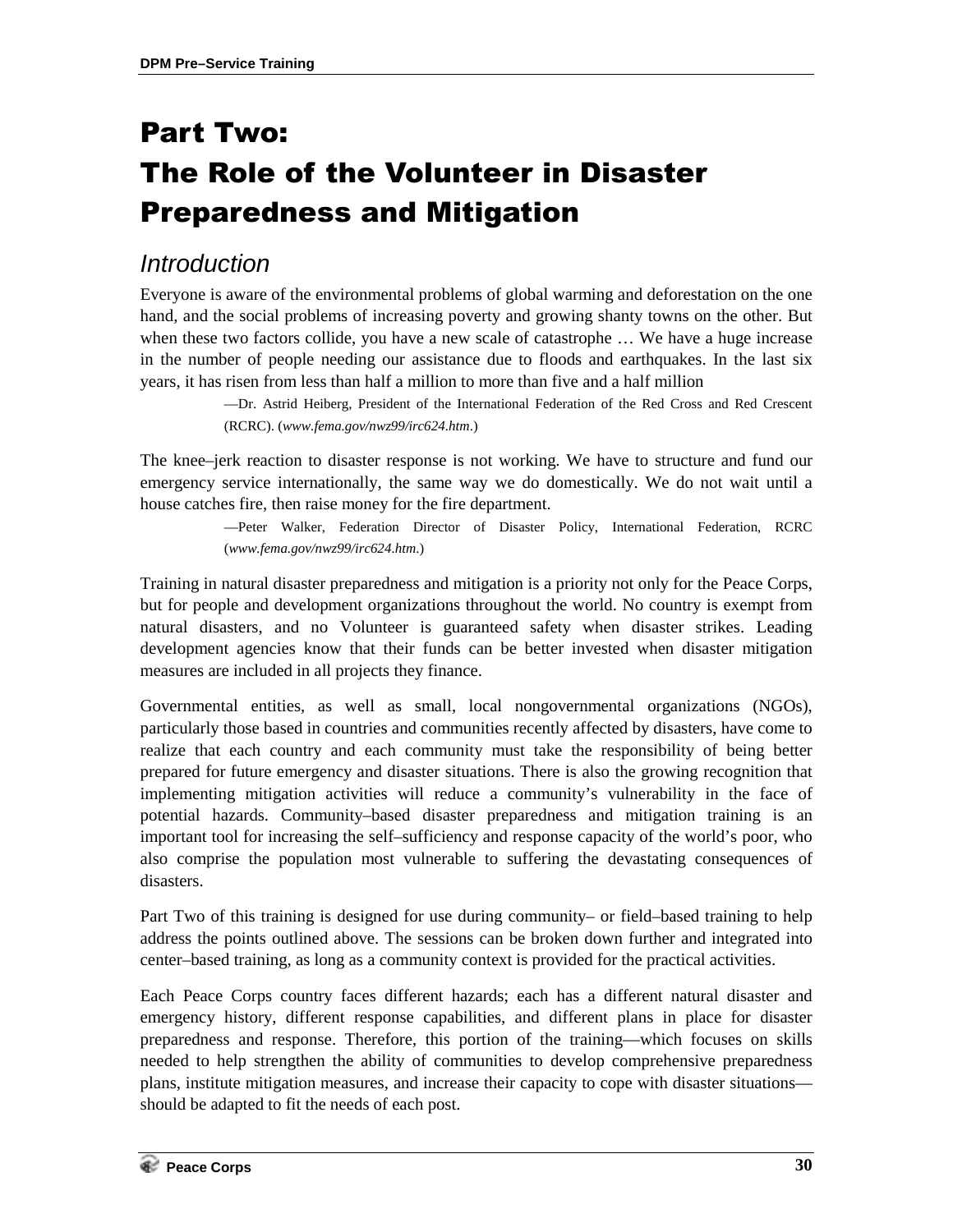# **Part Two:** The Role of the Volunteer in Disaster **Preparedness and Mitigation**

## **Introduction**

Everyone is aware of the environmental problems of global warming and deforestation on the one hand, and the social problems of increasing poverty and growing shanty towns on the other. But when these two factors collide, you have a new scale of catastrophe … We have a huge increase in the number of people needing our assistance due to floods and earthquakes. In the last six years, it has risen from less than half a million to more than five and a half million

> —Dr. Astrid Heiberg, President of the International Federation of the Red Cross and Red Crescent (RCRC). (*www.fema.gov/nwz99/irc624.htm*.)

The knee–jerk reaction to disaster response is not working. We have to structure and fund our emergency service internationally, the same way we do domestically. We do not wait until a house catches fire, then raise money for the fire department.

> —Peter Walker, Federation Director of Disaster Policy, International Federation, RCRC (*www.fema.gov/nwz99/irc624.htm*.)

Training in natural disaster preparedness and mitigation is a priority not only for the Peace Corps, but for people and development organizations throughout the world. No country is exempt from natural disasters, and no Volunteer is guaranteed safety when disaster strikes. Leading development agencies know that their funds can be better invested when disaster mitigation measures are included in all projects they finance.

Governmental entities, as well as small, local nongovernmental organizations (NGOs), particularly those based in countries and communities recently affected by disasters, have come to realize that each country and each community must take the responsibility of being better prepared for future emergency and disaster situations. There is also the growing recognition that implementing mitigation activities will reduce a community's vulnerability in the face of potential hazards. Community–based disaster preparedness and mitigation training is an important tool for increasing the self–sufficiency and response capacity of the world's poor, who also comprise the population most vulnerable to suffering the devastating consequences of disasters.

Part Two of this training is designed for use during community– or field–based training to help address the points outlined above. The sessions can be broken down further and integrated into center–based training, as long as a community context is provided for the practical activities.

Each Peace Corps country faces different hazards; each has a different natural disaster and emergency history, different response capabilities, and different plans in place for disaster preparedness and response. Therefore, this portion of the training—which focuses on skills needed to help strengthen the ability of communities to develop comprehensive preparedness plans, institute mitigation measures, and increase their capacity to cope with disaster situations should be adapted to fit the needs of each post.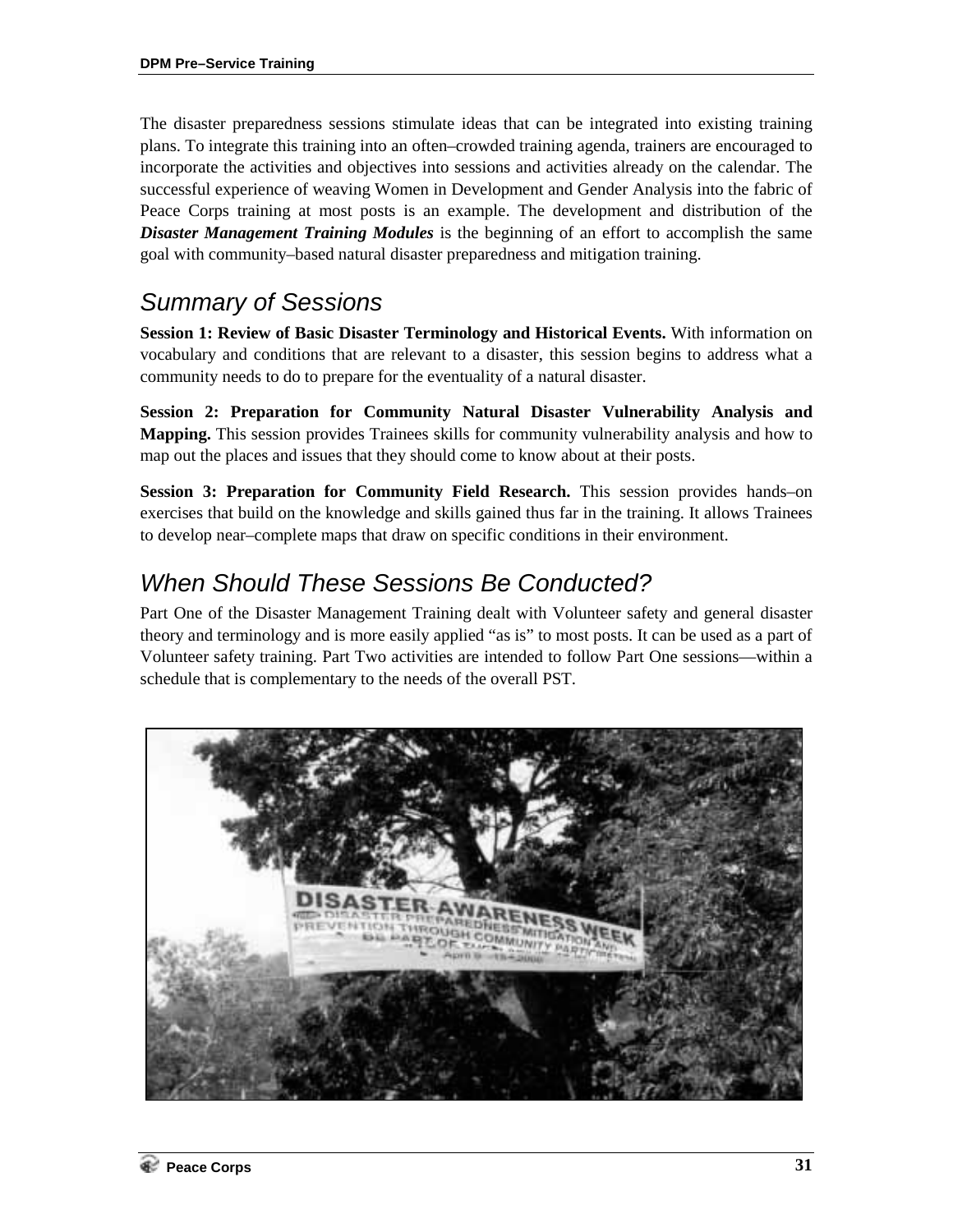The disaster preparedness sessions stimulate ideas that can be integrated into existing training plans. To integrate this training into an often–crowded training agenda, trainers are encouraged to incorporate the activities and objectives into sessions and activities already on the calendar. The successful experience of weaving Women in Development and Gender Analysis into the fabric of Peace Corps training at most posts is an example. The development and distribution of the *Disaster Management Training Modules* is the beginning of an effort to accomplish the same goal with community–based natural disaster preparedness and mitigation training.

## Summary of Sessions

**Session 1: Review of Basic Disaster Terminology and Historical Events.** With information on vocabulary and conditions that are relevant to a disaster, this session begins to address what a community needs to do to prepare for the eventuality of a natural disaster.

**Session 2: Preparation for Community Natural Disaster Vulnerability Analysis and Mapping.** This session provides Trainees skills for community vulnerability analysis and how to map out the places and issues that they should come to know about at their posts.

**Session 3: Preparation for Community Field Research.** This session provides hands–on exercises that build on the knowledge and skills gained thus far in the training. It allows Trainees to develop near–complete maps that draw on specific conditions in their environment.

## When Should These Sessions Be Conducted?

Part One of the Disaster Management Training dealt with Volunteer safety and general disaster theory and terminology and is more easily applied "as is" to most posts. It can be used as a part of Volunteer safety training. Part Two activities are intended to follow Part One sessions—within a schedule that is complementary to the needs of the overall PST.

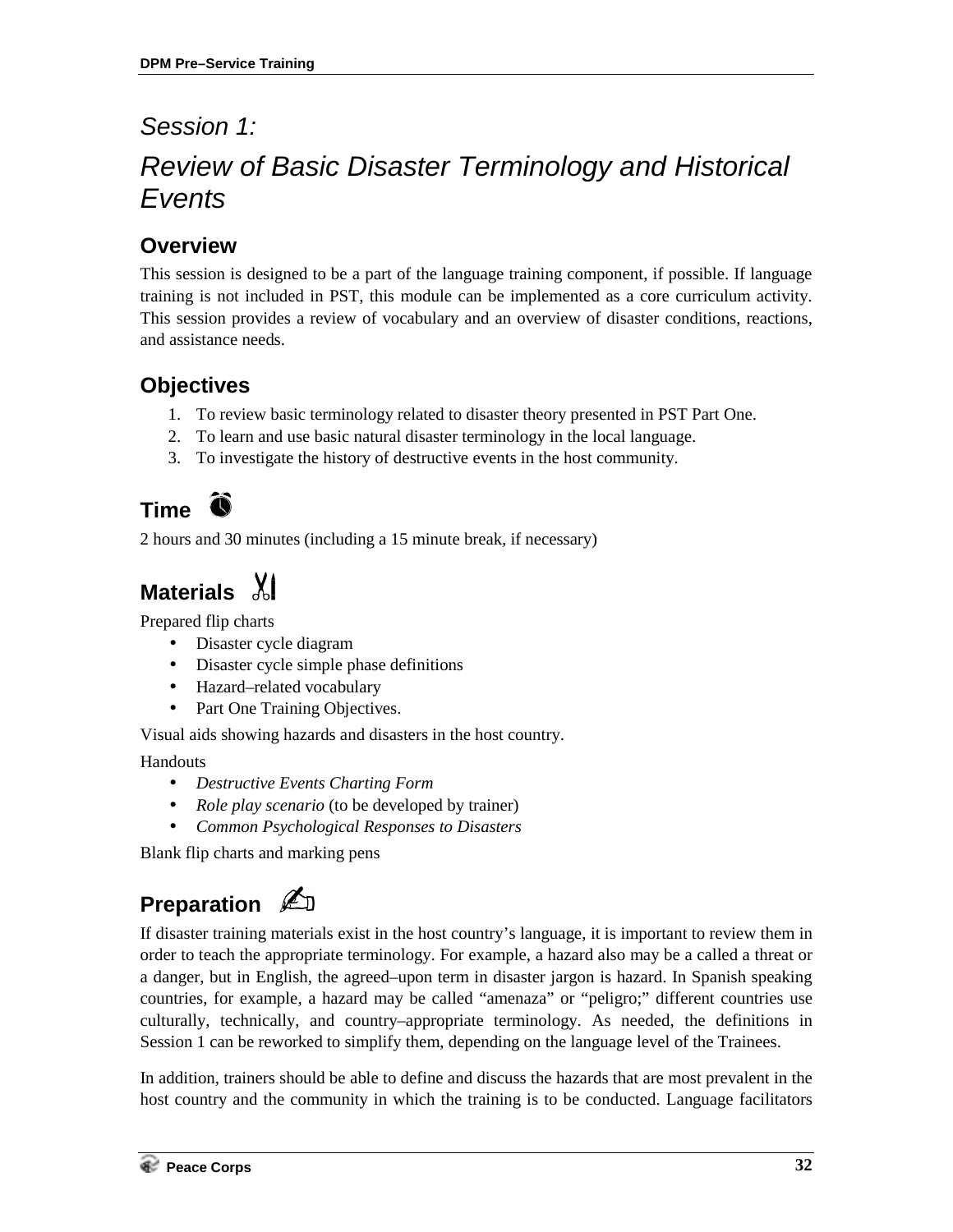# Session 1: Review of Basic Disaster Terminology and Historical Events

## **Overview**

This session is designed to be a part of the language training component, if possible. If language training is not included in PST, this module can be implemented as a core curriculum activity. This session provides a review of vocabulary and an overview of disaster conditions, reactions, and assistance needs.

## **Objectives**

- 1. To review basic terminology related to disaster theory presented in PST Part One.
- 2. To learn and use basic natural disaster terminology in the local language.
- 3. To investigate the history of destructive events in the host community.



2 hours and 30 minutes (including a 15 minute break, if necessary)

# **Materials**

Prepared flip charts

- Disaster cycle diagram
- Disaster cycle simple phase definitions
- Hazard–related vocabulary
- Part One Training Objectives.

Visual aids showing hazards and disasters in the host country.

Handouts

- *Destructive Events Charting Form*
- *Role play scenario* (to be developed by trainer)
- *Common Psychological Responses to Disasters*

Blank flip charts and marking pens

# **Preparation**

If disaster training materials exist in the host country's language, it is important to review them in order to teach the appropriate terminology. For example, a hazard also may be a called a threat or a danger, but in English, the agreed–upon term in disaster jargon is hazard. In Spanish speaking countries, for example, a hazard may be called "amenaza" or "peligro;" different countries use culturally, technically, and country–appropriate terminology. As needed, the definitions in Session 1 can be reworked to simplify them, depending on the language level of the Trainees.

In addition, trainers should be able to define and discuss the hazards that are most prevalent in the host country and the community in which the training is to be conducted. Language facilitators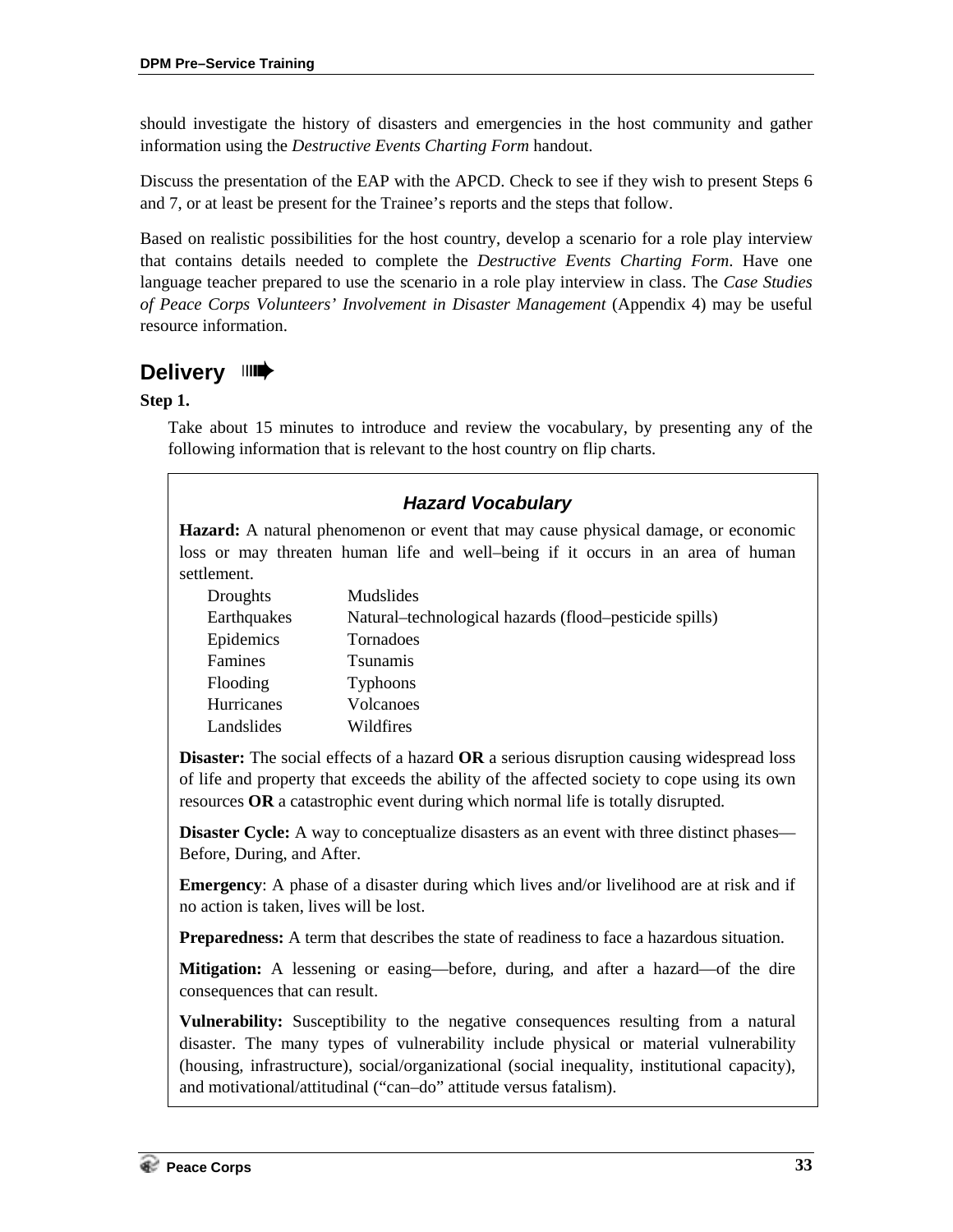should investigate the history of disasters and emergencies in the host community and gather information using the *Destructive Events Charting Form* handout.

Discuss the presentation of the EAP with the APCD. Check to see if they wish to present Steps 6 and 7, or at least be present for the Trainee's reports and the steps that follow.

Based on realistic possibilities for the host country, develop a scenario for a role play interview that contains details needed to complete the *Destructive Events Charting Form*. Have one language teacher prepared to use the scenario in a role play interview in class. The *Case Studies of Peace Corps Volunteers' Involvement in Disaster Management* (Appendix 4) may be useful resource information.

## **Delivery IIII**

### **Step 1.**

Take about 15 minutes to introduce and review the vocabulary, by presenting any of the following information that is relevant to the host country on flip charts.

|                   | <b>Hazard Vocabulary</b>                                                                                              |
|-------------------|-----------------------------------------------------------------------------------------------------------------------|
|                   | <b>Hazard:</b> A natural phenomenon or event that may cause physical damage, or economic                              |
|                   | loss or may threaten human life and well-being if it occurs in an area of human                                       |
| settlement.       |                                                                                                                       |
| Droughts          | <b>Mudslides</b>                                                                                                      |
| Earthquakes       | Natural-technological hazards (flood-pesticide spills)                                                                |
| Epidemics         | Tornadoes                                                                                                             |
| <b>Famines</b>    | <b>T</b> sunamis                                                                                                      |
| <b>Flooding</b>   | <b>Typhoons</b>                                                                                                       |
| <b>Hurricanes</b> | Volcanoes                                                                                                             |
| Landslides        | Wildfires                                                                                                             |
|                   | $\mathbf{D}^{\prime}$ contains the second offects of a begand $\mathbf{D}$ a semigree diametric consinguided assembly |

**Disaster:** The social effects of a hazard **OR** a serious disruption causing widespread loss of life and property that exceeds the ability of the affected society to cope using its own resources **OR** a catastrophic event during which normal life is totally disrupted.

**Disaster Cycle:** A way to conceptualize disasters as an event with three distinct phases— Before, During, and After.

**Emergency**: A phase of a disaster during which lives and/or livelihood are at risk and if no action is taken, lives will be lost.

**Preparedness:** A term that describes the state of readiness to face a hazardous situation.

**Mitigation:** A lessening or easing—before, during, and after a hazard—of the dire consequences that can result.

**Vulnerability:** Susceptibility to the negative consequences resulting from a natural disaster. The many types of vulnerability include physical or material vulnerability (housing, infrastructure), social/organizational (social inequality, institutional capacity), and motivational/attitudinal ("can–do" attitude versus fatalism).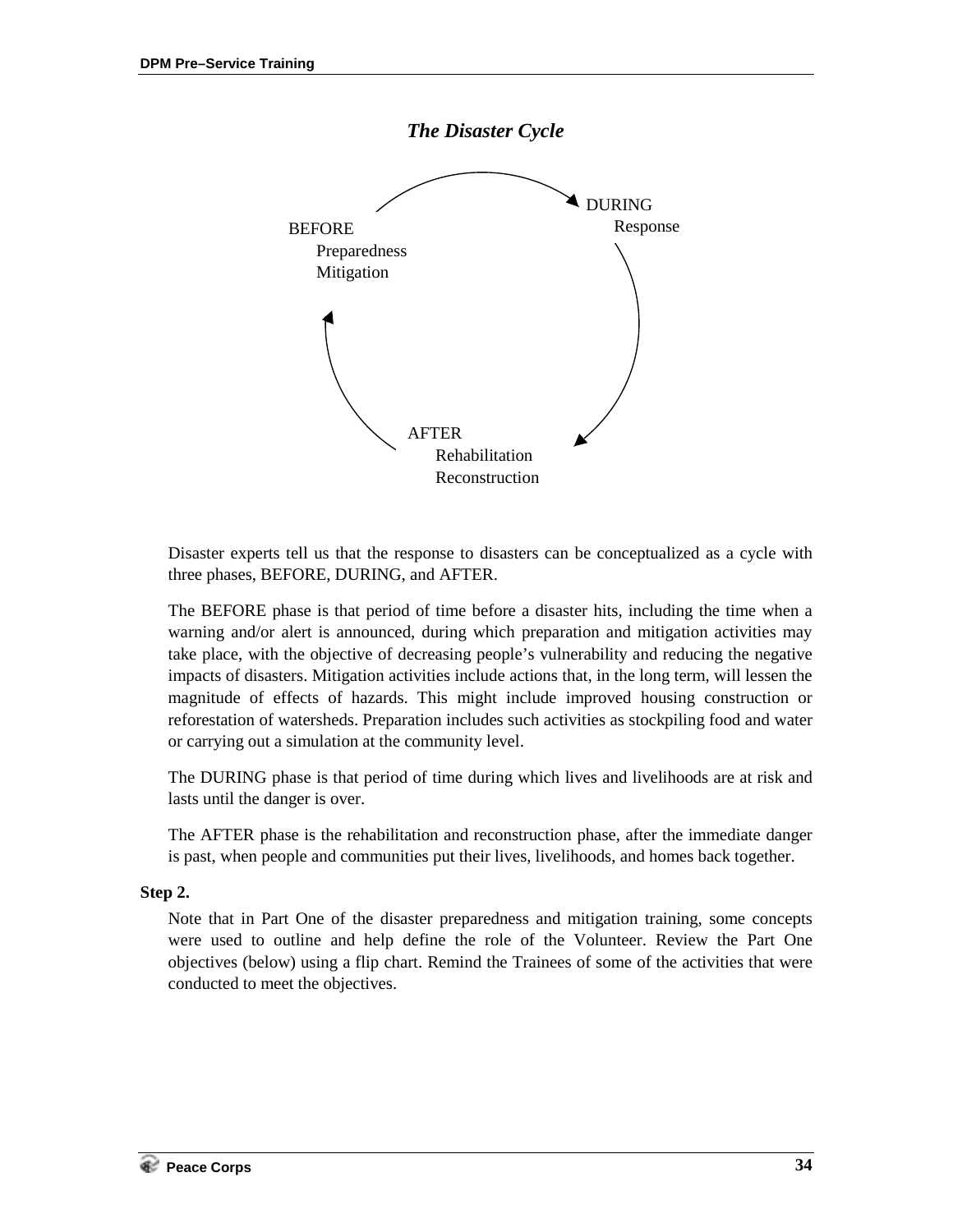

Disaster experts tell us that the response to disasters can be conceptualized as a cycle with three phases, BEFORE, DURING, and AFTER.

The BEFORE phase is that period of time before a disaster hits, including the time when a warning and/or alert is announced, during which preparation and mitigation activities may take place, with the objective of decreasing people's vulnerability and reducing the negative impacts of disasters. Mitigation activities include actions that, in the long term, will lessen the magnitude of effects of hazards. This might include improved housing construction or reforestation of watersheds. Preparation includes such activities as stockpiling food and water or carrying out a simulation at the community level.

The DURING phase is that period of time during which lives and livelihoods are at risk and lasts until the danger is over.

The AFTER phase is the rehabilitation and reconstruction phase, after the immediate danger is past, when people and communities put their lives, livelihoods, and homes back together.

#### **Step 2.**

Note that in Part One of the disaster preparedness and mitigation training, some concepts were used to outline and help define the role of the Volunteer. Review the Part One objectives (below) using a flip chart. Remind the Trainees of some of the activities that were conducted to meet the objectives.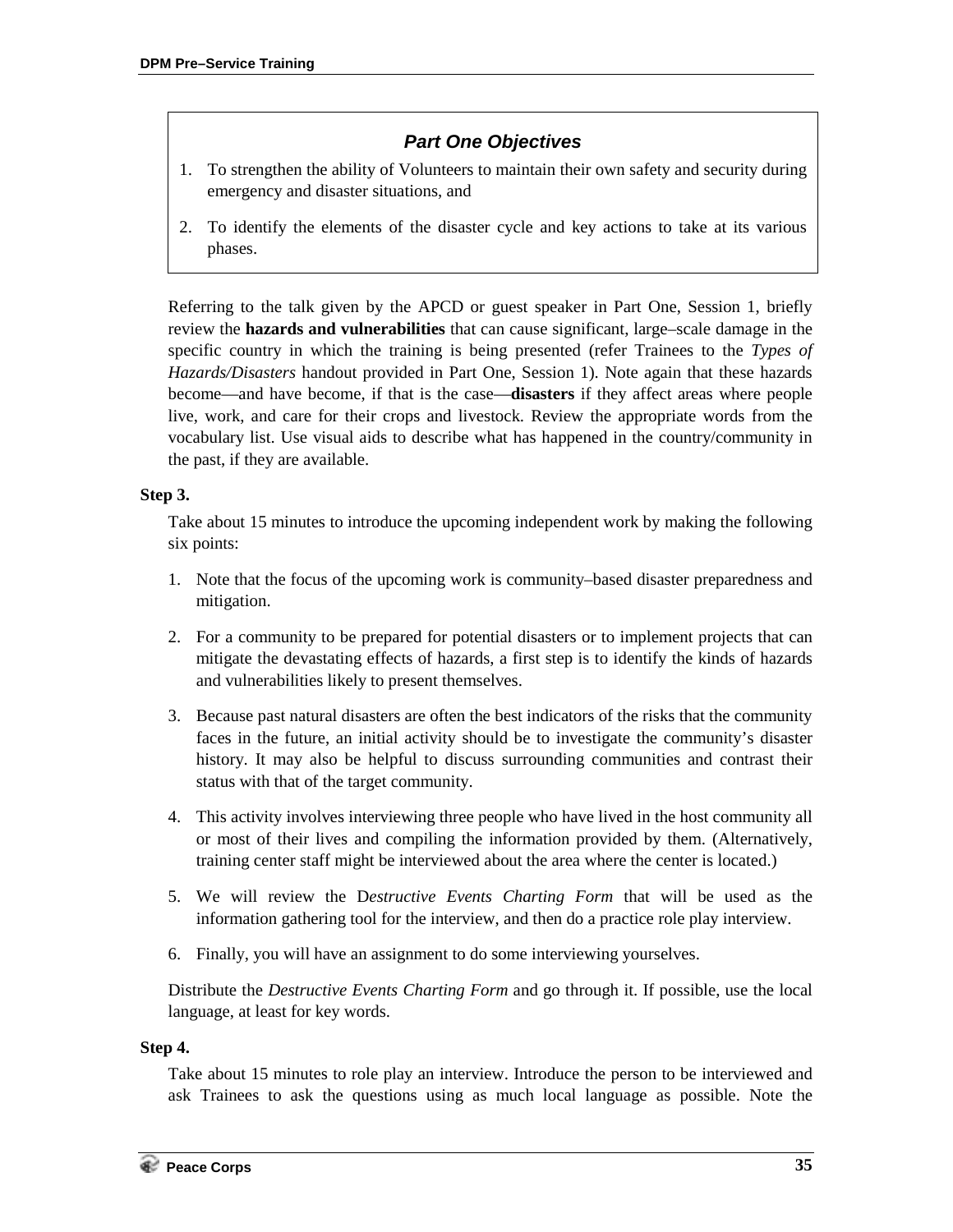## **Part One Objectives**

- 1. To strengthen the ability of Volunteers to maintain their own safety and security during emergency and disaster situations, and
- 2. To identify the elements of the disaster cycle and key actions to take at its various phases.

Referring to the talk given by the APCD or guest speaker in Part One, Session 1, briefly review the **hazards and vulnerabilities** that can cause significant, large–scale damage in the specific country in which the training is being presented (refer Trainees to the *Types of Hazards/Disasters* handout provided in Part One, Session 1). Note again that these hazards become—and have become, if that is the case—**disasters** if they affect areas where people live, work, and care for their crops and livestock. Review the appropriate words from the vocabulary list. Use visual aids to describe what has happened in the country/community in the past, if they are available.

#### **Step 3.**

Take about 15 minutes to introduce the upcoming independent work by making the following six points:

- 1. Note that the focus of the upcoming work is community–based disaster preparedness and mitigation.
- 2. For a community to be prepared for potential disasters or to implement projects that can mitigate the devastating effects of hazards, a first step is to identify the kinds of hazards and vulnerabilities likely to present themselves.
- 3. Because past natural disasters are often the best indicators of the risks that the community faces in the future, an initial activity should be to investigate the community's disaster history. It may also be helpful to discuss surrounding communities and contrast their status with that of the target community.
- 4. This activity involves interviewing three people who have lived in the host community all or most of their lives and compiling the information provided by them. (Alternatively, training center staff might be interviewed about the area where the center is located.)
- 5. We will review the D*estructive Events Charting Form* that will be used as the information gathering tool for the interview, and then do a practice role play interview.
- 6. Finally, you will have an assignment to do some interviewing yourselves.

Distribute the *Destructive Events Charting Form* and go through it. If possible, use the local language, at least for key words.

#### **Step 4.**

Take about 15 minutes to role play an interview. Introduce the person to be interviewed and ask Trainees to ask the questions using as much local language as possible. Note the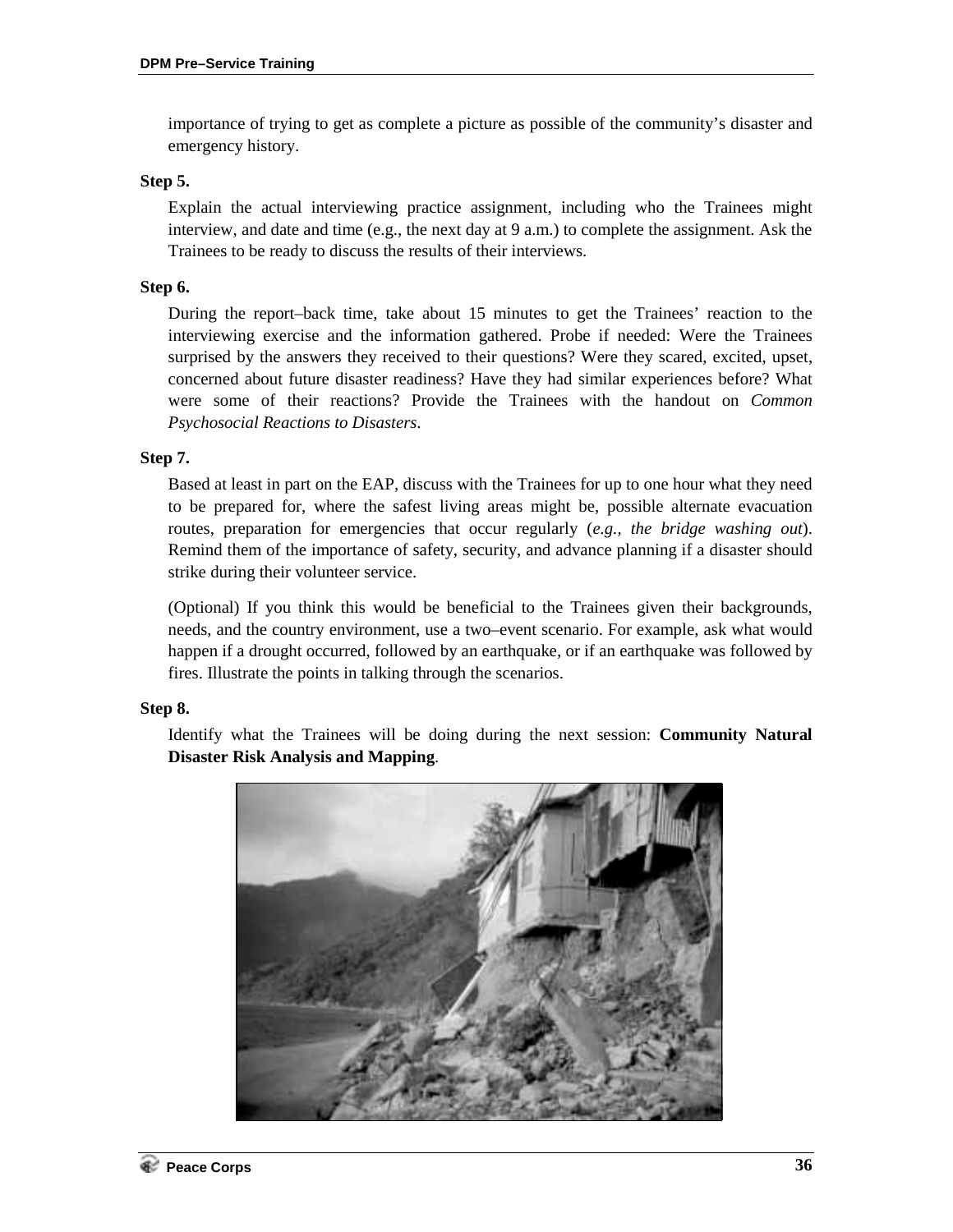importance of trying to get as complete a picture as possible of the community's disaster and emergency history.

#### **Step 5.**

Explain the actual interviewing practice assignment, including who the Trainees might interview, and date and time (e.g., the next day at 9 a.m.) to complete the assignment. Ask the Trainees to be ready to discuss the results of their interviews.

#### **Step 6.**

During the report–back time, take about 15 minutes to get the Trainees' reaction to the interviewing exercise and the information gathered. Probe if needed: Were the Trainees surprised by the answers they received to their questions? Were they scared, excited, upset, concerned about future disaster readiness? Have they had similar experiences before? What were some of their reactions? Provide the Trainees with the handout on *Common Psychosocial Reactions to Disasters*.

#### **Step 7.**

Based at least in part on the EAP, discuss with the Trainees for up to one hour what they need to be prepared for, where the safest living areas might be, possible alternate evacuation routes, preparation for emergencies that occur regularly (*e.g., the bridge washing out*). Remind them of the importance of safety, security, and advance planning if a disaster should strike during their volunteer service.

(Optional) If you think this would be beneficial to the Trainees given their backgrounds, needs, and the country environment, use a two–event scenario. For example, ask what would happen if a drought occurred, followed by an earthquake, or if an earthquake was followed by fires. Illustrate the points in talking through the scenarios.

#### **Step 8.**

Identify what the Trainees will be doing during the next session: **Community Natural Disaster Risk Analysis and Mapping**.

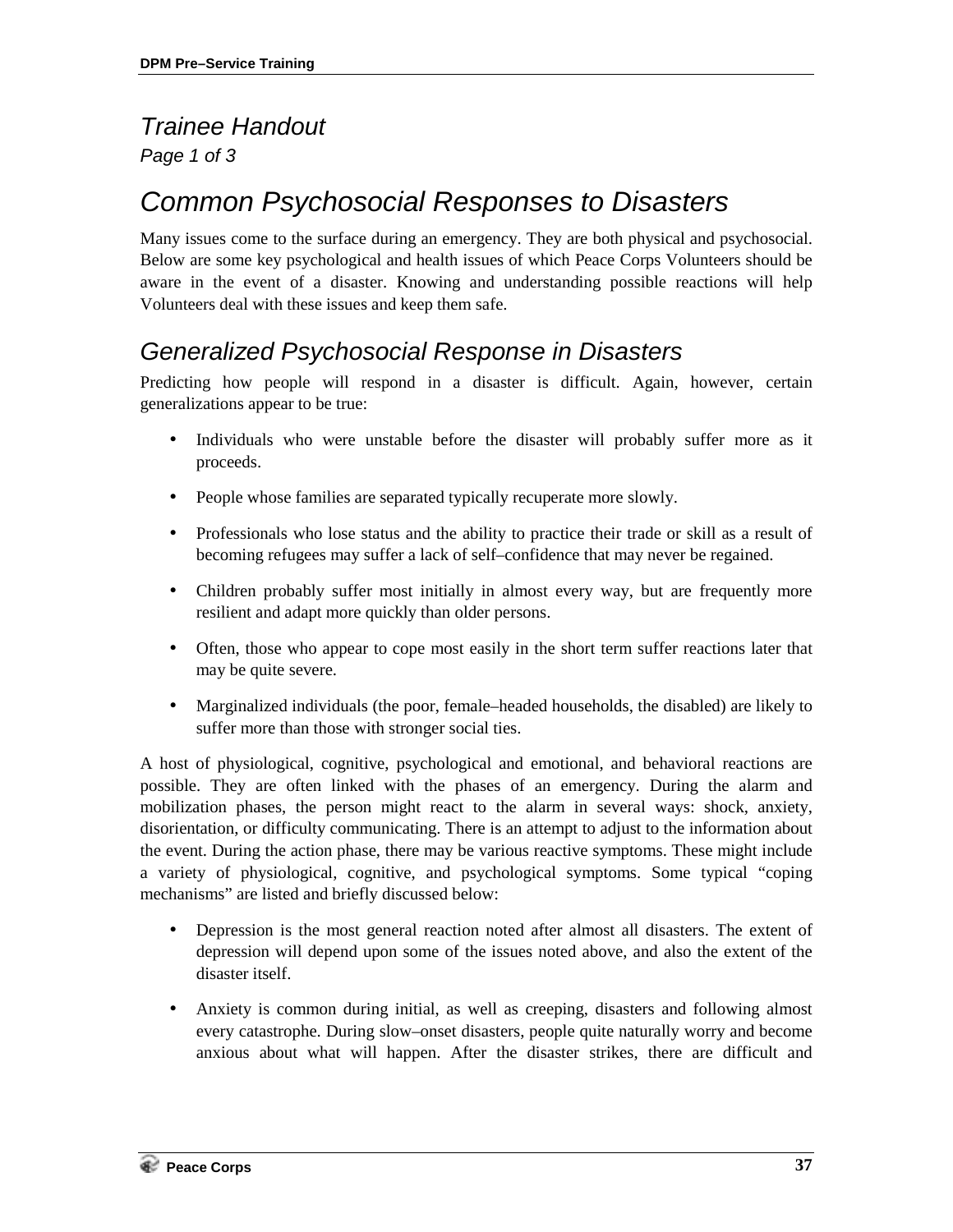Page 1 of 3

# Common Psychosocial Responses to Disasters

Many issues come to the surface during an emergency. They are both physical and psychosocial. Below are some key psychological and health issues of which Peace Corps Volunteers should be aware in the event of a disaster. Knowing and understanding possible reactions will help Volunteers deal with these issues and keep them safe.

## Generalized Psychosocial Response in Disasters

Predicting how people will respond in a disaster is difficult. Again, however, certain generalizations appear to be true:

- Individuals who were unstable before the disaster will probably suffer more as it proceeds.
- People whose families are separated typically recuperate more slowly.
- Professionals who lose status and the ability to practice their trade or skill as a result of becoming refugees may suffer a lack of self–confidence that may never be regained.
- Children probably suffer most initially in almost every way, but are frequently more resilient and adapt more quickly than older persons.
- Often, those who appear to cope most easily in the short term suffer reactions later that may be quite severe.
- Marginalized individuals (the poor, female–headed households, the disabled) are likely to suffer more than those with stronger social ties.

A host of physiological, cognitive, psychological and emotional, and behavioral reactions are possible. They are often linked with the phases of an emergency. During the alarm and mobilization phases, the person might react to the alarm in several ways: shock, anxiety, disorientation, or difficulty communicating. There is an attempt to adjust to the information about the event. During the action phase, there may be various reactive symptoms. These might include a variety of physiological, cognitive, and psychological symptoms. Some typical "coping mechanisms" are listed and briefly discussed below:

- Depression is the most general reaction noted after almost all disasters. The extent of depression will depend upon some of the issues noted above, and also the extent of the disaster itself.
- Anxiety is common during initial, as well as creeping, disasters and following almost every catastrophe. During slow–onset disasters, people quite naturally worry and become anxious about what will happen. After the disaster strikes, there are difficult and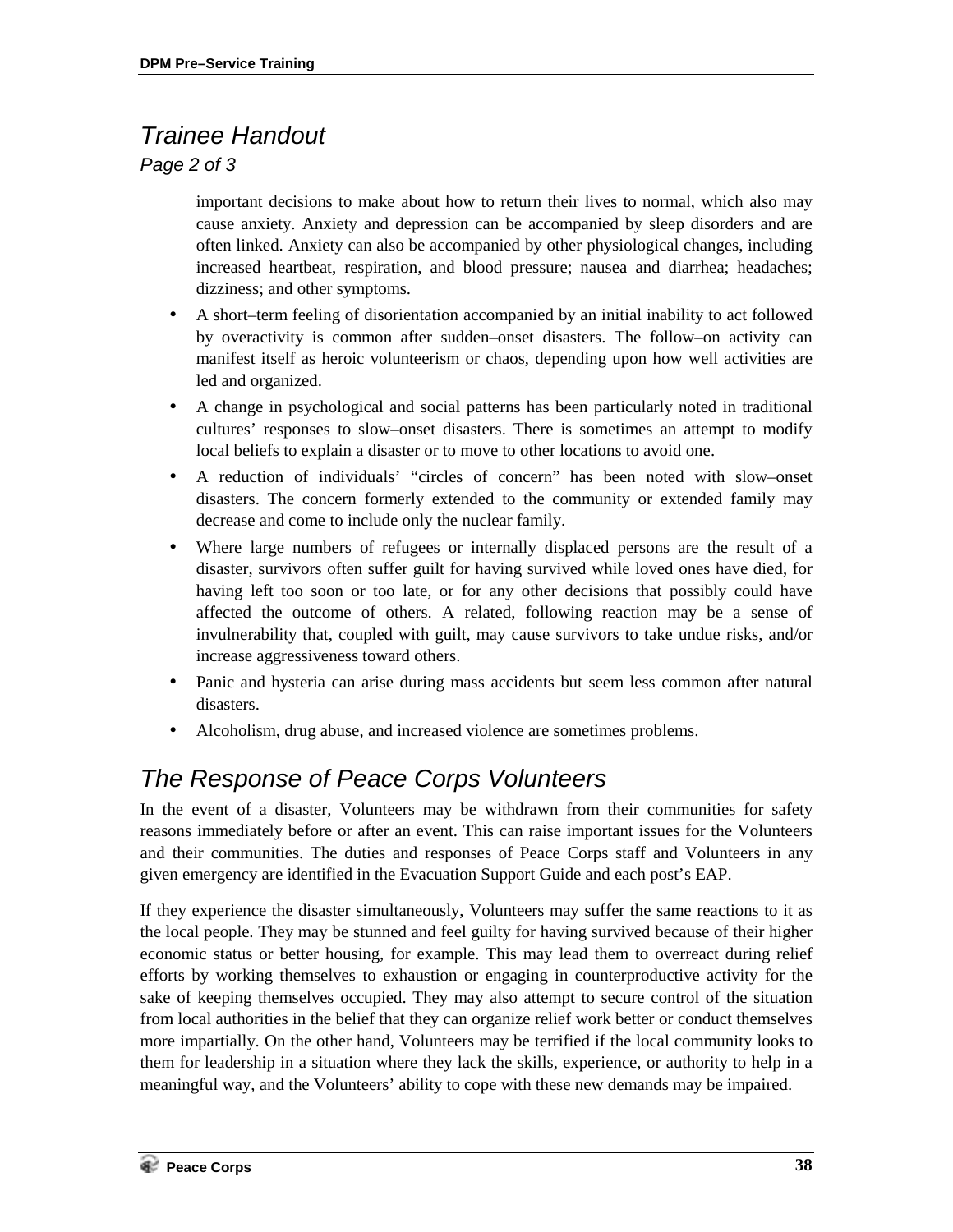Page 2 of 3

important decisions to make about how to return their lives to normal, which also may cause anxiety. Anxiety and depression can be accompanied by sleep disorders and are often linked. Anxiety can also be accompanied by other physiological changes, including increased heartbeat, respiration, and blood pressure; nausea and diarrhea; headaches; dizziness; and other symptoms.

- A short–term feeling of disorientation accompanied by an initial inability to act followed by overactivity is common after sudden–onset disasters. The follow–on activity can manifest itself as heroic volunteerism or chaos, depending upon how well activities are led and organized.
- A change in psychological and social patterns has been particularly noted in traditional cultures' responses to slow–onset disasters. There is sometimes an attempt to modify local beliefs to explain a disaster or to move to other locations to avoid one.
- A reduction of individuals' "circles of concern" has been noted with slow–onset disasters. The concern formerly extended to the community or extended family may decrease and come to include only the nuclear family.
- Where large numbers of refugees or internally displaced persons are the result of a disaster, survivors often suffer guilt for having survived while loved ones have died, for having left too soon or too late, or for any other decisions that possibly could have affected the outcome of others. A related, following reaction may be a sense of invulnerability that, coupled with guilt, may cause survivors to take undue risks, and/or increase aggressiveness toward others.
- Panic and hysteria can arise during mass accidents but seem less common after natural disasters.
- Alcoholism, drug abuse, and increased violence are sometimes problems.

# The Response of Peace Corps Volunteers

In the event of a disaster, Volunteers may be withdrawn from their communities for safety reasons immediately before or after an event. This can raise important issues for the Volunteers and their communities. The duties and responses of Peace Corps staff and Volunteers in any given emergency are identified in the Evacuation Support Guide and each post's EAP.

If they experience the disaster simultaneously, Volunteers may suffer the same reactions to it as the local people. They may be stunned and feel guilty for having survived because of their higher economic status or better housing, for example. This may lead them to overreact during relief efforts by working themselves to exhaustion or engaging in counterproductive activity for the sake of keeping themselves occupied. They may also attempt to secure control of the situation from local authorities in the belief that they can organize relief work better or conduct themselves more impartially. On the other hand, Volunteers may be terrified if the local community looks to them for leadership in a situation where they lack the skills, experience, or authority to help in a meaningful way, and the Volunteers' ability to cope with these new demands may be impaired.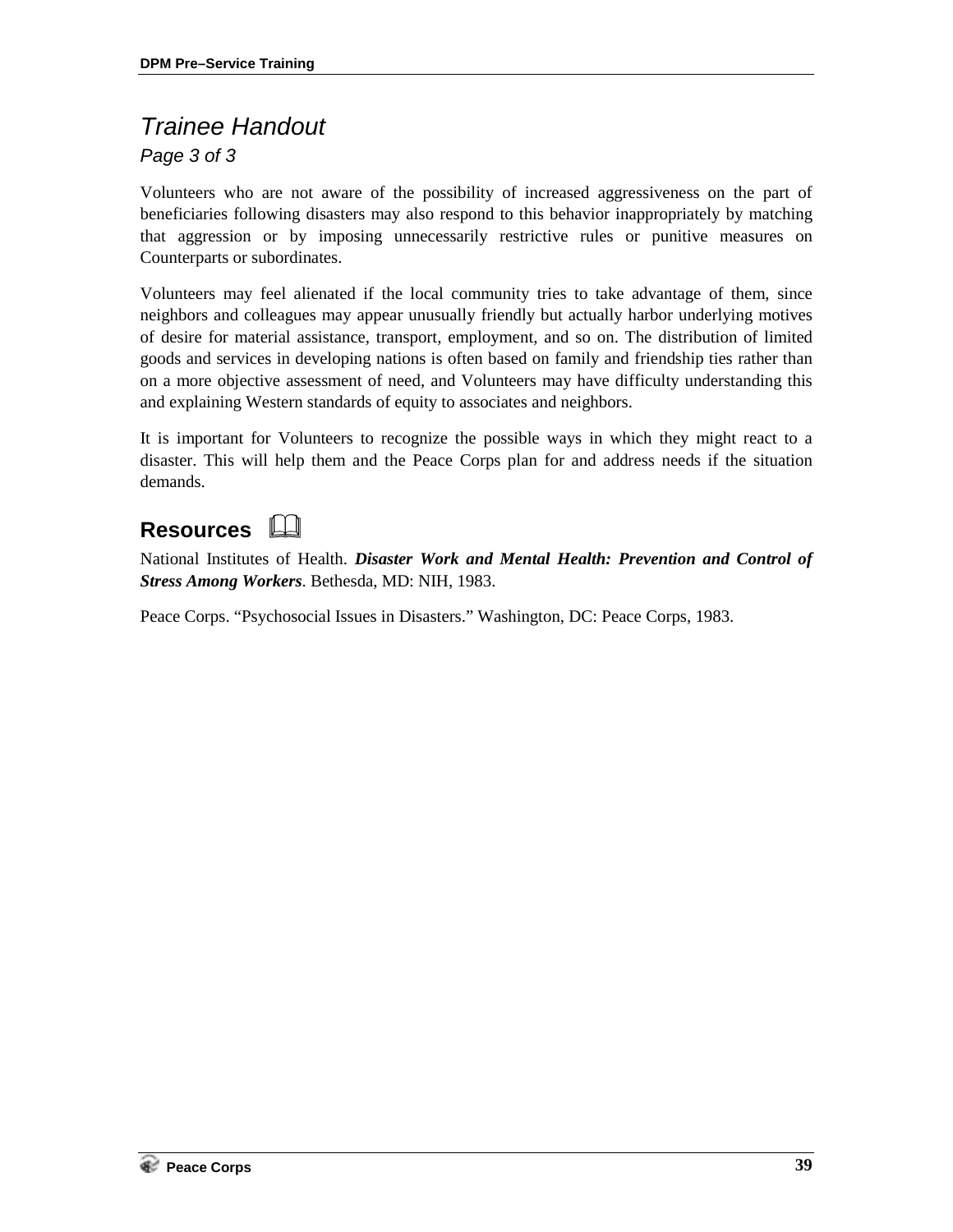## Trainee Handout Page 3 of 3

Volunteers who are not aware of the possibility of increased aggressiveness on the part of beneficiaries following disasters may also respond to this behavior inappropriately by matching that aggression or by imposing unnecessarily restrictive rules or punitive measures on Counterparts or subordinates.

Volunteers may feel alienated if the local community tries to take advantage of them, since neighbors and colleagues may appear unusually friendly but actually harbor underlying motives of desire for material assistance, transport, employment, and so on. The distribution of limited goods and services in developing nations is often based on family and friendship ties rather than on a more objective assessment of need, and Volunteers may have difficulty understanding this and explaining Western standards of equity to associates and neighbors.

It is important for Volunteers to recognize the possible ways in which they might react to a disaster. This will help them and the Peace Corps plan for and address needs if the situation demands.

#### $\mathbb{L} \mathbb{L}$ **Resources**

National Institutes of Health. *Disaster Work and Mental Health: Prevention and Control of Stress Among Workers*. Bethesda, MD: NIH, 1983.

Peace Corps. "Psychosocial Issues in Disasters." Washington, DC: Peace Corps, 1983.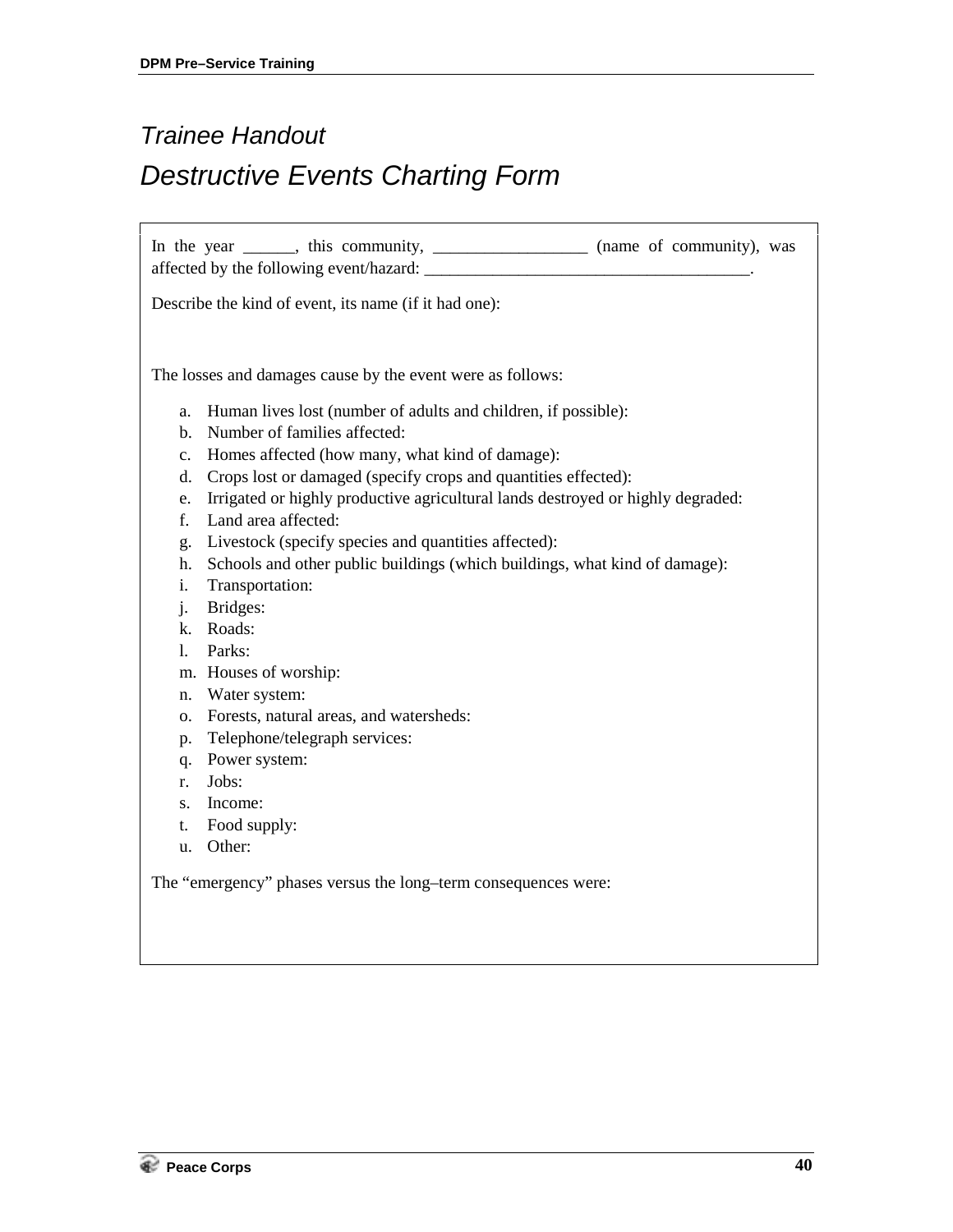# Trainee Handout Destructive Events Charting Form

| In the year ______, this community, ________________ (name of community), was         |  |
|---------------------------------------------------------------------------------------|--|
| Describe the kind of event, its name (if it had one):                                 |  |
|                                                                                       |  |
|                                                                                       |  |
| The losses and damages cause by the event were as follows:                            |  |
| Human lives lost (number of adults and children, if possible):<br>a.                  |  |
| Number of families affected:<br>$\mathbf{b}$ .                                        |  |
| Homes affected (how many, what kind of damage):<br>$c_{\cdot}$                        |  |
| Crops lost or damaged (specify crops and quantities effected):<br>d.                  |  |
| Irrigated or highly productive agricultural lands destroyed or highly degraded:<br>e. |  |
| Land area affected:<br>f.                                                             |  |
| Livestock (specify species and quantities affected):<br>g.                            |  |
| Schools and other public buildings (which buildings, what kind of damage):<br>h.      |  |
| Transportation:<br>i.                                                                 |  |
| Bridges:<br>$\mathbf{j}$ .                                                            |  |
| k. Roads:                                                                             |  |
| 1.<br>Parks:                                                                          |  |
| m. Houses of worship:                                                                 |  |
| Water system:<br>n.                                                                   |  |
| Forests, natural areas, and watersheds:<br>0.                                         |  |
| Telephone/telegraph services:<br>p.                                                   |  |
| Power system:<br>q.                                                                   |  |
| Jobs:<br>r.                                                                           |  |
| Income:<br>$S_{\tau}$                                                                 |  |
| Food supply:<br>t.                                                                    |  |
| Other:<br>u.                                                                          |  |
| The "emergency" phases versus the long-term consequences were:                        |  |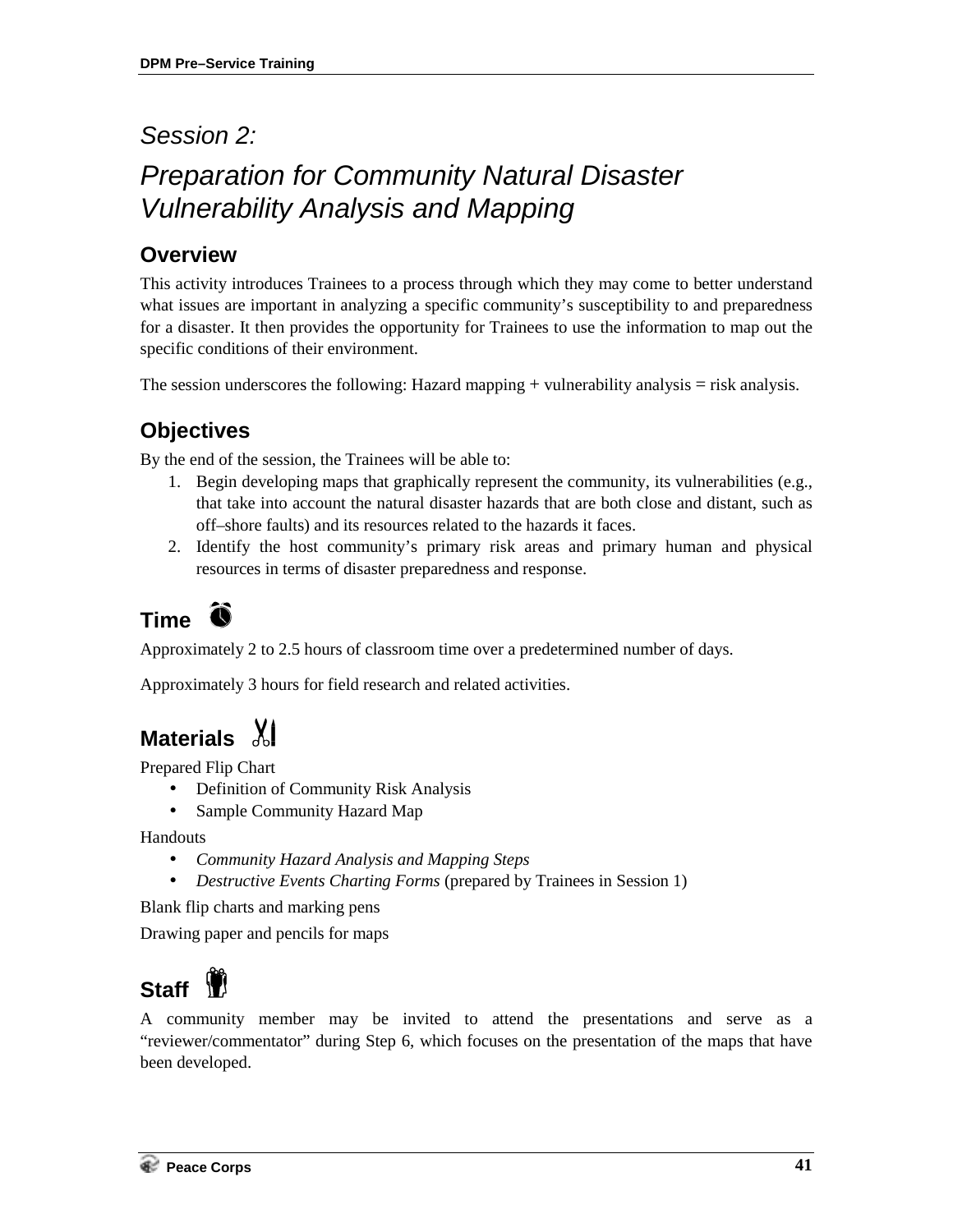## Session 2:

# Preparation for Community Natural Disaster Vulnerability Analysis and Mapping

## **Overview**

This activity introduces Trainees to a process through which they may come to better understand what issues are important in analyzing a specific community's susceptibility to and preparedness for a disaster. It then provides the opportunity for Trainees to use the information to map out the specific conditions of their environment.

The session underscores the following: Hazard mapping + vulnerability analysis = risk analysis.

## **Objectives**

By the end of the session, the Trainees will be able to:

- 1. Begin developing maps that graphically represent the community, its vulnerabilities (e.g., that take into account the natural disaster hazards that are both close and distant, such as off–shore faults) and its resources related to the hazards it faces.
- 2. Identify the host community's primary risk areas and primary human and physical resources in terms of disaster preparedness and response.

#### Ô **Time**

Approximately 2 to 2.5 hours of classroom time over a predetermined number of days.

Approximately 3 hours for field research and related activities.

# **Materials**

Prepared Flip Chart

- Definition of Community Risk Analysis
- Sample Community Hazard Map

Handouts

- *Community Hazard Analysis and Mapping Steps*
- *Destructive Events Charting Forms* (prepared by Trainees in Session 1)

Blank flip charts and marking pens

Drawing paper and pencils for maps

# **Staff**

A community member may be invited to attend the presentations and serve as a "reviewer/commentator" during Step 6, which focuses on the presentation of the maps that have been developed.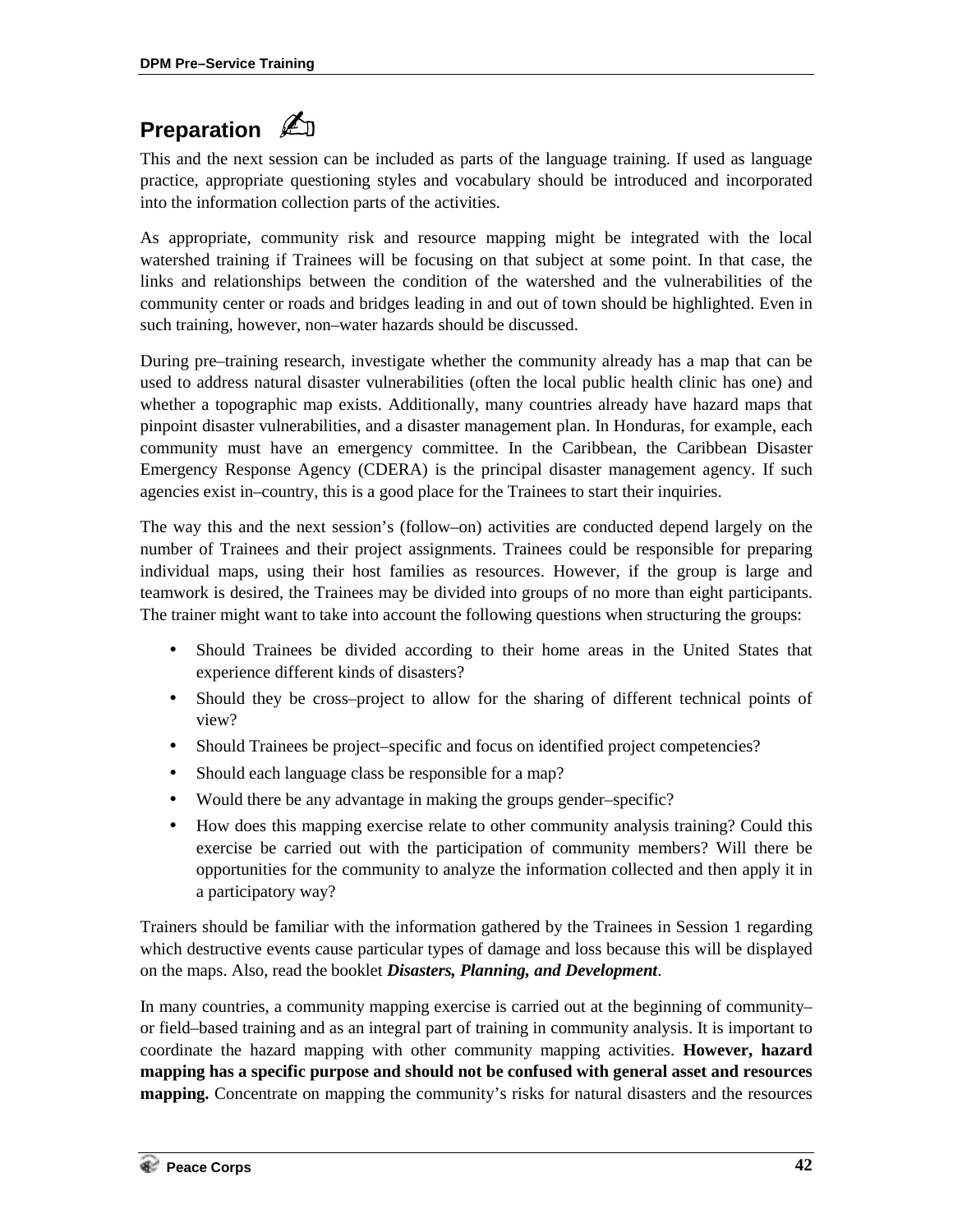# **Preparation**

This and the next session can be included as parts of the language training. If used as language practice, appropriate questioning styles and vocabulary should be introduced and incorporated into the information collection parts of the activities.

As appropriate, community risk and resource mapping might be integrated with the local watershed training if Trainees will be focusing on that subject at some point. In that case, the links and relationships between the condition of the watershed and the vulnerabilities of the community center or roads and bridges leading in and out of town should be highlighted. Even in such training, however, non–water hazards should be discussed.

During pre–training research, investigate whether the community already has a map that can be used to address natural disaster vulnerabilities (often the local public health clinic has one) and whether a topographic map exists. Additionally, many countries already have hazard maps that pinpoint disaster vulnerabilities, and a disaster management plan. In Honduras, for example, each community must have an emergency committee. In the Caribbean, the Caribbean Disaster Emergency Response Agency (CDERA) is the principal disaster management agency. If such agencies exist in–country, this is a good place for the Trainees to start their inquiries.

The way this and the next session's (follow–on) activities are conducted depend largely on the number of Trainees and their project assignments. Trainees could be responsible for preparing individual maps, using their host families as resources. However, if the group is large and teamwork is desired, the Trainees may be divided into groups of no more than eight participants. The trainer might want to take into account the following questions when structuring the groups:

- Should Trainees be divided according to their home areas in the United States that experience different kinds of disasters?
- Should they be cross–project to allow for the sharing of different technical points of view?
- Should Trainees be project–specific and focus on identified project competencies?
- Should each language class be responsible for a map?
- Would there be any advantage in making the groups gender–specific?
- How does this mapping exercise relate to other community analysis training? Could this exercise be carried out with the participation of community members? Will there be opportunities for the community to analyze the information collected and then apply it in a participatory way?

Trainers should be familiar with the information gathered by the Trainees in Session 1 regarding which destructive events cause particular types of damage and loss because this will be displayed on the maps. Also, read the booklet *Disasters, Planning, and Development*.

In many countries, a community mapping exercise is carried out at the beginning of community– or field–based training and as an integral part of training in community analysis. It is important to coordinate the hazard mapping with other community mapping activities. **However, hazard mapping has a specific purpose and should not be confused with general asset and resources mapping.** Concentrate on mapping the community's risks for natural disasters and the resources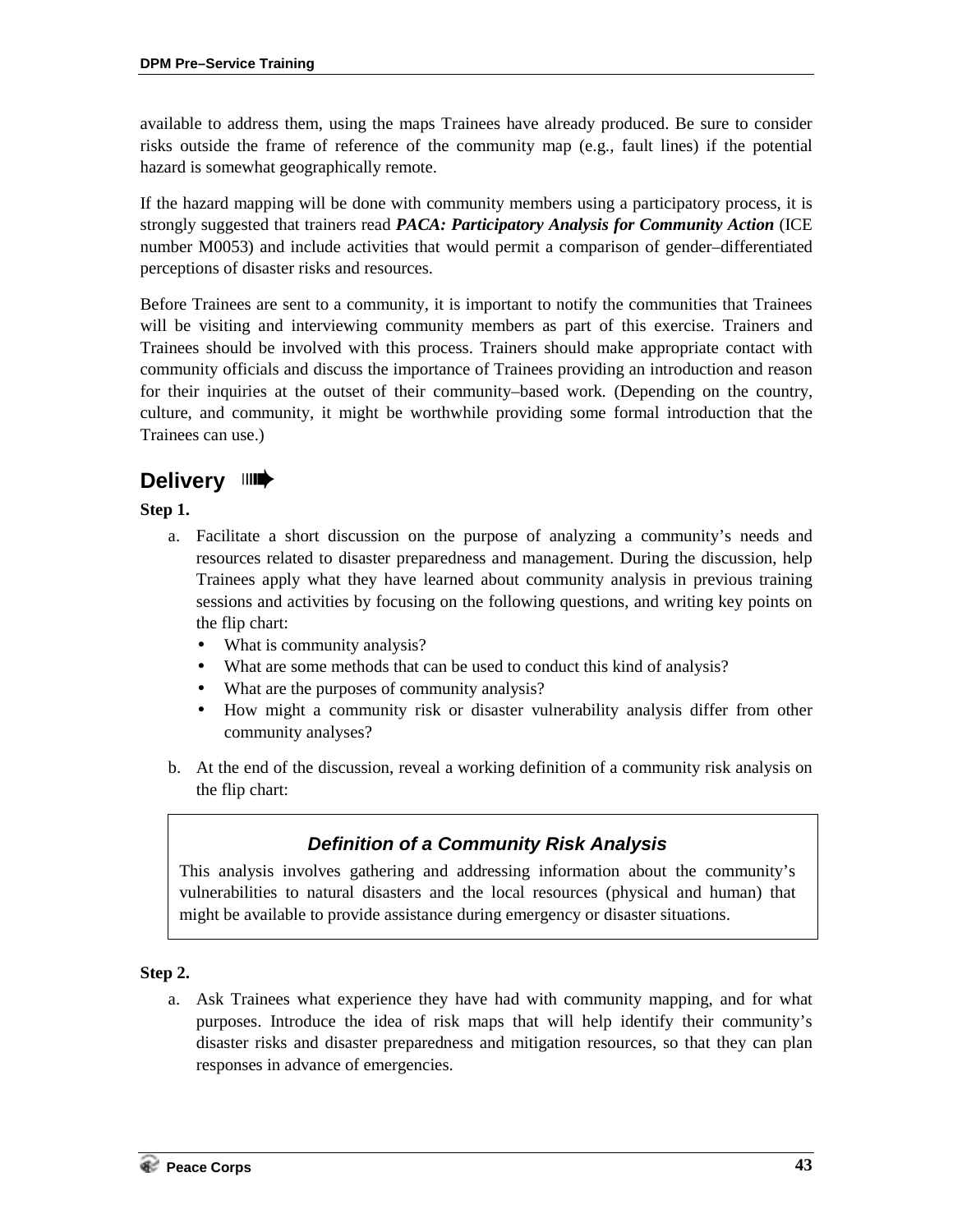available to address them, using the maps Trainees have already produced. Be sure to consider risks outside the frame of reference of the community map (e.g., fault lines) if the potential hazard is somewhat geographically remote.

If the hazard mapping will be done with community members using a participatory process, it is strongly suggested that trainers read *PACA: Participatory Analysis for Community Action* (ICE number M0053) and include activities that would permit a comparison of gender–differentiated perceptions of disaster risks and resources.

Before Trainees are sent to a community, it is important to notify the communities that Trainees will be visiting and interviewing community members as part of this exercise. Trainers and Trainees should be involved with this process. Trainers should make appropriate contact with community officials and discuss the importance of Trainees providing an introduction and reason for their inquiries at the outset of their community–based work. (Depending on the country, culture, and community, it might be worthwhile providing some formal introduction that the Trainees can use.)

## **Delivery IIII**

**Step 1.** 

- a. Facilitate a short discussion on the purpose of analyzing a community's needs and resources related to disaster preparedness and management. During the discussion, help Trainees apply what they have learned about community analysis in previous training sessions and activities by focusing on the following questions, and writing key points on the flip chart:
	- What is community analysis?
	- What are some methods that can be used to conduct this kind of analysis?
	- What are the purposes of community analysis?
	- How might a community risk or disaster vulnerability analysis differ from other community analyses?
- b. At the end of the discussion, reveal a working definition of a community risk analysis on the flip chart:

## **Definition of a Community Risk Analysis**

This analysis involves gathering and addressing information about the community's vulnerabilities to natural disasters and the local resources (physical and human) that might be available to provide assistance during emergency or disaster situations.

#### **Step 2.**

a. Ask Trainees what experience they have had with community mapping, and for what purposes. Introduce the idea of risk maps that will help identify their community's disaster risks and disaster preparedness and mitigation resources, so that they can plan responses in advance of emergencies.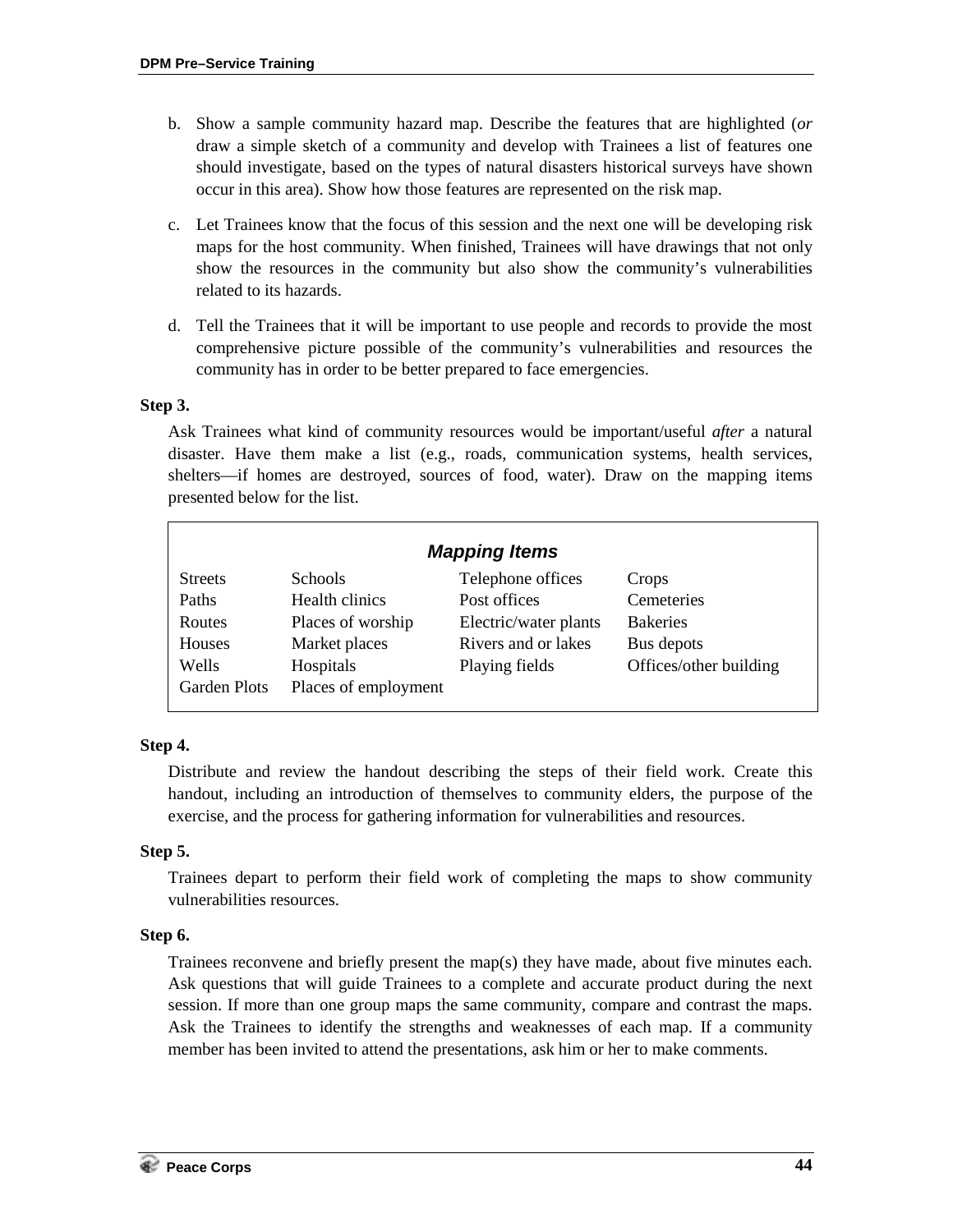- b. Show a sample community hazard map. Describe the features that are highlighted (*or*  draw a simple sketch of a community and develop with Trainees a list of features one should investigate, based on the types of natural disasters historical surveys have shown occur in this area). Show how those features are represented on the risk map.
- c. Let Trainees know that the focus of this session and the next one will be developing risk maps for the host community. When finished, Trainees will have drawings that not only show the resources in the community but also show the community's vulnerabilities related to its hazards.
- d. Tell the Trainees that it will be important to use people and records to provide the most comprehensive picture possible of the community's vulnerabilities and resources the community has in order to be better prepared to face emergencies.

#### **Step 3.**

Ask Trainees what kind of community resources would be important/useful *after* a natural disaster. Have them make a list (e.g., roads, communication systems, health services, shelters—if homes are destroyed, sources of food, water). Draw on the mapping items presented below for the list.

| <b>Mapping Items</b> |                      |                       |                        |
|----------------------|----------------------|-----------------------|------------------------|
| <b>Streets</b>       | <b>Schools</b>       | Telephone offices     | Crops                  |
| Paths                | Health clinics       | Post offices          | Cemeteries             |
| Routes               | Places of worship    | Electric/water plants | <b>Bakeries</b>        |
| <b>Houses</b>        | Market places        | Rivers and or lakes   | Bus depots             |
| Wells                | Hospitals            | Playing fields        | Offices/other building |
| Garden Plots         | Places of employment |                       |                        |

#### **Step 4.**

Distribute and review the handout describing the steps of their field work. Create this handout, including an introduction of themselves to community elders, the purpose of the exercise, and the process for gathering information for vulnerabilities and resources.

#### **Step 5.**

Trainees depart to perform their field work of completing the maps to show community vulnerabilities resources.

#### **Step 6.**

Trainees reconvene and briefly present the map(s) they have made, about five minutes each. Ask questions that will guide Trainees to a complete and accurate product during the next session. If more than one group maps the same community, compare and contrast the maps. Ask the Trainees to identify the strengths and weaknesses of each map. If a community member has been invited to attend the presentations, ask him or her to make comments.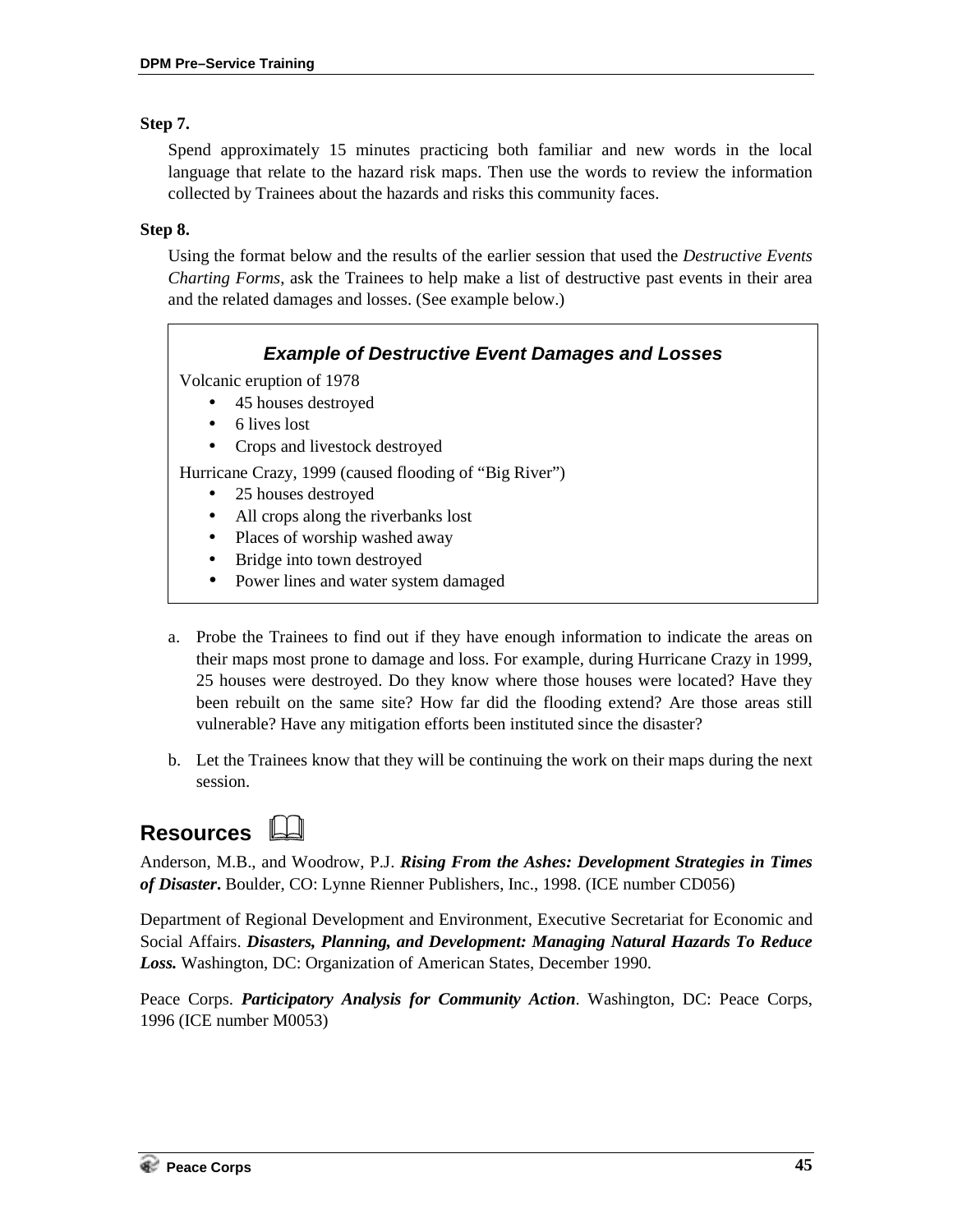#### **Step 7.**

Spend approximately 15 minutes practicing both familiar and new words in the local language that relate to the hazard risk maps. Then use the words to review the information collected by Trainees about the hazards and risks this community faces.

#### **Step 8.**

Using the format below and the results of the earlier session that used the *Destructive Events Charting Forms*, ask the Trainees to help make a list of destructive past events in their area and the related damages and losses. (See example below.)

## **Example of Destructive Event Damages and Losses**

Volcanic eruption of 1978

- 45 houses destroyed
- 6 lives lost
- Crops and livestock destroyed

Hurricane Crazy, 1999 (caused flooding of "Big River")

- 25 houses destroyed
- All crops along the riverbanks lost
- Places of worship washed away
- Bridge into town destroyed
- Power lines and water system damaged
- a. Probe the Trainees to find out if they have enough information to indicate the areas on their maps most prone to damage and loss. For example, during Hurricane Crazy in 1999, 25 houses were destroyed. Do they know where those houses were located? Have they been rebuilt on the same site? How far did the flooding extend? Are those areas still vulnerable? Have any mitigation efforts been instituted since the disaster?
- b. Let the Trainees know that they will be continuing the work on their maps during the next session.

## **Resources**



Anderson, M.B., and Woodrow, P.J. *Rising From the Ashes: Development Strategies in Times of Disaster***.** Boulder, CO: Lynne Rienner Publishers, Inc., 1998. (ICE number CD056)

Department of Regional Development and Environment, Executive Secretariat for Economic and Social Affairs. *Disasters, Planning, and Development: Managing Natural Hazards To Reduce Loss.* Washington, DC: Organization of American States, December 1990.

Peace Corps. *Participatory Analysis for Community Action*. Washington, DC: Peace Corps, 1996 (ICE number M0053)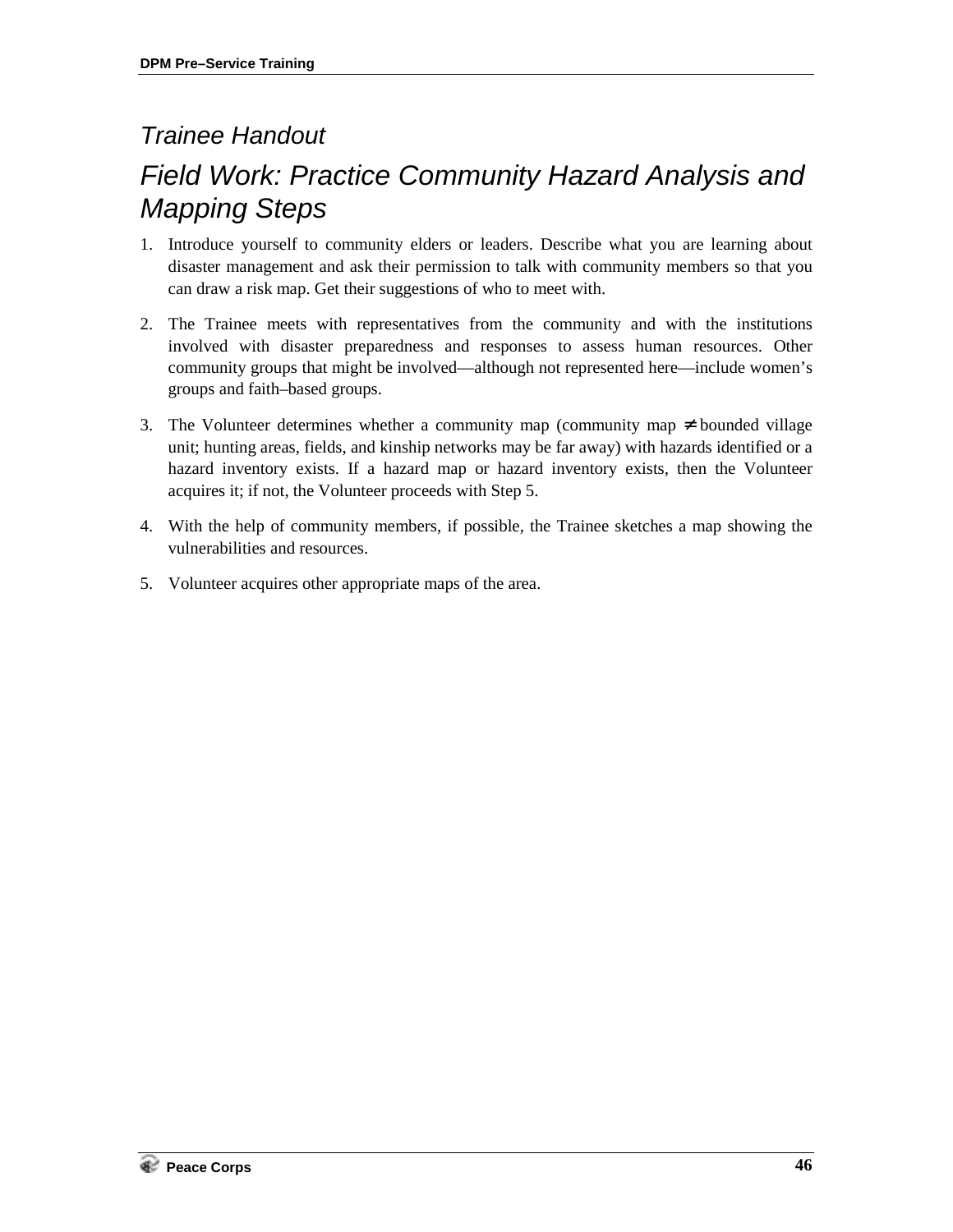# Trainee Handout Field Work: Practice Community Hazard Analysis and Mapping Steps

- 1. Introduce yourself to community elders or leaders. Describe what you are learning about disaster management and ask their permission to talk with community members so that you can draw a risk map. Get their suggestions of who to meet with.
- 2. The Trainee meets with representatives from the community and with the institutions involved with disaster preparedness and responses to assess human resources. Other community groups that might be involved—although not represented here—include women's groups and faith–based groups.
- 3. The Volunteer determines whether a community map (community map  $\neq$  bounded village unit; hunting areas, fields, and kinship networks may be far away) with hazards identified or a hazard inventory exists. If a hazard map or hazard inventory exists, then the Volunteer acquires it; if not, the Volunteer proceeds with Step 5.
- 4. With the help of community members, if possible, the Trainee sketches a map showing the vulnerabilities and resources.
- 5. Volunteer acquires other appropriate maps of the area.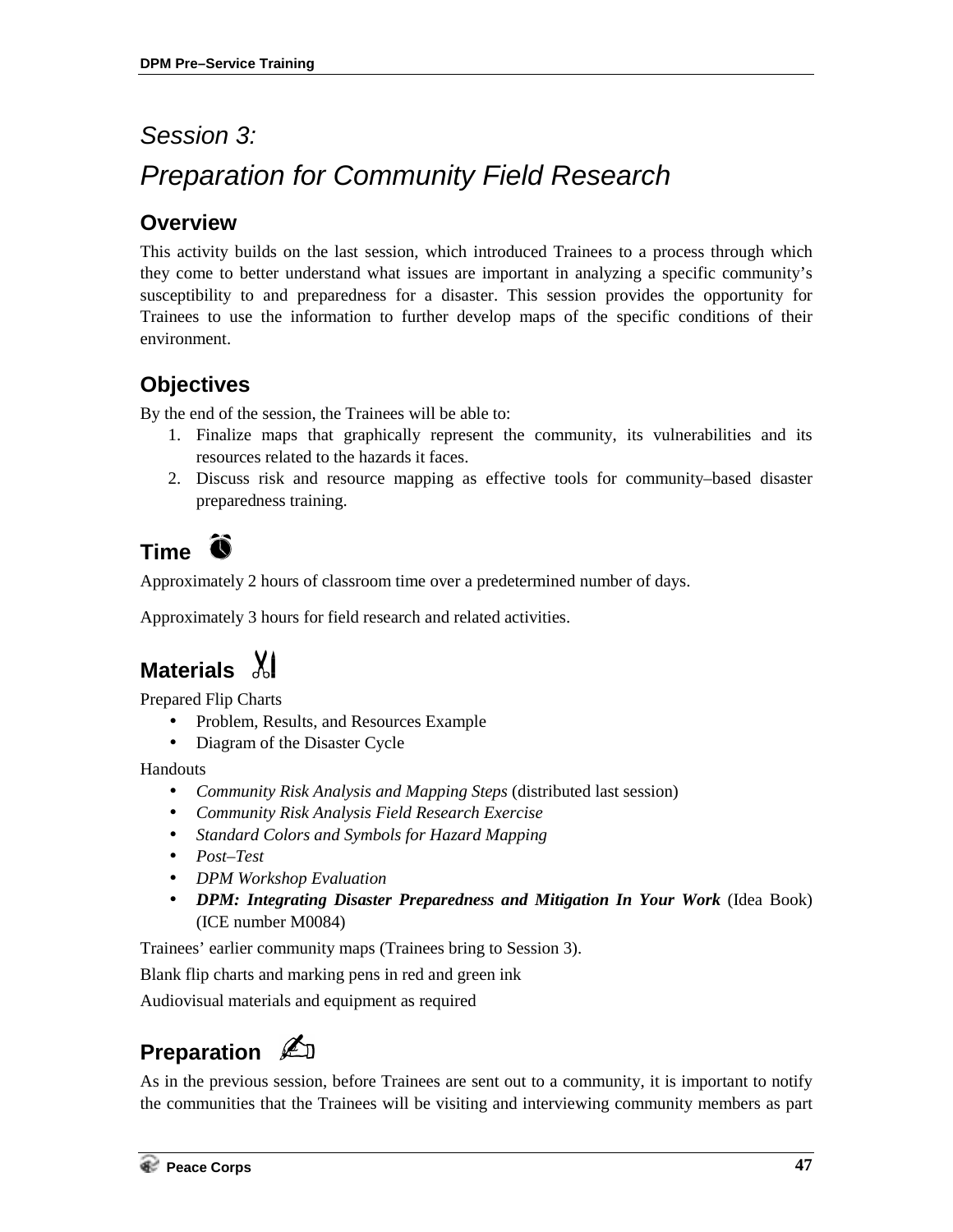# Session 3: Preparation for Community Field Research

## **Overview**

This activity builds on the last session, which introduced Trainees to a process through which they come to better understand what issues are important in analyzing a specific community's susceptibility to and preparedness for a disaster. This session provides the opportunity for Trainees to use the information to further develop maps of the specific conditions of their environment.

## **Objectives**

By the end of the session, the Trainees will be able to:

- 1. Finalize maps that graphically represent the community, its vulnerabilities and its resources related to the hazards it faces.
- 2. Discuss risk and resource mapping as effective tools for community–based disaster preparedness training.

# **Time**

Approximately 2 hours of classroom time over a predetermined number of days.

Approximately 3 hours for field research and related activities.

# **Materials**

Prepared Flip Charts

- Problem, Results, and Resources Example
- Diagram of the Disaster Cycle

Handouts

- *Community Risk Analysis and Mapping Steps* (distributed last session)
- *Community Risk Analysis Field Research Exercise*
- *Standard Colors and Symbols for Hazard Mapping*
- *Post–Test*
- *DPM Workshop Evaluation*
- *DPM: Integrating Disaster Preparedness and Mitigation In Your Work* (Idea Book) (ICE number M0084)

Trainees' earlier community maps (Trainees bring to Session 3).

Blank flip charts and marking pens in red and green ink

Audiovisual materials and equipment as required

# **Preparation**

As in the previous session, before Trainees are sent out to a community, it is important to notify the communities that the Trainees will be visiting and interviewing community members as part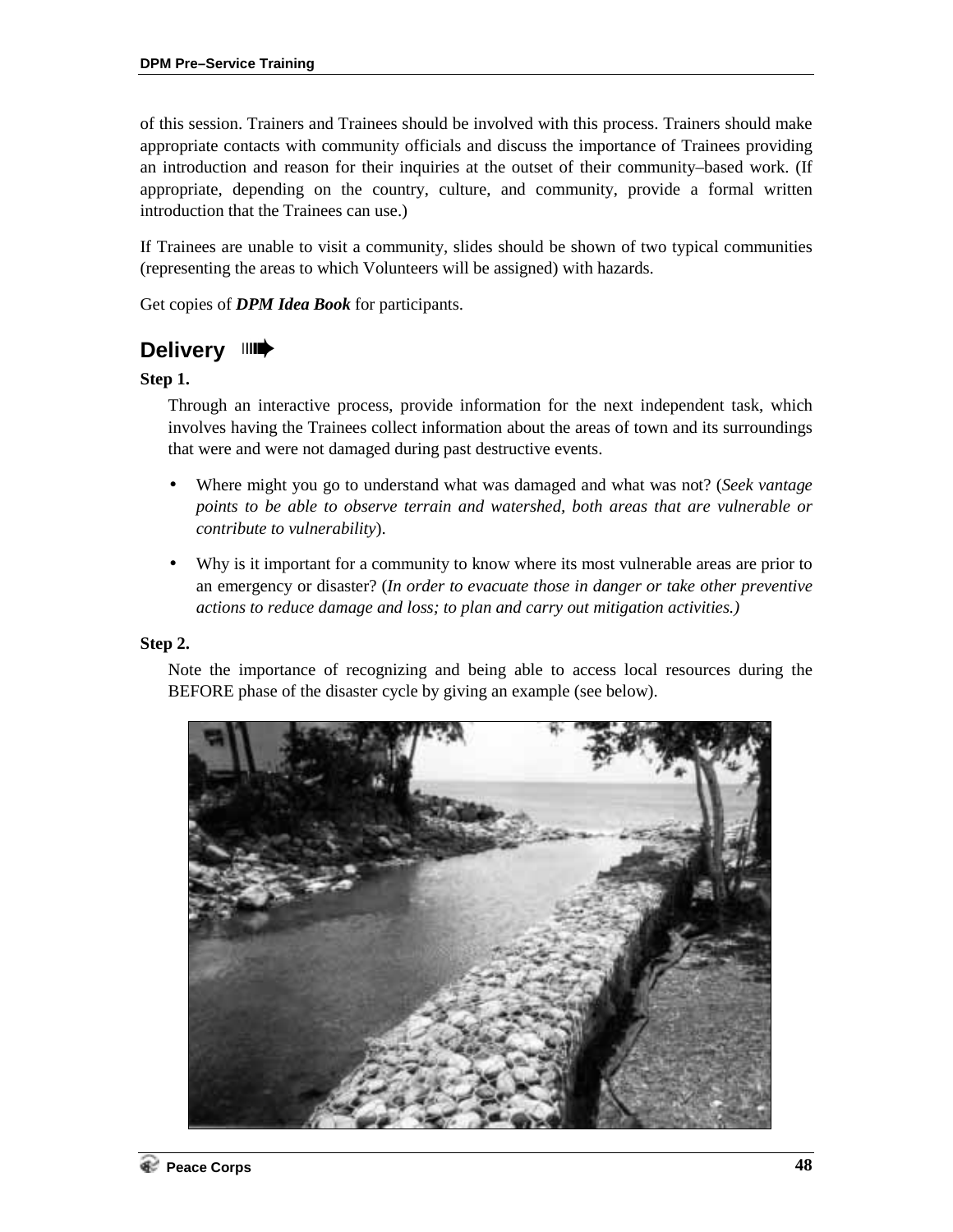of this session. Trainers and Trainees should be involved with this process. Trainers should make appropriate contacts with community officials and discuss the importance of Trainees providing an introduction and reason for their inquiries at the outset of their community–based work. (If appropriate, depending on the country, culture, and community, provide a formal written introduction that the Trainees can use.)

If Trainees are unable to visit a community, slides should be shown of two typical communities (representing the areas to which Volunteers will be assigned) with hazards.

Get copies of *DPM Idea Book* for participants.

## **Delivery IIII**

#### **Step 1.**

Through an interactive process, provide information for the next independent task, which involves having the Trainees collect information about the areas of town and its surroundings that were and were not damaged during past destructive events.

- Where might you go to understand what was damaged and what was not? (*Seek vantage points to be able to observe terrain and watershed, both areas that are vulnerable or contribute to vulnerability*).
- Why is it important for a community to know where its most vulnerable areas are prior to an emergency or disaster? (*In order to evacuate those in danger or take other preventive actions to reduce damage and loss; to plan and carry out mitigation activities.)*

#### **Step 2.**

Note the importance of recognizing and being able to access local resources during the BEFORE phase of the disaster cycle by giving an example (see below).

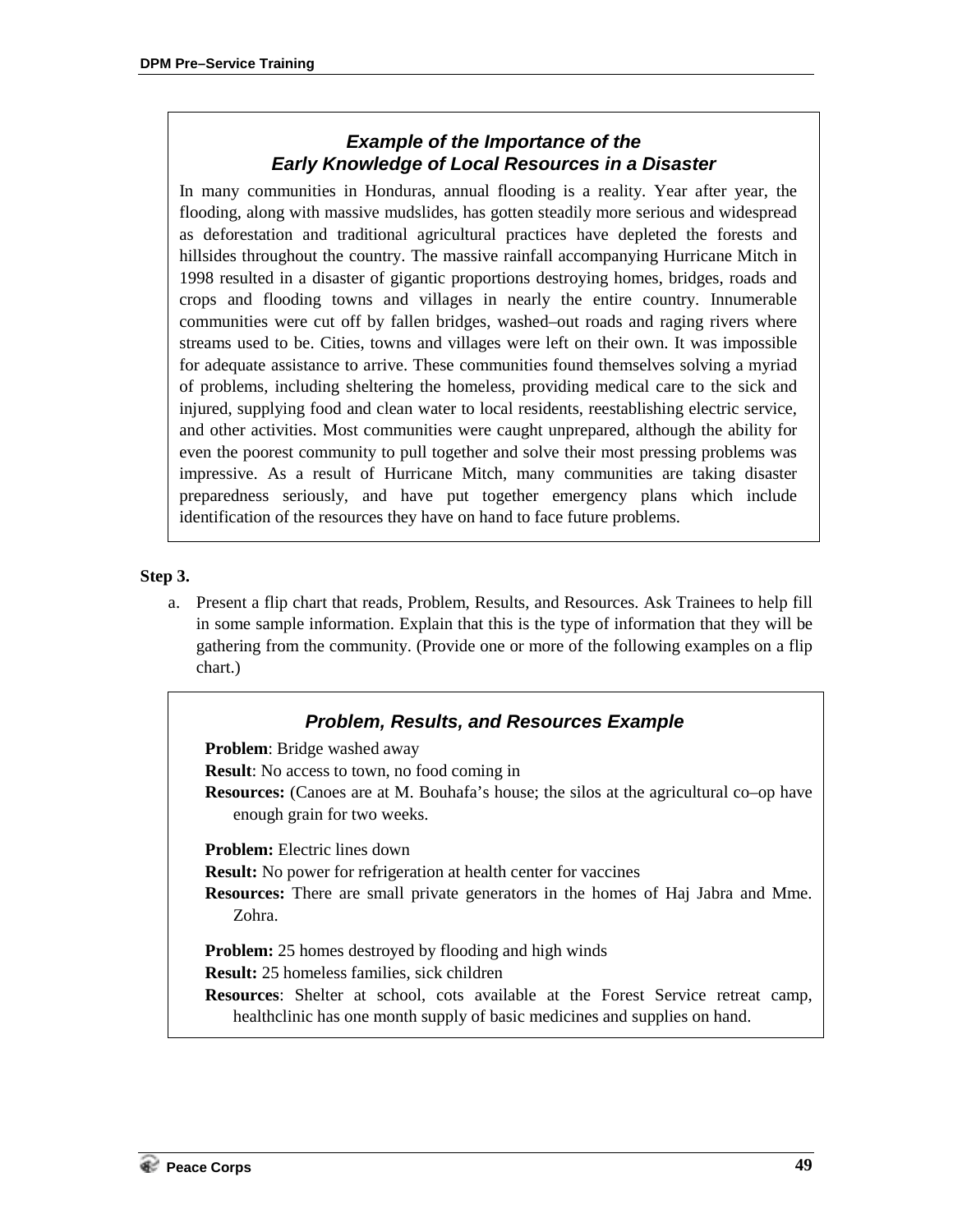## **Example of the Importance of the Early Knowledge of Local Resources in a Disaster**

In many communities in Honduras, annual flooding is a reality. Year after year, the flooding, along with massive mudslides, has gotten steadily more serious and widespread as deforestation and traditional agricultural practices have depleted the forests and hillsides throughout the country. The massive rainfall accompanying Hurricane Mitch in 1998 resulted in a disaster of gigantic proportions destroying homes, bridges, roads and crops and flooding towns and villages in nearly the entire country. Innumerable communities were cut off by fallen bridges, washed–out roads and raging rivers where streams used to be. Cities, towns and villages were left on their own. It was impossible for adequate assistance to arrive. These communities found themselves solving a myriad of problems, including sheltering the homeless, providing medical care to the sick and injured, supplying food and clean water to local residents, reestablishing electric service, and other activities. Most communities were caught unprepared, although the ability for even the poorest community to pull together and solve their most pressing problems was impressive. As a result of Hurricane Mitch, many communities are taking disaster preparedness seriously, and have put together emergency plans which include identification of the resources they have on hand to face future problems.

#### **Step 3.**

a. Present a flip chart that reads, Problem, Results, and Resources. Ask Trainees to help fill in some sample information. Explain that this is the type of information that they will be gathering from the community. (Provide one or more of the following examples on a flip chart.)

| <b>Problem, Results, and Resources Example</b>                                                                                                                        |
|-----------------------------------------------------------------------------------------------------------------------------------------------------------------------|
| <b>Problem:</b> Bridge washed away                                                                                                                                    |
| <b>Result:</b> No access to town, no food coming in                                                                                                                   |
| <b>Resources:</b> (Canoes are at M. Bouhafa's house; the silos at the agricultural co-op have<br>enough grain for two weeks.                                          |
| <b>Problem:</b> Electric lines down                                                                                                                                   |
| <b>Result:</b> No power for refrigeration at health center for vaccines                                                                                               |
| <b>Resources:</b> There are small private generators in the homes of Haj Jabra and Mme.<br>Zohra.                                                                     |
| <b>Problem:</b> 25 homes destroyed by flooding and high winds                                                                                                         |
| <b>Result:</b> 25 homeless families, sick children                                                                                                                    |
| <b>Resources:</b> Shelter at school, cots available at the Forest Service retreat camp,<br>healthclinic has one month supply of basic medicines and supplies on hand. |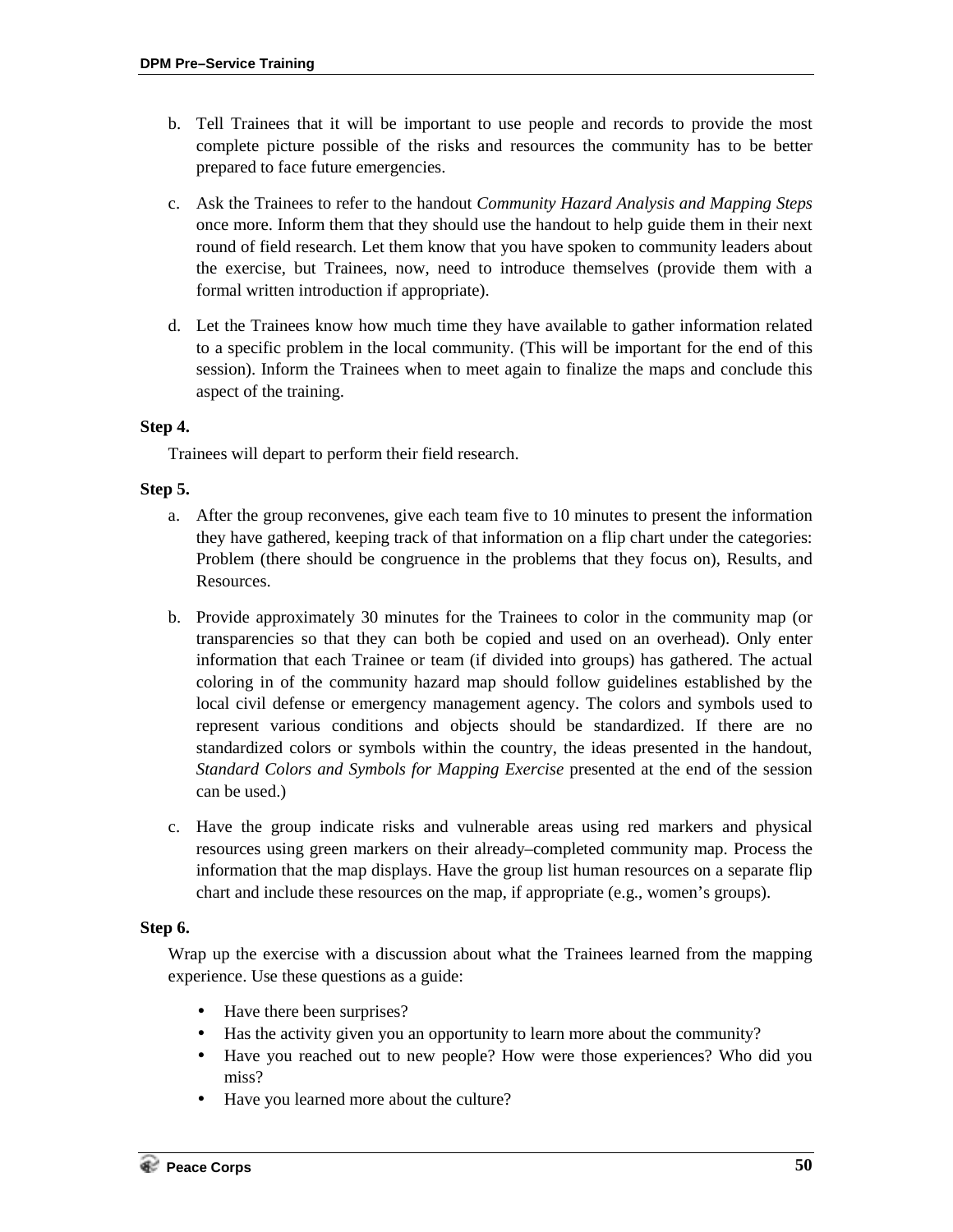- b. Tell Trainees that it will be important to use people and records to provide the most complete picture possible of the risks and resources the community has to be better prepared to face future emergencies.
- c. Ask the Trainees to refer to the handout *Community Hazard Analysis and Mapping Steps* once more. Inform them that they should use the handout to help guide them in their next round of field research. Let them know that you have spoken to community leaders about the exercise, but Trainees, now, need to introduce themselves (provide them with a formal written introduction if appropriate).
- d. Let the Trainees know how much time they have available to gather information related to a specific problem in the local community. (This will be important for the end of this session). Inform the Trainees when to meet again to finalize the maps and conclude this aspect of the training.

#### **Step 4.**

Trainees will depart to perform their field research.

#### **Step 5.**

- a. After the group reconvenes, give each team five to 10 minutes to present the information they have gathered, keeping track of that information on a flip chart under the categories: Problem (there should be congruence in the problems that they focus on), Results, and Resources.
- b. Provide approximately 30 minutes for the Trainees to color in the community map (or transparencies so that they can both be copied and used on an overhead). Only enter information that each Trainee or team (if divided into groups) has gathered. The actual coloring in of the community hazard map should follow guidelines established by the local civil defense or emergency management agency. The colors and symbols used to represent various conditions and objects should be standardized. If there are no standardized colors or symbols within the country, the ideas presented in the handout, *Standard Colors and Symbols for Mapping Exercise* presented at the end of the session can be used.)
- c. Have the group indicate risks and vulnerable areas using red markers and physical resources using green markers on their already–completed community map. Process the information that the map displays. Have the group list human resources on a separate flip chart and include these resources on the map, if appropriate (e.g., women's groups).

#### **Step 6.**

Wrap up the exercise with a discussion about what the Trainees learned from the mapping experience. Use these questions as a guide:

- Have there been surprises?
- Has the activity given you an opportunity to learn more about the community?
- Have you reached out to new people? How were those experiences? Who did you miss?
- Have you learned more about the culture?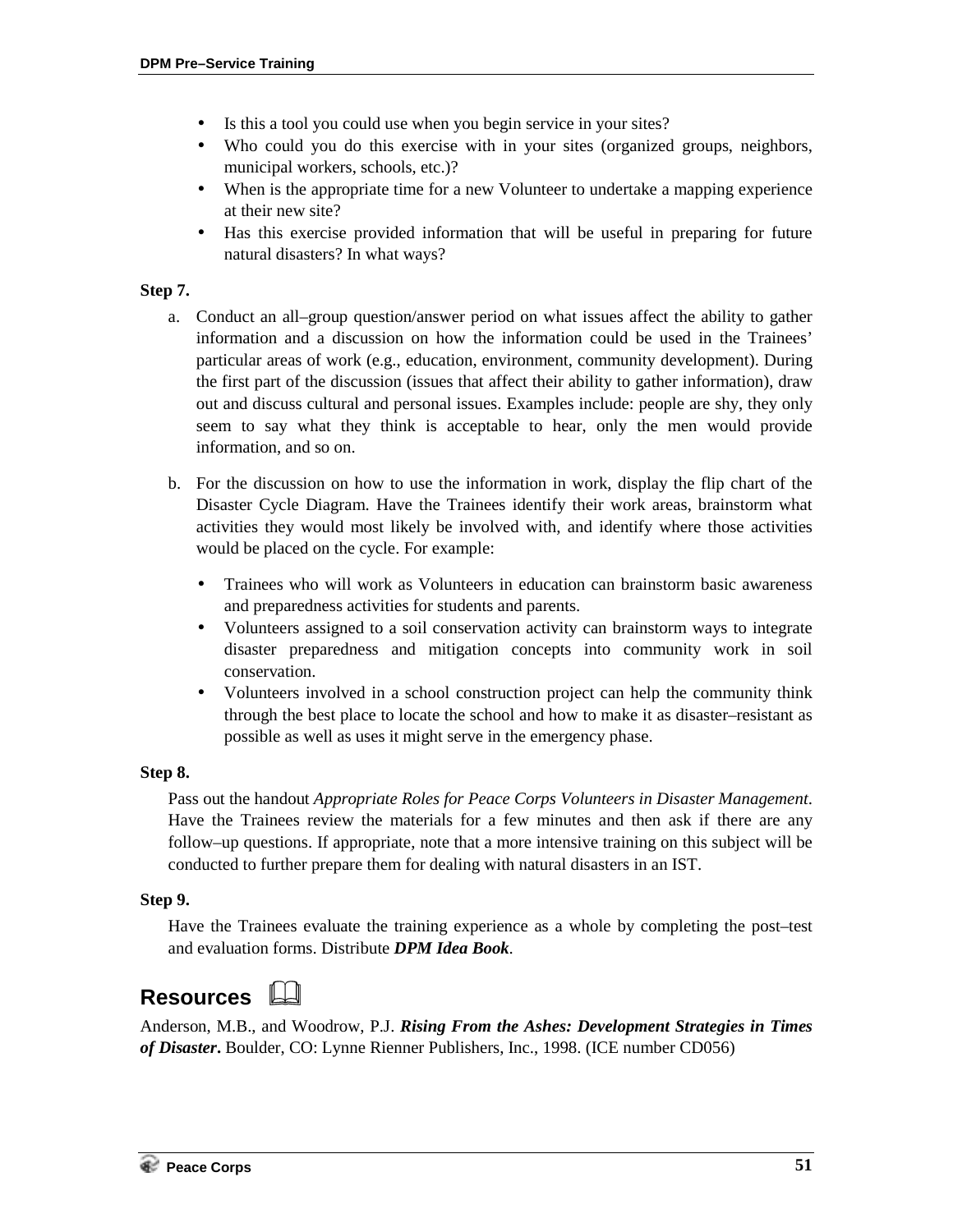- Is this a tool you could use when you begin service in your sites?
- Who could you do this exercise with in your sites (organized groups, neighbors, municipal workers, schools, etc.)?
- When is the appropriate time for a new Volunteer to undertake a mapping experience at their new site?
- Has this exercise provided information that will be useful in preparing for future natural disasters? In what ways?

#### **Step 7.**

- a. Conduct an all–group question/answer period on what issues affect the ability to gather information and a discussion on how the information could be used in the Trainees' particular areas of work (e.g., education, environment, community development). During the first part of the discussion (issues that affect their ability to gather information), draw out and discuss cultural and personal issues. Examples include: people are shy, they only seem to say what they think is acceptable to hear, only the men would provide information, and so on.
- b. For the discussion on how to use the information in work, display the flip chart of the Disaster Cycle Diagram. Have the Trainees identify their work areas, brainstorm what activities they would most likely be involved with, and identify where those activities would be placed on the cycle. For example:
	- Trainees who will work as Volunteers in education can brainstorm basic awareness and preparedness activities for students and parents.
	- Volunteers assigned to a soil conservation activity can brainstorm ways to integrate disaster preparedness and mitigation concepts into community work in soil conservation.
	- Volunteers involved in a school construction project can help the community think through the best place to locate the school and how to make it as disaster–resistant as possible as well as uses it might serve in the emergency phase.

#### **Step 8.**

Pass out the handout *Appropriate Roles for Peace Corps Volunteers in Disaster Management*. Have the Trainees review the materials for a few minutes and then ask if there are any follow–up questions. If appropriate, note that a more intensive training on this subject will be conducted to further prepare them for dealing with natural disasters in an IST.

#### **Step 9.**

Have the Trainees evaluate the training experience as a whole by completing the post–test and evaluation forms. Distribute *DPM Idea Book*.

# **Resources**

Anderson, M.B., and Woodrow, P.J. *Rising From the Ashes: Development Strategies in Times of Disaster***.** Boulder, CO: Lynne Rienner Publishers, Inc., 1998. (ICE number CD056)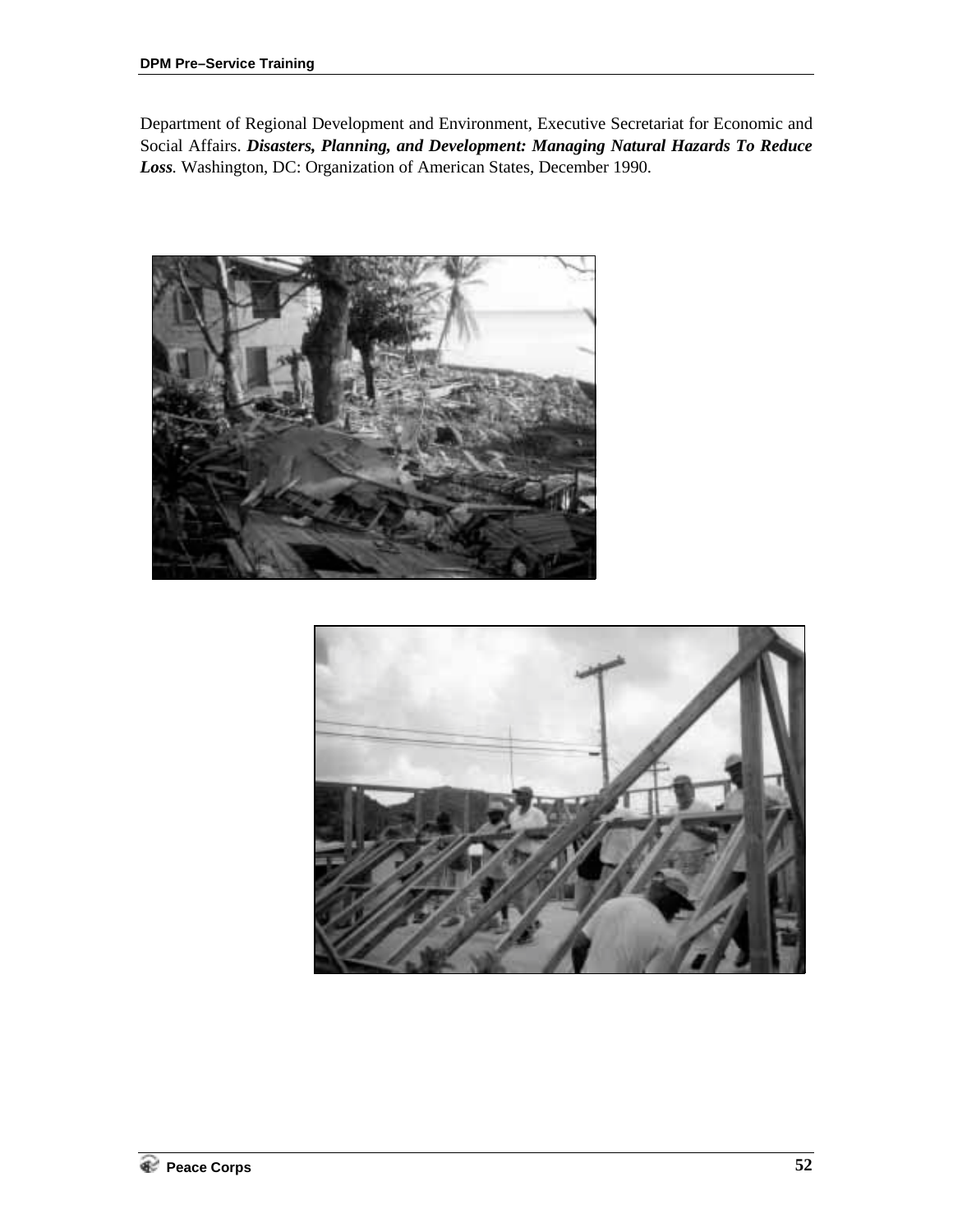Department of Regional Development and Environment, Executive Secretariat for Economic and Social Affairs. *Disasters, Planning, and Development: Managing Natural Hazards To Reduce Loss.* Washington, DC: Organization of American States, December 1990.



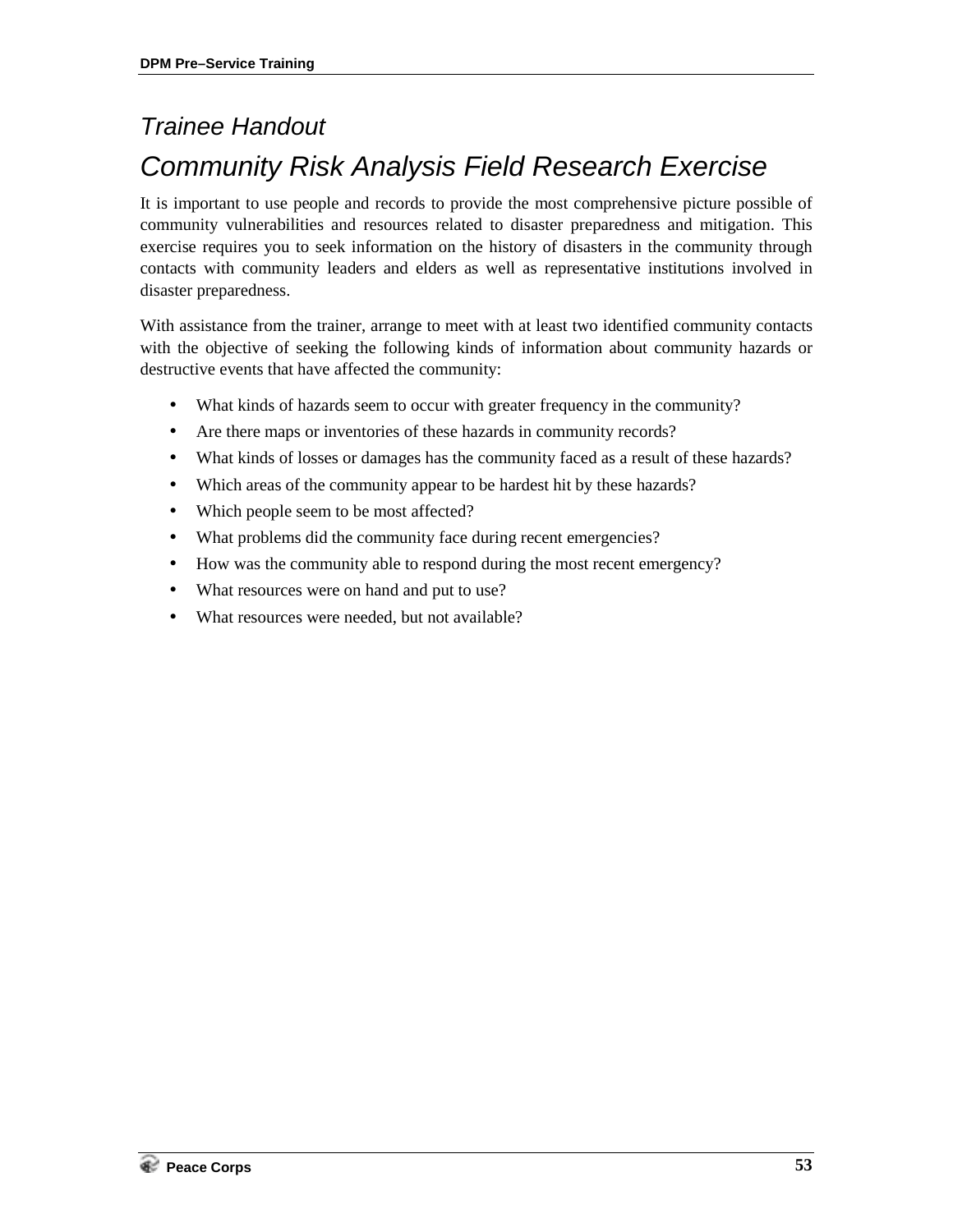# Trainee Handout Community Risk Analysis Field Research Exercise

It is important to use people and records to provide the most comprehensive picture possible of community vulnerabilities and resources related to disaster preparedness and mitigation. This exercise requires you to seek information on the history of disasters in the community through contacts with community leaders and elders as well as representative institutions involved in disaster preparedness.

With assistance from the trainer, arrange to meet with at least two identified community contacts with the objective of seeking the following kinds of information about community hazards or destructive events that have affected the community:

- What kinds of hazards seem to occur with greater frequency in the community?
- Are there maps or inventories of these hazards in community records?
- What kinds of losses or damages has the community faced as a result of these hazards?
- Which areas of the community appear to be hardest hit by these hazards?
- Which people seem to be most affected?
- What problems did the community face during recent emergencies?
- How was the community able to respond during the most recent emergency?
- What resources were on hand and put to use?
- What resources were needed, but not available?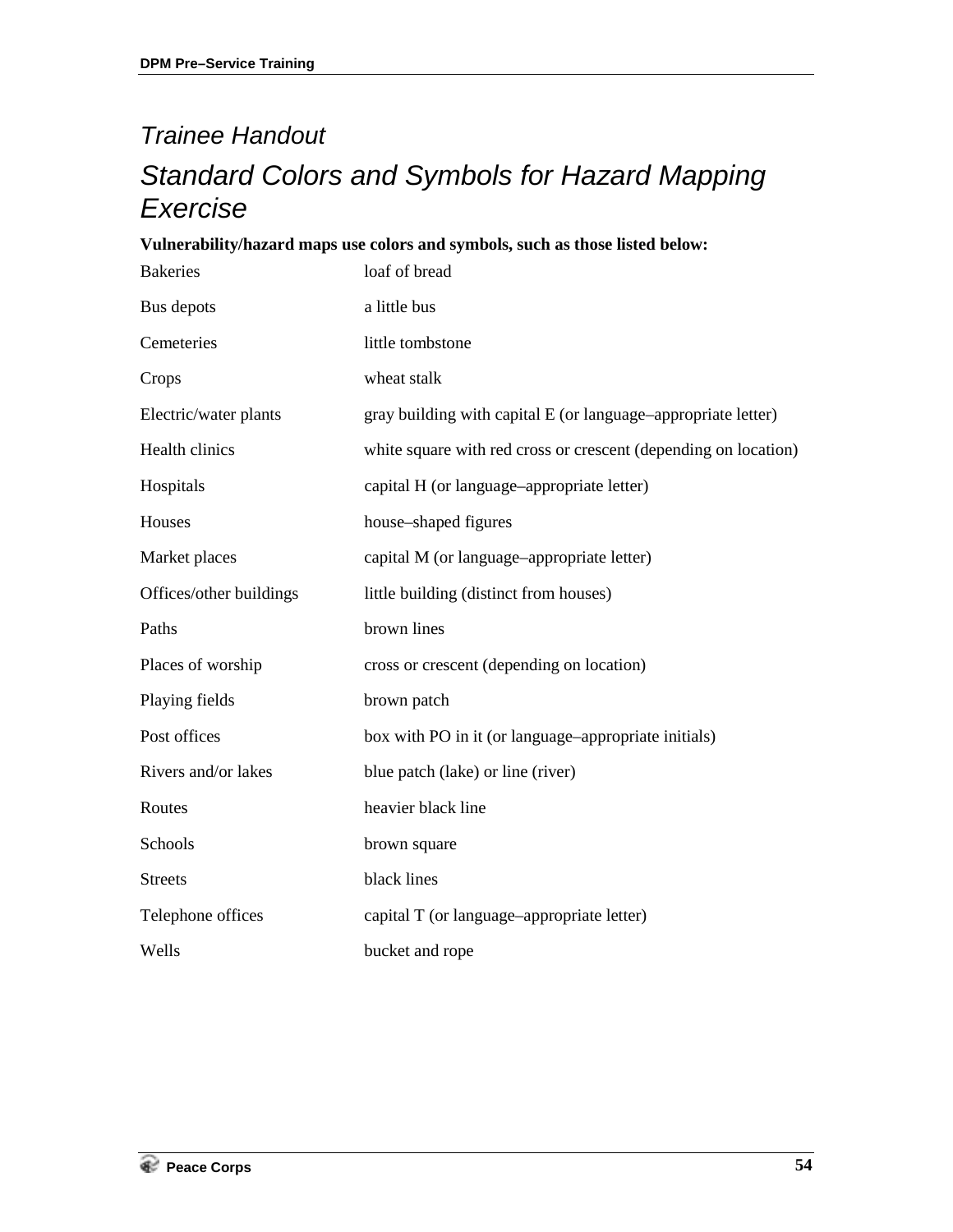# Trainee Handout Standard Colors and Symbols for Hazard Mapping Exercise

# Bakeries loaf of bread Bus depots a little bus Cemeteries little tombstone Crops wheat stalk Electric/water plants gray building with capital E (or language–appropriate letter) Health clinics white square with red cross or crescent (depending on location) Hospitals capital H (or language–appropriate letter) Houses house–shaped figures Market places capital M (or language–appropriate letter) Offices/other buildings little building (distinct from houses) Paths **brown** lines Places of worship cross or crescent (depending on location) Playing fields brown patch Post offices box with PO in it (or language–appropriate initials) Rivers and/or lakes blue patch (lake) or line (river) Routes heavier black line Schools brown square Streets black lines Telephone offices capital T (or language–appropriate letter) Wells bucket and rope

#### **Vulnerability/hazard maps use colors and symbols, such as those listed below:**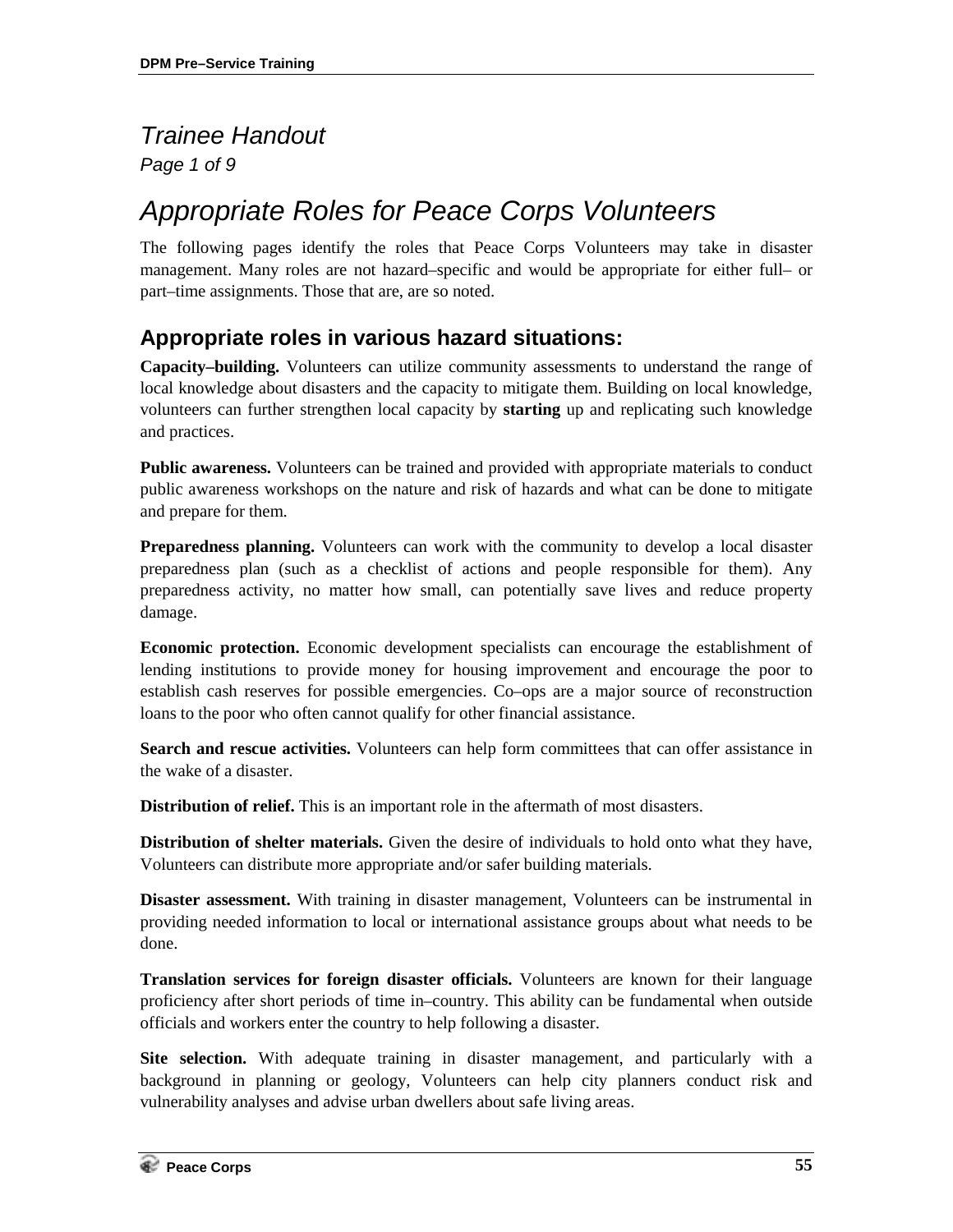Page 1 of 9

# Appropriate Roles for Peace Corps Volunteers

The following pages identify the roles that Peace Corps Volunteers may take in disaster management. Many roles are not hazard–specific and would be appropriate for either full– or part–time assignments. Those that are, are so noted.

## **Appropriate roles in various hazard situations:**

**Capacity–building.** Volunteers can utilize community assessments to understand the range of local knowledge about disasters and the capacity to mitigate them. Building on local knowledge, volunteers can further strengthen local capacity by **starting** up and replicating such knowledge and practices.

**Public awareness.** Volunteers can be trained and provided with appropriate materials to conduct public awareness workshops on the nature and risk of hazards and what can be done to mitigate and prepare for them.

**Preparedness planning.** Volunteers can work with the community to develop a local disaster preparedness plan (such as a checklist of actions and people responsible for them). Any preparedness activity, no matter how small, can potentially save lives and reduce property damage.

**Economic protection.** Economic development specialists can encourage the establishment of lending institutions to provide money for housing improvement and encourage the poor to establish cash reserves for possible emergencies. Co–ops are a major source of reconstruction loans to the poor who often cannot qualify for other financial assistance.

**Search and rescue activities.** Volunteers can help form committees that can offer assistance in the wake of a disaster.

**Distribution of relief.** This is an important role in the aftermath of most disasters.

**Distribution of shelter materials.** Given the desire of individuals to hold onto what they have, Volunteers can distribute more appropriate and/or safer building materials.

**Disaster assessment.** With training in disaster management, Volunteers can be instrumental in providing needed information to local or international assistance groups about what needs to be done.

**Translation services for foreign disaster officials.** Volunteers are known for their language proficiency after short periods of time in–country. This ability can be fundamental when outside officials and workers enter the country to help following a disaster.

**Site selection.** With adequate training in disaster management, and particularly with a background in planning or geology, Volunteers can help city planners conduct risk and vulnerability analyses and advise urban dwellers about safe living areas.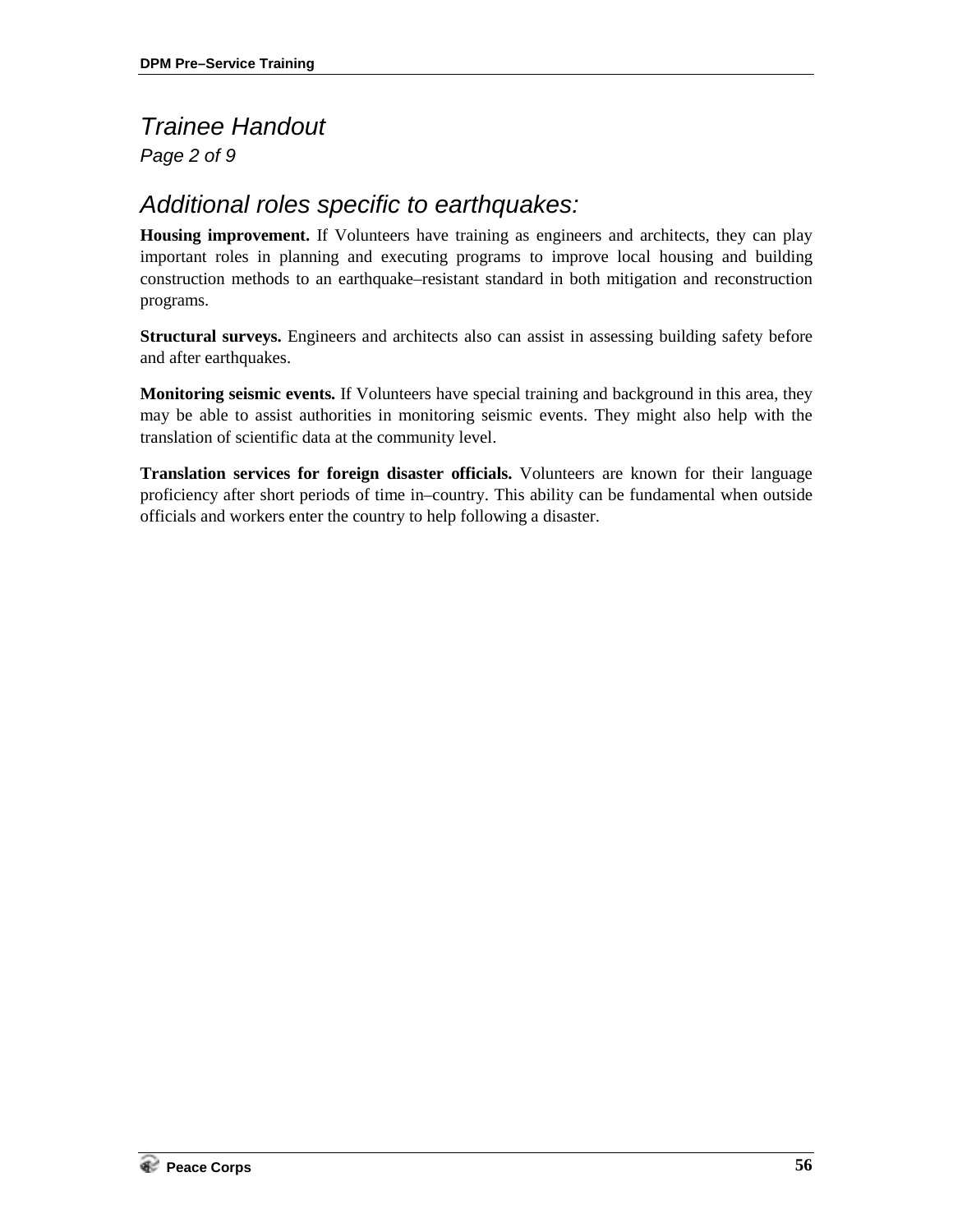Page 2 of 9

## Additional roles specific to earthquakes:

**Housing improvement.** If Volunteers have training as engineers and architects, they can play important roles in planning and executing programs to improve local housing and building construction methods to an earthquake–resistant standard in both mitigation and reconstruction programs.

**Structural surveys.** Engineers and architects also can assist in assessing building safety before and after earthquakes.

**Monitoring seismic events.** If Volunteers have special training and background in this area, they may be able to assist authorities in monitoring seismic events. They might also help with the translation of scientific data at the community level.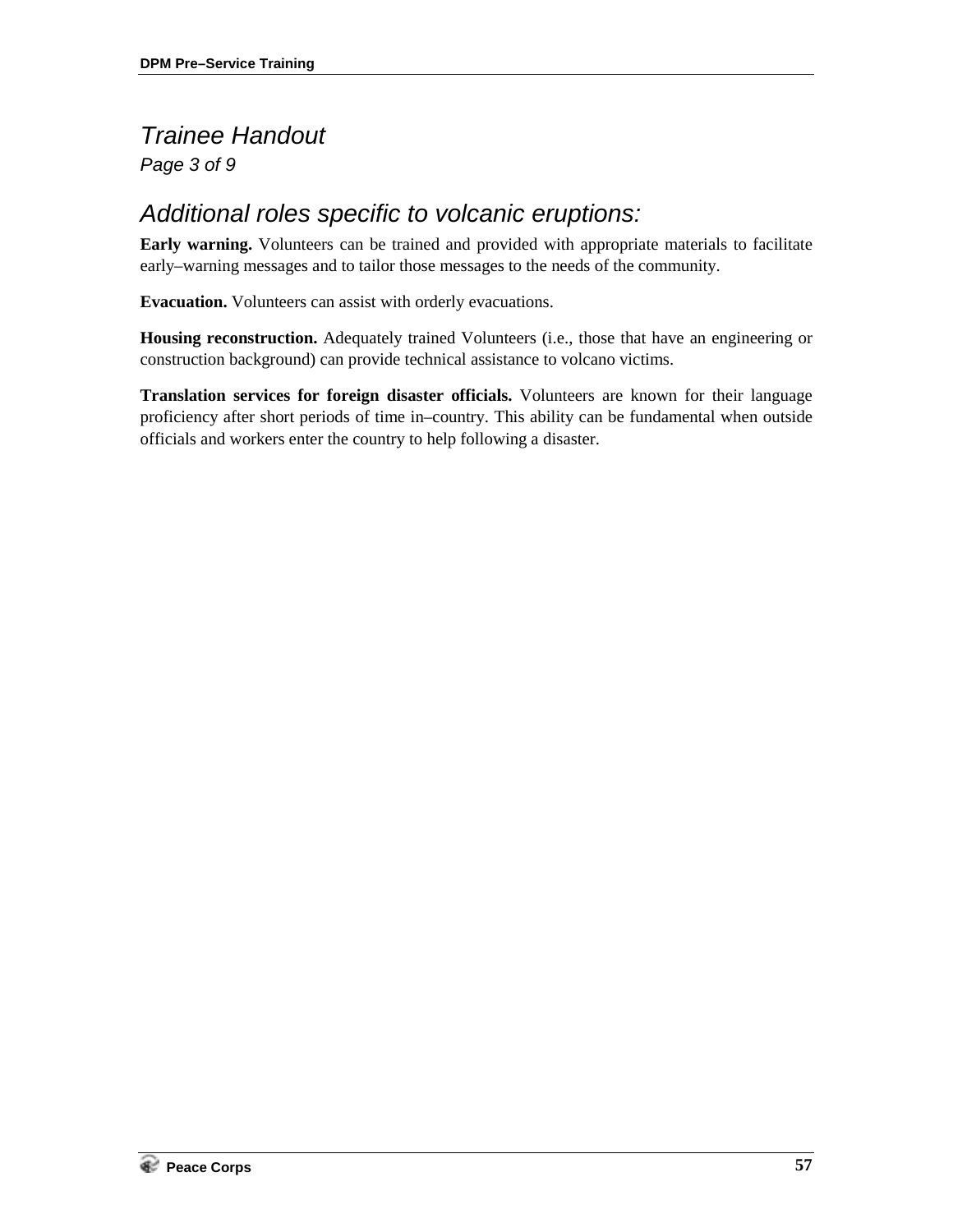Page 3 of 9

## Additional roles specific to volcanic eruptions:

**Early warning.** Volunteers can be trained and provided with appropriate materials to facilitate early–warning messages and to tailor those messages to the needs of the community.

**Evacuation.** Volunteers can assist with orderly evacuations.

**Housing reconstruction.** Adequately trained Volunteers (i.e., those that have an engineering or construction background) can provide technical assistance to volcano victims.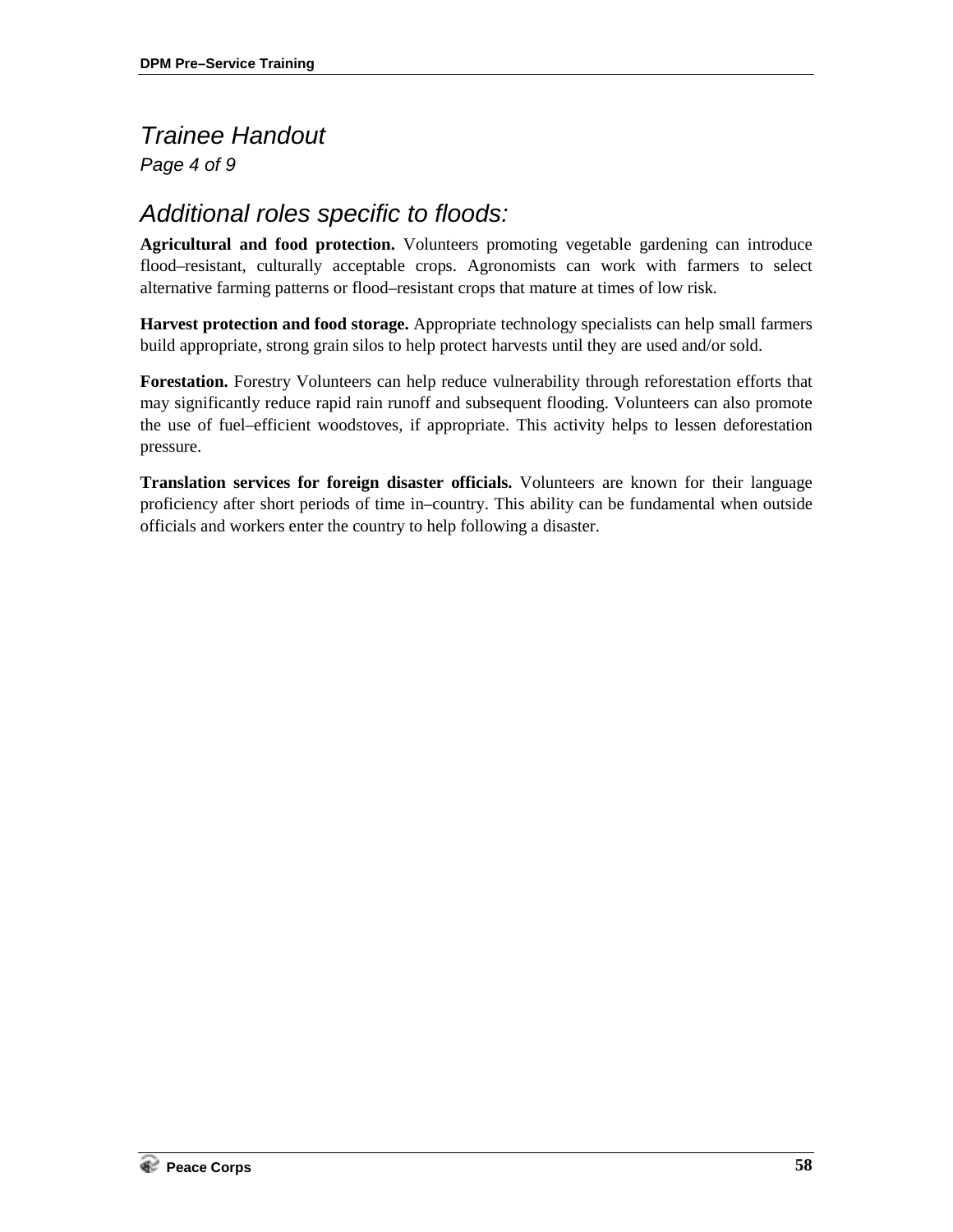Page 4 of 9

## Additional roles specific to floods:

**Agricultural and food protection.** Volunteers promoting vegetable gardening can introduce flood–resistant, culturally acceptable crops. Agronomists can work with farmers to select alternative farming patterns or flood–resistant crops that mature at times of low risk.

**Harvest protection and food storage.** Appropriate technology specialists can help small farmers build appropriate, strong grain silos to help protect harvests until they are used and/or sold.

**Forestation.** Forestry Volunteers can help reduce vulnerability through reforestation efforts that may significantly reduce rapid rain runoff and subsequent flooding. Volunteers can also promote the use of fuel–efficient woodstoves, if appropriate. This activity helps to lessen deforestation pressure.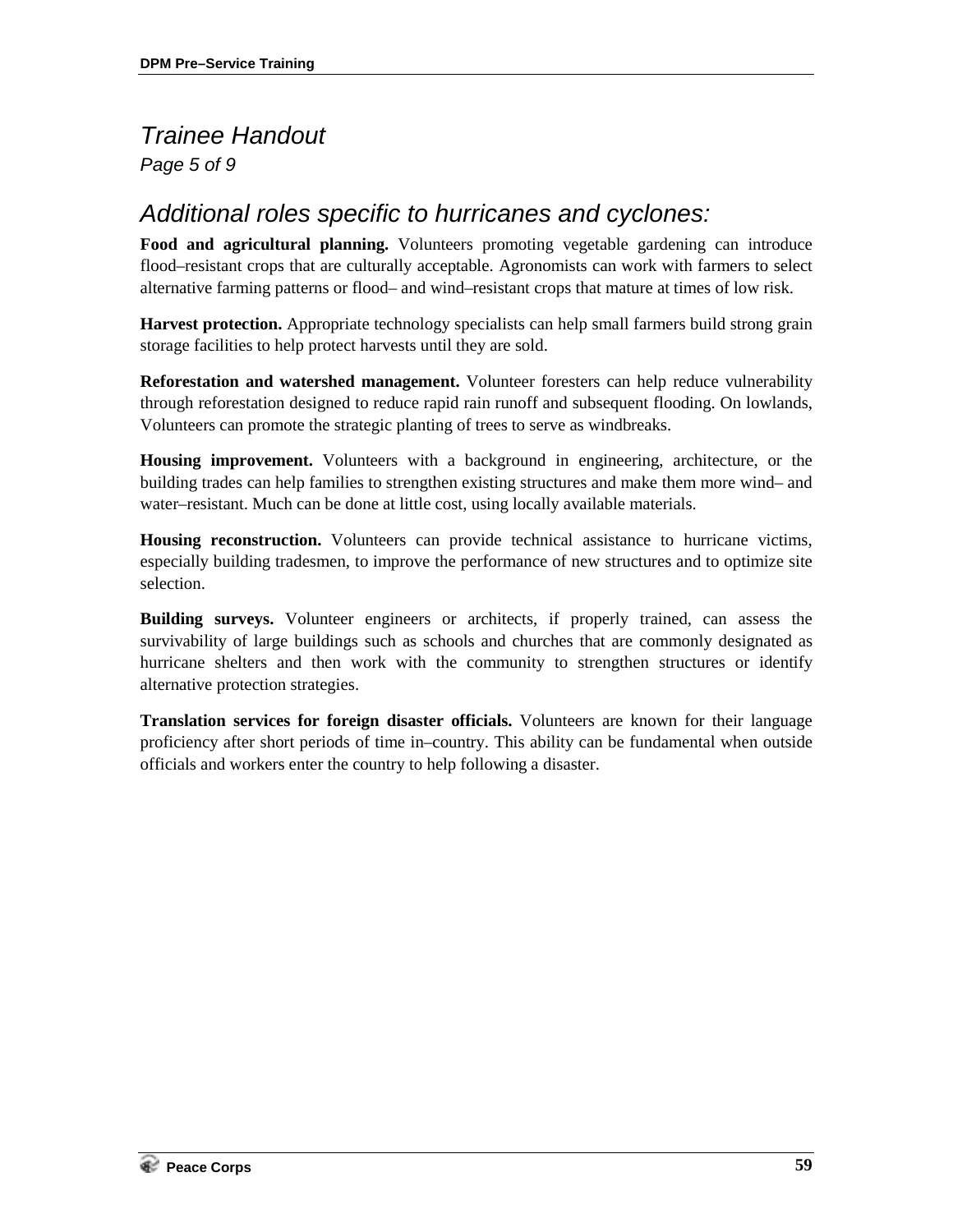Page 5 of 9

## Additional roles specific to hurricanes and cyclones:

**Food and agricultural planning.** Volunteers promoting vegetable gardening can introduce flood–resistant crops that are culturally acceptable. Agronomists can work with farmers to select alternative farming patterns or flood– and wind–resistant crops that mature at times of low risk.

**Harvest protection.** Appropriate technology specialists can help small farmers build strong grain storage facilities to help protect harvests until they are sold.

**Reforestation and watershed management.** Volunteer foresters can help reduce vulnerability through reforestation designed to reduce rapid rain runoff and subsequent flooding. On lowlands, Volunteers can promote the strategic planting of trees to serve as windbreaks.

**Housing improvement.** Volunteers with a background in engineering, architecture, or the building trades can help families to strengthen existing structures and make them more wind– and water–resistant. Much can be done at little cost, using locally available materials.

**Housing reconstruction.** Volunteers can provide technical assistance to hurricane victims, especially building tradesmen, to improve the performance of new structures and to optimize site selection.

**Building surveys.** Volunteer engineers or architects, if properly trained, can assess the survivability of large buildings such as schools and churches that are commonly designated as hurricane shelters and then work with the community to strengthen structures or identify alternative protection strategies.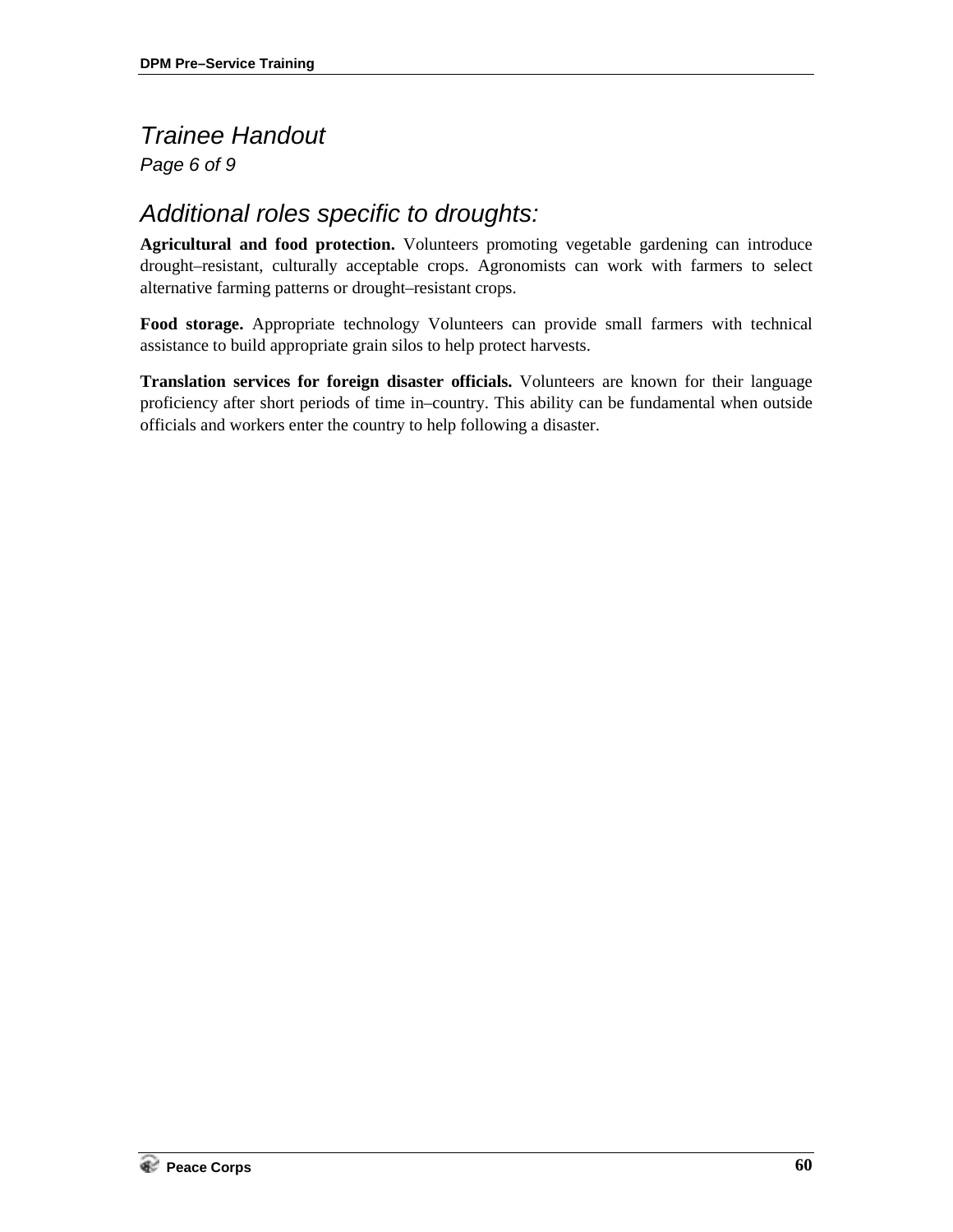Page 6 of 9

## Additional roles specific to droughts:

**Agricultural and food protection.** Volunteers promoting vegetable gardening can introduce drought–resistant, culturally acceptable crops. Agronomists can work with farmers to select alternative farming patterns or drought–resistant crops.

**Food storage.** Appropriate technology Volunteers can provide small farmers with technical assistance to build appropriate grain silos to help protect harvests.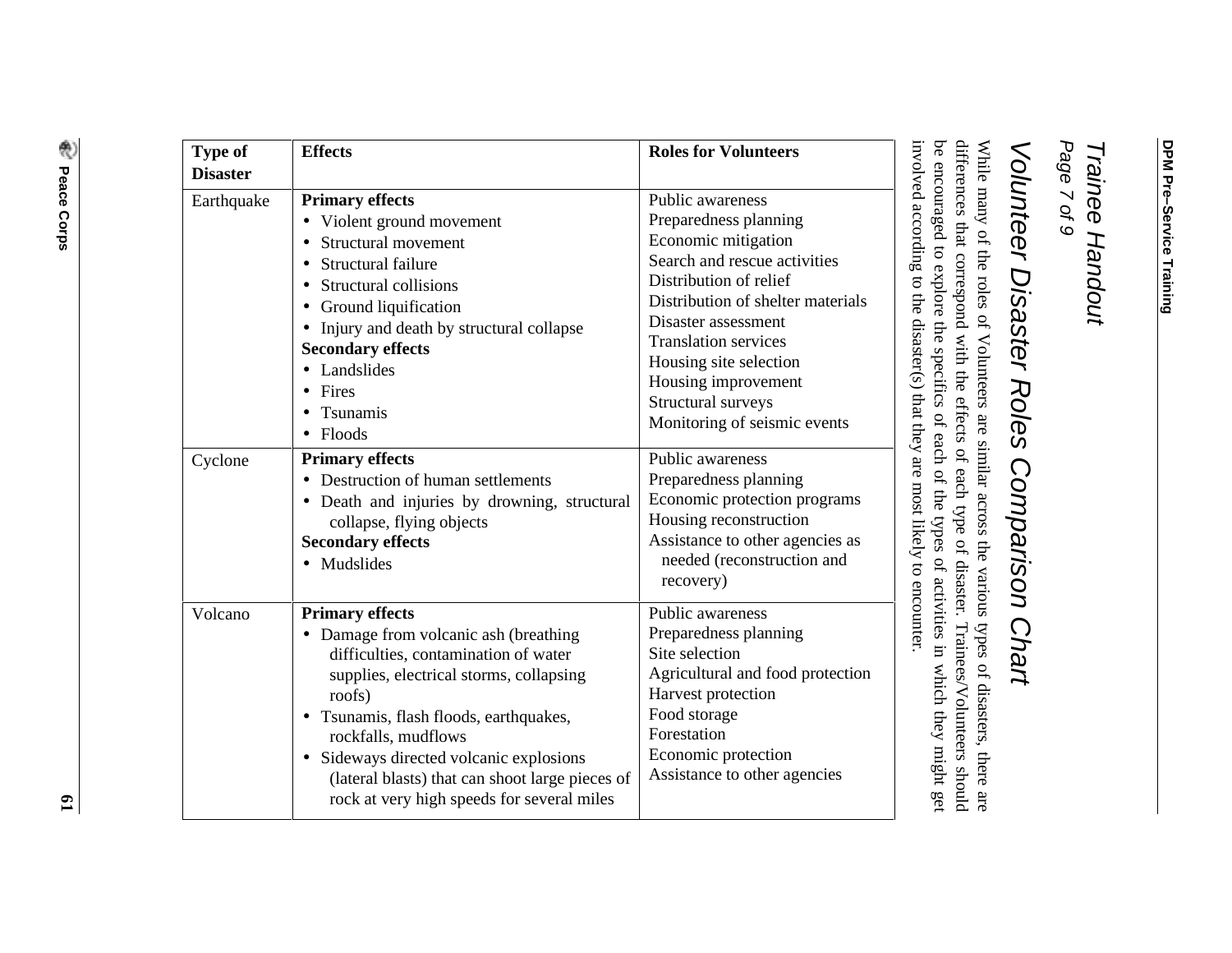# Page 7 of 9 Page 7 of 9 Trainee Handout Trainee Handout

# Volunteer Disaster Roles Comparison Chart Volunteer Disaster Roles Comparison Chart

While many of the roles of Volunteers are similar across the various types of disasters, there are differences that correspond with the effects of each type of disaster. Trainees/Volunteers should be encouraged to explore the specifics of each of differences that correspond with the effects of each type of disaster. Trainees/Volunteers should While many of the roles of Volunteers are similar across the various types of disasters, there are the types of activities in which they might get

| <b>Type of</b><br><b>Disaster</b> | <b>Effects</b>                                          | <b>Roles for Volunteers</b>                            |
|-----------------------------------|---------------------------------------------------------|--------------------------------------------------------|
| Earthquake                        | <b>Primary effects</b>                                  | Public awareness                                       |
|                                   | Violent ground movement                                 | Preparedness planning                                  |
|                                   | Structural movement<br>$\bullet$                        | Economic mitigation                                    |
|                                   | Structural failure<br>$\bullet$                         | Search and rescue activities                           |
|                                   | Structural collisions<br>$\bullet$                      | Distribution of relief                                 |
|                                   | Ground liquification<br>٠                               | Distribution of shelter materials                      |
|                                   | Injury and death by structural collapse<br>$\bullet$    | Disaster assessment                                    |
|                                   | <b>Secondary effects</b>                                | <b>Translation services</b>                            |
|                                   | Landslides                                              | Housing site selection                                 |
|                                   | Fires                                                   | Housing improvement                                    |
|                                   | Tsunamis                                                | Structural surveys                                     |
|                                   | Floods                                                  | Monitoring of seismic events                           |
|                                   | <b>Primary effects</b>                                  | Public awareness                                       |
| Cyclone                           |                                                         |                                                        |
|                                   | Destruction of human settlements                        | Preparedness planning                                  |
|                                   | Death and injuries by drowning, structural<br>$\bullet$ | Economic protection programs<br>Housing reconstruction |
|                                   | collapse, flying objects                                | Assistance to other agencies as                        |
|                                   | <b>Secondary effects</b>                                | needed (reconstruction and                             |
|                                   | Mudslides                                               | recovery)                                              |
| Volcano                           | <b>Primary effects</b>                                  | <b>Public awareness</b>                                |
|                                   | • Damage from volcanic ash (breathing                   | Preparedness planning                                  |
|                                   | difficulties, contamination of water                    | Site selection                                         |
|                                   | supplies, electrical storms, collapsing                 | Agricultural and food protection                       |
|                                   | roofs)                                                  | Harvest protection                                     |
|                                   | • Tsunamis, flash floods, earthquakes,                  | Food storage                                           |
|                                   | rockfalls, mudflows                                     | Forestation                                            |
|                                   | Sideways directed volcanic explosions<br>$\bullet$      | Economic protection                                    |
|                                   | (lateral blasts) that can shoot large pieces of         | Assistance to other agencies                           |
|                                   | rock at very high speeds for several miles              |                                                        |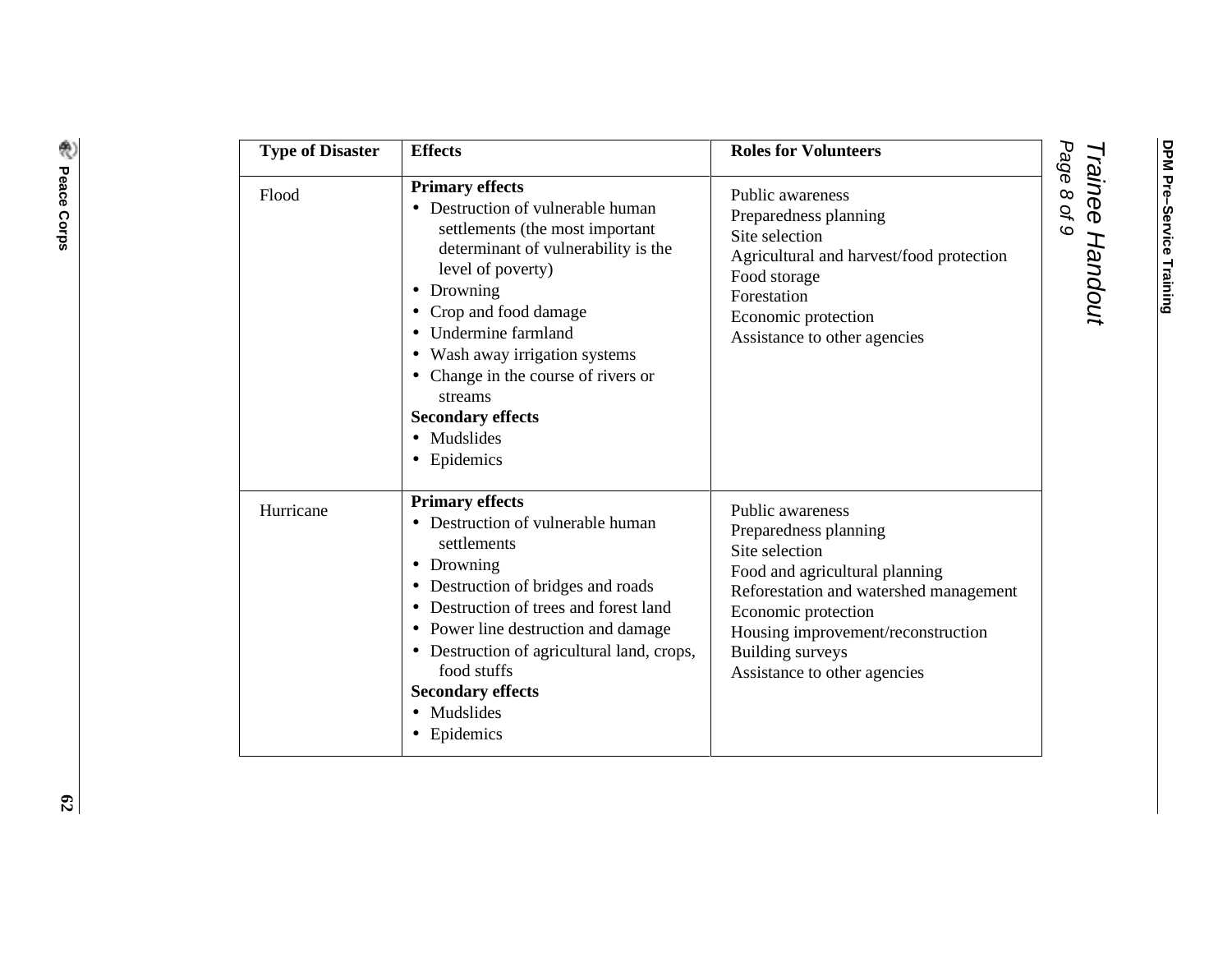| <b>Type of Disaster</b> | <b>Effects</b>                                                                                                                                                                                                                                                                                                                                                                                                                                                   | <b>Roles for Volunteers</b>                                                                                                                                                                                                                                     | Page                     |
|-------------------------|------------------------------------------------------------------------------------------------------------------------------------------------------------------------------------------------------------------------------------------------------------------------------------------------------------------------------------------------------------------------------------------------------------------------------------------------------------------|-----------------------------------------------------------------------------------------------------------------------------------------------------------------------------------------------------------------------------------------------------------------|--------------------------|
| Flood                   | <b>Primary effects</b><br>Destruction of vulnerable human<br>$\bullet$<br>settlements (the most important<br>determinant of vulnerability is the<br>level of poverty)<br>Drowning<br>$\bullet$<br>Crop and food damage<br>$\bullet$<br>Undermine farmland<br>$\bullet$<br>Wash away irrigation systems<br>$\bullet$<br>Change in the course of rivers or<br>$\bullet$<br>streams<br><b>Secondary effects</b><br>Mudslides<br>$\bullet$<br>Epidemics<br>$\bullet$ | Public awareness<br>Preparedness planning<br>Site selection<br>Agricultural and harvest/food protection<br>Food storage<br>Forestation<br>Economic protection<br>Assistance to other agencies                                                                   | $\infty$<br>ď<br>$\circ$ |
| Hurricane               | <b>Primary effects</b><br>Destruction of vulnerable human<br>settlements<br>Drowning<br>$\bullet$<br>Destruction of bridges and roads<br>$\bullet$<br>Destruction of trees and forest land<br>Power line destruction and damage<br>$\bullet$<br>Destruction of agricultural land, crops,<br>٠<br>food stuffs<br><b>Secondary effects</b><br>Mudslides<br>$\bullet$<br>Epidemics                                                                                  | Public awareness<br>Preparedness planning<br>Site selection<br>Food and agricultural planning<br>Reforestation and watershed management<br>Economic protection<br>Housing improvement/reconstruction<br><b>Building surveys</b><br>Assistance to other agencies |                          |

**DPM Pre–Service Training** 

DPM Pre-Service Training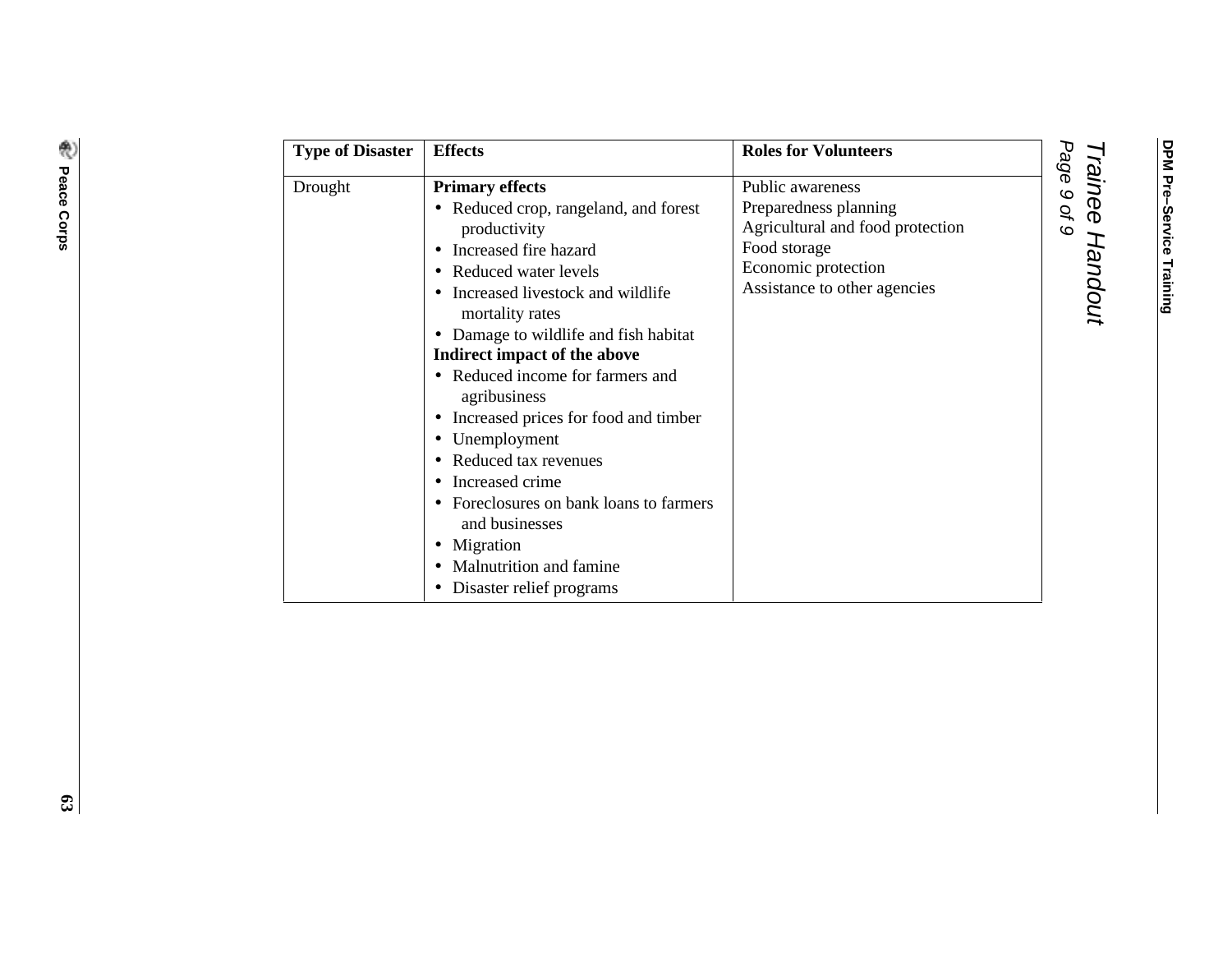| <b>Type of Disaster</b> | <b>Effects</b>                                                                                                                                                                                                                                                                                                                                                                                                                                                                                                                                       | <b>Roles for Volunteers</b>                                                                                                                          |                                |
|-------------------------|------------------------------------------------------------------------------------------------------------------------------------------------------------------------------------------------------------------------------------------------------------------------------------------------------------------------------------------------------------------------------------------------------------------------------------------------------------------------------------------------------------------------------------------------------|------------------------------------------------------------------------------------------------------------------------------------------------------|--------------------------------|
| Drought                 | <b>Primary effects</b><br>• Reduced crop, rangeland, and forest<br>productivity<br>Increased fire hazard<br>Reduced water levels<br>Increased livestock and wildlife<br>mortality rates<br>Damage to wildlife and fish habitat<br>Indirect impact of the above<br>• Reduced income for farmers and<br>agribusiness<br>Increased prices for food and timber<br>Unemployment<br>Reduced tax revenues<br>Increased crime<br>Foreclosures on bank loans to farmers<br>and businesses<br>Migration<br>Malnutrition and famine<br>Disaster relief programs | Public awareness<br>Preparedness planning<br>Agricultural and food protection<br>Food storage<br>Economic protection<br>Assistance to other agencies | Page 9 of<br>$\mathbf{\Omega}$ |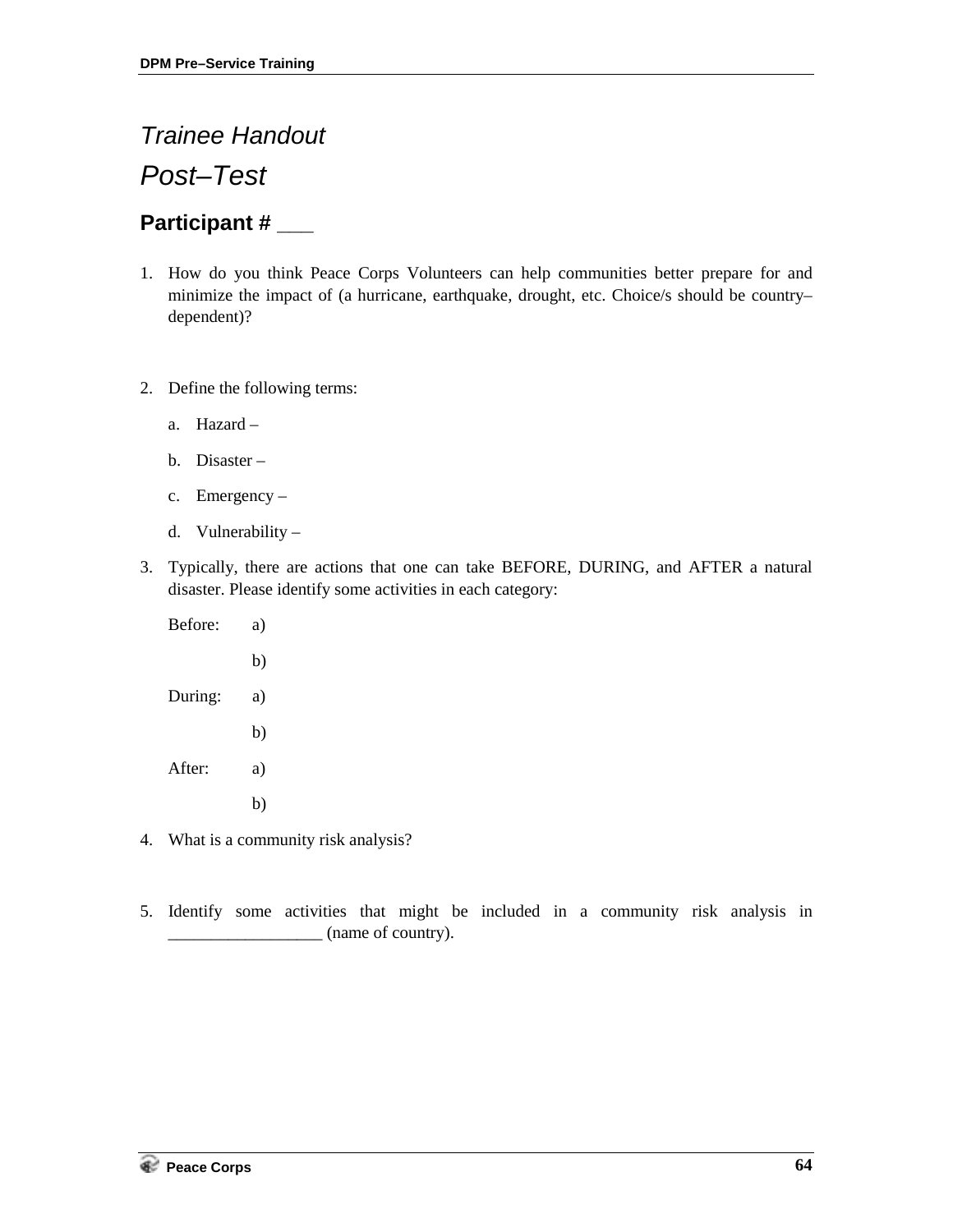# Trainee Handout Post–Test

## **Participant # \_\_\_**

- 1. How do you think Peace Corps Volunteers can help communities better prepare for and minimize the impact of (a hurricane, earthquake, drought, etc. Choice/s should be country– dependent)?
- 2. Define the following terms:
	- a. Hazard –
	- b. Disaster –
	- c. Emergency –
	- d. Vulnerability –
- 3. Typically, there are actions that one can take BEFORE, DURING, and AFTER a natural disaster. Please identify some activities in each category:
	- Before: a) b) During: a) b) After: a) b)
- 4. What is a community risk analysis?
- 5. Identify some activities that might be included in a community risk analysis in \_\_\_\_\_\_\_\_\_\_\_\_\_\_\_\_\_\_ (name of country).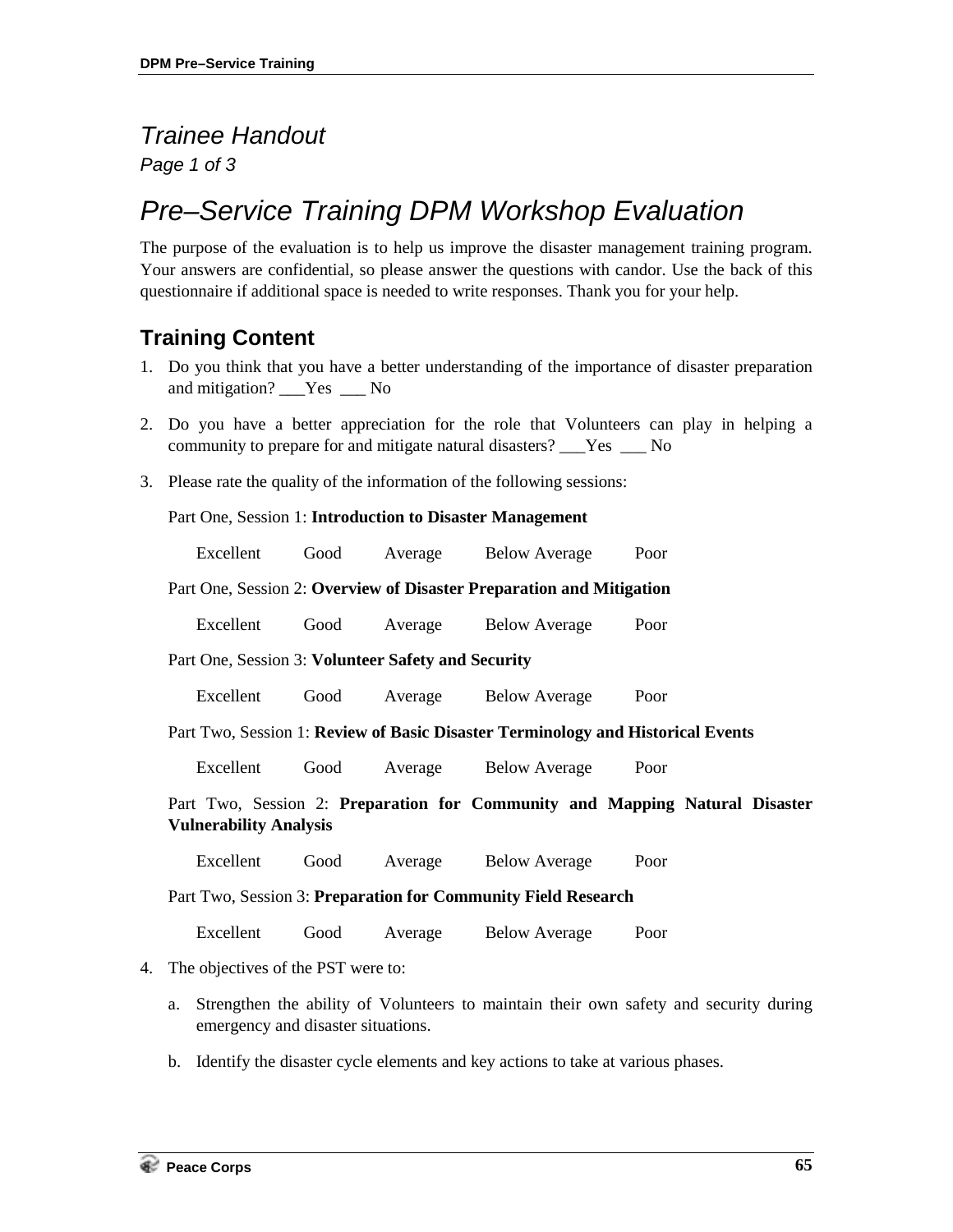## Trainee Handout

Page 1 of 3

# Pre–Service Training DPM Workshop Evaluation

The purpose of the evaluation is to help us improve the disaster management training program. Your answers are confidential, so please answer the questions with candor. Use the back of this questionnaire if additional space is needed to write responses. Thank you for your help.

## **Training Content**

- 1. Do you think that you have a better understanding of the importance of disaster preparation and mitigation? \_\_\_Yes \_\_\_ No
- 2. Do you have a better appreciation for the role that Volunteers can play in helping a community to prepare for and mitigate natural disasters? \_\_\_Yes \_\_\_ No
- 3. Please rate the quality of the information of the following sessions:

#### Part One, Session 1: **Introduction to Disaster Management**

| Excellent | Good | Average | <b>Below Average</b> | Poor |
|-----------|------|---------|----------------------|------|
|-----------|------|---------|----------------------|------|

Part One, Session 2: **Overview of Disaster Preparation and Mitigation**

Excellent Good Average Below Average Poor

Part One, Session 3: **Volunteer Safety and Security**

Excellent Good Average Below Average Poor

Part Two, Session 1: **Review of Basic Disaster Terminology and Historical Events**

Excellent Good Average Below Average Poor

Part Two, Session 2: **Preparation for Community and Mapping Natural Disaster Vulnerability Analysis** 

Excellent Good Average Below Average Poor

Part Two, Session 3: **Preparation for Community Field Research**

Excellent Good Average Below Average Poor

#### 4. The objectives of the PST were to:

- a. Strengthen the ability of Volunteers to maintain their own safety and security during emergency and disaster situations.
- b. Identify the disaster cycle elements and key actions to take at various phases.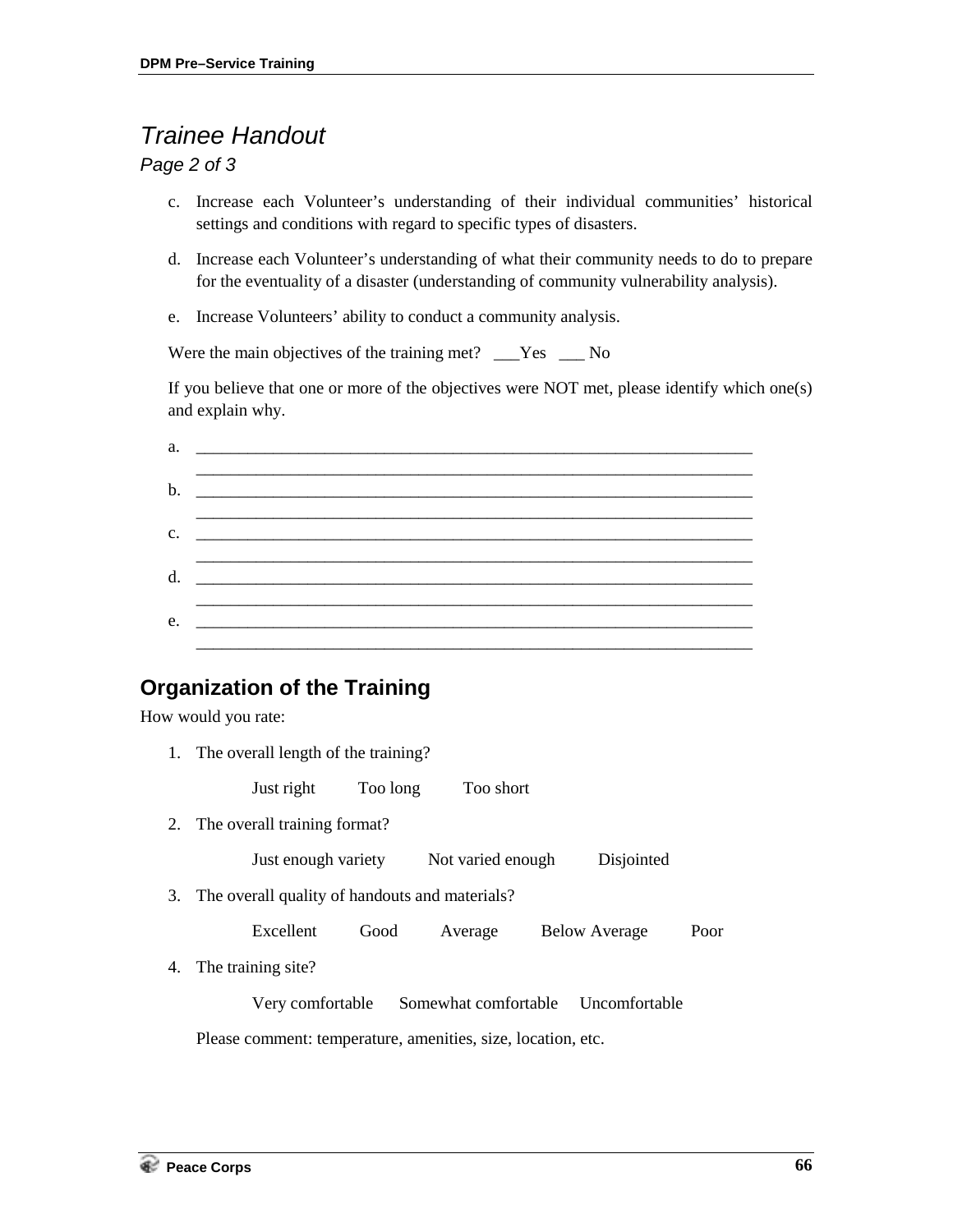## Trainee Handout

#### Page 2 of 3

- c. Increase each Volunteer's understanding of their individual communities' historical settings and conditions with regard to specific types of disasters.
- d. Increase each Volunteer's understanding of what their community needs to do to prepare for the eventuality of a disaster (understanding of community vulnerability analysis).
- e. Increase Volunteers' ability to conduct a community analysis.

Were the main objectives of the training met? \_\_\_Yes \_\_\_ No

If you believe that one or more of the objectives were NOT met, please identify which one(s) and explain why.

|    | $c.$ $\qquad \qquad$ |  |
|----|----------------------|--|
|    | d.                   |  |
| e. |                      |  |
|    |                      |  |

## **Organization of the Training**

How would you rate:

1. The overall length of the training?

Just right Too long Too short

- 2. The overall training format?
	- Just enough variety Not varied enough Disjointed
- 3. The overall quality of handouts and materials?

Excellent Good Average Below Average Poor

4. The training site?

Very comfortable Somewhat comfortable Uncomfortable

Please comment: temperature, amenities, size, location, etc.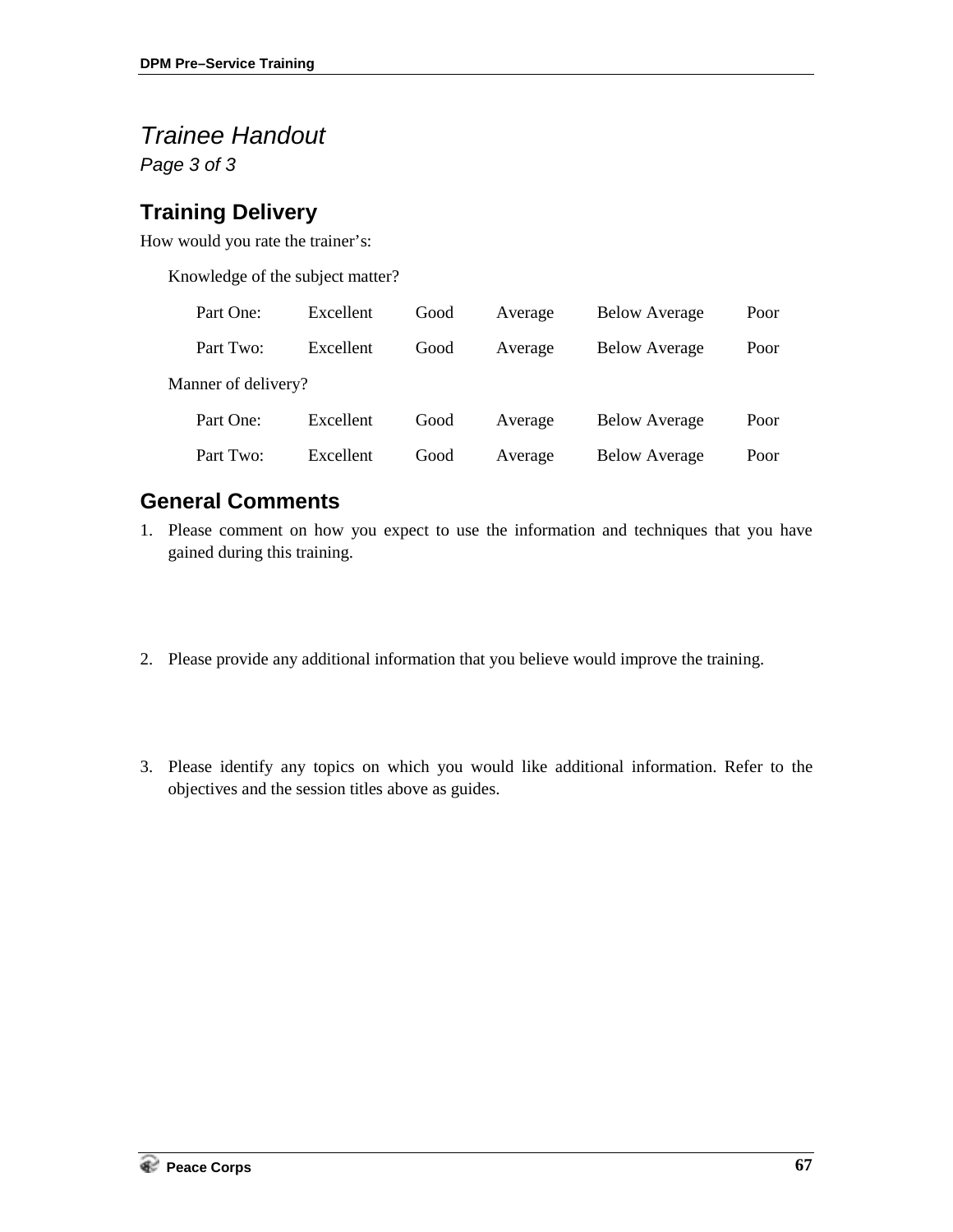## Trainee Handout

Page 3 of 3

## **Training Delivery**

How would you rate the trainer's:

Knowledge of the subject matter?

|                     | Part One: | Excellent | Good | Average | <b>Below Average</b> | Poor |  |  |
|---------------------|-----------|-----------|------|---------|----------------------|------|--|--|
|                     | Part Two: | Excellent | Good | Average | <b>Below Average</b> | Poor |  |  |
| Manner of delivery? |           |           |      |         |                      |      |  |  |
|                     | Part One: | Excellent | Good | Average | <b>Below Average</b> | Poor |  |  |
|                     | Part Two: | Excellent | Good | Average | <b>Below Average</b> | Poor |  |  |
|                     |           |           |      |         |                      |      |  |  |

### **General Comments**

- 1. Please comment on how you expect to use the information and techniques that you have gained during this training.
- 2. Please provide any additional information that you believe would improve the training.
- 3. Please identify any topics on which you would like additional information. Refer to the objectives and the session titles above as guides.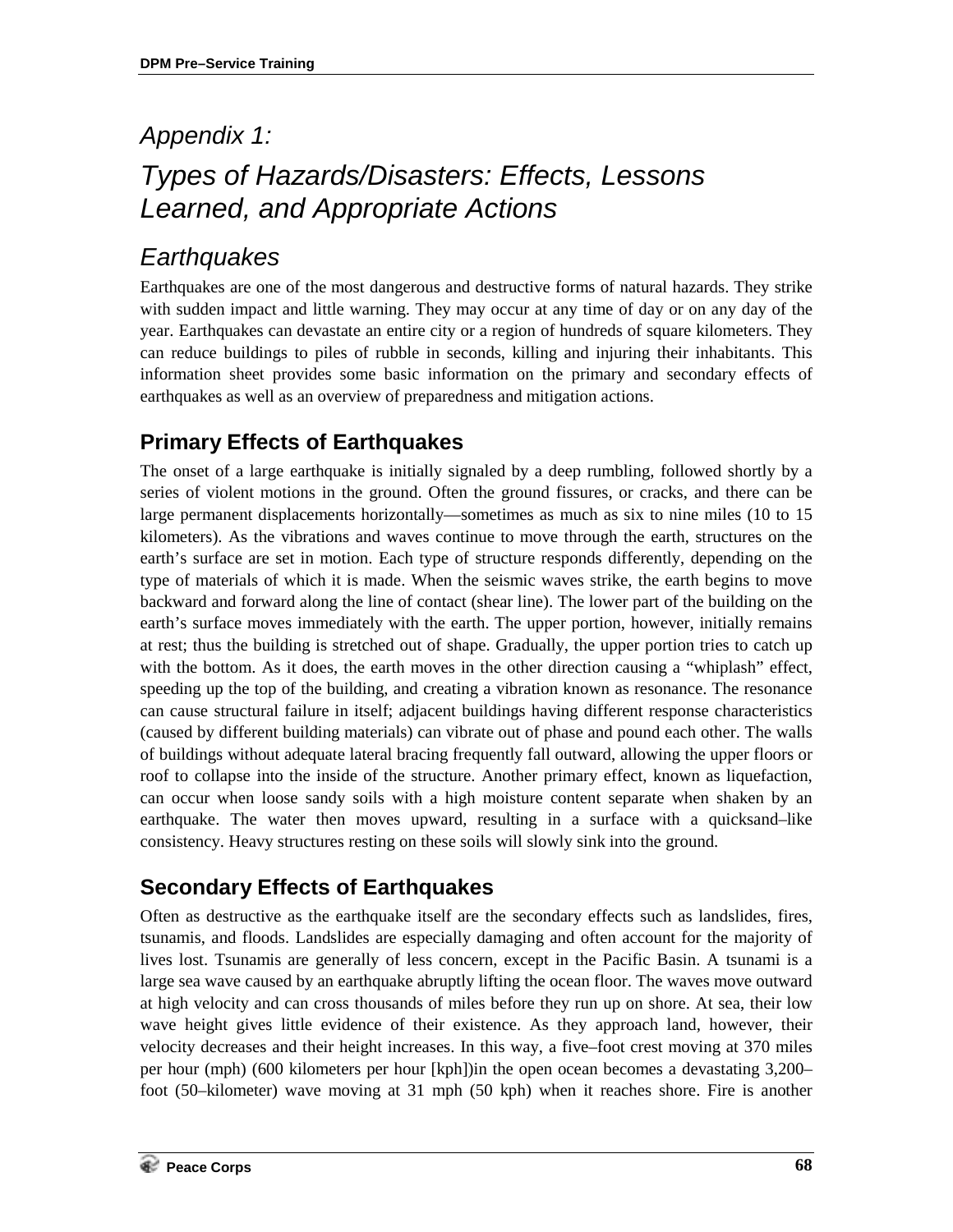# Appendix 1: Types of Hazards/Disasters: Effects, Lessons Learned, and Appropriate Actions

## Earthquakes

Earthquakes are one of the most dangerous and destructive forms of natural hazards. They strike with sudden impact and little warning. They may occur at any time of day or on any day of the year. Earthquakes can devastate an entire city or a region of hundreds of square kilometers. They can reduce buildings to piles of rubble in seconds, killing and injuring their inhabitants. This information sheet provides some basic information on the primary and secondary effects of earthquakes as well as an overview of preparedness and mitigation actions.

## **Primary Effects of Earthquakes**

The onset of a large earthquake is initially signaled by a deep rumbling, followed shortly by a series of violent motions in the ground. Often the ground fissures, or cracks, and there can be large permanent displacements horizontally—sometimes as much as six to nine miles (10 to 15 kilometers). As the vibrations and waves continue to move through the earth, structures on the earth's surface are set in motion. Each type of structure responds differently, depending on the type of materials of which it is made. When the seismic waves strike, the earth begins to move backward and forward along the line of contact (shear line). The lower part of the building on the earth's surface moves immediately with the earth. The upper portion, however, initially remains at rest; thus the building is stretched out of shape. Gradually, the upper portion tries to catch up with the bottom. As it does, the earth moves in the other direction causing a "whiplash" effect, speeding up the top of the building, and creating a vibration known as resonance. The resonance can cause structural failure in itself; adjacent buildings having different response characteristics (caused by different building materials) can vibrate out of phase and pound each other. The walls of buildings without adequate lateral bracing frequently fall outward, allowing the upper floors or roof to collapse into the inside of the structure. Another primary effect, known as liquefaction, can occur when loose sandy soils with a high moisture content separate when shaken by an earthquake. The water then moves upward, resulting in a surface with a quicksand–like consistency. Heavy structures resting on these soils will slowly sink into the ground.

## **Secondary Effects of Earthquakes**

Often as destructive as the earthquake itself are the secondary effects such as landslides, fires, tsunamis, and floods. Landslides are especially damaging and often account for the majority of lives lost. Tsunamis are generally of less concern, except in the Pacific Basin. A tsunami is a large sea wave caused by an earthquake abruptly lifting the ocean floor. The waves move outward at high velocity and can cross thousands of miles before they run up on shore. At sea, their low wave height gives little evidence of their existence. As they approach land, however, their velocity decreases and their height increases. In this way, a five–foot crest moving at 370 miles per hour (mph) (600 kilometers per hour [kph])in the open ocean becomes a devastating 3,200– foot (50–kilometer) wave moving at 31 mph (50 kph) when it reaches shore. Fire is another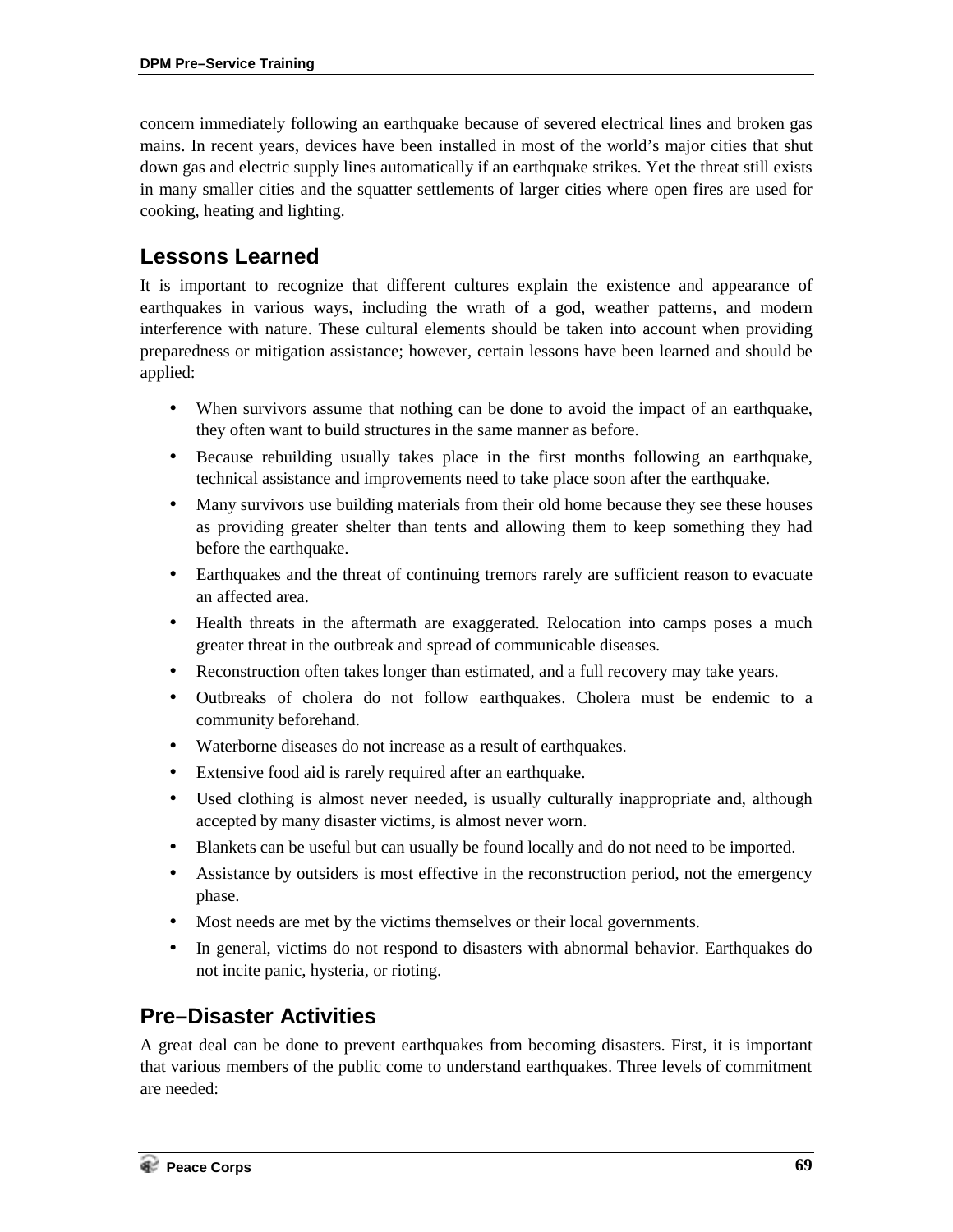concern immediately following an earthquake because of severed electrical lines and broken gas mains. In recent years, devices have been installed in most of the world's major cities that shut down gas and electric supply lines automatically if an earthquake strikes. Yet the threat still exists in many smaller cities and the squatter settlements of larger cities where open fires are used for cooking, heating and lighting.

### **Lessons Learned**

It is important to recognize that different cultures explain the existence and appearance of earthquakes in various ways, including the wrath of a god, weather patterns, and modern interference with nature. These cultural elements should be taken into account when providing preparedness or mitigation assistance; however, certain lessons have been learned and should be applied:

- When survivors assume that nothing can be done to avoid the impact of an earthquake, they often want to build structures in the same manner as before.
- Because rebuilding usually takes place in the first months following an earthquake, technical assistance and improvements need to take place soon after the earthquake.
- Many survivors use building materials from their old home because they see these houses as providing greater shelter than tents and allowing them to keep something they had before the earthquake.
- Earthquakes and the threat of continuing tremors rarely are sufficient reason to evacuate an affected area.
- Health threats in the aftermath are exaggerated. Relocation into camps poses a much greater threat in the outbreak and spread of communicable diseases.
- Reconstruction often takes longer than estimated, and a full recovery may take years.
- Outbreaks of cholera do not follow earthquakes. Cholera must be endemic to a community beforehand.
- Waterborne diseases do not increase as a result of earthquakes.
- Extensive food aid is rarely required after an earthquake.
- Used clothing is almost never needed, is usually culturally inappropriate and, although accepted by many disaster victims, is almost never worn.
- Blankets can be useful but can usually be found locally and do not need to be imported.
- Assistance by outsiders is most effective in the reconstruction period, not the emergency phase.
- Most needs are met by the victims themselves or their local governments.
- In general, victims do not respond to disasters with abnormal behavior. Earthquakes do not incite panic, hysteria, or rioting.

## **Pre–Disaster Activities**

A great deal can be done to prevent earthquakes from becoming disasters. First, it is important that various members of the public come to understand earthquakes. Three levels of commitment are needed: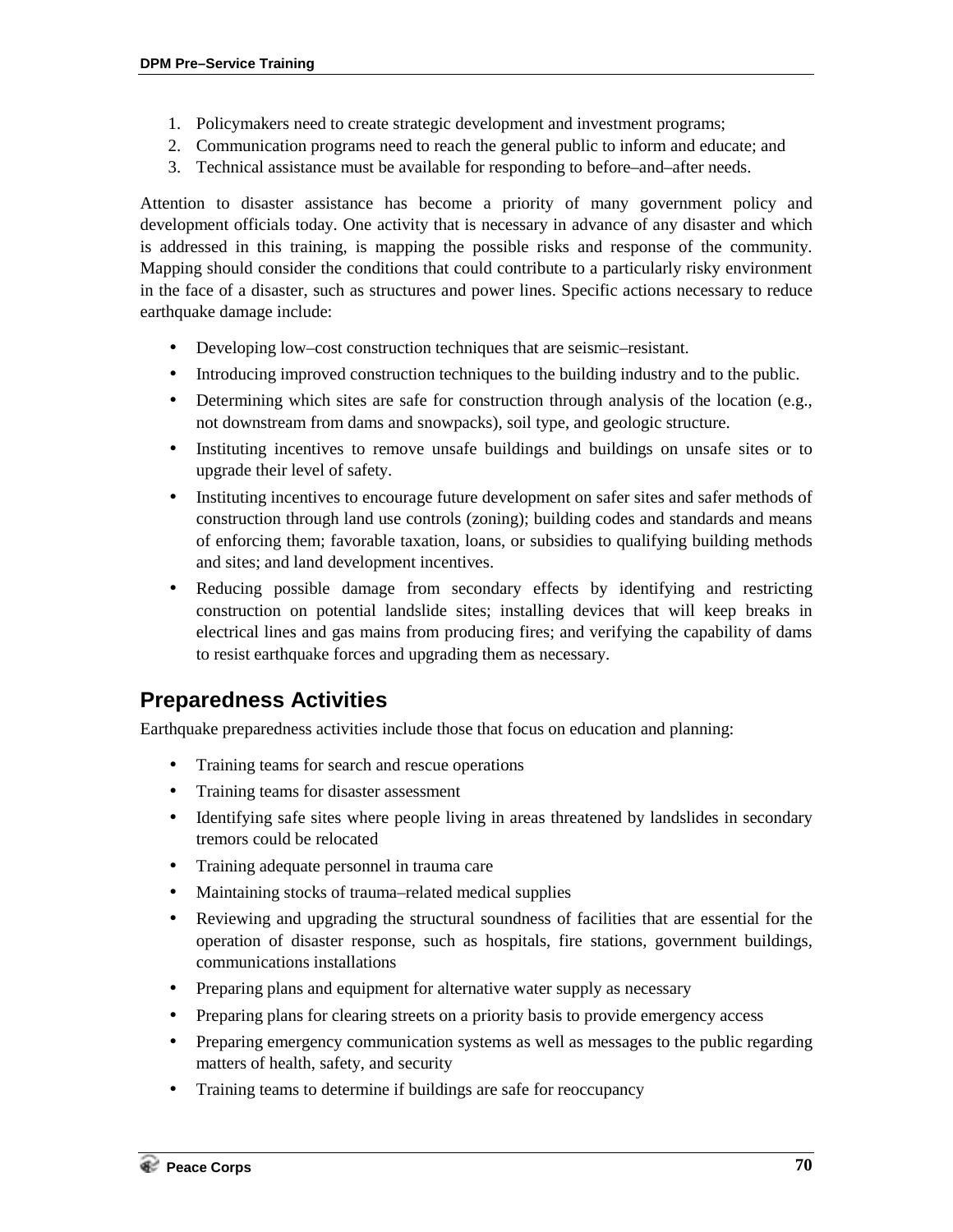- 1. Policymakers need to create strategic development and investment programs;
- 2. Communication programs need to reach the general public to inform and educate; and
- 3. Technical assistance must be available for responding to before–and–after needs.

Attention to disaster assistance has become a priority of many government policy and development officials today. One activity that is necessary in advance of any disaster and which is addressed in this training, is mapping the possible risks and response of the community. Mapping should consider the conditions that could contribute to a particularly risky environment in the face of a disaster, such as structures and power lines. Specific actions necessary to reduce earthquake damage include:

- Developing low–cost construction techniques that are seismic–resistant.
- Introducing improved construction techniques to the building industry and to the public.
- Determining which sites are safe for construction through analysis of the location (e.g., not downstream from dams and snowpacks), soil type, and geologic structure.
- Instituting incentives to remove unsafe buildings and buildings on unsafe sites or to upgrade their level of safety.
- Instituting incentives to encourage future development on safer sites and safer methods of construction through land use controls (zoning); building codes and standards and means of enforcing them; favorable taxation, loans, or subsidies to qualifying building methods and sites; and land development incentives.
- Reducing possible damage from secondary effects by identifying and restricting construction on potential landslide sites; installing devices that will keep breaks in electrical lines and gas mains from producing fires; and verifying the capability of dams to resist earthquake forces and upgrading them as necessary.

#### **Preparedness Activities**

Earthquake preparedness activities include those that focus on education and planning:

- Training teams for search and rescue operations
- Training teams for disaster assessment
- Identifying safe sites where people living in areas threatened by landslides in secondary tremors could be relocated
- Training adequate personnel in trauma care
- Maintaining stocks of trauma–related medical supplies
- Reviewing and upgrading the structural soundness of facilities that are essential for the operation of disaster response, such as hospitals, fire stations, government buildings, communications installations
- Preparing plans and equipment for alternative water supply as necessary
- Preparing plans for clearing streets on a priority basis to provide emergency access
- Preparing emergency communication systems as well as messages to the public regarding matters of health, safety, and security
- Training teams to determine if buildings are safe for reoccupancy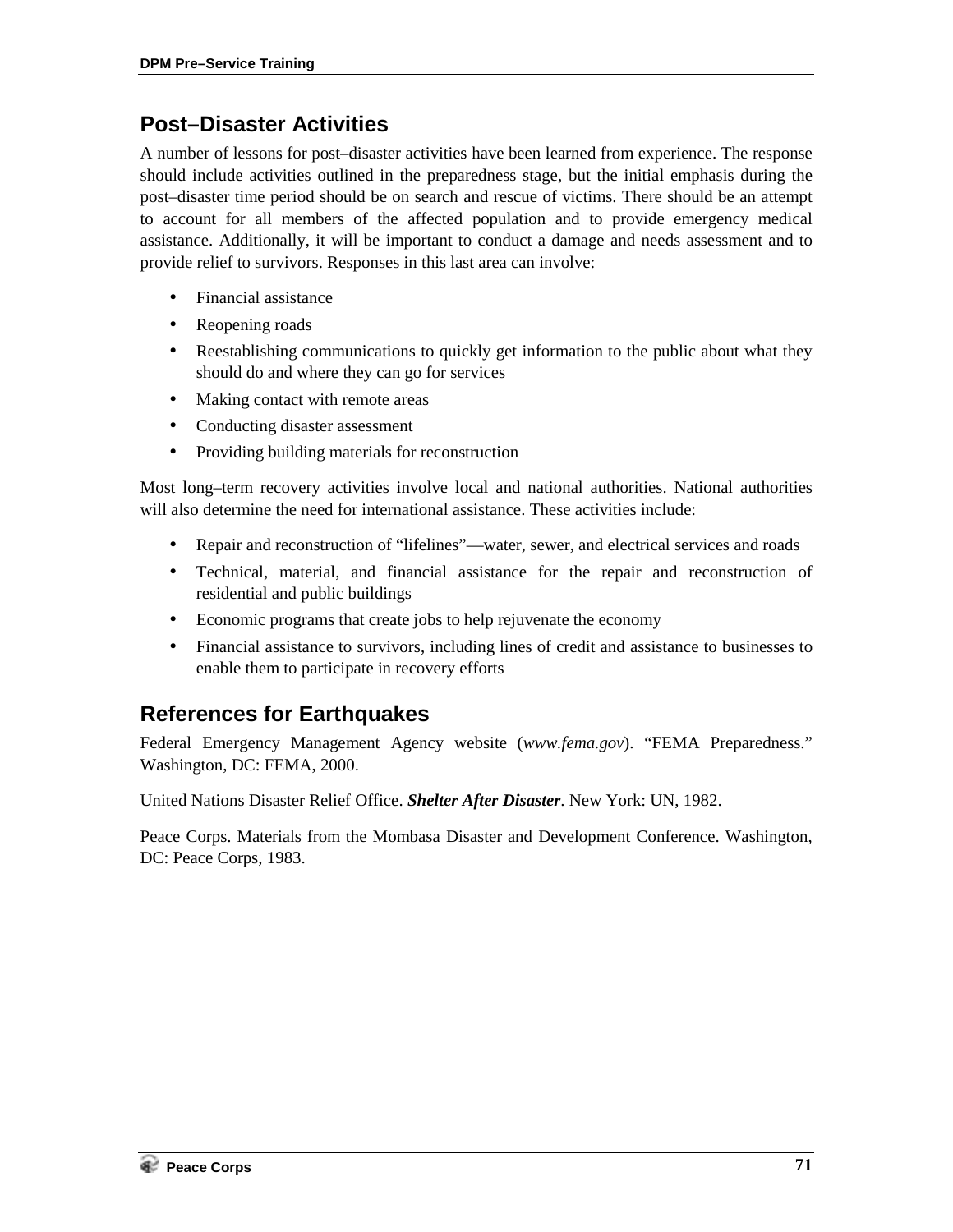#### **Post–Disaster Activities**

A number of lessons for post–disaster activities have been learned from experience. The response should include activities outlined in the preparedness stage, but the initial emphasis during the post–disaster time period should be on search and rescue of victims. There should be an attempt to account for all members of the affected population and to provide emergency medical assistance. Additionally, it will be important to conduct a damage and needs assessment and to provide relief to survivors. Responses in this last area can involve:

- Financial assistance
- Reopening roads
- Reestablishing communications to quickly get information to the public about what they should do and where they can go for services
- Making contact with remote areas
- Conducting disaster assessment
- Providing building materials for reconstruction

Most long–term recovery activities involve local and national authorities. National authorities will also determine the need for international assistance. These activities include:

- Repair and reconstruction of "lifelines"—water, sewer, and electrical services and roads
- Technical, material, and financial assistance for the repair and reconstruction of residential and public buildings
- Economic programs that create jobs to help rejuvenate the economy
- Financial assistance to survivors, including lines of credit and assistance to businesses to enable them to participate in recovery efforts

#### **References for Earthquakes**

Federal Emergency Management Agency website (*www.fema.gov*). "FEMA Preparedness." Washington, DC: FEMA, 2000.

United Nations Disaster Relief Office. *Shelter After Disaster*. New York: UN, 1982.

Peace Corps. Materials from the Mombasa Disaster and Development Conference. Washington, DC: Peace Corps, 1983.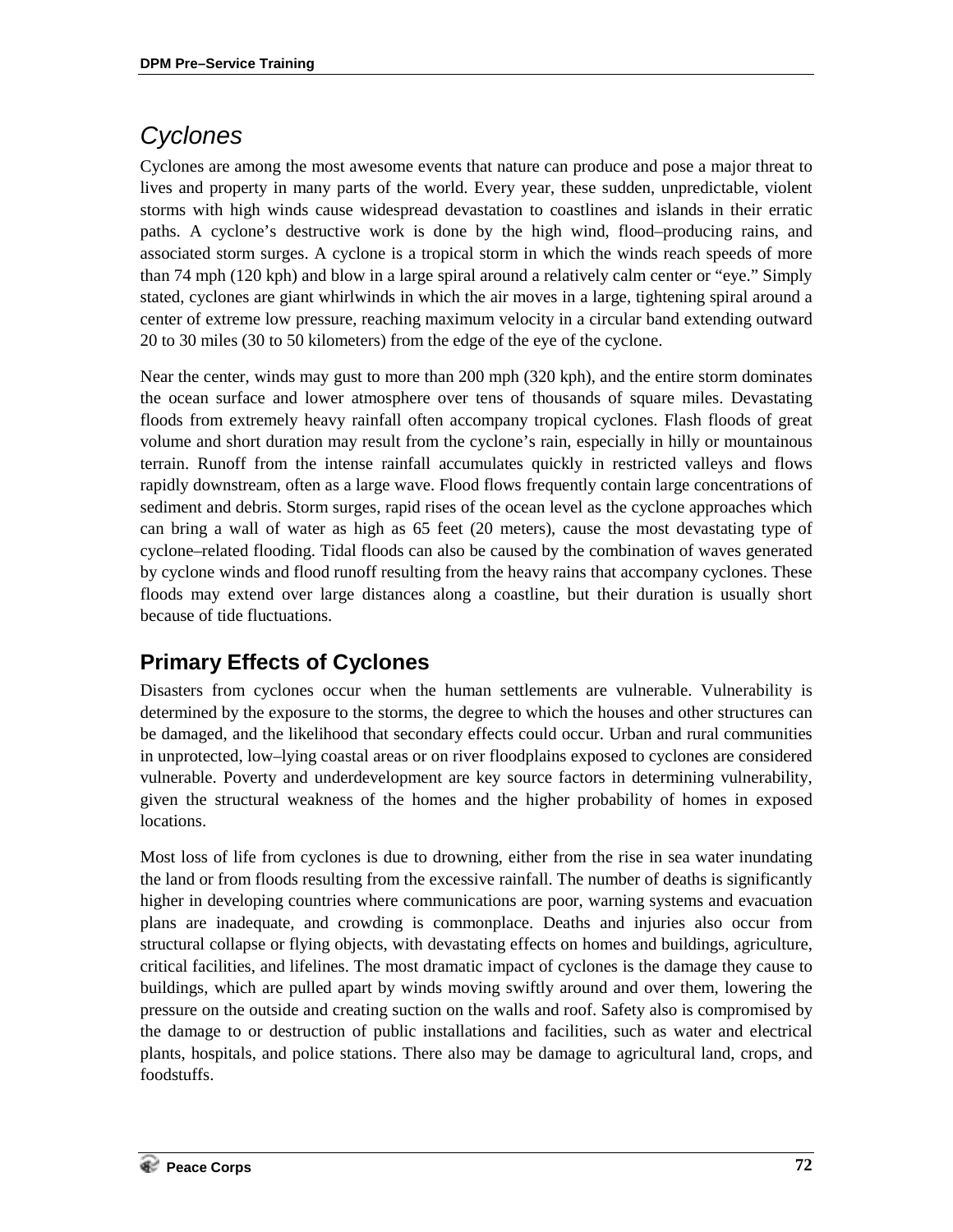## **Cyclones**

Cyclones are among the most awesome events that nature can produce and pose a major threat to lives and property in many parts of the world. Every year, these sudden, unpredictable, violent storms with high winds cause widespread devastation to coastlines and islands in their erratic paths. A cyclone's destructive work is done by the high wind, flood–producing rains, and associated storm surges. A cyclone is a tropical storm in which the winds reach speeds of more than 74 mph (120 kph) and blow in a large spiral around a relatively calm center or "eye." Simply stated, cyclones are giant whirlwinds in which the air moves in a large, tightening spiral around a center of extreme low pressure, reaching maximum velocity in a circular band extending outward 20 to 30 miles (30 to 50 kilometers) from the edge of the eye of the cyclone.

Near the center, winds may gust to more than 200 mph (320 kph), and the entire storm dominates the ocean surface and lower atmosphere over tens of thousands of square miles. Devastating floods from extremely heavy rainfall often accompany tropical cyclones. Flash floods of great volume and short duration may result from the cyclone's rain, especially in hilly or mountainous terrain. Runoff from the intense rainfall accumulates quickly in restricted valleys and flows rapidly downstream, often as a large wave. Flood flows frequently contain large concentrations of sediment and debris. Storm surges, rapid rises of the ocean level as the cyclone approaches which can bring a wall of water as high as 65 feet (20 meters), cause the most devastating type of cyclone–related flooding. Tidal floods can also be caused by the combination of waves generated by cyclone winds and flood runoff resulting from the heavy rains that accompany cyclones. These floods may extend over large distances along a coastline, but their duration is usually short because of tide fluctuations.

## **Primary Effects of Cyclones**

Disasters from cyclones occur when the human settlements are vulnerable. Vulnerability is determined by the exposure to the storms, the degree to which the houses and other structures can be damaged, and the likelihood that secondary effects could occur. Urban and rural communities in unprotected, low–lying coastal areas or on river floodplains exposed to cyclones are considered vulnerable. Poverty and underdevelopment are key source factors in determining vulnerability, given the structural weakness of the homes and the higher probability of homes in exposed locations.

Most loss of life from cyclones is due to drowning, either from the rise in sea water inundating the land or from floods resulting from the excessive rainfall. The number of deaths is significantly higher in developing countries where communications are poor, warning systems and evacuation plans are inadequate, and crowding is commonplace. Deaths and injuries also occur from structural collapse or flying objects, with devastating effects on homes and buildings, agriculture, critical facilities, and lifelines. The most dramatic impact of cyclones is the damage they cause to buildings, which are pulled apart by winds moving swiftly around and over them, lowering the pressure on the outside and creating suction on the walls and roof. Safety also is compromised by the damage to or destruction of public installations and facilities, such as water and electrical plants, hospitals, and police stations. There also may be damage to agricultural land, crops, and foodstuffs.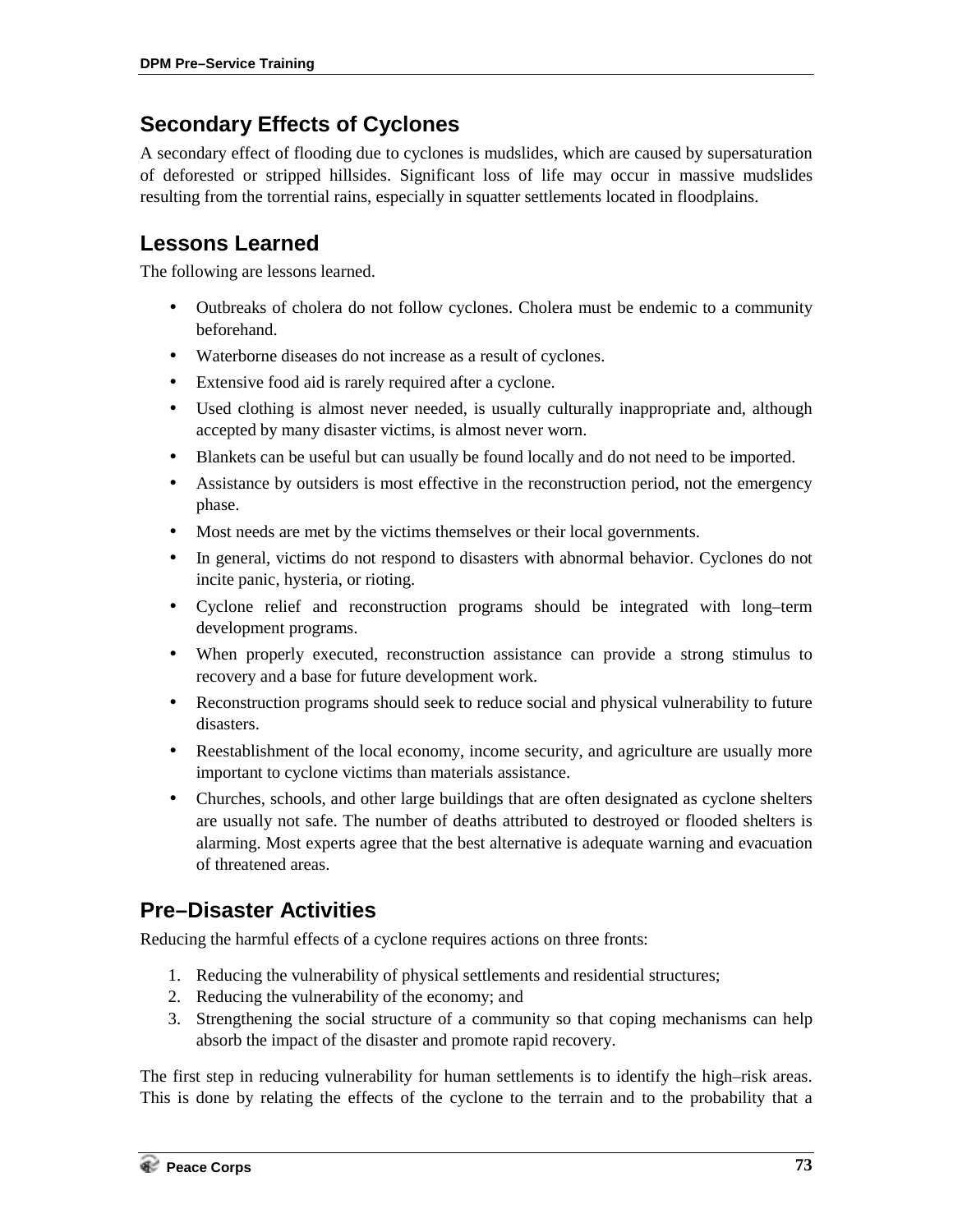## **Secondary Effects of Cyclones**

A secondary effect of flooding due to cyclones is mudslides, which are caused by supersaturation of deforested or stripped hillsides. Significant loss of life may occur in massive mudslides resulting from the torrential rains, especially in squatter settlements located in floodplains.

### **Lessons Learned**

The following are lessons learned.

- Outbreaks of cholera do not follow cyclones. Cholera must be endemic to a community beforehand.
- Waterborne diseases do not increase as a result of cyclones.
- Extensive food aid is rarely required after a cyclone.
- Used clothing is almost never needed, is usually culturally inappropriate and, although accepted by many disaster victims, is almost never worn.
- Blankets can be useful but can usually be found locally and do not need to be imported.
- Assistance by outsiders is most effective in the reconstruction period, not the emergency phase.
- Most needs are met by the victims themselves or their local governments.
- In general, victims do not respond to disasters with abnormal behavior. Cyclones do not incite panic, hysteria, or rioting.
- Cyclone relief and reconstruction programs should be integrated with long–term development programs.
- When properly executed, reconstruction assistance can provide a strong stimulus to recovery and a base for future development work.
- Reconstruction programs should seek to reduce social and physical vulnerability to future disasters.
- Reestablishment of the local economy, income security, and agriculture are usually more important to cyclone victims than materials assistance.
- Churches, schools, and other large buildings that are often designated as cyclone shelters are usually not safe. The number of deaths attributed to destroyed or flooded shelters is alarming. Most experts agree that the best alternative is adequate warning and evacuation of threatened areas.

## **Pre–Disaster Activities**

Reducing the harmful effects of a cyclone requires actions on three fronts:

- 1. Reducing the vulnerability of physical settlements and residential structures;
- 2. Reducing the vulnerability of the economy; and
- 3. Strengthening the social structure of a community so that coping mechanisms can help absorb the impact of the disaster and promote rapid recovery.

The first step in reducing vulnerability for human settlements is to identify the high–risk areas. This is done by relating the effects of the cyclone to the terrain and to the probability that a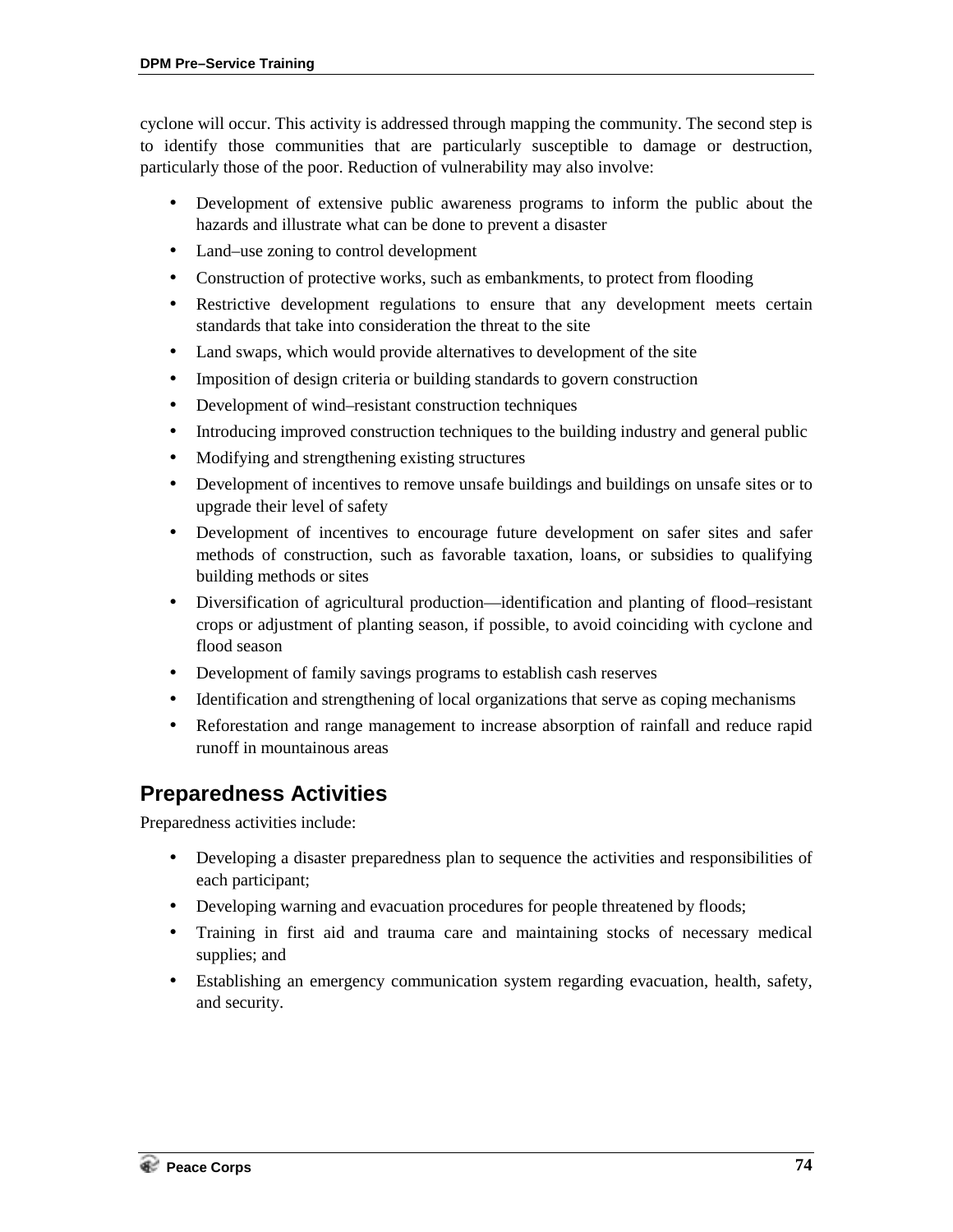cyclone will occur. This activity is addressed through mapping the community. The second step is to identify those communities that are particularly susceptible to damage or destruction, particularly those of the poor. Reduction of vulnerability may also involve:

- Development of extensive public awareness programs to inform the public about the hazards and illustrate what can be done to prevent a disaster
- Land–use zoning to control development
- Construction of protective works, such as embankments, to protect from flooding
- Restrictive development regulations to ensure that any development meets certain standards that take into consideration the threat to the site
- Land swaps, which would provide alternatives to development of the site
- Imposition of design criteria or building standards to govern construction
- Development of wind–resistant construction techniques
- Introducing improved construction techniques to the building industry and general public
- Modifying and strengthening existing structures
- Development of incentives to remove unsafe buildings and buildings on unsafe sites or to upgrade their level of safety
- Development of incentives to encourage future development on safer sites and safer methods of construction, such as favorable taxation, loans, or subsidies to qualifying building methods or sites
- Diversification of agricultural production—identification and planting of flood–resistant crops or adjustment of planting season, if possible, to avoid coinciding with cyclone and flood season
- Development of family savings programs to establish cash reserves
- Identification and strengthening of local organizations that serve as coping mechanisms
- Reforestation and range management to increase absorption of rainfall and reduce rapid runoff in mountainous areas

#### **Preparedness Activities**

Preparedness activities include:

- Developing a disaster preparedness plan to sequence the activities and responsibilities of each participant;
- Developing warning and evacuation procedures for people threatened by floods;
- Training in first aid and trauma care and maintaining stocks of necessary medical supplies; and
- Establishing an emergency communication system regarding evacuation, health, safety, and security.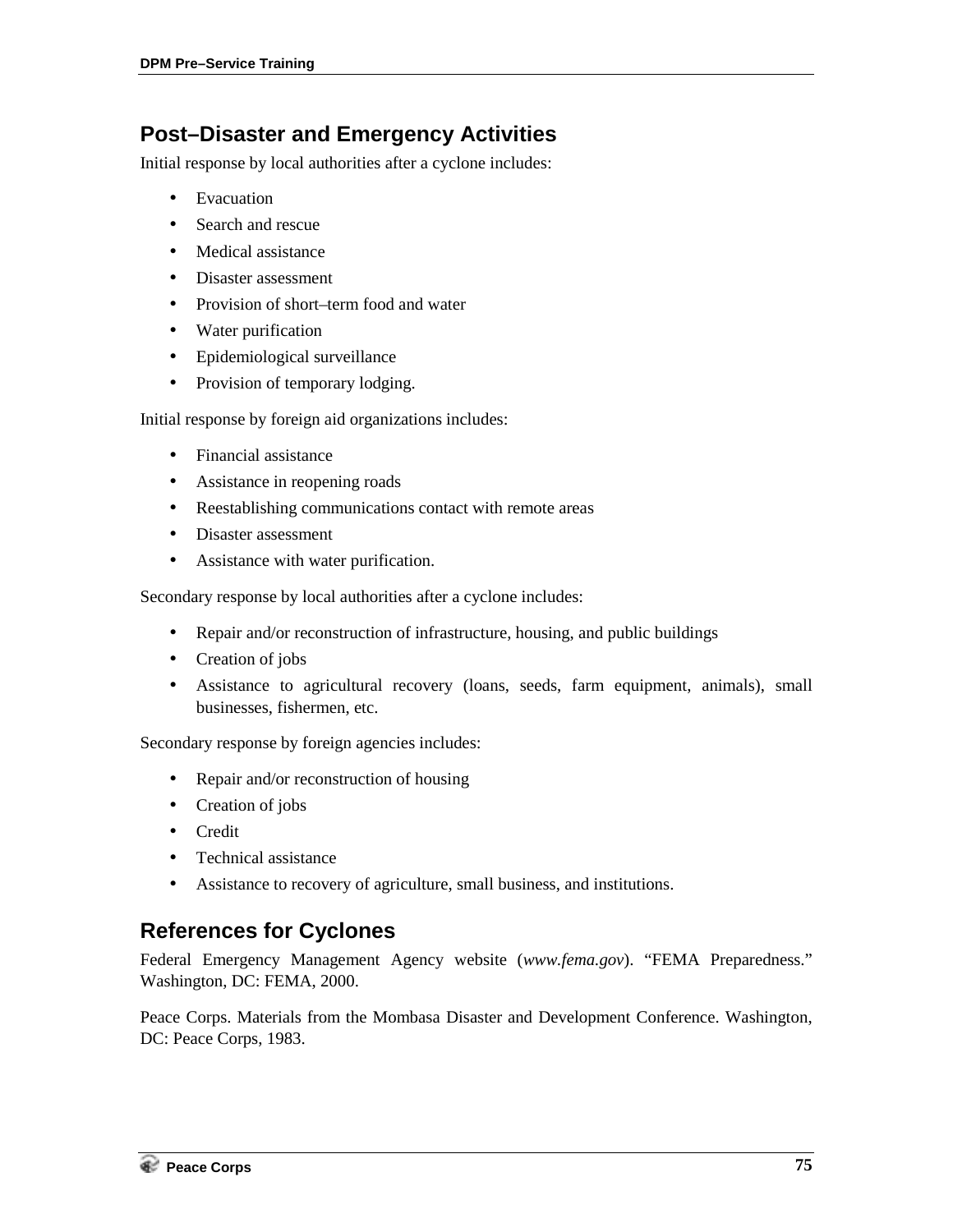## **Post–Disaster and Emergency Activities**

Initial response by local authorities after a cyclone includes:

- **Evacuation**
- Search and rescue
- Medical assistance
- Disaster assessment
- Provision of short–term food and water
- Water purification
- Epidemiological surveillance
- Provision of temporary lodging.

Initial response by foreign aid organizations includes:

- Financial assistance
- Assistance in reopening roads
- Reestablishing communications contact with remote areas
- Disaster assessment
- Assistance with water purification.

Secondary response by local authorities after a cyclone includes:

- Repair and/or reconstruction of infrastructure, housing, and public buildings
- Creation of jobs
- Assistance to agricultural recovery (loans, seeds, farm equipment, animals), small businesses, fishermen, etc.

Secondary response by foreign agencies includes:

- Repair and/or reconstruction of housing
- Creation of jobs
- Credit
- Technical assistance
- Assistance to recovery of agriculture, small business, and institutions.

## **References for Cyclones**

Federal Emergency Management Agency website (*www.fema.gov*). "FEMA Preparedness." Washington, DC: FEMA, 2000.

Peace Corps. Materials from the Mombasa Disaster and Development Conference. Washington, DC: Peace Corps, 1983.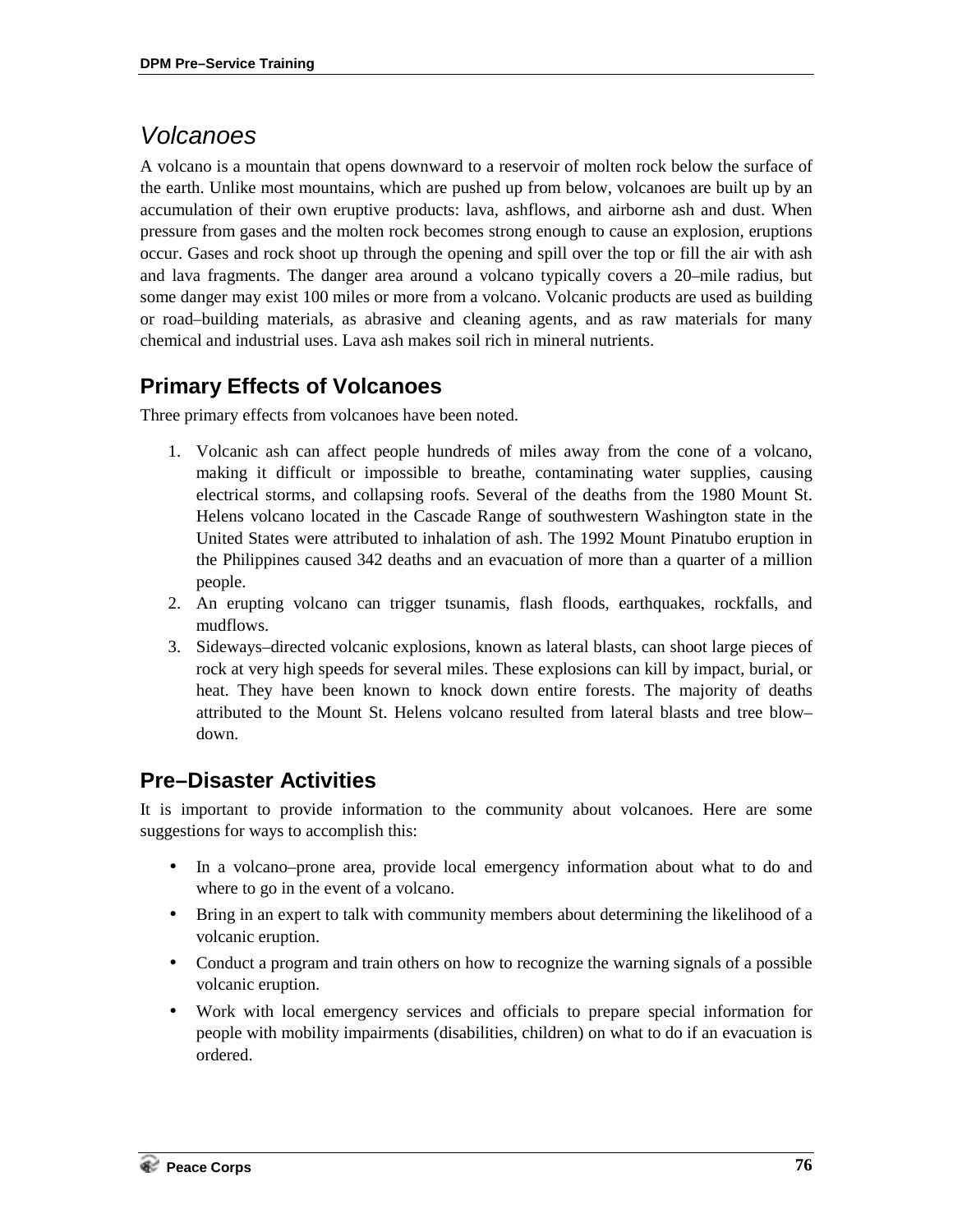## Volcanoes

A volcano is a mountain that opens downward to a reservoir of molten rock below the surface of the earth. Unlike most mountains, which are pushed up from below, volcanoes are built up by an accumulation of their own eruptive products: lava, ashflows, and airborne ash and dust. When pressure from gases and the molten rock becomes strong enough to cause an explosion, eruptions occur. Gases and rock shoot up through the opening and spill over the top or fill the air with ash and lava fragments. The danger area around a volcano typically covers a 20–mile radius, but some danger may exist 100 miles or more from a volcano. Volcanic products are used as building or road–building materials, as abrasive and cleaning agents, and as raw materials for many chemical and industrial uses. Lava ash makes soil rich in mineral nutrients.

## **Primary Effects of Volcanoes**

Three primary effects from volcanoes have been noted.

- 1. Volcanic ash can affect people hundreds of miles away from the cone of a volcano, making it difficult or impossible to breathe, contaminating water supplies, causing electrical storms, and collapsing roofs. Several of the deaths from the 1980 Mount St. Helens volcano located in the Cascade Range of southwestern Washington state in the United States were attributed to inhalation of ash. The 1992 Mount Pinatubo eruption in the Philippines caused 342 deaths and an evacuation of more than a quarter of a million people.
- 2. An erupting volcano can trigger tsunamis, flash floods, earthquakes, rockfalls, and mudflows.
- 3. Sideways–directed volcanic explosions, known as lateral blasts, can shoot large pieces of rock at very high speeds for several miles. These explosions can kill by impact, burial, or heat. They have been known to knock down entire forests. The majority of deaths attributed to the Mount St. Helens volcano resulted from lateral blasts and tree blow– down.

#### **Pre–Disaster Activities**

It is important to provide information to the community about volcanoes. Here are some suggestions for ways to accomplish this:

- In a volcano–prone area, provide local emergency information about what to do and where to go in the event of a volcano.
- Bring in an expert to talk with community members about determining the likelihood of a volcanic eruption.
- Conduct a program and train others on how to recognize the warning signals of a possible volcanic eruption.
- Work with local emergency services and officials to prepare special information for people with mobility impairments (disabilities, children) on what to do if an evacuation is ordered.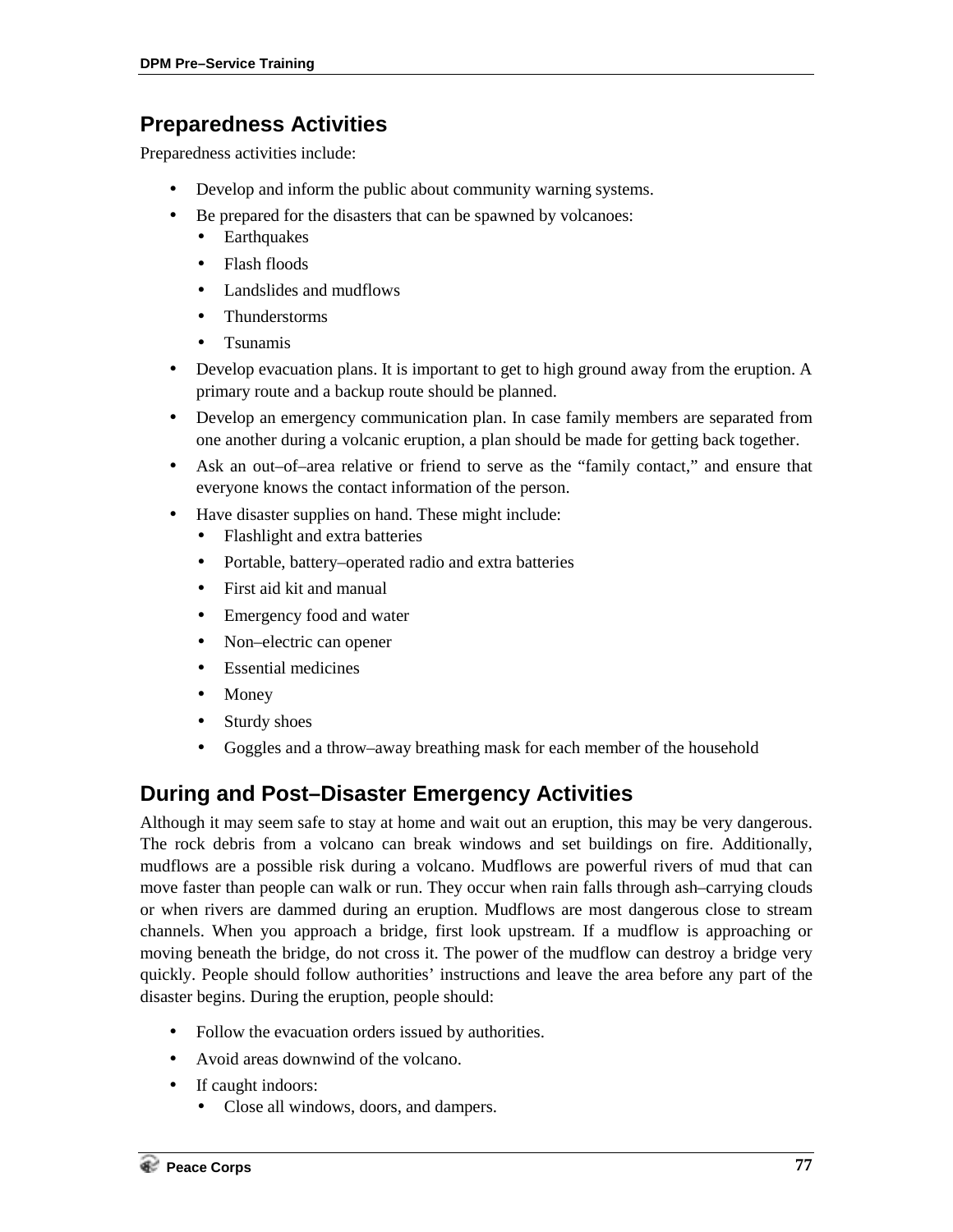#### **Preparedness Activities**

Preparedness activities include:

- Develop and inform the public about community warning systems.
- Be prepared for the disasters that can be spawned by volcanoes:
	- Earthquakes
	- Flash floods
	- Landslides and mudflows
	- Thunderstorms
	- Tsunamis
- Develop evacuation plans. It is important to get to high ground away from the eruption. A primary route and a backup route should be planned.
- Develop an emergency communication plan. In case family members are separated from one another during a volcanic eruption, a plan should be made for getting back together.
- Ask an out–of–area relative or friend to serve as the "family contact," and ensure that everyone knows the contact information of the person.
- Have disaster supplies on hand. These might include:
	- Flashlight and extra batteries
	- Portable, battery–operated radio and extra batteries
	- First aid kit and manual
	- Emergency food and water
	- Non–electric can opener
	- Essential medicines
	- Money
	- Sturdy shoes
	- Goggles and a throw–away breathing mask for each member of the household

## **During and Post–Disaster Emergency Activities**

Although it may seem safe to stay at home and wait out an eruption, this may be very dangerous. The rock debris from a volcano can break windows and set buildings on fire. Additionally, mudflows are a possible risk during a volcano. Mudflows are powerful rivers of mud that can move faster than people can walk or run. They occur when rain falls through ash–carrying clouds or when rivers are dammed during an eruption. Mudflows are most dangerous close to stream channels. When you approach a bridge, first look upstream. If a mudflow is approaching or moving beneath the bridge, do not cross it. The power of the mudflow can destroy a bridge very quickly. People should follow authorities' instructions and leave the area before any part of the disaster begins. During the eruption, people should:

- Follow the evacuation orders issued by authorities.
- Avoid areas downwind of the volcano.
- If caught indoors:
	- Close all windows, doors, and dampers.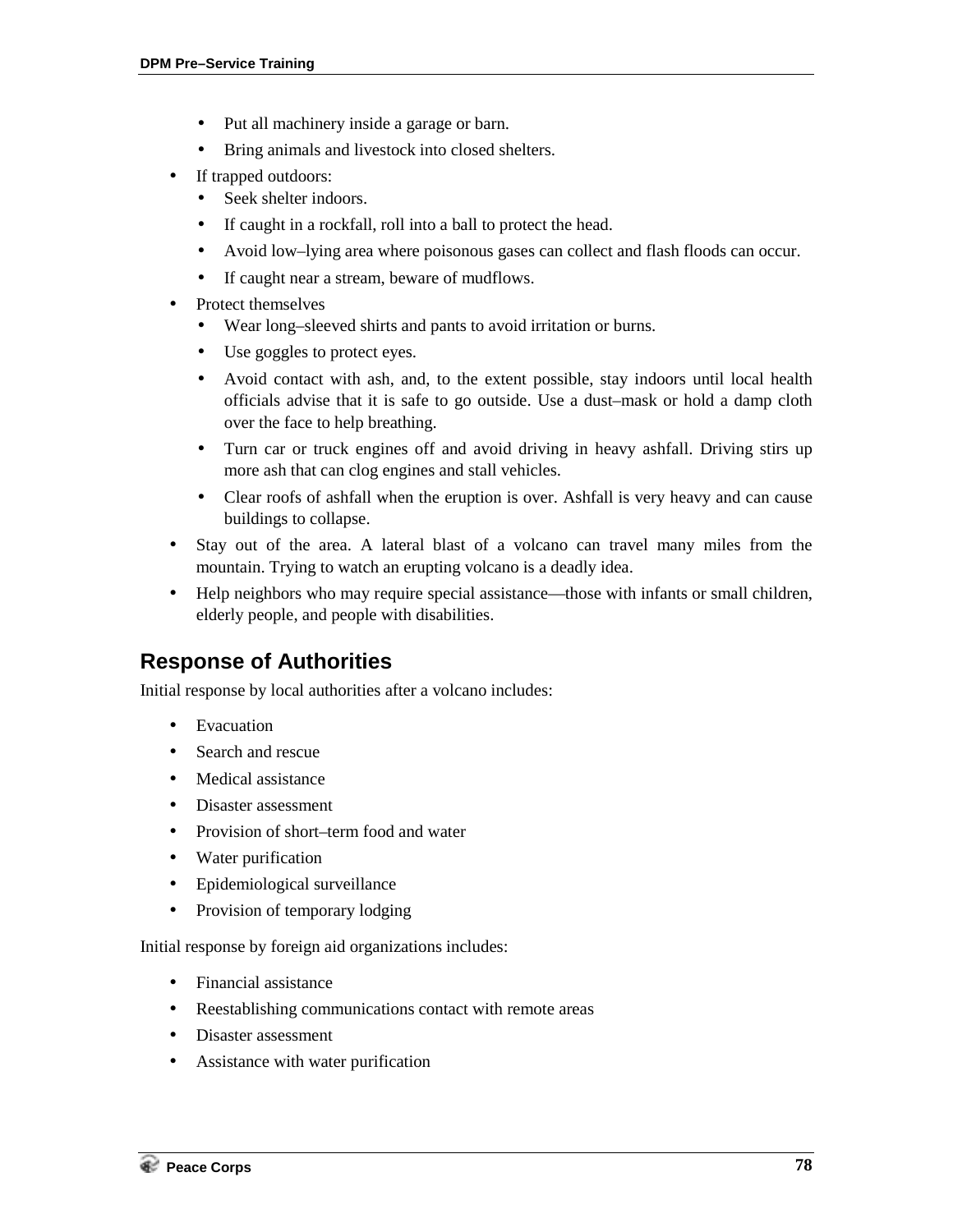- Put all machinery inside a garage or barn.
- Bring animals and livestock into closed shelters.
- If trapped outdoors:
	- Seek shelter indoors.
	- If caught in a rockfall, roll into a ball to protect the head.
	- Avoid low–lying area where poisonous gases can collect and flash floods can occur.
	- If caught near a stream, beware of mudflows.
- Protect themselves
	- Wear long–sleeved shirts and pants to avoid irritation or burns.
	- Use goggles to protect eyes.
	- Avoid contact with ash, and, to the extent possible, stay indoors until local health officials advise that it is safe to go outside. Use a dust–mask or hold a damp cloth over the face to help breathing.
	- Turn car or truck engines off and avoid driving in heavy ashfall. Driving stirs up more ash that can clog engines and stall vehicles.
	- Clear roofs of ashfall when the eruption is over. Ashfall is very heavy and can cause buildings to collapse.
- Stay out of the area. A lateral blast of a volcano can travel many miles from the mountain. Trying to watch an erupting volcano is a deadly idea.
- Help neighbors who may require special assistance—those with infants or small children, elderly people, and people with disabilities.

#### **Response of Authorities**

Initial response by local authorities after a volcano includes:

- **Evacuation**
- Search and rescue
- Medical assistance
- Disaster assessment
- Provision of short–term food and water
- Water purification
- Epidemiological surveillance
- Provision of temporary lodging

Initial response by foreign aid organizations includes:

- Financial assistance
- Reestablishing communications contact with remote areas
- Disaster assessment
- Assistance with water purification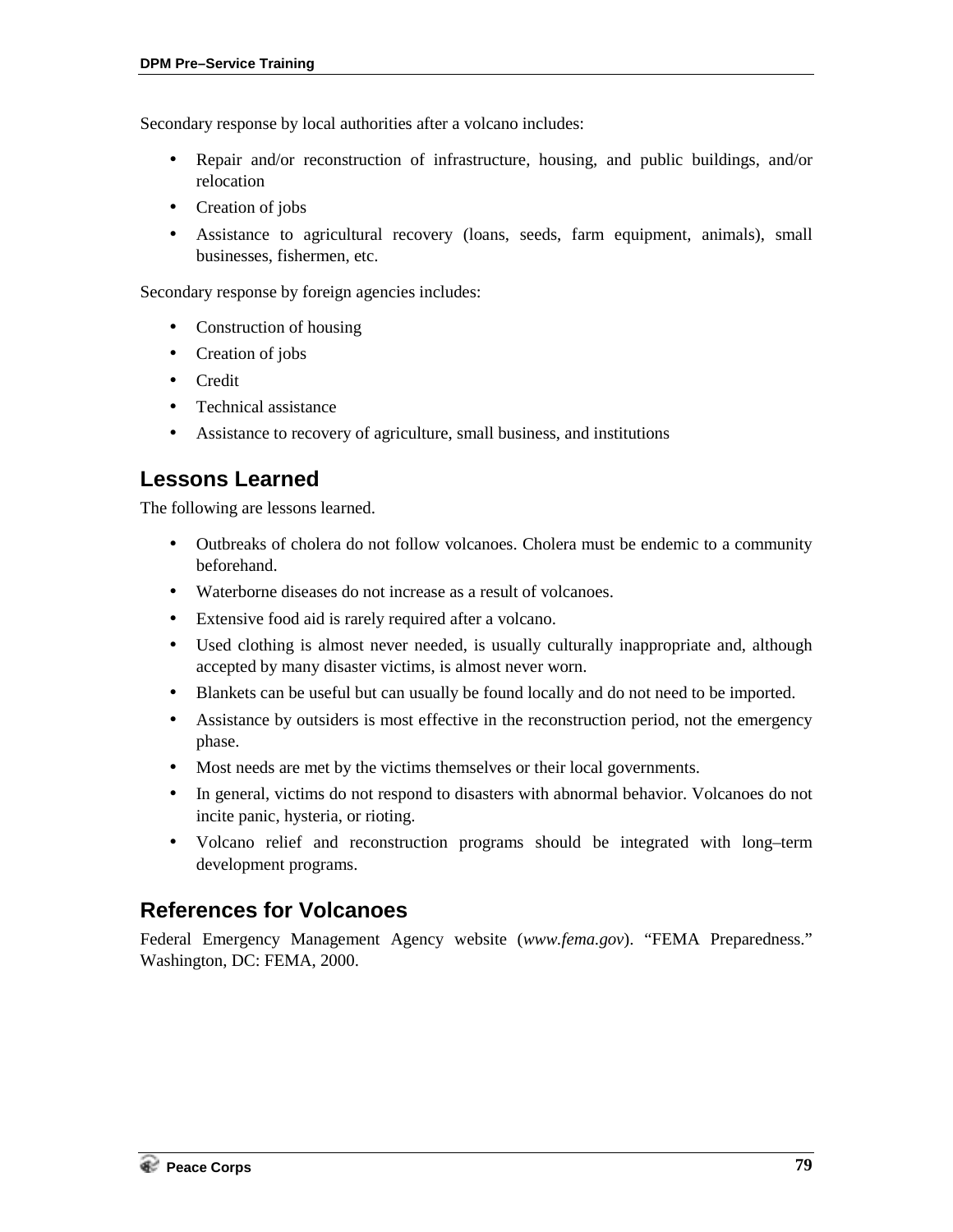Secondary response by local authorities after a volcano includes:

- Repair and/or reconstruction of infrastructure, housing, and public buildings, and/or relocation
- Creation of jobs
- Assistance to agricultural recovery (loans, seeds, farm equipment, animals), small businesses, fishermen, etc.

Secondary response by foreign agencies includes:

- Construction of housing
- Creation of jobs
- Credit
- Technical assistance
- Assistance to recovery of agriculture, small business, and institutions

#### **Lessons Learned**

The following are lessons learned.

- Outbreaks of cholera do not follow volcanoes. Cholera must be endemic to a community beforehand.
- Waterborne diseases do not increase as a result of volcanoes.
- Extensive food aid is rarely required after a volcano.
- Used clothing is almost never needed, is usually culturally inappropriate and, although accepted by many disaster victims, is almost never worn.
- Blankets can be useful but can usually be found locally and do not need to be imported.
- Assistance by outsiders is most effective in the reconstruction period, not the emergency phase.
- Most needs are met by the victims themselves or their local governments.
- In general, victims do not respond to disasters with abnormal behavior. Volcanoes do not incite panic, hysteria, or rioting.
- Volcano relief and reconstruction programs should be integrated with long–term development programs.

#### **References for Volcanoes**

Federal Emergency Management Agency website (*www.fema.gov*). "FEMA Preparedness." Washington, DC: FEMA, 2000.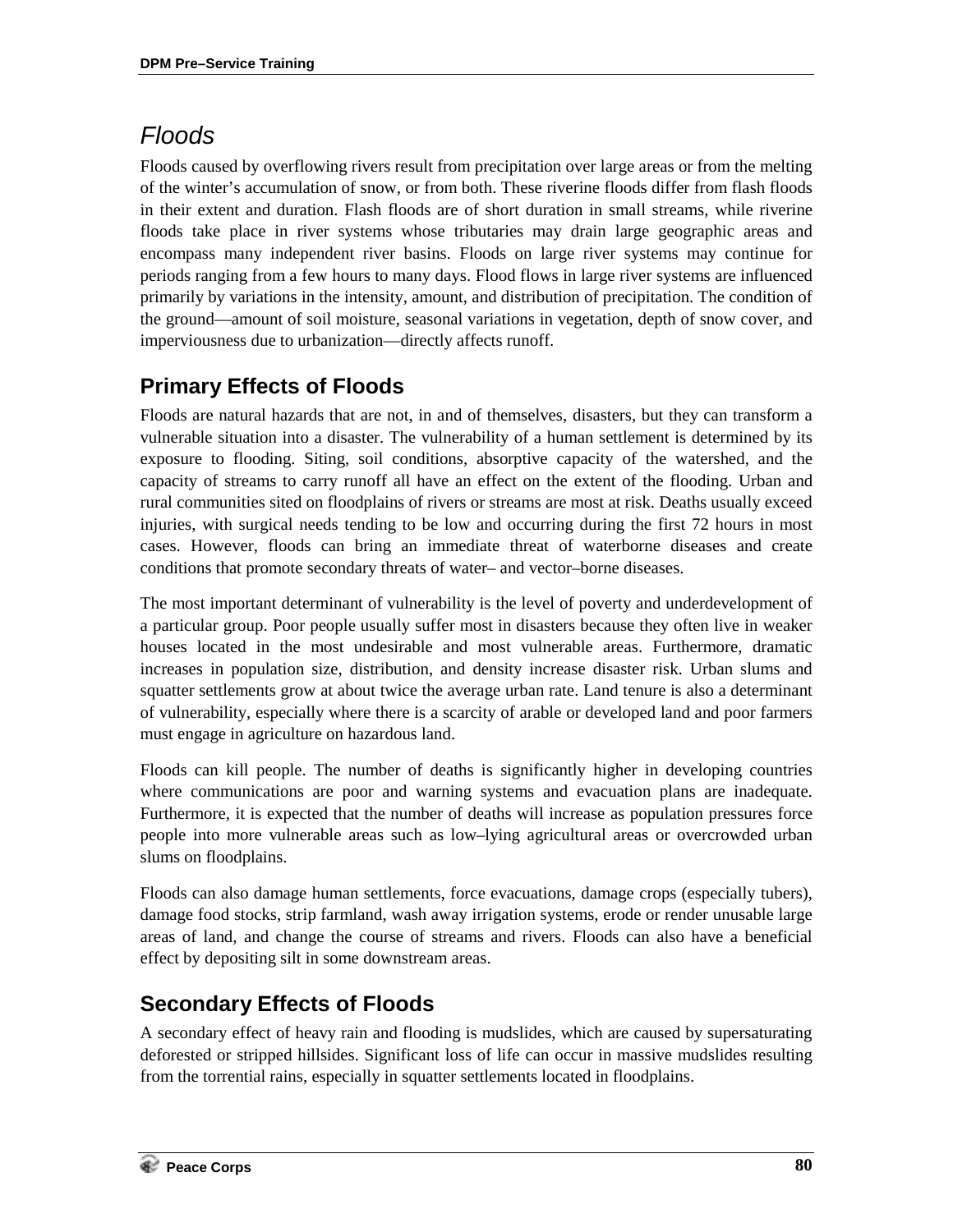## Floods

Floods caused by overflowing rivers result from precipitation over large areas or from the melting of the winter's accumulation of snow, or from both. These riverine floods differ from flash floods in their extent and duration. Flash floods are of short duration in small streams, while riverine floods take place in river systems whose tributaries may drain large geographic areas and encompass many independent river basins. Floods on large river systems may continue for periods ranging from a few hours to many days. Flood flows in large river systems are influenced primarily by variations in the intensity, amount, and distribution of precipitation. The condition of the ground—amount of soil moisture, seasonal variations in vegetation, depth of snow cover, and imperviousness due to urbanization—directly affects runoff.

## **Primary Effects of Floods**

Floods are natural hazards that are not, in and of themselves, disasters, but they can transform a vulnerable situation into a disaster. The vulnerability of a human settlement is determined by its exposure to flooding. Siting, soil conditions, absorptive capacity of the watershed, and the capacity of streams to carry runoff all have an effect on the extent of the flooding. Urban and rural communities sited on floodplains of rivers or streams are most at risk. Deaths usually exceed injuries, with surgical needs tending to be low and occurring during the first 72 hours in most cases. However, floods can bring an immediate threat of waterborne diseases and create conditions that promote secondary threats of water– and vector–borne diseases.

The most important determinant of vulnerability is the level of poverty and underdevelopment of a particular group. Poor people usually suffer most in disasters because they often live in weaker houses located in the most undesirable and most vulnerable areas. Furthermore, dramatic increases in population size, distribution, and density increase disaster risk. Urban slums and squatter settlements grow at about twice the average urban rate. Land tenure is also a determinant of vulnerability, especially where there is a scarcity of arable or developed land and poor farmers must engage in agriculture on hazardous land.

Floods can kill people. The number of deaths is significantly higher in developing countries where communications are poor and warning systems and evacuation plans are inadequate. Furthermore, it is expected that the number of deaths will increase as population pressures force people into more vulnerable areas such as low–lying agricultural areas or overcrowded urban slums on floodplains.

Floods can also damage human settlements, force evacuations, damage crops (especially tubers), damage food stocks, strip farmland, wash away irrigation systems, erode or render unusable large areas of land, and change the course of streams and rivers. Floods can also have a beneficial effect by depositing silt in some downstream areas.

## **Secondary Effects of Floods**

A secondary effect of heavy rain and flooding is mudslides, which are caused by supersaturating deforested or stripped hillsides. Significant loss of life can occur in massive mudslides resulting from the torrential rains, especially in squatter settlements located in floodplains.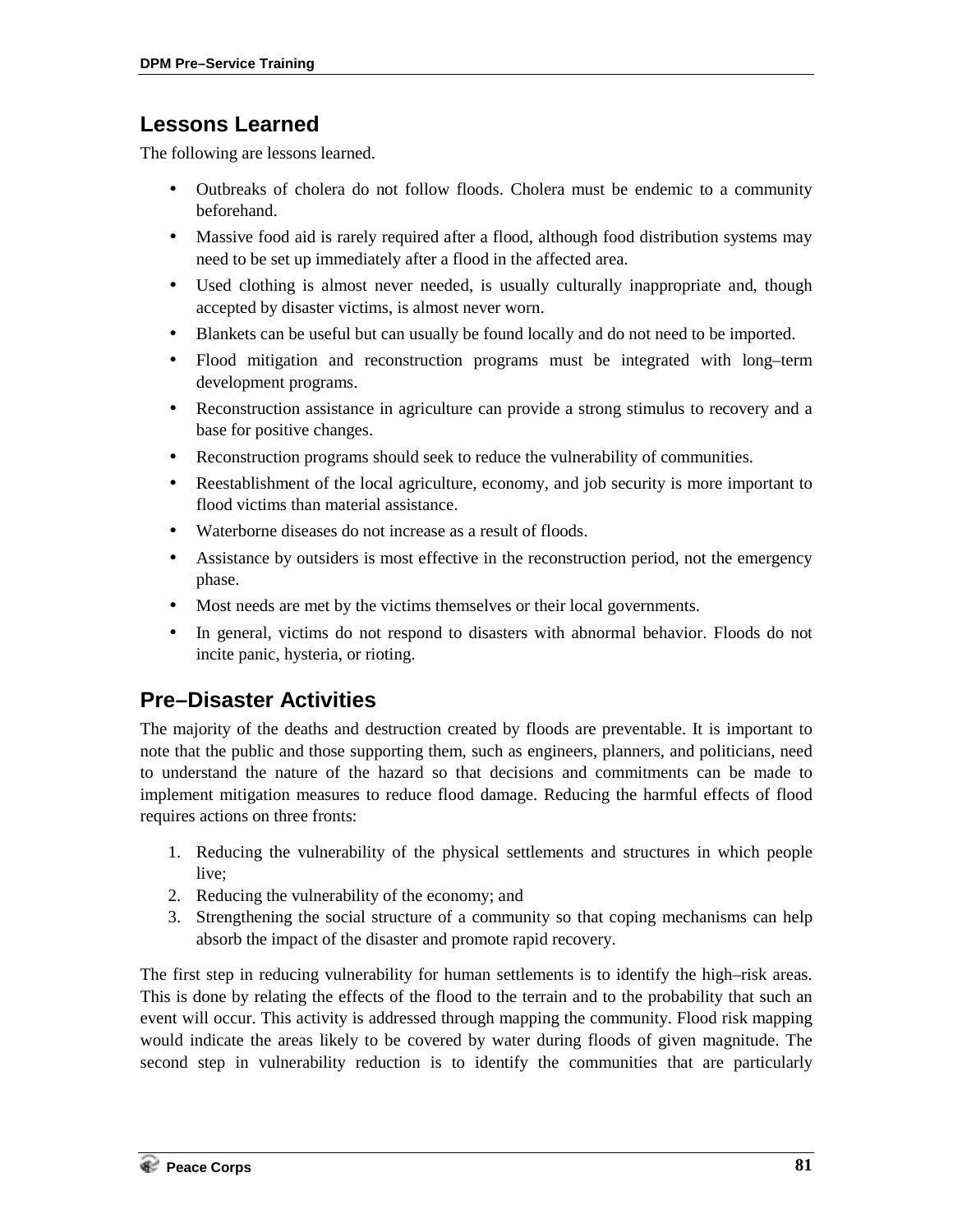#### **Lessons Learned**

The following are lessons learned.

- Outbreaks of cholera do not follow floods. Cholera must be endemic to a community beforehand.
- Massive food aid is rarely required after a flood, although food distribution systems may need to be set up immediately after a flood in the affected area.
- Used clothing is almost never needed, is usually culturally inappropriate and, though accepted by disaster victims, is almost never worn.
- Blankets can be useful but can usually be found locally and do not need to be imported.
- Flood mitigation and reconstruction programs must be integrated with long–term development programs.
- Reconstruction assistance in agriculture can provide a strong stimulus to recovery and a base for positive changes.
- Reconstruction programs should seek to reduce the vulnerability of communities.
- Reestablishment of the local agriculture, economy, and job security is more important to flood victims than material assistance.
- Waterborne diseases do not increase as a result of floods.
- Assistance by outsiders is most effective in the reconstruction period, not the emergency phase.
- Most needs are met by the victims themselves or their local governments.
- In general, victims do not respond to disasters with abnormal behavior. Floods do not incite panic, hysteria, or rioting.

## **Pre–Disaster Activities**

The majority of the deaths and destruction created by floods are preventable. It is important to note that the public and those supporting them, such as engineers, planners, and politicians, need to understand the nature of the hazard so that decisions and commitments can be made to implement mitigation measures to reduce flood damage. Reducing the harmful effects of flood requires actions on three fronts:

- 1. Reducing the vulnerability of the physical settlements and structures in which people live;
- 2. Reducing the vulnerability of the economy; and
- 3. Strengthening the social structure of a community so that coping mechanisms can help absorb the impact of the disaster and promote rapid recovery.

The first step in reducing vulnerability for human settlements is to identify the high–risk areas. This is done by relating the effects of the flood to the terrain and to the probability that such an event will occur. This activity is addressed through mapping the community. Flood risk mapping would indicate the areas likely to be covered by water during floods of given magnitude. The second step in vulnerability reduction is to identify the communities that are particularly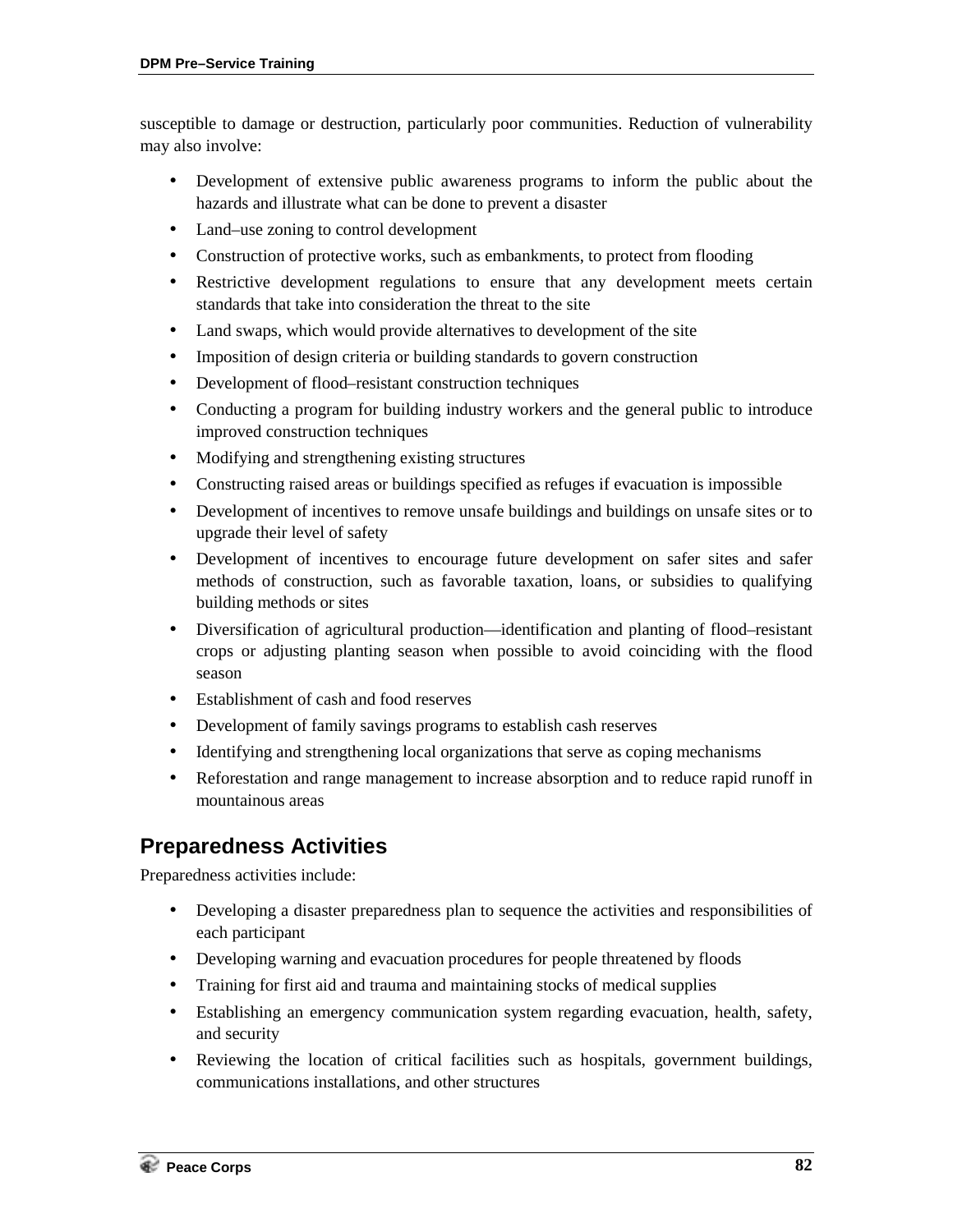susceptible to damage or destruction, particularly poor communities. Reduction of vulnerability may also involve:

- Development of extensive public awareness programs to inform the public about the hazards and illustrate what can be done to prevent a disaster
- Land–use zoning to control development
- Construction of protective works, such as embankments, to protect from flooding
- Restrictive development regulations to ensure that any development meets certain standards that take into consideration the threat to the site
- Land swaps, which would provide alternatives to development of the site
- Imposition of design criteria or building standards to govern construction
- Development of flood–resistant construction techniques
- Conducting a program for building industry workers and the general public to introduce improved construction techniques
- Modifying and strengthening existing structures
- Constructing raised areas or buildings specified as refuges if evacuation is impossible
- Development of incentives to remove unsafe buildings and buildings on unsafe sites or to upgrade their level of safety
- Development of incentives to encourage future development on safer sites and safer methods of construction, such as favorable taxation, loans, or subsidies to qualifying building methods or sites
- Diversification of agricultural production—identification and planting of flood–resistant crops or adjusting planting season when possible to avoid coinciding with the flood season
- Establishment of cash and food reserves
- Development of family savings programs to establish cash reserves
- Identifying and strengthening local organizations that serve as coping mechanisms
- Reforestation and range management to increase absorption and to reduce rapid runoff in mountainous areas

#### **Preparedness Activities**

Preparedness activities include:

- Developing a disaster preparedness plan to sequence the activities and responsibilities of each participant
- Developing warning and evacuation procedures for people threatened by floods
- Training for first aid and trauma and maintaining stocks of medical supplies
- Establishing an emergency communication system regarding evacuation, health, safety, and security
- Reviewing the location of critical facilities such as hospitals, government buildings, communications installations, and other structures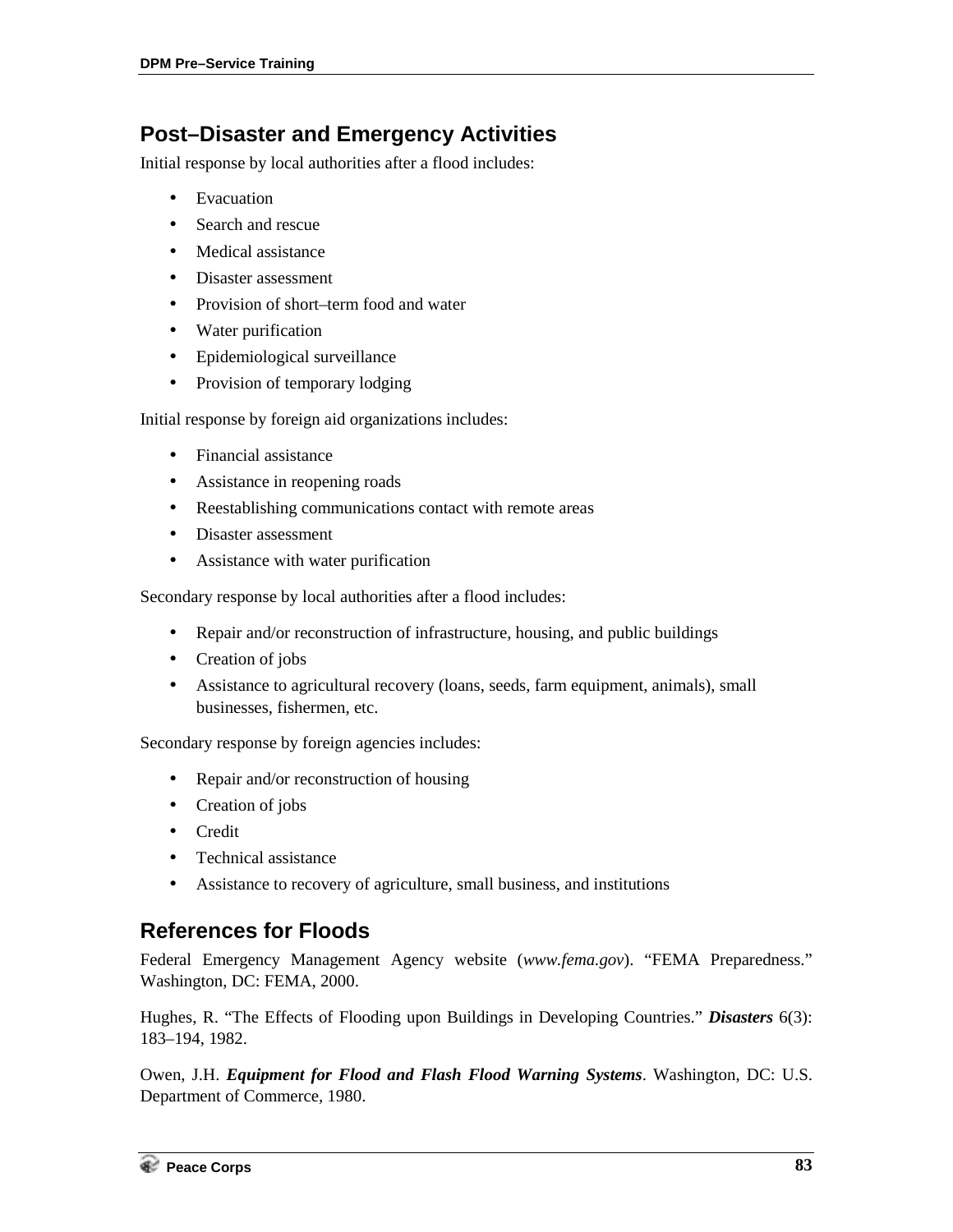## **Post–Disaster and Emergency Activities**

Initial response by local authorities after a flood includes:

- **Evacuation**
- Search and rescue
- Medical assistance
- Disaster assessment
- Provision of short–term food and water
- Water purification
- Epidemiological surveillance
- Provision of temporary lodging

Initial response by foreign aid organizations includes:

- Financial assistance
- Assistance in reopening roads
- Reestablishing communications contact with remote areas
- Disaster assessment
- Assistance with water purification

Secondary response by local authorities after a flood includes:

- Repair and/or reconstruction of infrastructure, housing, and public buildings
- Creation of jobs
- Assistance to agricultural recovery (loans, seeds, farm equipment, animals), small businesses, fishermen, etc.

Secondary response by foreign agencies includes:

- Repair and/or reconstruction of housing
- Creation of jobs
- Credit
- Technical assistance
- Assistance to recovery of agriculture, small business, and institutions

## **References for Floods**

Federal Emergency Management Agency website (*www.fema.gov*). "FEMA Preparedness." Washington, DC: FEMA, 2000.

Hughes, R. "The Effects of Flooding upon Buildings in Developing Countries." *Disasters* 6(3): 183–194, 1982.

Owen, J.H. *Equipment for Flood and Flash Flood Warning Systems*. Washington, DC: U.S. Department of Commerce, 1980.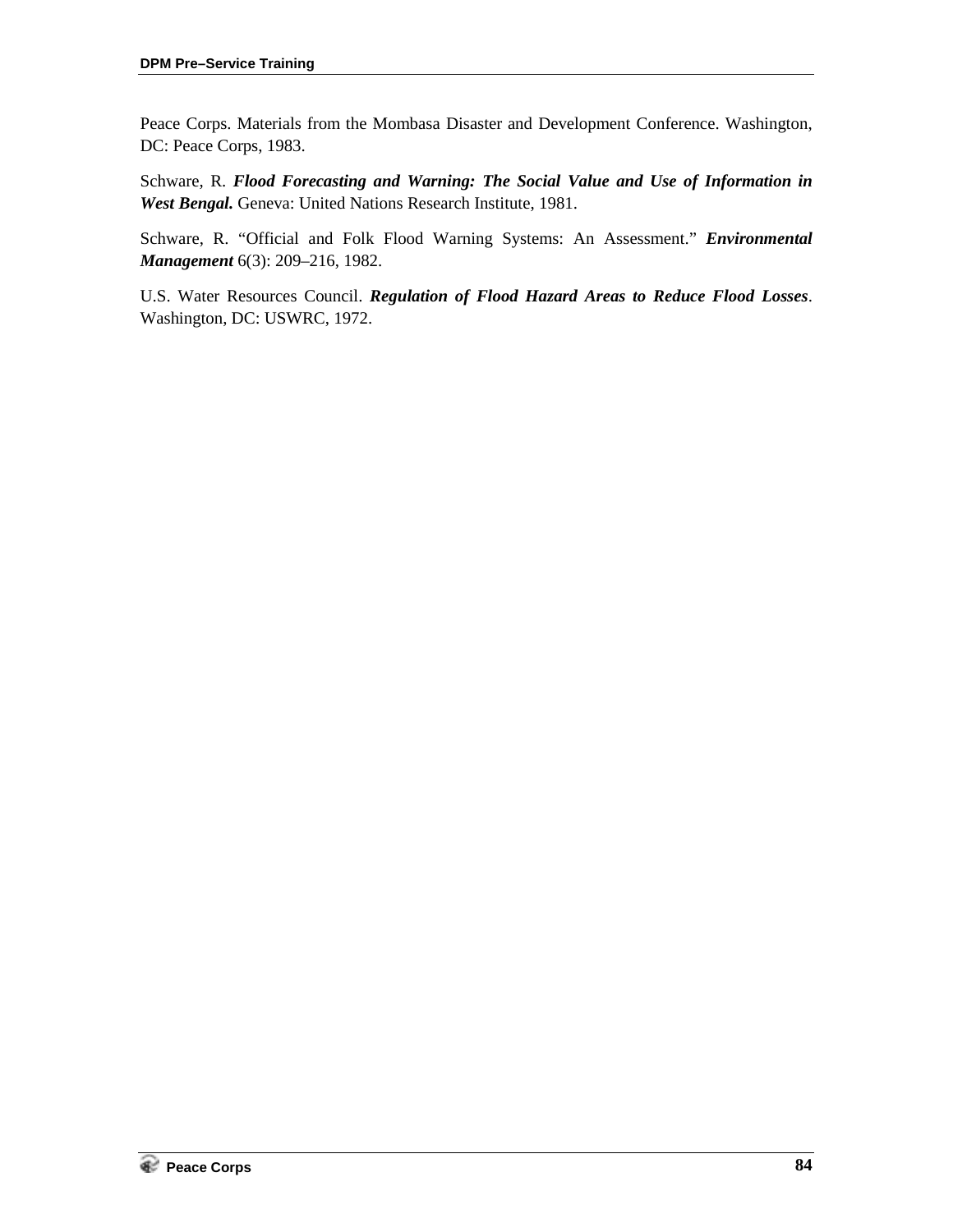Peace Corps. Materials from the Mombasa Disaster and Development Conference. Washington, DC: Peace Corps, 1983.

Schware, R. *Flood Forecasting and Warning: The Social Value and Use of Information in West Bengal.* Geneva: United Nations Research Institute, 1981.

Schware, R. "Official and Folk Flood Warning Systems: An Assessment." *Environmental Management* 6(3): 209–216, 1982.

U.S. Water Resources Council. *Regulation of Flood Hazard Areas to Reduce Flood Losses*. Washington, DC: USWRC, 1972.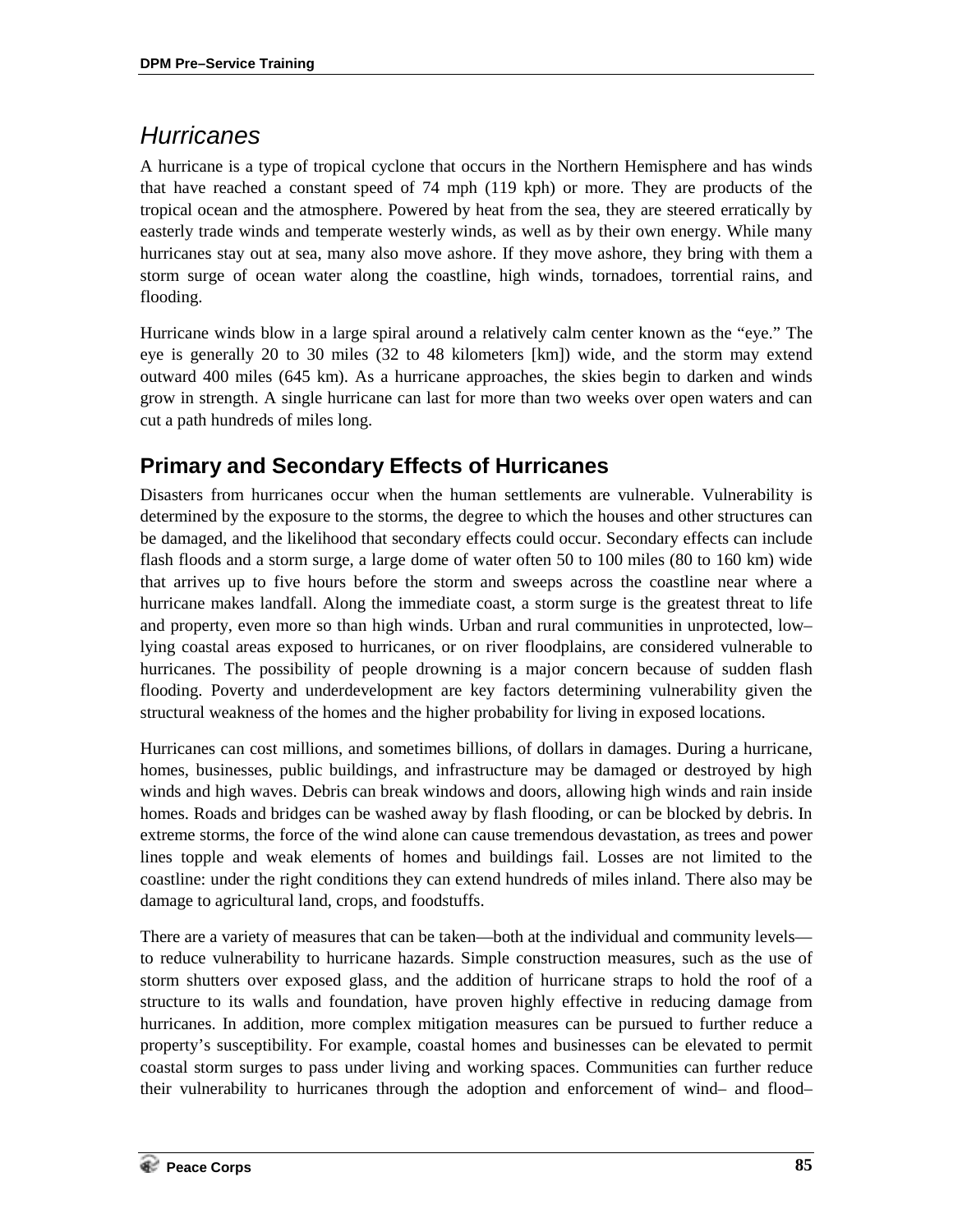## **Hurricanes**

A hurricane is a type of tropical cyclone that occurs in the Northern Hemisphere and has winds that have reached a constant speed of 74 mph (119 kph) or more. They are products of the tropical ocean and the atmosphere. Powered by heat from the sea, they are steered erratically by easterly trade winds and temperate westerly winds, as well as by their own energy. While many hurricanes stay out at sea, many also move ashore. If they move ashore, they bring with them a storm surge of ocean water along the coastline, high winds, tornadoes, torrential rains, and flooding.

Hurricane winds blow in a large spiral around a relatively calm center known as the "eye." The eye is generally 20 to 30 miles (32 to 48 kilometers [km]) wide, and the storm may extend outward 400 miles (645 km). As a hurricane approaches, the skies begin to darken and winds grow in strength. A single hurricane can last for more than two weeks over open waters and can cut a path hundreds of miles long.

## **Primary and Secondary Effects of Hurricanes**

Disasters from hurricanes occur when the human settlements are vulnerable. Vulnerability is determined by the exposure to the storms, the degree to which the houses and other structures can be damaged, and the likelihood that secondary effects could occur. Secondary effects can include flash floods and a storm surge, a large dome of water often 50 to 100 miles (80 to 160 km) wide that arrives up to five hours before the storm and sweeps across the coastline near where a hurricane makes landfall. Along the immediate coast, a storm surge is the greatest threat to life and property, even more so than high winds. Urban and rural communities in unprotected, low– lying coastal areas exposed to hurricanes, or on river floodplains, are considered vulnerable to hurricanes. The possibility of people drowning is a major concern because of sudden flash flooding. Poverty and underdevelopment are key factors determining vulnerability given the structural weakness of the homes and the higher probability for living in exposed locations.

Hurricanes can cost millions, and sometimes billions, of dollars in damages. During a hurricane, homes, businesses, public buildings, and infrastructure may be damaged or destroyed by high winds and high waves. Debris can break windows and doors, allowing high winds and rain inside homes. Roads and bridges can be washed away by flash flooding, or can be blocked by debris. In extreme storms, the force of the wind alone can cause tremendous devastation, as trees and power lines topple and weak elements of homes and buildings fail. Losses are not limited to the coastline: under the right conditions they can extend hundreds of miles inland. There also may be damage to agricultural land, crops, and foodstuffs.

There are a variety of measures that can be taken—both at the individual and community levels to reduce vulnerability to hurricane hazards. Simple construction measures, such as the use of storm shutters over exposed glass, and the addition of hurricane straps to hold the roof of a structure to its walls and foundation, have proven highly effective in reducing damage from hurricanes. In addition, more complex mitigation measures can be pursued to further reduce a property's susceptibility. For example, coastal homes and businesses can be elevated to permit coastal storm surges to pass under living and working spaces. Communities can further reduce their vulnerability to hurricanes through the adoption and enforcement of wind– and flood–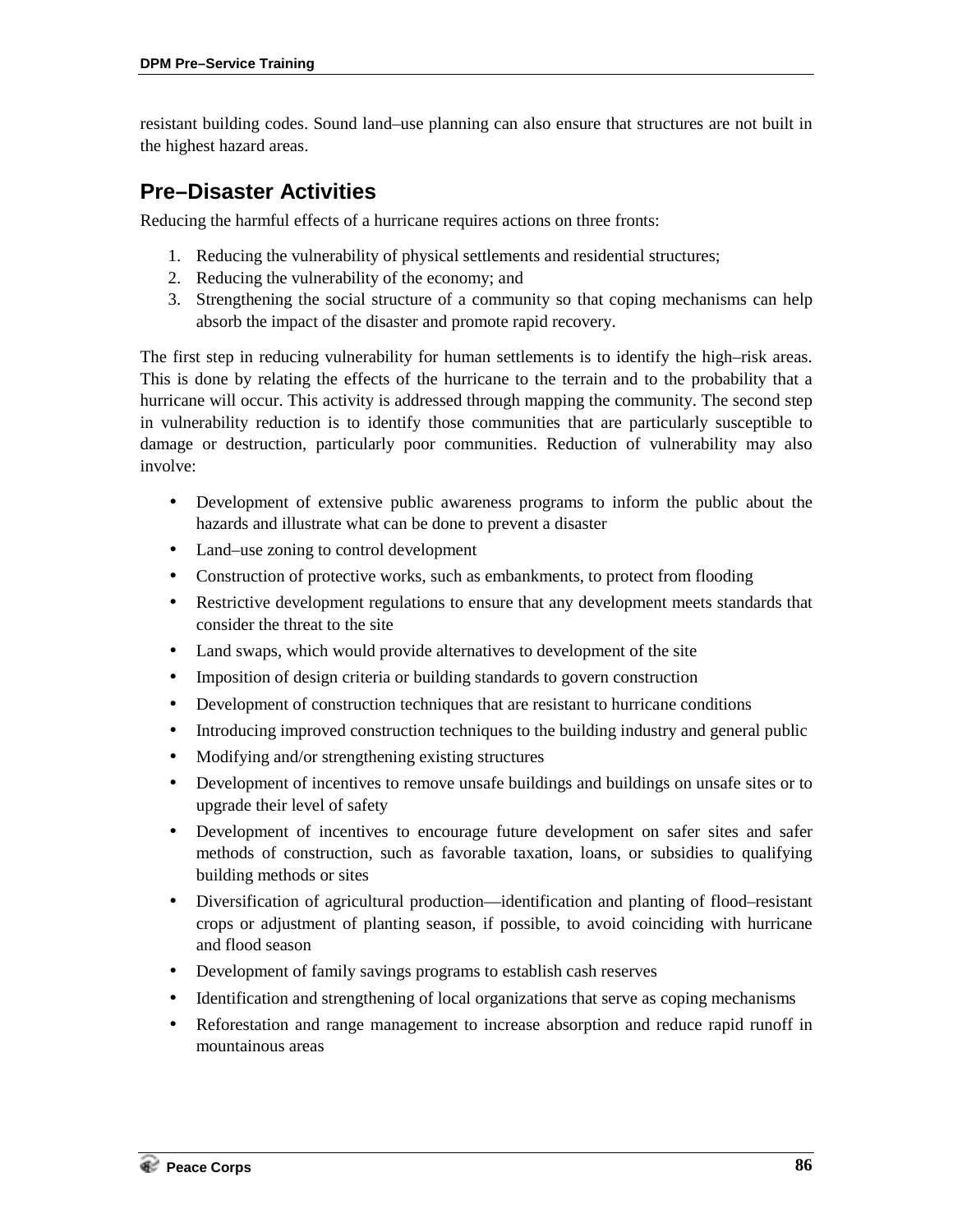resistant building codes. Sound land–use planning can also ensure that structures are not built in the highest hazard areas.

#### **Pre–Disaster Activities**

Reducing the harmful effects of a hurricane requires actions on three fronts:

- 1. Reducing the vulnerability of physical settlements and residential structures;
- 2. Reducing the vulnerability of the economy; and
- 3. Strengthening the social structure of a community so that coping mechanisms can help absorb the impact of the disaster and promote rapid recovery.

The first step in reducing vulnerability for human settlements is to identify the high–risk areas. This is done by relating the effects of the hurricane to the terrain and to the probability that a hurricane will occur. This activity is addressed through mapping the community. The second step in vulnerability reduction is to identify those communities that are particularly susceptible to damage or destruction, particularly poor communities. Reduction of vulnerability may also involve:

- Development of extensive public awareness programs to inform the public about the hazards and illustrate what can be done to prevent a disaster
- Land–use zoning to control development
- Construction of protective works, such as embankments, to protect from flooding
- Restrictive development regulations to ensure that any development meets standards that consider the threat to the site
- Land swaps, which would provide alternatives to development of the site
- Imposition of design criteria or building standards to govern construction
- Development of construction techniques that are resistant to hurricane conditions
- Introducing improved construction techniques to the building industry and general public
- Modifying and/or strengthening existing structures
- Development of incentives to remove unsafe buildings and buildings on unsafe sites or to upgrade their level of safety
- Development of incentives to encourage future development on safer sites and safer methods of construction, such as favorable taxation, loans, or subsidies to qualifying building methods or sites
- Diversification of agricultural production—identification and planting of flood–resistant crops or adjustment of planting season, if possible, to avoid coinciding with hurricane and flood season
- Development of family savings programs to establish cash reserves
- Identification and strengthening of local organizations that serve as coping mechanisms
- Reforestation and range management to increase absorption and reduce rapid runoff in mountainous areas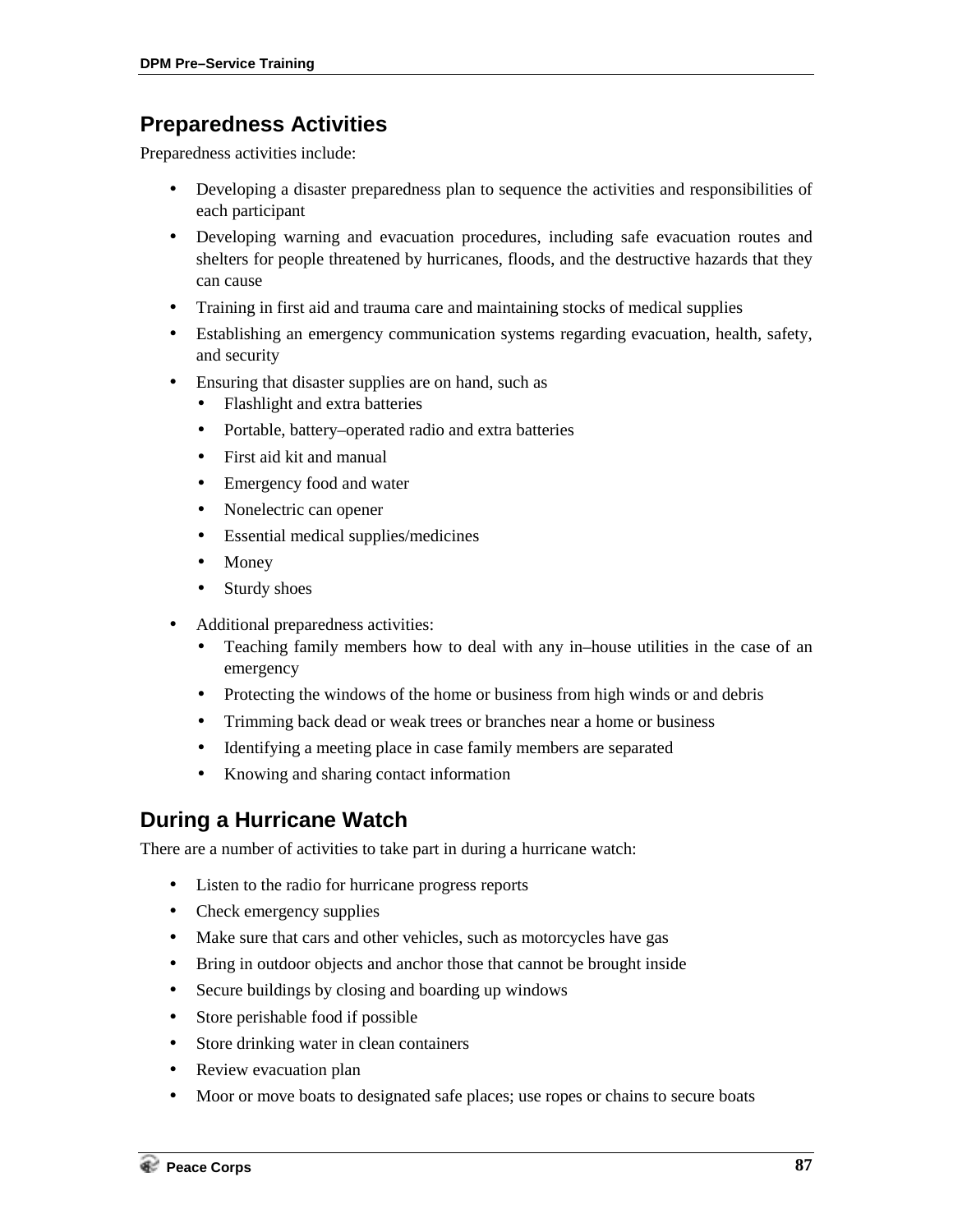#### **Preparedness Activities**

Preparedness activities include:

- Developing a disaster preparedness plan to sequence the activities and responsibilities of each participant
- Developing warning and evacuation procedures, including safe evacuation routes and shelters for people threatened by hurricanes, floods, and the destructive hazards that they can cause
- Training in first aid and trauma care and maintaining stocks of medical supplies
- Establishing an emergency communication systems regarding evacuation, health, safety, and security
- Ensuring that disaster supplies are on hand, such as
	- Flashlight and extra batteries
		- Portable, battery–operated radio and extra batteries
		- First aid kit and manual
		- Emergency food and water
		- Nonelectric can opener
		- Essential medical supplies/medicines
		- Money
		- Sturdy shoes
- Additional preparedness activities:
	- Teaching family members how to deal with any in–house utilities in the case of an emergency
	- Protecting the windows of the home or business from high winds or and debris
	- Trimming back dead or weak trees or branches near a home or business
	- Identifying a meeting place in case family members are separated
	- Knowing and sharing contact information

## **During a Hurricane Watch**

There are a number of activities to take part in during a hurricane watch:

- Listen to the radio for hurricane progress reports
- Check emergency supplies
- Make sure that cars and other vehicles, such as motorcycles have gas
- Bring in outdoor objects and anchor those that cannot be brought inside
- Secure buildings by closing and boarding up windows
- Store perishable food if possible
- Store drinking water in clean containers
- Review evacuation plan
- Moor or move boats to designated safe places; use ropes or chains to secure boats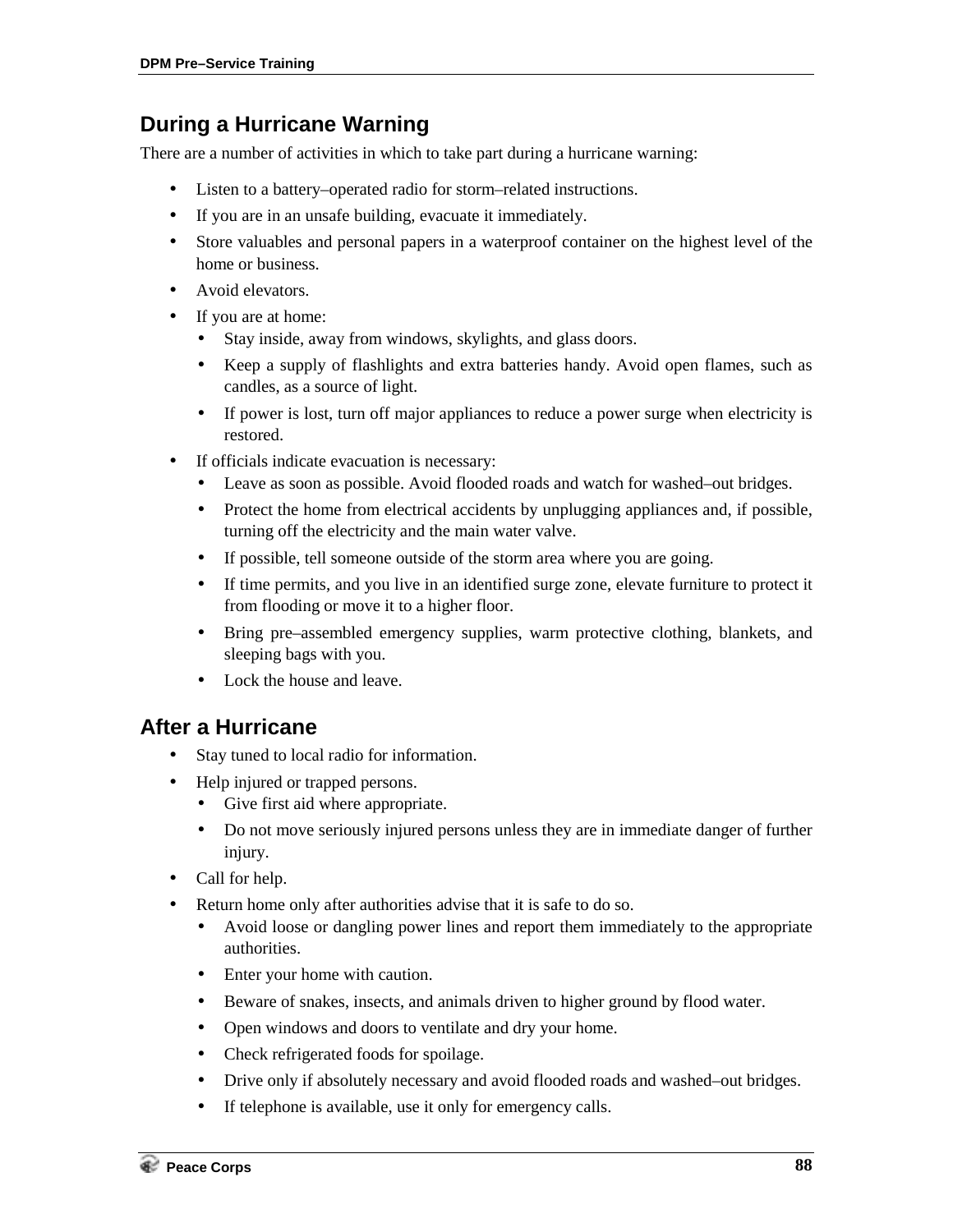## **During a Hurricane Warning**

There are a number of activities in which to take part during a hurricane warning:

- Listen to a battery–operated radio for storm–related instructions.
- If you are in an unsafe building, evacuate it immediately.
- Store valuables and personal papers in a waterproof container on the highest level of the home or business.
- Avoid elevators.
- If you are at home:
	- Stay inside, away from windows, skylights, and glass doors.
	- Keep a supply of flashlights and extra batteries handy. Avoid open flames, such as candles, as a source of light.
	- If power is lost, turn off major appliances to reduce a power surge when electricity is restored.
- If officials indicate evacuation is necessary:
	- Leave as soon as possible. Avoid flooded roads and watch for washed–out bridges.
	- Protect the home from electrical accidents by unplugging appliances and, if possible, turning off the electricity and the main water valve.
	- If possible, tell someone outside of the storm area where you are going.
	- If time permits, and you live in an identified surge zone, elevate furniture to protect it from flooding or move it to a higher floor.
	- Bring pre–assembled emergency supplies, warm protective clothing, blankets, and sleeping bags with you.
	- Lock the house and leave.

#### **After a Hurricane**

- Stay tuned to local radio for information.
- Help injured or trapped persons.
	- Give first aid where appropriate.
	- Do not move seriously injured persons unless they are in immediate danger of further injury.
- Call for help.
- Return home only after authorities advise that it is safe to do so.
	- Avoid loose or dangling power lines and report them immediately to the appropriate authorities.
	- Enter your home with caution.
	- Beware of snakes, insects, and animals driven to higher ground by flood water.
	- Open windows and doors to ventilate and dry your home.
	- Check refrigerated foods for spoilage.
	- Drive only if absolutely necessary and avoid flooded roads and washed–out bridges.
	- If telephone is available, use it only for emergency calls.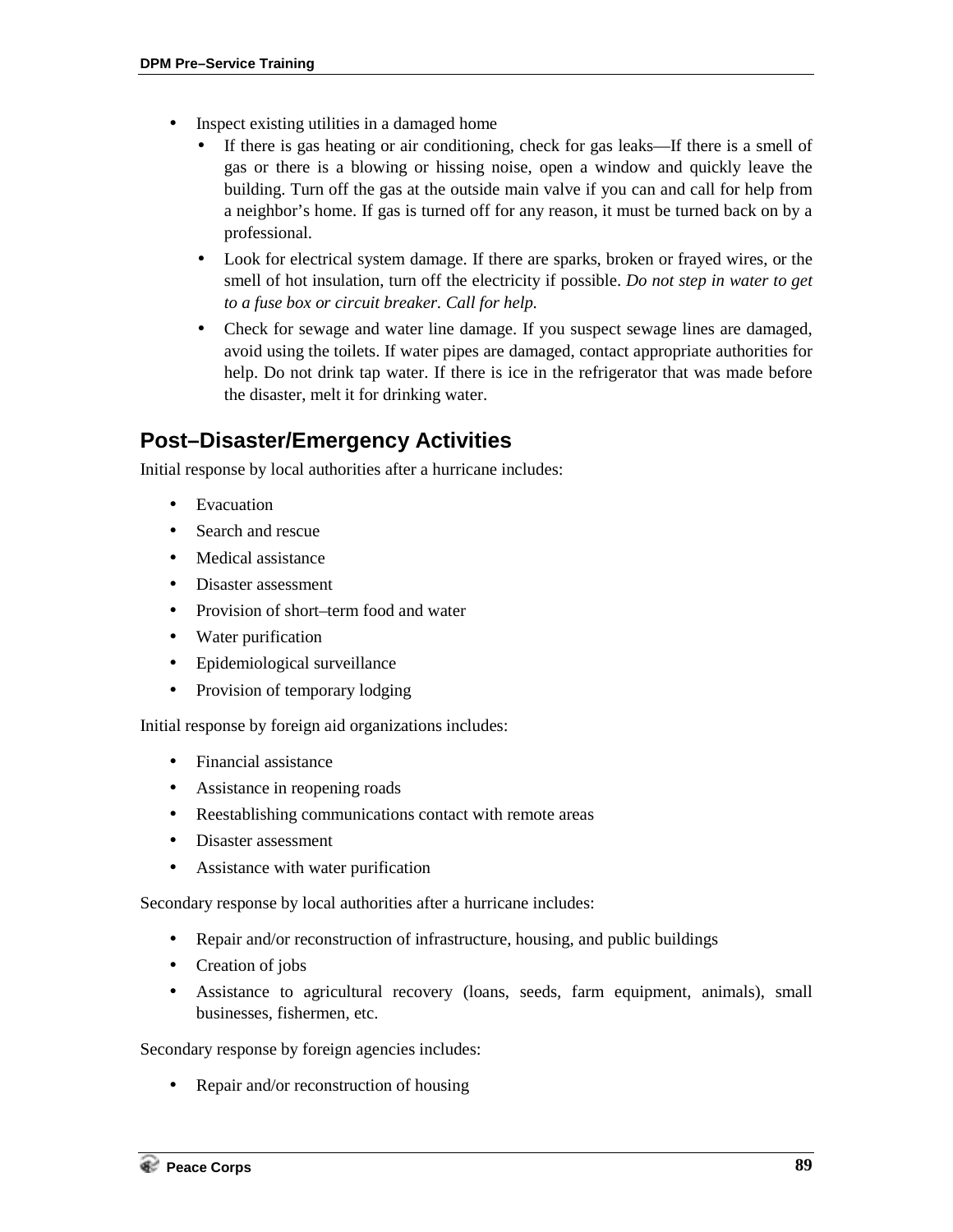- Inspect existing utilities in a damaged home
	- If there is gas heating or air conditioning, check for gas leaks—If there is a smell of gas or there is a blowing or hissing noise, open a window and quickly leave the building. Turn off the gas at the outside main valve if you can and call for help from a neighbor's home. If gas is turned off for any reason, it must be turned back on by a professional.
	- Look for electrical system damage. If there are sparks, broken or frayed wires, or the smell of hot insulation, turn off the electricity if possible. *Do not step in water to get to a fuse box or circuit breaker. Call for help.*
	- Check for sewage and water line damage. If you suspect sewage lines are damaged, avoid using the toilets. If water pipes are damaged, contact appropriate authorities for help. Do not drink tap water. If there is ice in the refrigerator that was made before the disaster, melt it for drinking water.

#### **Post–Disaster/Emergency Activities**

Initial response by local authorities after a hurricane includes:

- Evacuation
- Search and rescue
- Medical assistance
- Disaster assessment
- Provision of short–term food and water
- Water purification
- Epidemiological surveillance
- Provision of temporary lodging

Initial response by foreign aid organizations includes:

- Financial assistance
- Assistance in reopening roads
- Reestablishing communications contact with remote areas
- Disaster assessment
- Assistance with water purification

Secondary response by local authorities after a hurricane includes:

- Repair and/or reconstruction of infrastructure, housing, and public buildings
- Creation of jobs
- Assistance to agricultural recovery (loans, seeds, farm equipment, animals), small businesses, fishermen, etc.

Secondary response by foreign agencies includes:

• Repair and/or reconstruction of housing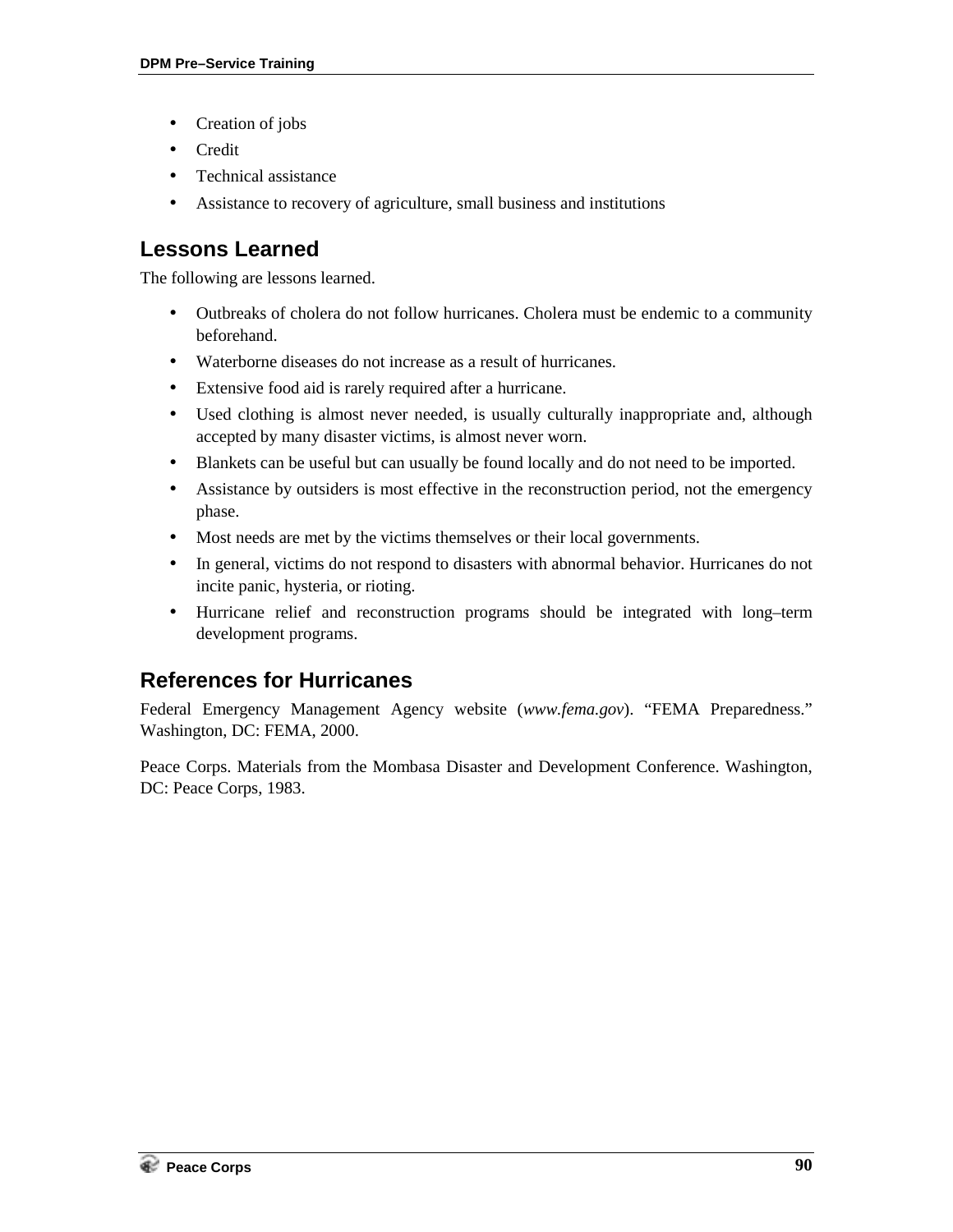- Creation of jobs
- Credit
- Technical assistance
- Assistance to recovery of agriculture, small business and institutions

#### **Lessons Learned**

The following are lessons learned.

- Outbreaks of cholera do not follow hurricanes. Cholera must be endemic to a community beforehand.
- Waterborne diseases do not increase as a result of hurricanes.
- Extensive food aid is rarely required after a hurricane.
- Used clothing is almost never needed, is usually culturally inappropriate and, although accepted by many disaster victims, is almost never worn.
- Blankets can be useful but can usually be found locally and do not need to be imported.
- Assistance by outsiders is most effective in the reconstruction period, not the emergency phase.
- Most needs are met by the victims themselves or their local governments.
- In general, victims do not respond to disasters with abnormal behavior. Hurricanes do not incite panic, hysteria, or rioting.
- Hurricane relief and reconstruction programs should be integrated with long–term development programs.

#### **References for Hurricanes**

Federal Emergency Management Agency website (*www.fema.gov*). "FEMA Preparedness." Washington, DC: FEMA, 2000.

Peace Corps. Materials from the Mombasa Disaster and Development Conference. Washington, DC: Peace Corps, 1983.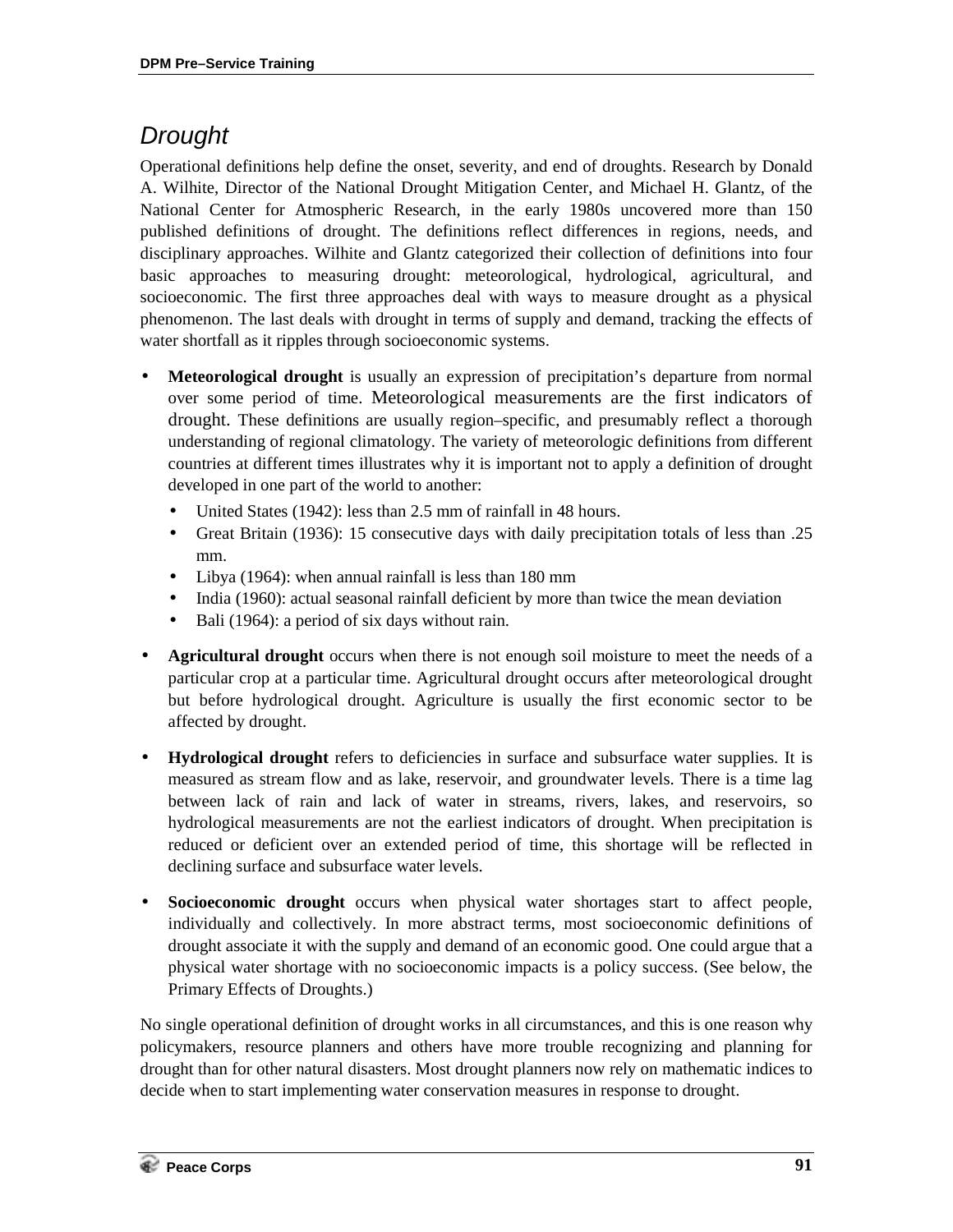## **Drought**

Operational definitions help define the onset, severity, and end of droughts. Research by Donald A. Wilhite, Director of the National Drought Mitigation Center, and Michael H. Glantz, of the National Center for Atmospheric Research, in the early 1980s uncovered more than 150 published definitions of drought. The definitions reflect differences in regions, needs, and disciplinary approaches. Wilhite and Glantz categorized their collection of definitions into four basic approaches to measuring drought: meteorological, hydrological, agricultural, and socioeconomic. The first three approaches deal with ways to measure drought as a physical phenomenon. The last deals with drought in terms of supply and demand, tracking the effects of water shortfall as it ripples through socioeconomic systems.

- **Meteorological drought** is usually an expression of precipitation's departure from normal over some period of time. Meteorological measurements are the first indicators of drought. These definitions are usually region–specific, and presumably reflect a thorough understanding of regional climatology. The variety of meteorologic definitions from different countries at different times illustrates why it is important not to apply a definition of drought developed in one part of the world to another:
	- United States (1942): less than 2.5 mm of rainfall in 48 hours.
	- Great Britain (1936): 15 consecutive days with daily precipitation totals of less than .25 mm.
	- Libya (1964): when annual rainfall is less than 180 mm
	- India (1960): actual seasonal rainfall deficient by more than twice the mean deviation
	- Bali (1964): a period of six days without rain.
- **Agricultural drought** occurs when there is not enough soil moisture to meet the needs of a particular crop at a particular time. Agricultural drought occurs after meteorological drought but before hydrological drought. Agriculture is usually the first economic sector to be affected by drought.
- **Hydrological drought** refers to deficiencies in surface and subsurface water supplies. It is measured as stream flow and as lake, reservoir, and groundwater levels. There is a time lag between lack of rain and lack of water in streams, rivers, lakes, and reservoirs, so hydrological measurements are not the earliest indicators of drought. When precipitation is reduced or deficient over an extended period of time, this shortage will be reflected in declining surface and subsurface water levels.
- **Socioeconomic drought** occurs when physical water shortages start to affect people, individually and collectively. In more abstract terms, most socioeconomic definitions of drought associate it with the supply and demand of an economic good. One could argue that a physical water shortage with no socioeconomic impacts is a policy success. (See below, the Primary Effects of Droughts.)

No single operational definition of drought works in all circumstances, and this is one reason why policymakers, resource planners and others have more trouble recognizing and planning for drought than for other natural disasters. Most drought planners now rely on mathematic indices to decide when to start implementing water conservation measures in response to drought.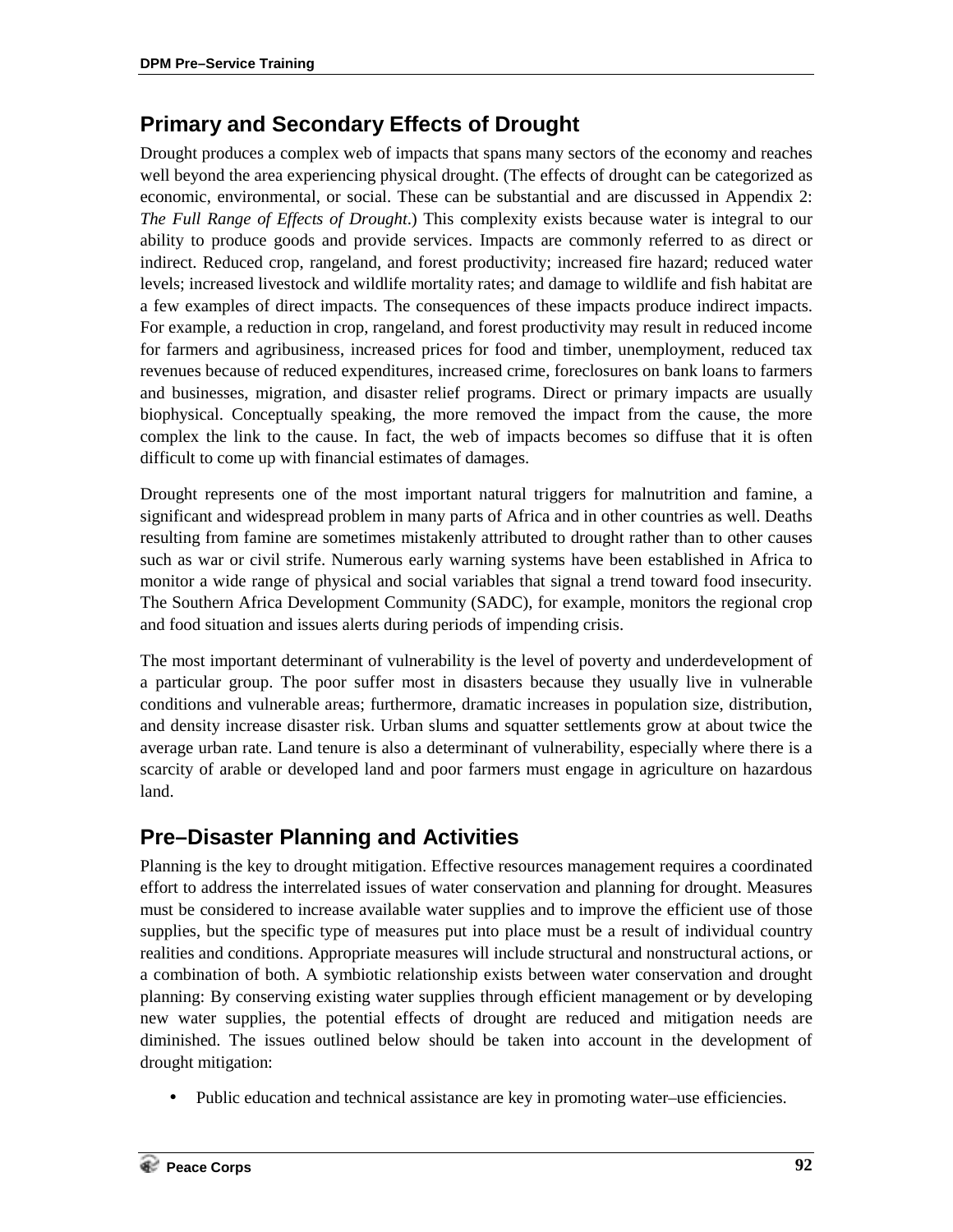## **Primary and Secondary Effects of Drought**

Drought produces a complex web of impacts that spans many sectors of the economy and reaches well beyond the area experiencing physical drought. (The effects of drought can be categorized as economic, environmental, or social. These can be substantial and are discussed in Appendix 2: *The Full Range of Effects of Drought*.) This complexity exists because water is integral to our ability to produce goods and provide services. Impacts are commonly referred to as direct or indirect. Reduced crop, rangeland, and forest productivity; increased fire hazard; reduced water levels; increased livestock and wildlife mortality rates; and damage to wildlife and fish habitat are a few examples of direct impacts. The consequences of these impacts produce indirect impacts. For example, a reduction in crop, rangeland, and forest productivity may result in reduced income for farmers and agribusiness, increased prices for food and timber, unemployment, reduced tax revenues because of reduced expenditures, increased crime, foreclosures on bank loans to farmers and businesses, migration, and disaster relief programs. Direct or primary impacts are usually biophysical. Conceptually speaking, the more removed the impact from the cause, the more complex the link to the cause. In fact, the web of impacts becomes so diffuse that it is often difficult to come up with financial estimates of damages.

Drought represents one of the most important natural triggers for malnutrition and famine, a significant and widespread problem in many parts of Africa and in other countries as well. Deaths resulting from famine are sometimes mistakenly attributed to drought rather than to other causes such as war or civil strife. Numerous early warning systems have been established in Africa to monitor a wide range of physical and social variables that signal a trend toward food insecurity. The Southern Africa Development Community (SADC), for example, monitors the regional crop and food situation and issues alerts during periods of impending crisis.

The most important determinant of vulnerability is the level of poverty and underdevelopment of a particular group. The poor suffer most in disasters because they usually live in vulnerable conditions and vulnerable areas; furthermore, dramatic increases in population size, distribution, and density increase disaster risk. Urban slums and squatter settlements grow at about twice the average urban rate. Land tenure is also a determinant of vulnerability, especially where there is a scarcity of arable or developed land and poor farmers must engage in agriculture on hazardous land.

## **Pre–Disaster Planning and Activities**

Planning is the key to drought mitigation. Effective resources management requires a coordinated effort to address the interrelated issues of water conservation and planning for drought. Measures must be considered to increase available water supplies and to improve the efficient use of those supplies, but the specific type of measures put into place must be a result of individual country realities and conditions. Appropriate measures will include structural and nonstructural actions, or a combination of both. A symbiotic relationship exists between water conservation and drought planning: By conserving existing water supplies through efficient management or by developing new water supplies, the potential effects of drought are reduced and mitigation needs are diminished. The issues outlined below should be taken into account in the development of drought mitigation:

• Public education and technical assistance are key in promoting water–use efficiencies.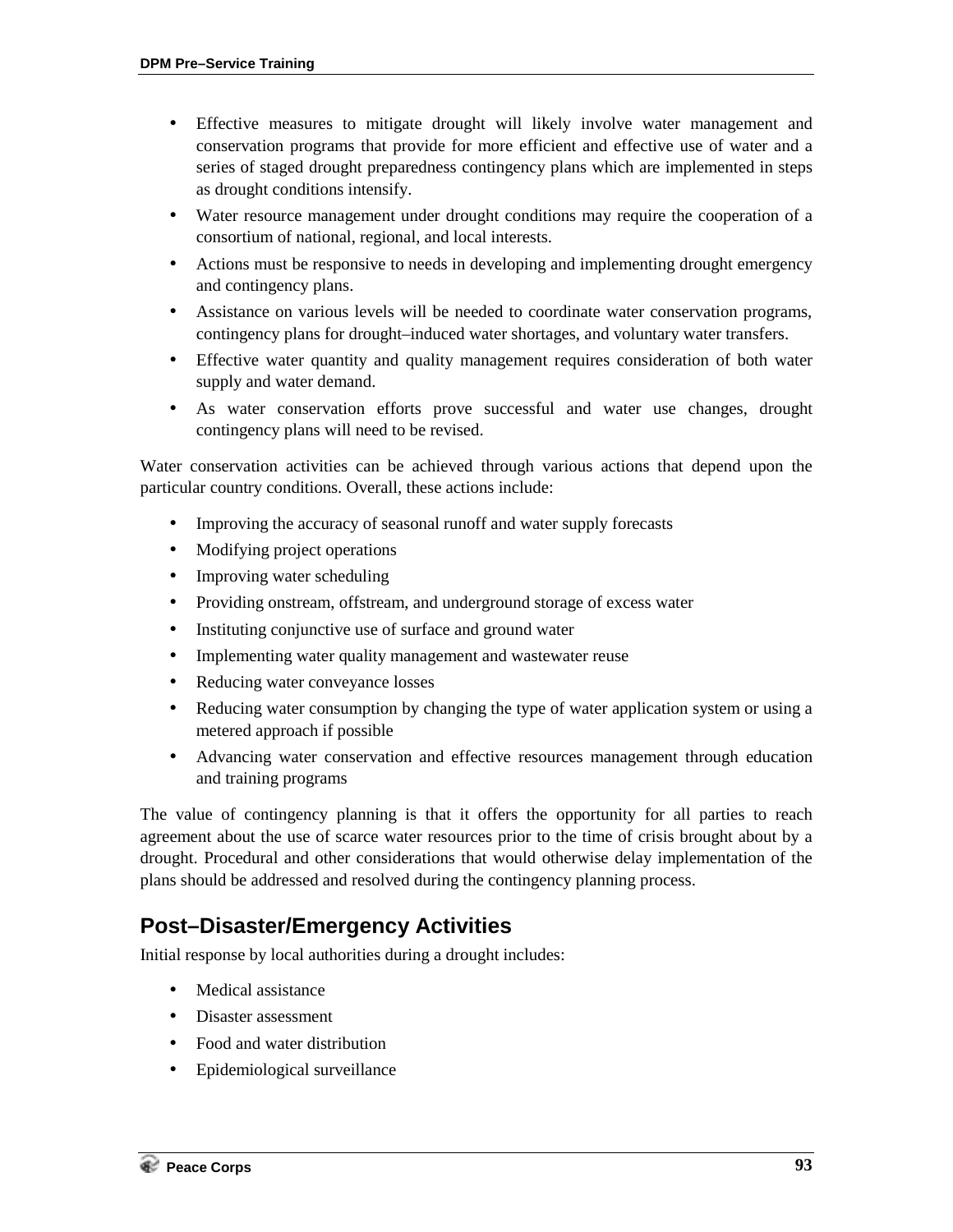- Effective measures to mitigate drought will likely involve water management and conservation programs that provide for more efficient and effective use of water and a series of staged drought preparedness contingency plans which are implemented in steps as drought conditions intensify.
- Water resource management under drought conditions may require the cooperation of a consortium of national, regional, and local interests.
- Actions must be responsive to needs in developing and implementing drought emergency and contingency plans.
- Assistance on various levels will be needed to coordinate water conservation programs, contingency plans for drought–induced water shortages, and voluntary water transfers.
- Effective water quantity and quality management requires consideration of both water supply and water demand.
- As water conservation efforts prove successful and water use changes, drought contingency plans will need to be revised.

Water conservation activities can be achieved through various actions that depend upon the particular country conditions. Overall, these actions include:

- Improving the accuracy of seasonal runoff and water supply forecasts
- Modifying project operations
- Improving water scheduling
- Providing onstream, offstream, and underground storage of excess water
- Instituting conjunctive use of surface and ground water
- Implementing water quality management and wastewater reuse
- Reducing water conveyance losses
- Reducing water consumption by changing the type of water application system or using a metered approach if possible
- Advancing water conservation and effective resources management through education and training programs

The value of contingency planning is that it offers the opportunity for all parties to reach agreement about the use of scarce water resources prior to the time of crisis brought about by a drought. Procedural and other considerations that would otherwise delay implementation of the plans should be addressed and resolved during the contingency planning process.

#### **Post–Disaster/Emergency Activities**

Initial response by local authorities during a drought includes:

- Medical assistance
- Disaster assessment
- Food and water distribution
- Epidemiological surveillance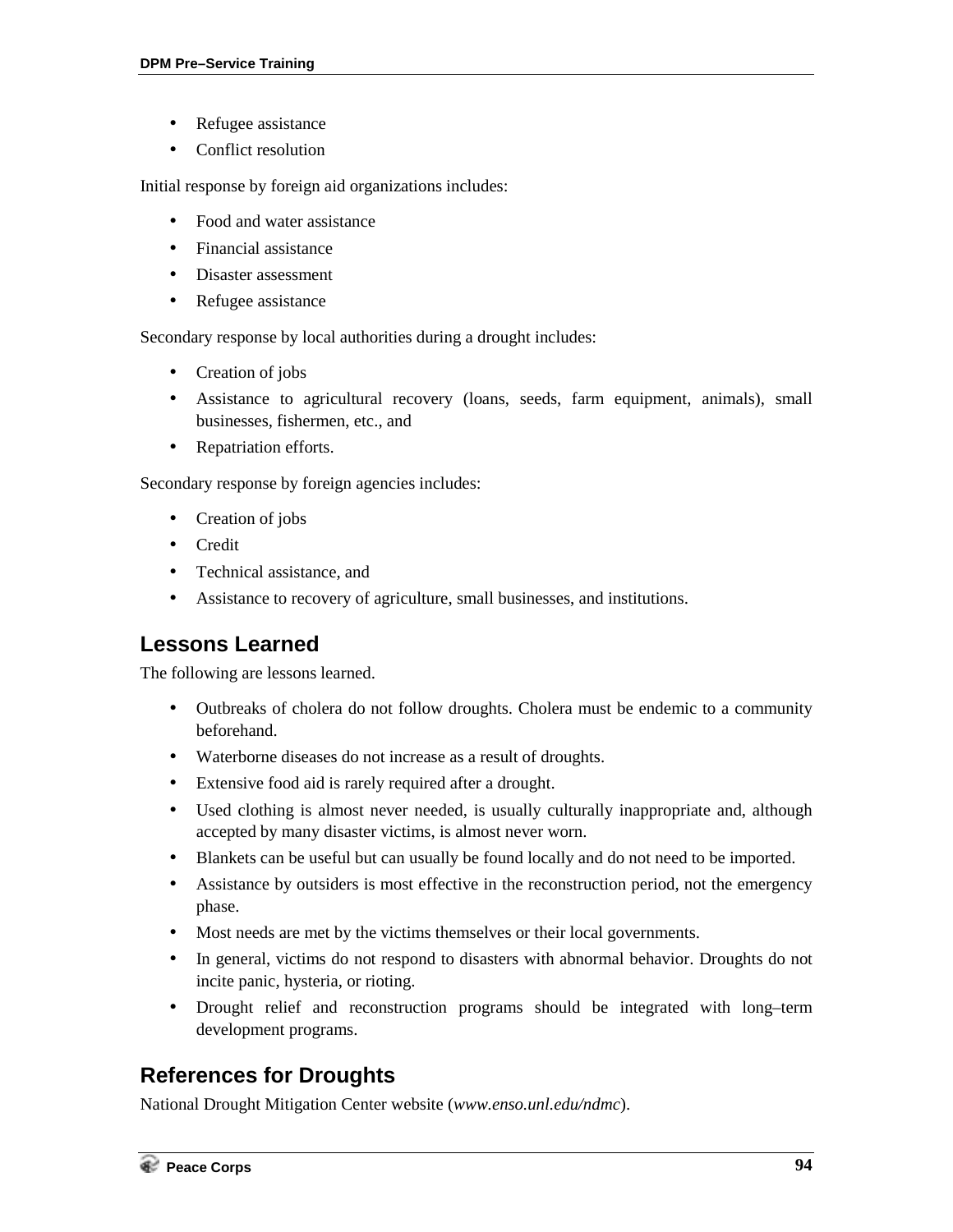- Refugee assistance
- Conflict resolution

Initial response by foreign aid organizations includes:

- Food and water assistance
- Financial assistance
- Disaster assessment
- Refugee assistance

Secondary response by local authorities during a drought includes:

- Creation of jobs
- Assistance to agricultural recovery (loans, seeds, farm equipment, animals), small businesses, fishermen, etc., and
- Repatriation efforts.

Secondary response by foreign agencies includes:

- Creation of jobs
- Credit
- Technical assistance, and
- Assistance to recovery of agriculture, small businesses, and institutions.

#### **Lessons Learned**

The following are lessons learned.

- Outbreaks of cholera do not follow droughts. Cholera must be endemic to a community beforehand.
- Waterborne diseases do not increase as a result of droughts.
- Extensive food aid is rarely required after a drought.
- Used clothing is almost never needed, is usually culturally inappropriate and, although accepted by many disaster victims, is almost never worn.
- Blankets can be useful but can usually be found locally and do not need to be imported.
- Assistance by outsiders is most effective in the reconstruction period, not the emergency phase.
- Most needs are met by the victims themselves or their local governments.
- In general, victims do not respond to disasters with abnormal behavior. Droughts do not incite panic, hysteria, or rioting.
- Drought relief and reconstruction programs should be integrated with long–term development programs.

#### **References for Droughts**

National Drought Mitigation Center website (*www.enso.unl.edu/ndmc*).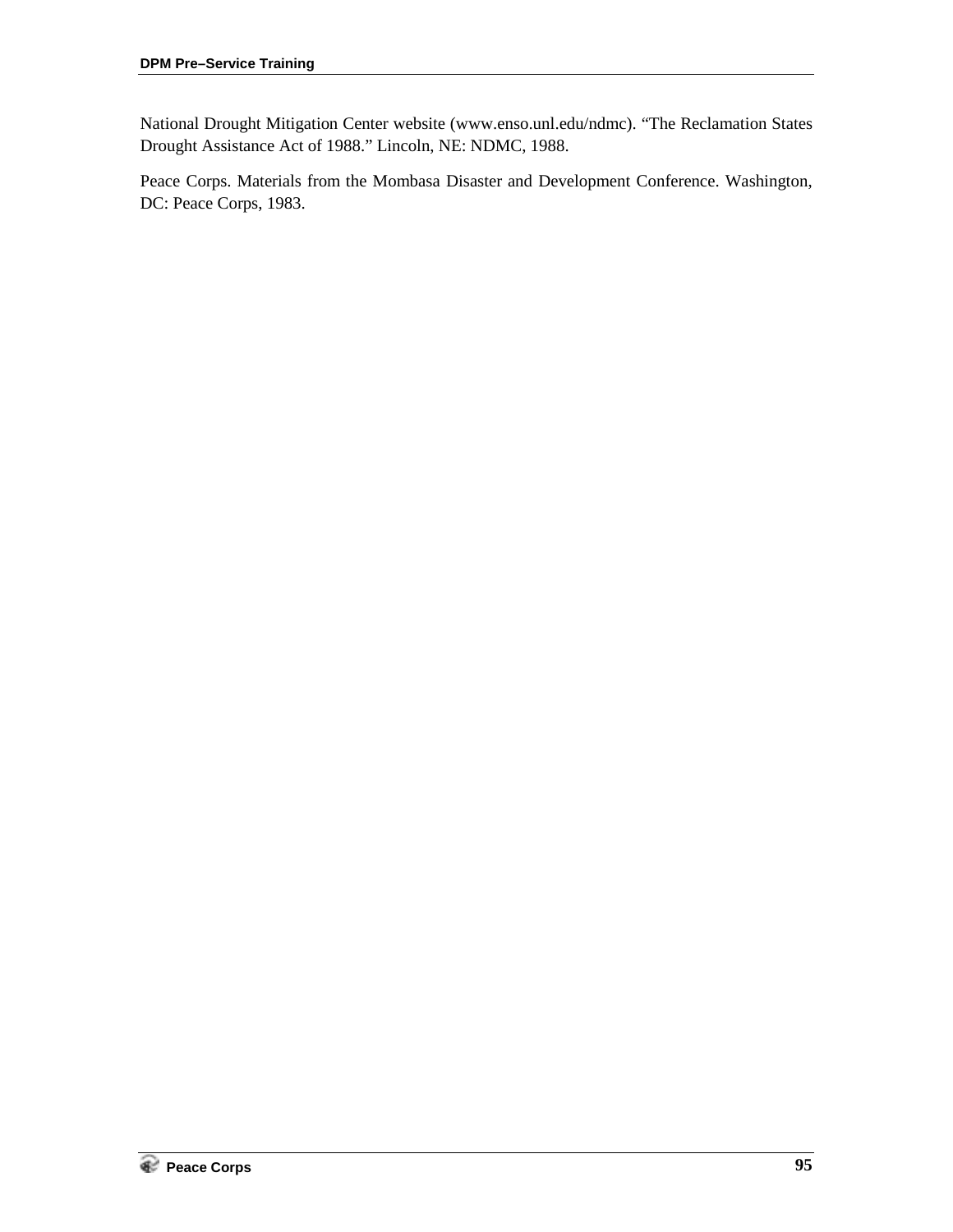National Drought Mitigation Center website (www.enso.unl.edu/ndmc). "The Reclamation States Drought Assistance Act of 1988." Lincoln, NE: NDMC, 1988.

Peace Corps. Materials from the Mombasa Disaster and Development Conference. Washington, DC: Peace Corps, 1983.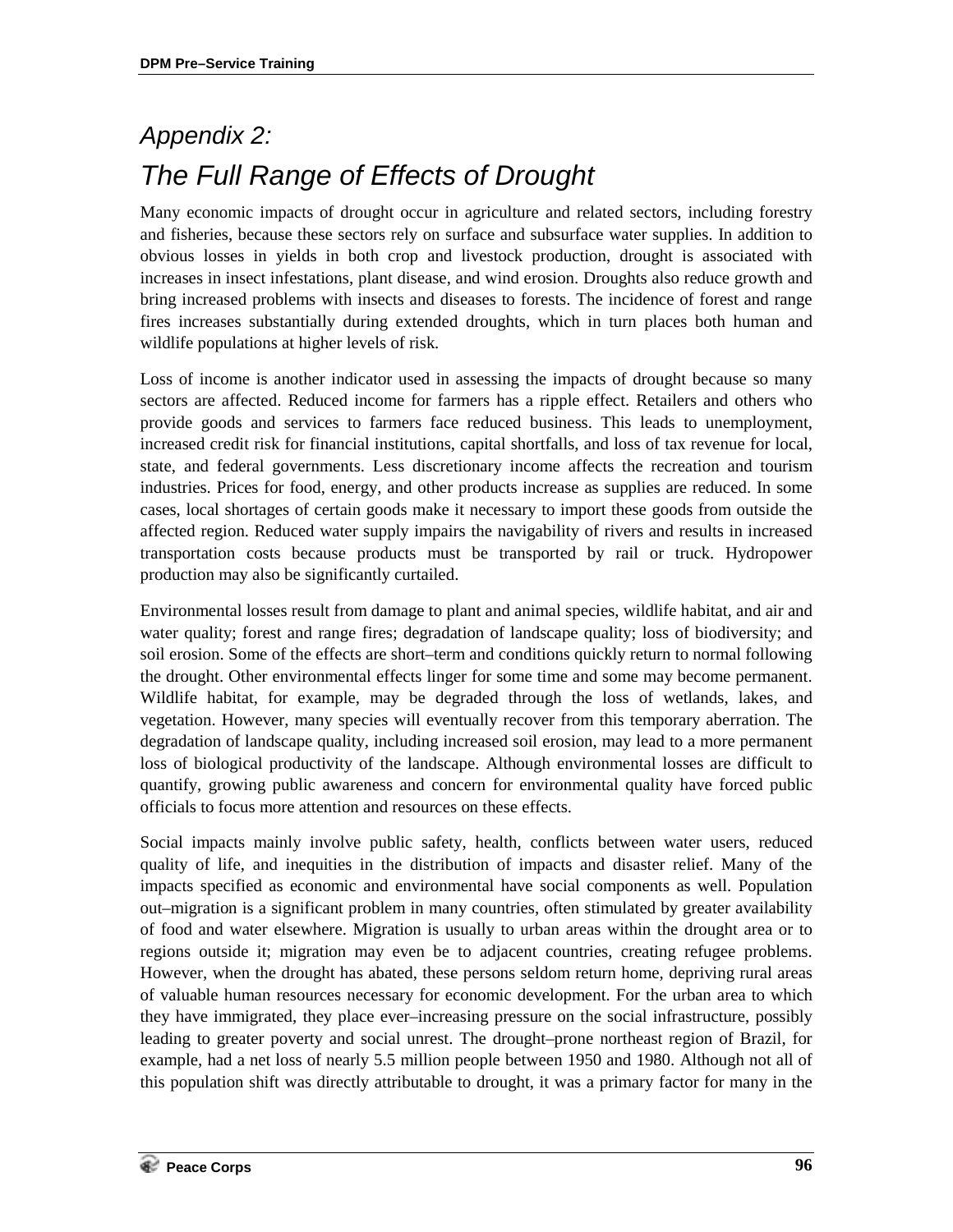# Appendix 2: The Full Range of Effects of Drought

Many economic impacts of drought occur in agriculture and related sectors, including forestry and fisheries, because these sectors rely on surface and subsurface water supplies. In addition to obvious losses in yields in both crop and livestock production, drought is associated with increases in insect infestations, plant disease, and wind erosion. Droughts also reduce growth and bring increased problems with insects and diseases to forests. The incidence of forest and range fires increases substantially during extended droughts, which in turn places both human and wildlife populations at higher levels of risk.

Loss of income is another indicator used in assessing the impacts of drought because so many sectors are affected. Reduced income for farmers has a ripple effect. Retailers and others who provide goods and services to farmers face reduced business. This leads to unemployment, increased credit risk for financial institutions, capital shortfalls, and loss of tax revenue for local, state, and federal governments. Less discretionary income affects the recreation and tourism industries. Prices for food, energy, and other products increase as supplies are reduced. In some cases, local shortages of certain goods make it necessary to import these goods from outside the affected region. Reduced water supply impairs the navigability of rivers and results in increased transportation costs because products must be transported by rail or truck. Hydropower production may also be significantly curtailed.

Environmental losses result from damage to plant and animal species, wildlife habitat, and air and water quality; forest and range fires; degradation of landscape quality; loss of biodiversity; and soil erosion. Some of the effects are short–term and conditions quickly return to normal following the drought. Other environmental effects linger for some time and some may become permanent. Wildlife habitat, for example, may be degraded through the loss of wetlands, lakes, and vegetation. However, many species will eventually recover from this temporary aberration. The degradation of landscape quality, including increased soil erosion, may lead to a more permanent loss of biological productivity of the landscape. Although environmental losses are difficult to quantify, growing public awareness and concern for environmental quality have forced public officials to focus more attention and resources on these effects.

Social impacts mainly involve public safety, health, conflicts between water users, reduced quality of life, and inequities in the distribution of impacts and disaster relief. Many of the impacts specified as economic and environmental have social components as well. Population out–migration is a significant problem in many countries, often stimulated by greater availability of food and water elsewhere. Migration is usually to urban areas within the drought area or to regions outside it; migration may even be to adjacent countries, creating refugee problems. However, when the drought has abated, these persons seldom return home, depriving rural areas of valuable human resources necessary for economic development. For the urban area to which they have immigrated, they place ever–increasing pressure on the social infrastructure, possibly leading to greater poverty and social unrest. The drought–prone northeast region of Brazil, for example, had a net loss of nearly 5.5 million people between 1950 and 1980. Although not all of this population shift was directly attributable to drought, it was a primary factor for many in the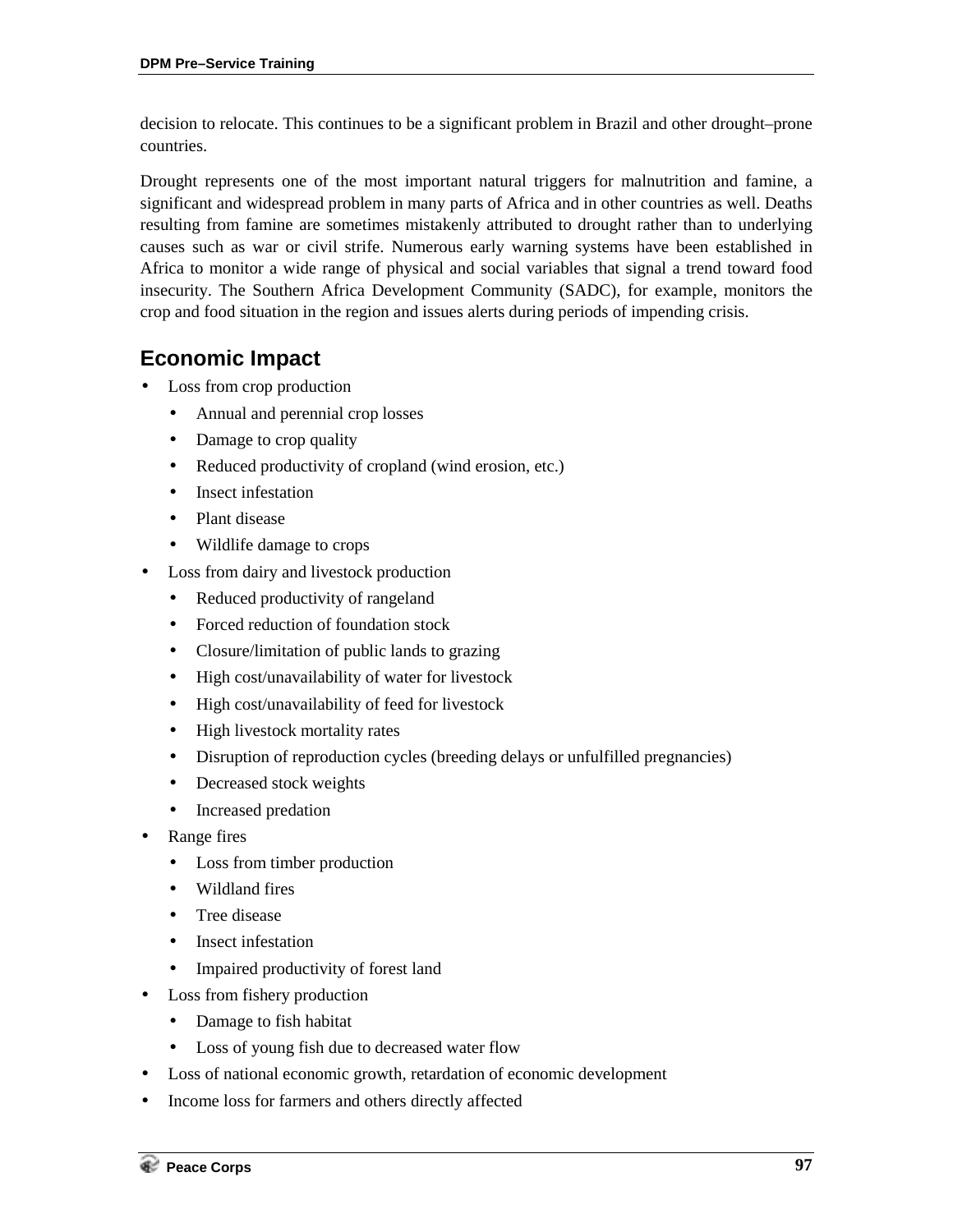decision to relocate. This continues to be a significant problem in Brazil and other drought–prone countries.

Drought represents one of the most important natural triggers for malnutrition and famine, a significant and widespread problem in many parts of Africa and in other countries as well. Deaths resulting from famine are sometimes mistakenly attributed to drought rather than to underlying causes such as war or civil strife. Numerous early warning systems have been established in Africa to monitor a wide range of physical and social variables that signal a trend toward food insecurity. The Southern Africa Development Community (SADC), for example, monitors the crop and food situation in the region and issues alerts during periods of impending crisis.

## **Economic Impact**

- Loss from crop production
	- Annual and perennial crop losses
	- Damage to crop quality
	- Reduced productivity of cropland (wind erosion, etc.)
	- Insect infestation
	- Plant disease
	- Wildlife damage to crops
- Loss from dairy and livestock production
	- Reduced productivity of rangeland
	- Forced reduction of foundation stock
	- Closure/limitation of public lands to grazing
	- High cost/unavailability of water for livestock
	- High cost/unavailability of feed for livestock
	- High livestock mortality rates
	- Disruption of reproduction cycles (breeding delays or unfulfilled pregnancies)
	- Decreased stock weights
	- Increased predation
- Range fires
	- Loss from timber production
	- Wildland fires
	- Tree disease
	- Insect infestation
	- Impaired productivity of forest land
- Loss from fishery production
	- Damage to fish habitat
	- Loss of young fish due to decreased water flow
- Loss of national economic growth, retardation of economic development
- Income loss for farmers and others directly affected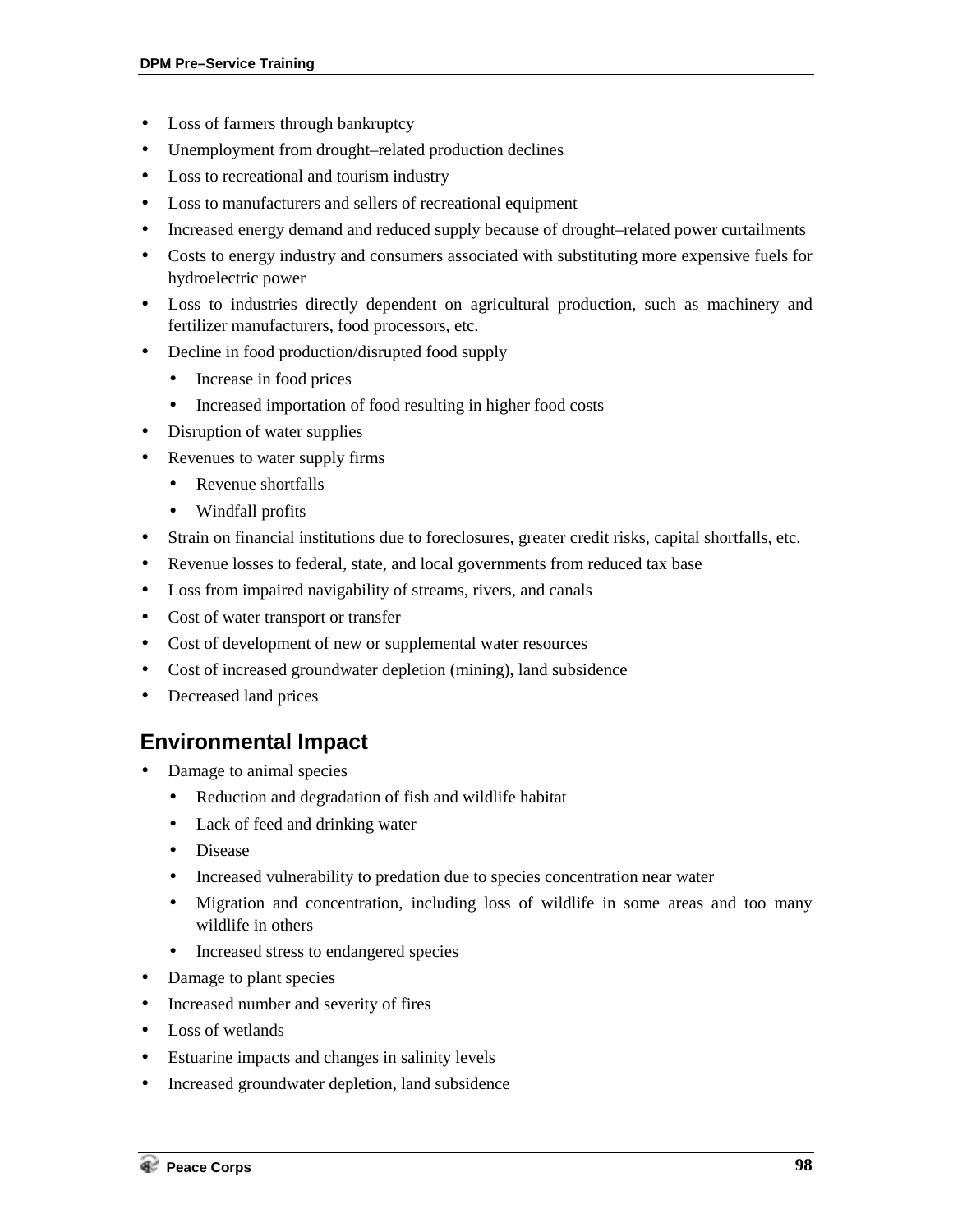- Loss of farmers through bankruptcy
- Unemployment from drought–related production declines
- Loss to recreational and tourism industry
- Loss to manufacturers and sellers of recreational equipment
- Increased energy demand and reduced supply because of drought–related power curtailments
- Costs to energy industry and consumers associated with substituting more expensive fuels for hydroelectric power
- Loss to industries directly dependent on agricultural production, such as machinery and fertilizer manufacturers, food processors, etc.
- Decline in food production/disrupted food supply
	- Increase in food prices
	- Increased importation of food resulting in higher food costs
- Disruption of water supplies
- Revenues to water supply firms
	- Revenue shortfalls
	- Windfall profits
- Strain on financial institutions due to foreclosures, greater credit risks, capital shortfalls, etc.
- Revenue losses to federal, state, and local governments from reduced tax base
- Loss from impaired navigability of streams, rivers, and canals
- Cost of water transport or transfer
- Cost of development of new or supplemental water resources
- Cost of increased groundwater depletion (mining), land subsidence
- Decreased land prices

#### **Environmental Impact**

- Damage to animal species
	- Reduction and degradation of fish and wildlife habitat
	- Lack of feed and drinking water
	- Disease
	- Increased vulnerability to predation due to species concentration near water
	- Migration and concentration, including loss of wildlife in some areas and too many wildlife in others
	- Increased stress to endangered species
- Damage to plant species
- Increased number and severity of fires
- Loss of wetlands
- Estuarine impacts and changes in salinity levels
- Increased groundwater depletion, land subsidence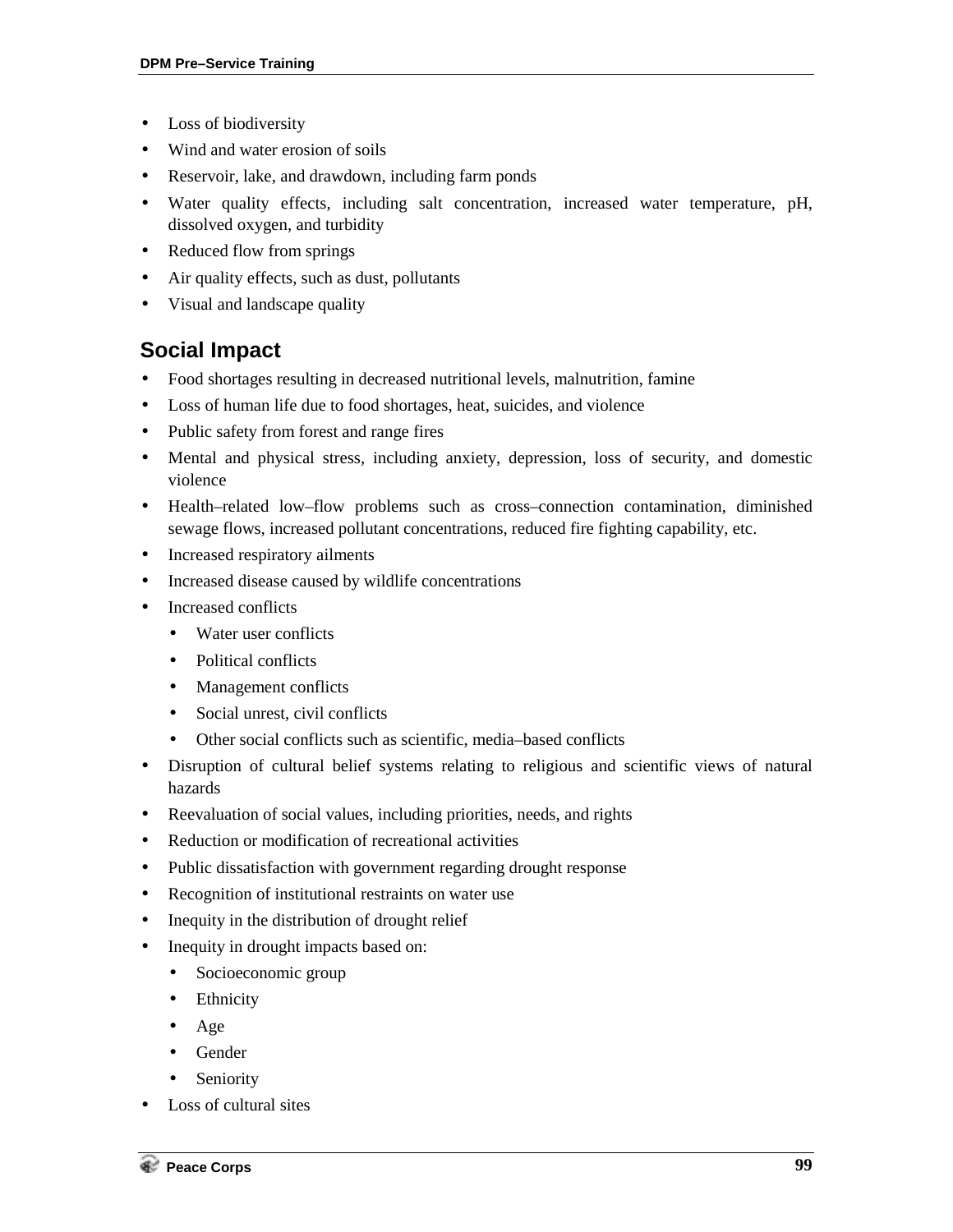- Loss of biodiversity
- Wind and water erosion of soils
- Reservoir, lake, and drawdown, including farm ponds
- Water quality effects, including salt concentration, increased water temperature, pH, dissolved oxygen, and turbidity
- Reduced flow from springs
- Air quality effects, such as dust, pollutants
- Visual and landscape quality

#### **Social Impact**

- Food shortages resulting in decreased nutritional levels, malnutrition, famine
- Loss of human life due to food shortages, heat, suicides, and violence
- Public safety from forest and range fires
- Mental and physical stress, including anxiety, depression, loss of security, and domestic violence
- Health–related low–flow problems such as cross–connection contamination, diminished sewage flows, increased pollutant concentrations, reduced fire fighting capability, etc.
- Increased respiratory ailments
- Increased disease caused by wildlife concentrations
- Increased conflicts
	- Water user conflicts
	- Political conflicts
	- Management conflicts
	- Social unrest, civil conflicts
	- Other social conflicts such as scientific, media–based conflicts
- Disruption of cultural belief systems relating to religious and scientific views of natural hazards
- Reevaluation of social values, including priorities, needs, and rights
- Reduction or modification of recreational activities
- Public dissatisfaction with government regarding drought response
- Recognition of institutional restraints on water use
- Inequity in the distribution of drought relief
- Inequity in drought impacts based on:
	- Socioeconomic group
	- Ethnicity
	- Age
	- Gender
	- Seniority
- Loss of cultural sites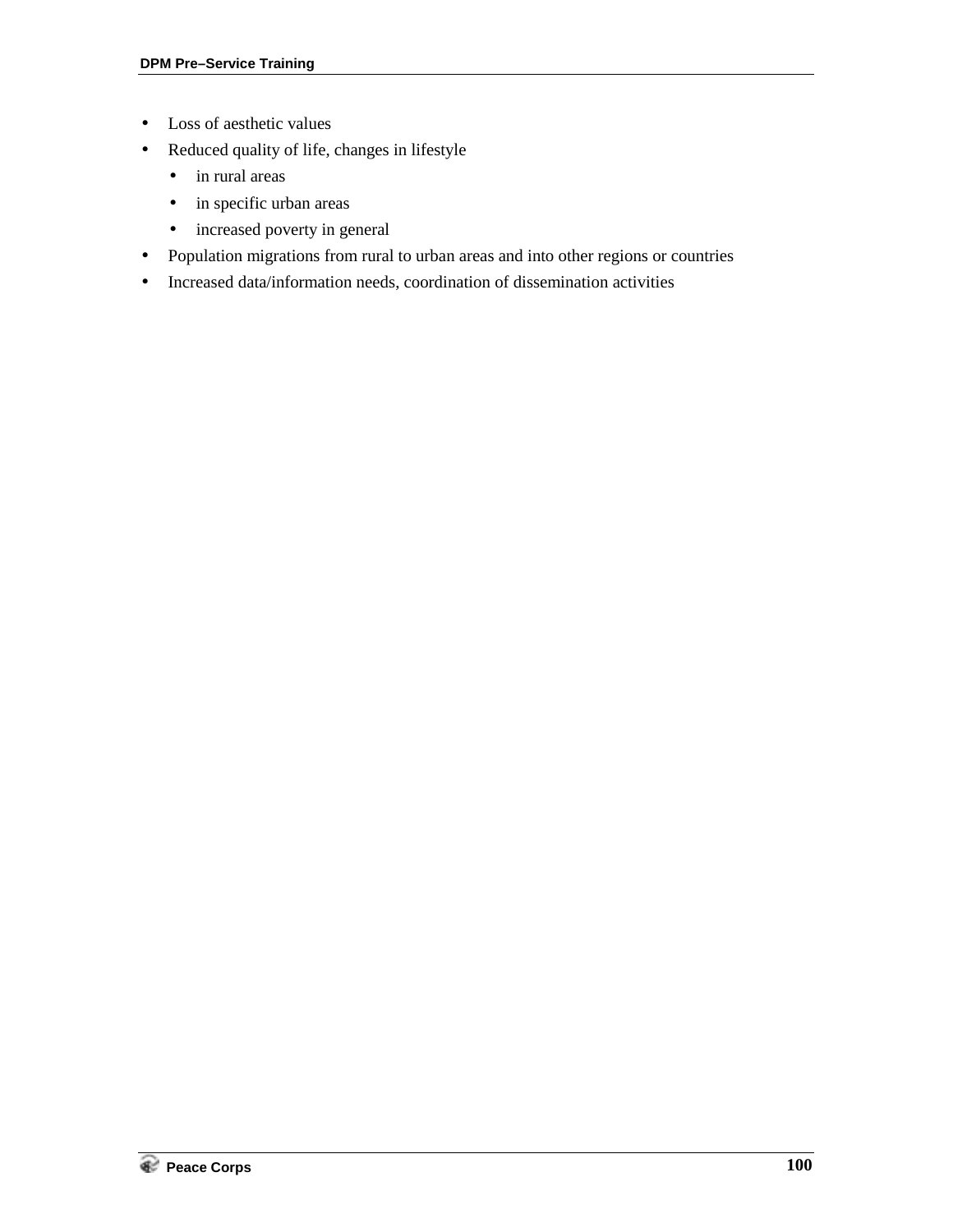- Loss of aesthetic values
- Reduced quality of life, changes in lifestyle
	- in rural areas
	- in specific urban areas
	- increased poverty in general
- Population migrations from rural to urban areas and into other regions or countries
- Increased data/information needs, coordination of dissemination activities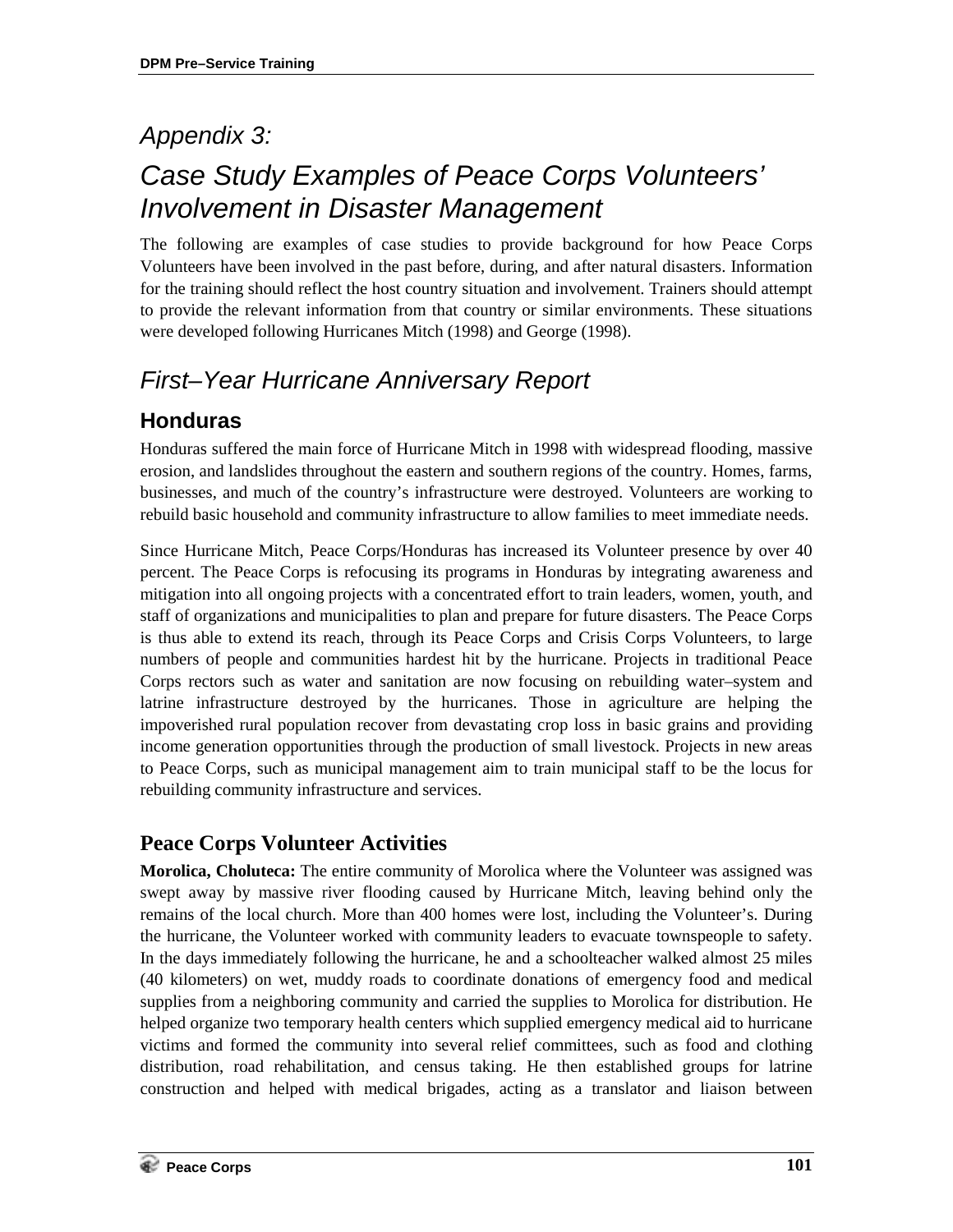# Appendix 3:

# Case Study Examples of Peace Corps Volunteers' Involvement in Disaster Management

The following are examples of case studies to provide background for how Peace Corps Volunteers have been involved in the past before, during, and after natural disasters. Information for the training should reflect the host country situation and involvement. Trainers should attempt to provide the relevant information from that country or similar environments. These situations were developed following Hurricanes Mitch (1998) and George (1998).

# First–Year Hurricane Anniversary Report

# **Honduras**

Honduras suffered the main force of Hurricane Mitch in 1998 with widespread flooding, massive erosion, and landslides throughout the eastern and southern regions of the country. Homes, farms, businesses, and much of the country's infrastructure were destroyed. Volunteers are working to rebuild basic household and community infrastructure to allow families to meet immediate needs.

Since Hurricane Mitch, Peace Corps/Honduras has increased its Volunteer presence by over 40 percent. The Peace Corps is refocusing its programs in Honduras by integrating awareness and mitigation into all ongoing projects with a concentrated effort to train leaders, women, youth, and staff of organizations and municipalities to plan and prepare for future disasters. The Peace Corps is thus able to extend its reach, through its Peace Corps and Crisis Corps Volunteers, to large numbers of people and communities hardest hit by the hurricane. Projects in traditional Peace Corps rectors such as water and sanitation are now focusing on rebuilding water–system and latrine infrastructure destroyed by the hurricanes. Those in agriculture are helping the impoverished rural population recover from devastating crop loss in basic grains and providing income generation opportunities through the production of small livestock. Projects in new areas to Peace Corps, such as municipal management aim to train municipal staff to be the locus for rebuilding community infrastructure and services.

### **Peace Corps Volunteer Activities**

**Morolica, Choluteca:** The entire community of Morolica where the Volunteer was assigned was swept away by massive river flooding caused by Hurricane Mitch, leaving behind only the remains of the local church. More than 400 homes were lost, including the Volunteer's. During the hurricane, the Volunteer worked with community leaders to evacuate townspeople to safety. In the days immediately following the hurricane, he and a schoolteacher walked almost 25 miles (40 kilometers) on wet, muddy roads to coordinate donations of emergency food and medical supplies from a neighboring community and carried the supplies to Morolica for distribution. He helped organize two temporary health centers which supplied emergency medical aid to hurricane victims and formed the community into several relief committees, such as food and clothing distribution, road rehabilitation, and census taking. He then established groups for latrine construction and helped with medical brigades, acting as a translator and liaison between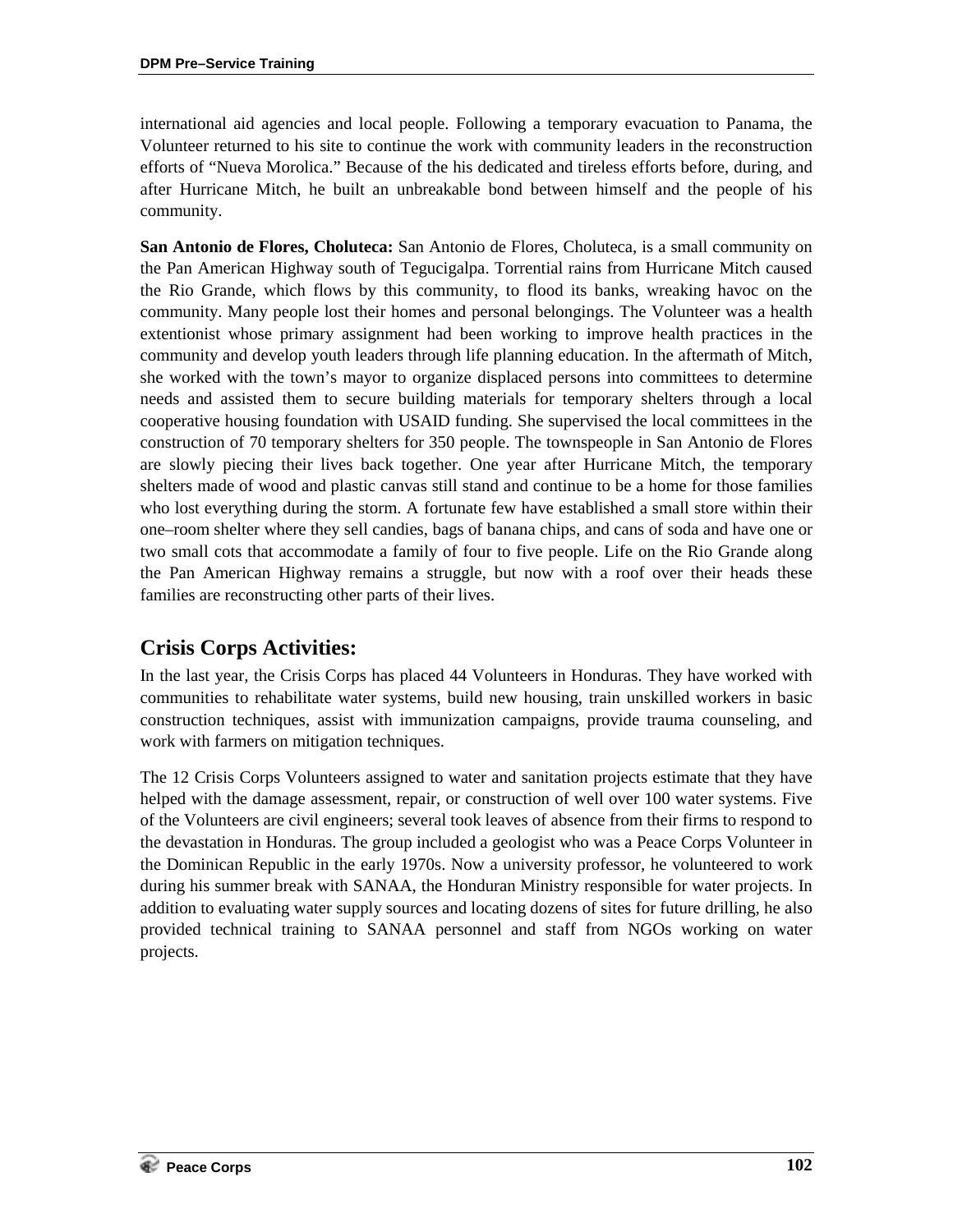international aid agencies and local people. Following a temporary evacuation to Panama, the Volunteer returned to his site to continue the work with community leaders in the reconstruction efforts of "Nueva Morolica." Because of the his dedicated and tireless efforts before, during, and after Hurricane Mitch, he built an unbreakable bond between himself and the people of his community.

**San Antonio de Flores, Choluteca:** San Antonio de Flores, Choluteca, is a small community on the Pan American Highway south of Tegucigalpa. Torrential rains from Hurricane Mitch caused the Rio Grande, which flows by this community, to flood its banks, wreaking havoc on the community. Many people lost their homes and personal belongings. The Volunteer was a health extentionist whose primary assignment had been working to improve health practices in the community and develop youth leaders through life planning education. In the aftermath of Mitch, she worked with the town's mayor to organize displaced persons into committees to determine needs and assisted them to secure building materials for temporary shelters through a local cooperative housing foundation with USAID funding. She supervised the local committees in the construction of 70 temporary shelters for 350 people. The townspeople in San Antonio de Flores are slowly piecing their lives back together. One year after Hurricane Mitch, the temporary shelters made of wood and plastic canvas still stand and continue to be a home for those families who lost everything during the storm. A fortunate few have established a small store within their one–room shelter where they sell candies, bags of banana chips, and cans of soda and have one or two small cots that accommodate a family of four to five people. Life on the Rio Grande along the Pan American Highway remains a struggle, but now with a roof over their heads these families are reconstructing other parts of their lives.

### **Crisis Corps Activities:**

In the last year, the Crisis Corps has placed 44 Volunteers in Honduras. They have worked with communities to rehabilitate water systems, build new housing, train unskilled workers in basic construction techniques, assist with immunization campaigns, provide trauma counseling, and work with farmers on mitigation techniques.

The 12 Crisis Corps Volunteers assigned to water and sanitation projects estimate that they have helped with the damage assessment, repair, or construction of well over 100 water systems. Five of the Volunteers are civil engineers; several took leaves of absence from their firms to respond to the devastation in Honduras. The group included a geologist who was a Peace Corps Volunteer in the Dominican Republic in the early 1970s. Now a university professor, he volunteered to work during his summer break with SANAA, the Honduran Ministry responsible for water projects. In addition to evaluating water supply sources and locating dozens of sites for future drilling, he also provided technical training to SANAA personnel and staff from NGOs working on water projects.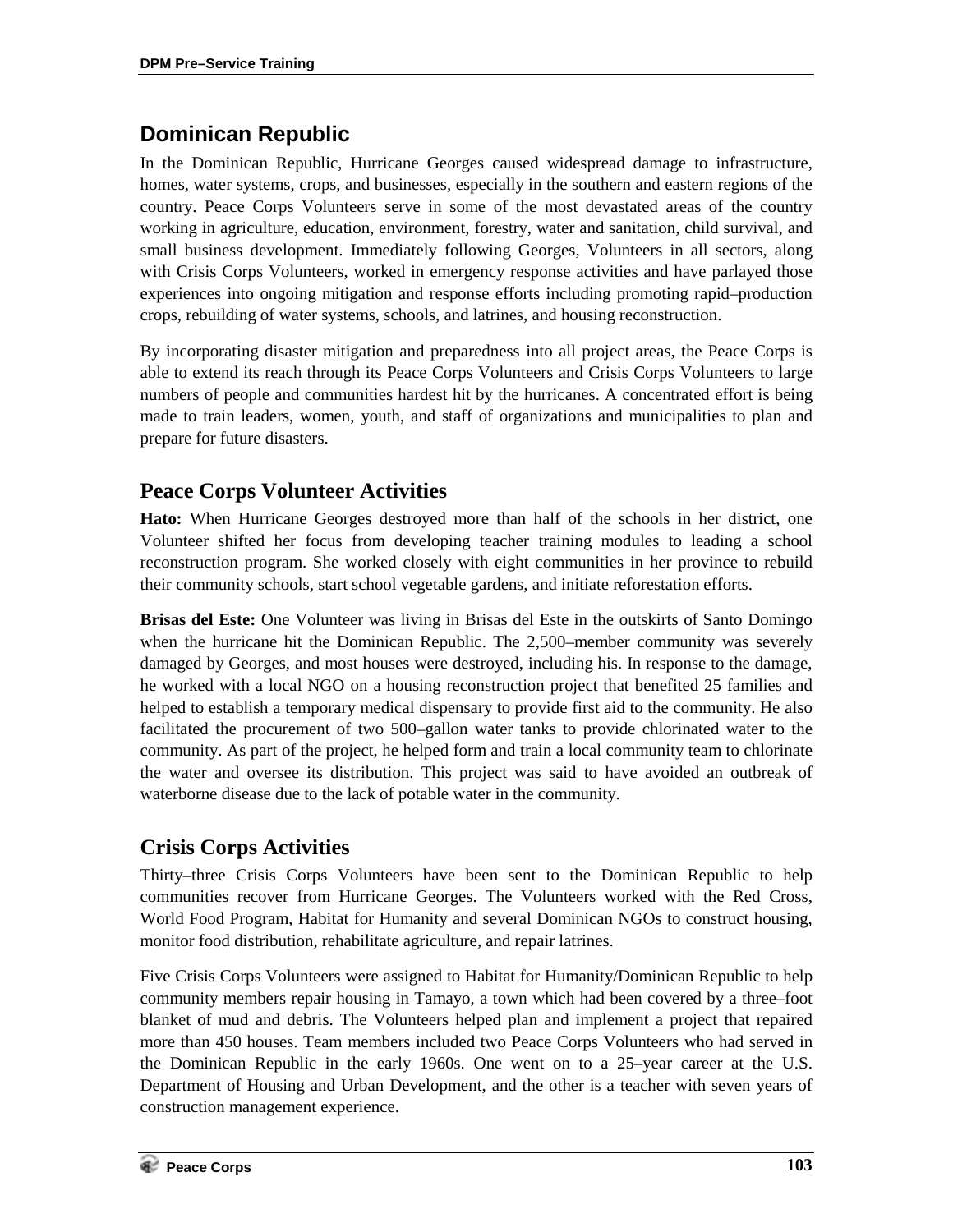# **Dominican Republic**

In the Dominican Republic, Hurricane Georges caused widespread damage to infrastructure, homes, water systems, crops, and businesses, especially in the southern and eastern regions of the country. Peace Corps Volunteers serve in some of the most devastated areas of the country working in agriculture, education, environment, forestry, water and sanitation, child survival, and small business development. Immediately following Georges, Volunteers in all sectors, along with Crisis Corps Volunteers, worked in emergency response activities and have parlayed those experiences into ongoing mitigation and response efforts including promoting rapid–production crops, rebuilding of water systems, schools, and latrines, and housing reconstruction.

By incorporating disaster mitigation and preparedness into all project areas, the Peace Corps is able to extend its reach through its Peace Corps Volunteers and Crisis Corps Volunteers to large numbers of people and communities hardest hit by the hurricanes. A concentrated effort is being made to train leaders, women, youth, and staff of organizations and municipalities to plan and prepare for future disasters.

### **Peace Corps Volunteer Activities**

**Hato:** When Hurricane Georges destroyed more than half of the schools in her district, one Volunteer shifted her focus from developing teacher training modules to leading a school reconstruction program. She worked closely with eight communities in her province to rebuild their community schools, start school vegetable gardens, and initiate reforestation efforts.

**Brisas del Este:** One Volunteer was living in Brisas del Este in the outskirts of Santo Domingo when the hurricane hit the Dominican Republic. The 2,500–member community was severely damaged by Georges, and most houses were destroyed, including his. In response to the damage, he worked with a local NGO on a housing reconstruction project that benefited 25 families and helped to establish a temporary medical dispensary to provide first aid to the community. He also facilitated the procurement of two 500–gallon water tanks to provide chlorinated water to the community. As part of the project, he helped form and train a local community team to chlorinate the water and oversee its distribution. This project was said to have avoided an outbreak of waterborne disease due to the lack of potable water in the community.

### **Crisis Corps Activities**

Thirty–three Crisis Corps Volunteers have been sent to the Dominican Republic to help communities recover from Hurricane Georges. The Volunteers worked with the Red Cross, World Food Program, Habitat for Humanity and several Dominican NGOs to construct housing, monitor food distribution, rehabilitate agriculture, and repair latrines.

Five Crisis Corps Volunteers were assigned to Habitat for Humanity/Dominican Republic to help community members repair housing in Tamayo, a town which had been covered by a three–foot blanket of mud and debris. The Volunteers helped plan and implement a project that repaired more than 450 houses. Team members included two Peace Corps Volunteers who had served in the Dominican Republic in the early 1960s. One went on to a 25–year career at the U.S. Department of Housing and Urban Development, and the other is a teacher with seven years of construction management experience.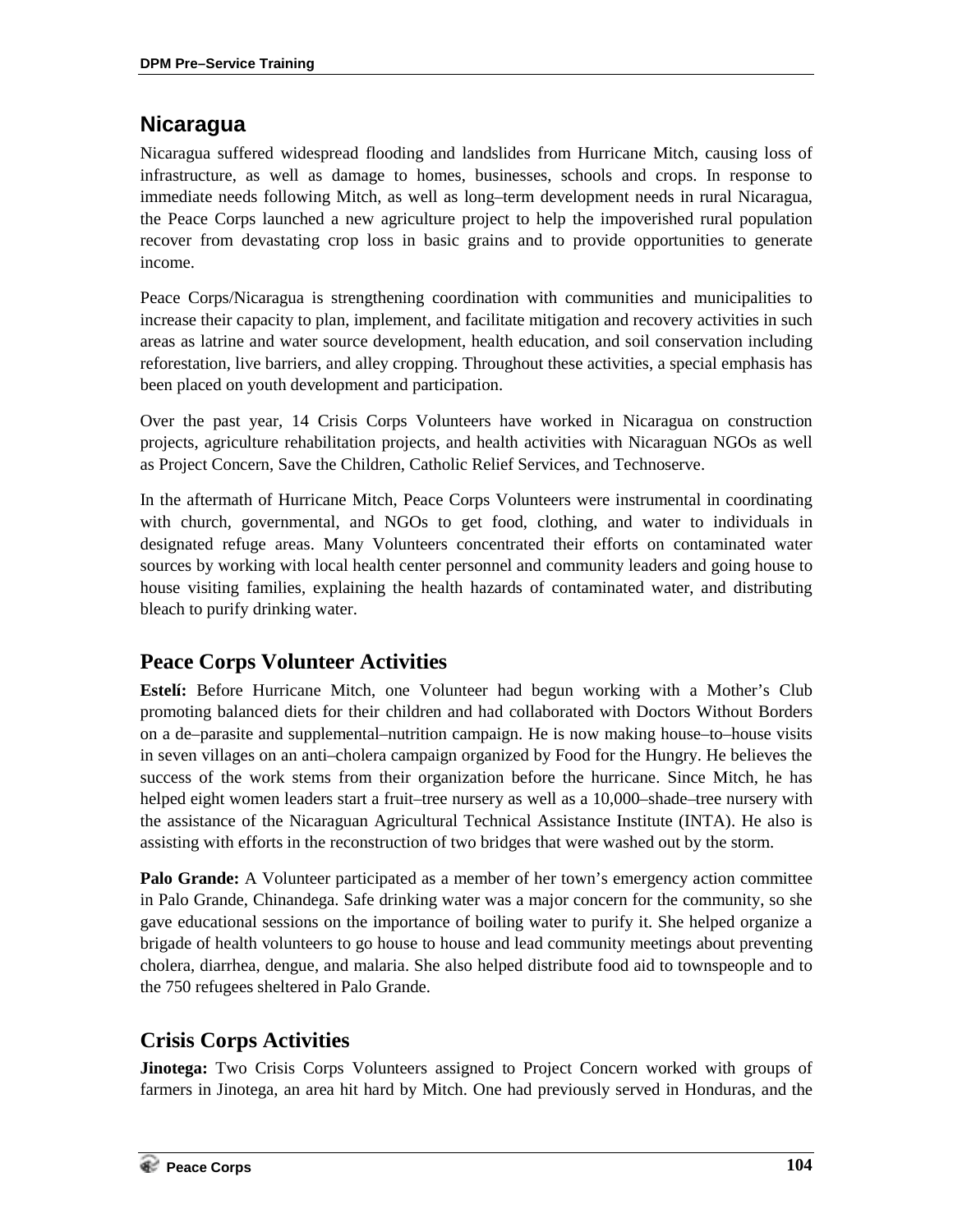#### **Nicaragua**

Nicaragua suffered widespread flooding and landslides from Hurricane Mitch, causing loss of infrastructure, as well as damage to homes, businesses, schools and crops. In response to immediate needs following Mitch, as well as long–term development needs in rural Nicaragua, the Peace Corps launched a new agriculture project to help the impoverished rural population recover from devastating crop loss in basic grains and to provide opportunities to generate income.

Peace Corps/Nicaragua is strengthening coordination with communities and municipalities to increase their capacity to plan, implement, and facilitate mitigation and recovery activities in such areas as latrine and water source development, health education, and soil conservation including reforestation, live barriers, and alley cropping. Throughout these activities, a special emphasis has been placed on youth development and participation.

Over the past year, 14 Crisis Corps Volunteers have worked in Nicaragua on construction projects, agriculture rehabilitation projects, and health activities with Nicaraguan NGOs as well as Project Concern, Save the Children, Catholic Relief Services, and Technoserve.

In the aftermath of Hurricane Mitch, Peace Corps Volunteers were instrumental in coordinating with church, governmental, and NGOs to get food, clothing, and water to individuals in designated refuge areas. Many Volunteers concentrated their efforts on contaminated water sources by working with local health center personnel and community leaders and going house to house visiting families, explaining the health hazards of contaminated water, and distributing bleach to purify drinking water.

#### **Peace Corps Volunteer Activities**

**Estelí:** Before Hurricane Mitch, one Volunteer had begun working with a Mother's Club promoting balanced diets for their children and had collaborated with Doctors Without Borders on a de–parasite and supplemental–nutrition campaign. He is now making house–to–house visits in seven villages on an anti–cholera campaign organized by Food for the Hungry. He believes the success of the work stems from their organization before the hurricane. Since Mitch, he has helped eight women leaders start a fruit–tree nursery as well as a 10,000–shade–tree nursery with the assistance of the Nicaraguan Agricultural Technical Assistance Institute (INTA). He also is assisting with efforts in the reconstruction of two bridges that were washed out by the storm.

**Palo Grande:** A Volunteer participated as a member of her town's emergency action committee in Palo Grande, Chinandega. Safe drinking water was a major concern for the community, so she gave educational sessions on the importance of boiling water to purify it. She helped organize a brigade of health volunteers to go house to house and lead community meetings about preventing cholera, diarrhea, dengue, and malaria. She also helped distribute food aid to townspeople and to the 750 refugees sheltered in Palo Grande.

### **Crisis Corps Activities**

**Jinotega:** Two Crisis Corps Volunteers assigned to Project Concern worked with groups of farmers in Jinotega, an area hit hard by Mitch. One had previously served in Honduras, and the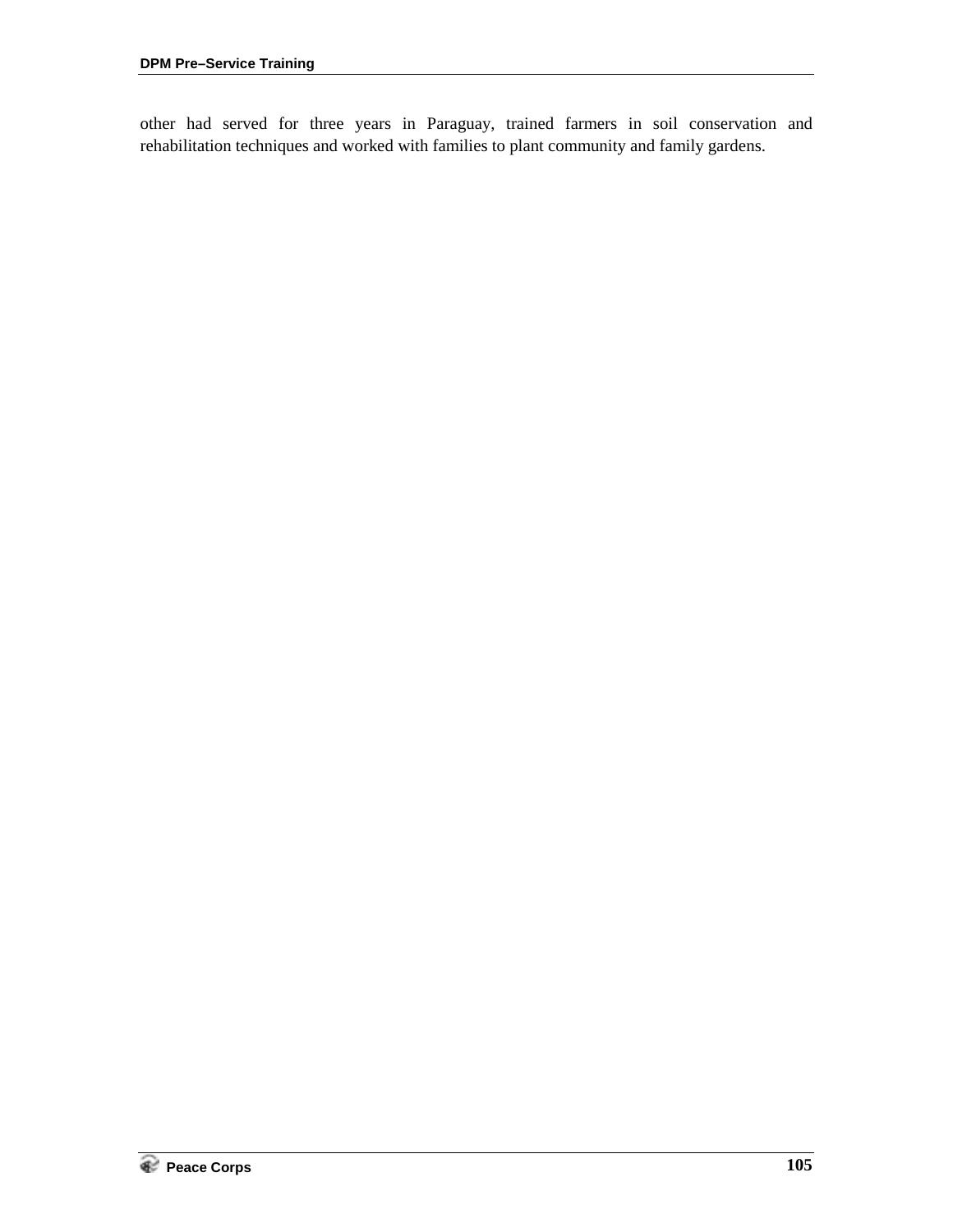other had served for three years in Paraguay, trained farmers in soil conservation and rehabilitation techniques and worked with families to plant community and family gardens.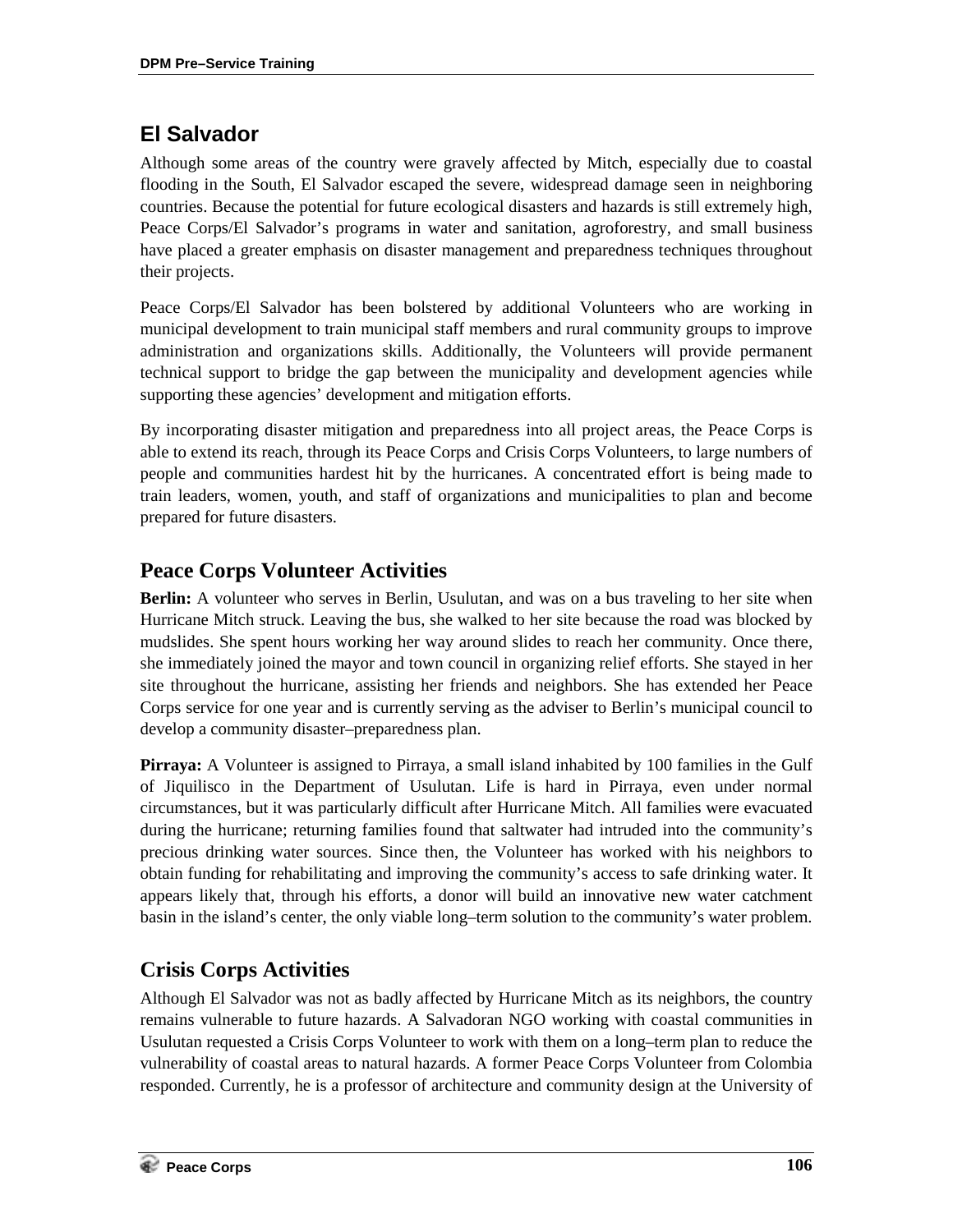# **El Salvador**

Although some areas of the country were gravely affected by Mitch, especially due to coastal flooding in the South, El Salvador escaped the severe, widespread damage seen in neighboring countries. Because the potential for future ecological disasters and hazards is still extremely high, Peace Corps/El Salvador's programs in water and sanitation, agroforestry, and small business have placed a greater emphasis on disaster management and preparedness techniques throughout their projects.

Peace Corps/El Salvador has been bolstered by additional Volunteers who are working in municipal development to train municipal staff members and rural community groups to improve administration and organizations skills. Additionally, the Volunteers will provide permanent technical support to bridge the gap between the municipality and development agencies while supporting these agencies' development and mitigation efforts.

By incorporating disaster mitigation and preparedness into all project areas, the Peace Corps is able to extend its reach, through its Peace Corps and Crisis Corps Volunteers, to large numbers of people and communities hardest hit by the hurricanes. A concentrated effort is being made to train leaders, women, youth, and staff of organizations and municipalities to plan and become prepared for future disasters.

### **Peace Corps Volunteer Activities**

**Berlin:** A volunteer who serves in Berlin, Usulutan, and was on a bus traveling to her site when Hurricane Mitch struck. Leaving the bus, she walked to her site because the road was blocked by mudslides. She spent hours working her way around slides to reach her community. Once there, she immediately joined the mayor and town council in organizing relief efforts. She stayed in her site throughout the hurricane, assisting her friends and neighbors. She has extended her Peace Corps service for one year and is currently serving as the adviser to Berlin's municipal council to develop a community disaster–preparedness plan.

**Pirraya:** A Volunteer is assigned to Pirraya, a small island inhabited by 100 families in the Gulf of Jiquilisco in the Department of Usulutan. Life is hard in Pirraya, even under normal circumstances, but it was particularly difficult after Hurricane Mitch. All families were evacuated during the hurricane; returning families found that saltwater had intruded into the community's precious drinking water sources. Since then, the Volunteer has worked with his neighbors to obtain funding for rehabilitating and improving the community's access to safe drinking water. It appears likely that, through his efforts, a donor will build an innovative new water catchment basin in the island's center, the only viable long–term solution to the community's water problem.

# **Crisis Corps Activities**

Although El Salvador was not as badly affected by Hurricane Mitch as its neighbors, the country remains vulnerable to future hazards. A Salvadoran NGO working with coastal communities in Usulutan requested a Crisis Corps Volunteer to work with them on a long–term plan to reduce the vulnerability of coastal areas to natural hazards. A former Peace Corps Volunteer from Colombia responded. Currently, he is a professor of architecture and community design at the University of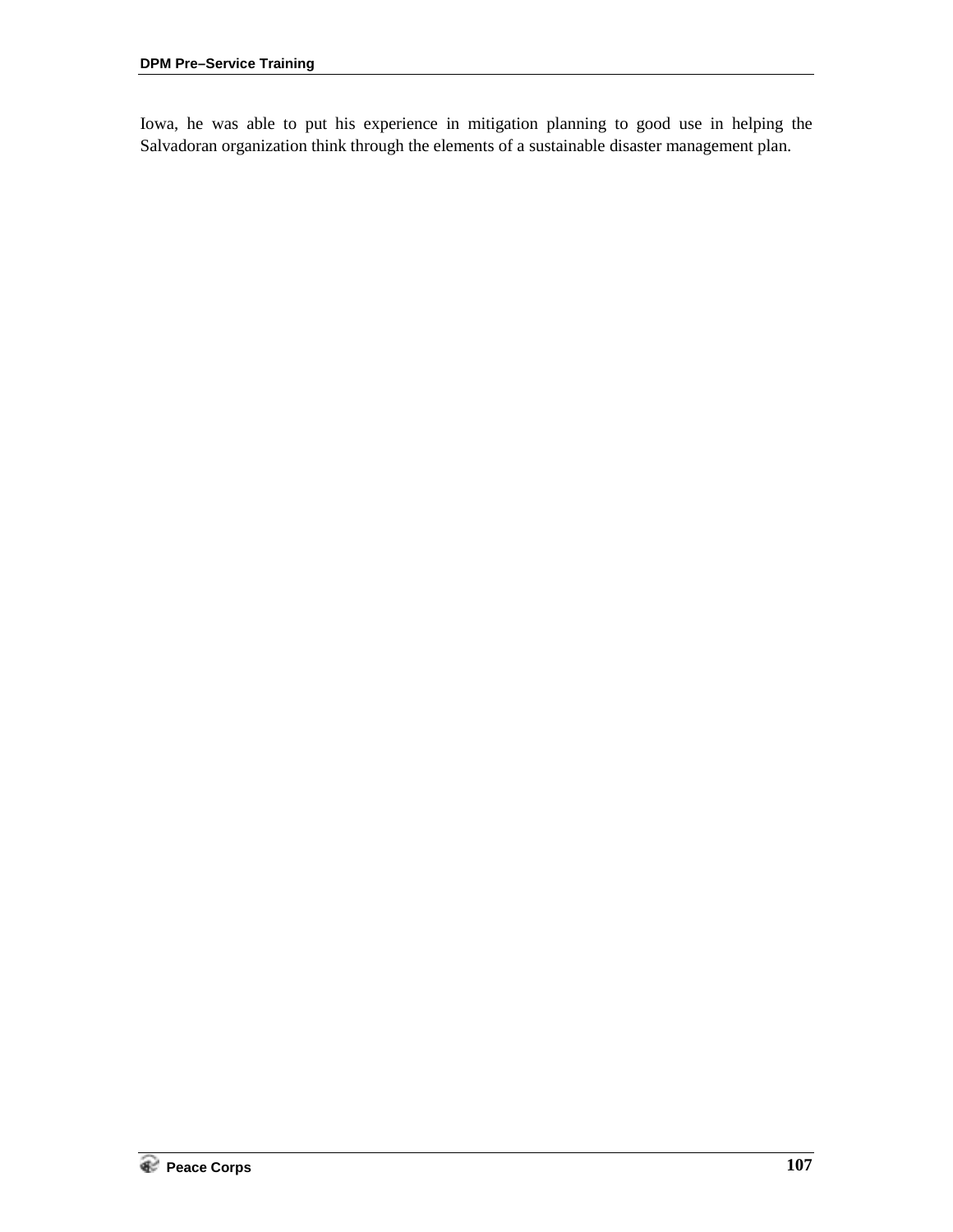Iowa, he was able to put his experience in mitigation planning to good use in helping the Salvadoran organization think through the elements of a sustainable disaster management plan.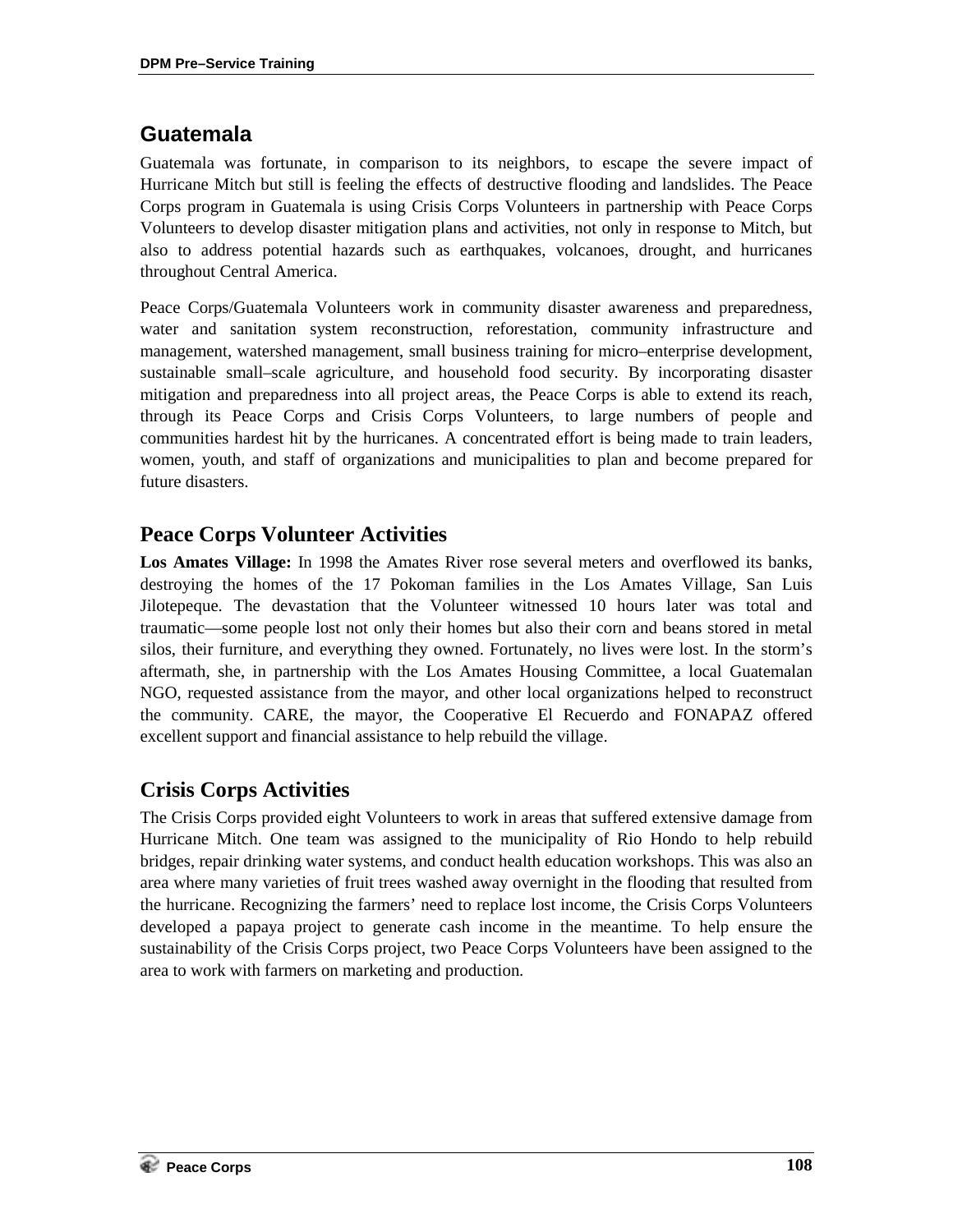### **Guatemala**

Guatemala was fortunate, in comparison to its neighbors, to escape the severe impact of Hurricane Mitch but still is feeling the effects of destructive flooding and landslides. The Peace Corps program in Guatemala is using Crisis Corps Volunteers in partnership with Peace Corps Volunteers to develop disaster mitigation plans and activities, not only in response to Mitch, but also to address potential hazards such as earthquakes, volcanoes, drought, and hurricanes throughout Central America.

Peace Corps/Guatemala Volunteers work in community disaster awareness and preparedness, water and sanitation system reconstruction, reforestation, community infrastructure and management, watershed management, small business training for micro–enterprise development, sustainable small–scale agriculture, and household food security. By incorporating disaster mitigation and preparedness into all project areas, the Peace Corps is able to extend its reach, through its Peace Corps and Crisis Corps Volunteers, to large numbers of people and communities hardest hit by the hurricanes. A concentrated effort is being made to train leaders, women, youth, and staff of organizations and municipalities to plan and become prepared for future disasters.

### **Peace Corps Volunteer Activities**

**Los Amates Village:** In 1998 the Amates River rose several meters and overflowed its banks, destroying the homes of the 17 Pokoman families in the Los Amates Village, San Luis Jilotepeque. The devastation that the Volunteer witnessed 10 hours later was total and traumatic—some people lost not only their homes but also their corn and beans stored in metal silos, their furniture, and everything they owned. Fortunately, no lives were lost. In the storm's aftermath, she, in partnership with the Los Amates Housing Committee, a local Guatemalan NGO, requested assistance from the mayor, and other local organizations helped to reconstruct the community. CARE, the mayor, the Cooperative El Recuerdo and FONAPAZ offered excellent support and financial assistance to help rebuild the village.

# **Crisis Corps Activities**

The Crisis Corps provided eight Volunteers to work in areas that suffered extensive damage from Hurricane Mitch. One team was assigned to the municipality of Rio Hondo to help rebuild bridges, repair drinking water systems, and conduct health education workshops. This was also an area where many varieties of fruit trees washed away overnight in the flooding that resulted from the hurricane. Recognizing the farmers' need to replace lost income, the Crisis Corps Volunteers developed a papaya project to generate cash income in the meantime. To help ensure the sustainability of the Crisis Corps project, two Peace Corps Volunteers have been assigned to the area to work with farmers on marketing and production.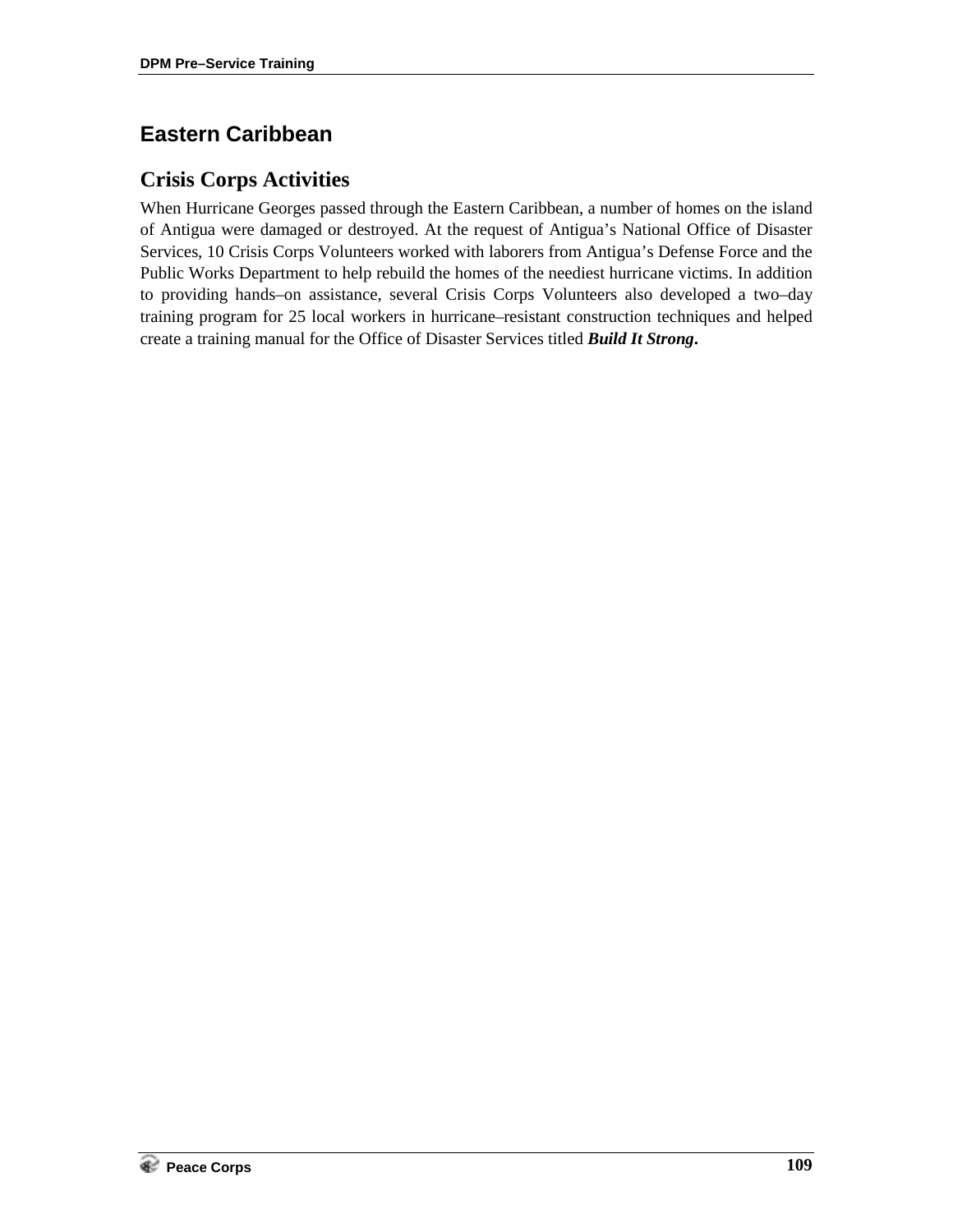# **Eastern Caribbean**

### **Crisis Corps Activities**

When Hurricane Georges passed through the Eastern Caribbean, a number of homes on the island of Antigua were damaged or destroyed. At the request of Antigua's National Office of Disaster Services, 10 Crisis Corps Volunteers worked with laborers from Antigua's Defense Force and the Public Works Department to help rebuild the homes of the neediest hurricane victims. In addition to providing hands–on assistance, several Crisis Corps Volunteers also developed a two–day training program for 25 local workers in hurricane–resistant construction techniques and helped create a training manual for the Office of Disaster Services titled *Build It Strong***.**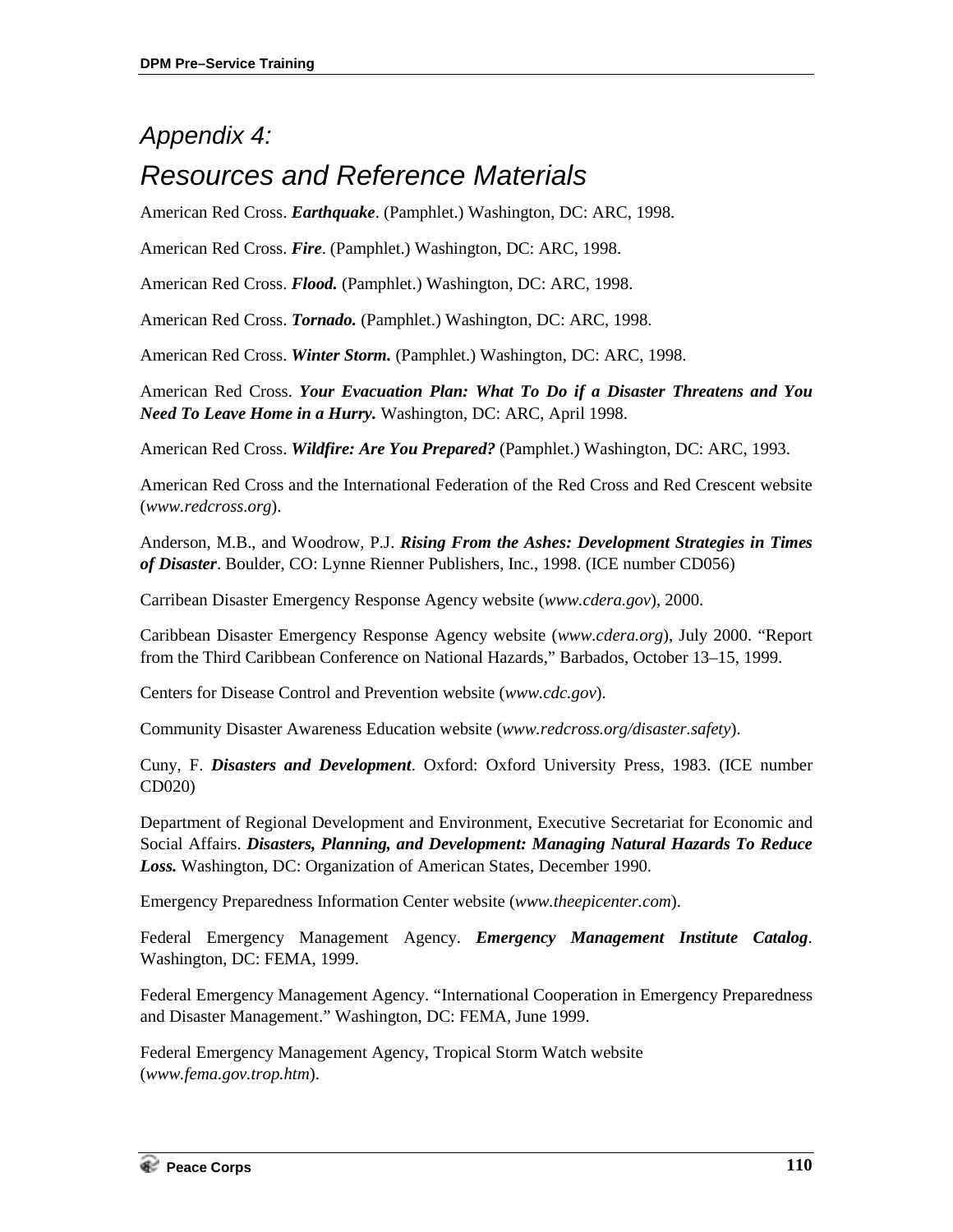# Appendix 4:

# Resources and Reference Materials

American Red Cross. *Earthquake*. (Pamphlet.) Washington, DC: ARC, 1998.

American Red Cross. *Fire*. (Pamphlet.) Washington, DC: ARC, 1998.

American Red Cross. *Flood.* (Pamphlet.) Washington, DC: ARC, 1998.

American Red Cross. *Tornado.* (Pamphlet.) Washington, DC: ARC, 1998.

American Red Cross. *Winter Storm.* (Pamphlet.) Washington, DC: ARC, 1998.

American Red Cross. *Your Evacuation Plan: What To Do if a Disaster Threatens and You Need To Leave Home in a Hurry.* Washington, DC: ARC, April 1998.

American Red Cross. *Wildfire: Are You Prepared?* (Pamphlet.) Washington, DC: ARC, 1993.

American Red Cross and the International Federation of the Red Cross and Red Crescent website (*www.redcross.org*).

Anderson, M.B., and Woodrow, P.J. *Rising From the Ashes: Development Strategies in Times of Disaster*. Boulder, CO: Lynne Rienner Publishers, Inc., 1998. (ICE number CD056)

Carribean Disaster Emergency Response Agency website (*www.cdera.gov*), 2000.

Caribbean Disaster Emergency Response Agency website (*www.cdera.org*), July 2000. "Report from the Third Caribbean Conference on National Hazards," Barbados, October 13–15, 1999.

Centers for Disease Control and Prevention website (*www.cdc.gov*).

Community Disaster Awareness Education website (*www.redcross.org/disaster.safety*).

Cuny, F. *Disasters and Development*. Oxford: Oxford University Press, 1983. (ICE number CD020)

Department of Regional Development and Environment, Executive Secretariat for Economic and Social Affairs. *Disasters, Planning, and Development: Managing Natural Hazards To Reduce Loss.* Washington, DC: Organization of American States, December 1990.

Emergency Preparedness Information Center website (*www.theepicenter.com*).

Federal Emergency Management Agency. *Emergency Management Institute Catalog*. Washington, DC: FEMA, 1999.

Federal Emergency Management Agency. "International Cooperation in Emergency Preparedness and Disaster Management." Washington, DC: FEMA, June 1999.

Federal Emergency Management Agency, Tropical Storm Watch website (*www.fema.gov.trop.htm*).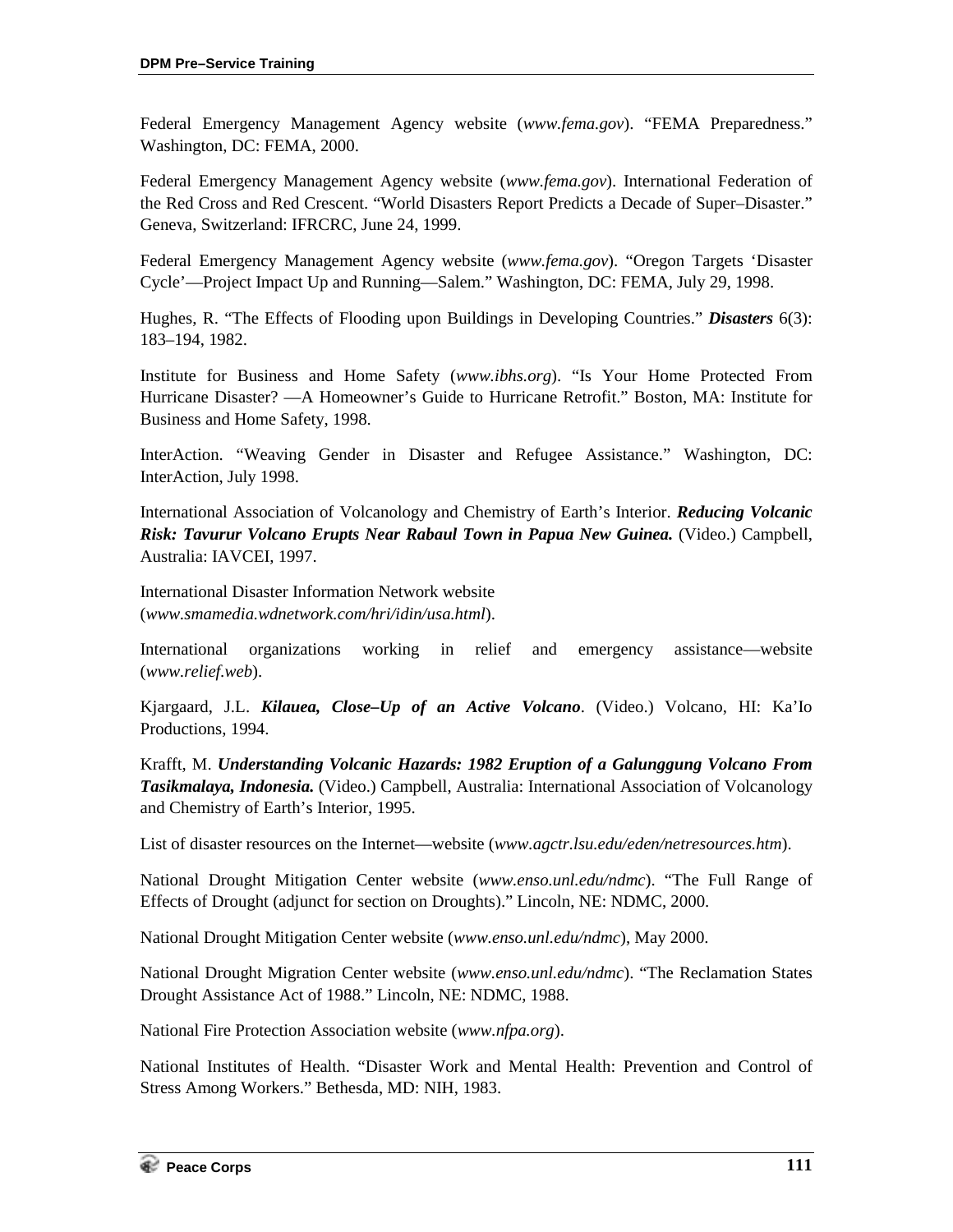Federal Emergency Management Agency website (*www.fema.gov*). "FEMA Preparedness." Washington, DC: FEMA, 2000.

Federal Emergency Management Agency website (*www.fema.gov*). International Federation of the Red Cross and Red Crescent. "World Disasters Report Predicts a Decade of Super–Disaster." Geneva, Switzerland: IFRCRC, June 24, 1999.

Federal Emergency Management Agency website (*www.fema.gov*). "Oregon Targets 'Disaster Cycle'—Project Impact Up and Running—Salem." Washington, DC: FEMA, July 29, 1998.

Hughes, R. "The Effects of Flooding upon Buildings in Developing Countries." *Disasters* 6(3): 183–194, 1982.

Institute for Business and Home Safety (*www.ibhs.org*). "Is Your Home Protected From Hurricane Disaster? —A Homeowner's Guide to Hurricane Retrofit." Boston, MA: Institute for Business and Home Safety, 1998.

InterAction. "Weaving Gender in Disaster and Refugee Assistance." Washington, DC: InterAction, July 1998.

International Association of Volcanology and Chemistry of Earth's Interior. *Reducing Volcanic Risk: Tavurur Volcano Erupts Near Rabaul Town in Papua New Guinea.* (Video.) Campbell, Australia: IAVCEI, 1997.

International Disaster Information Network website (*www.smamedia.wdnetwork.com/hri/idin/usa.html*).

International organizations working in relief and emergency assistance—website (*www.relief.web*).

Kjargaard, J.L. *Kilauea, Close–Up of an Active Volcano*. (Video.) Volcano, HI: Ka'Io Productions, 1994.

Krafft, M. *Understanding Volcanic Hazards: 1982 Eruption of a Galunggung Volcano From Tasikmalaya, Indonesia.* (Video.) Campbell, Australia: International Association of Volcanology and Chemistry of Earth's Interior, 1995.

List of disaster resources on the Internet—website (*www.agctr.lsu.edu/eden/netresources.htm*).

National Drought Mitigation Center website (*www.enso.unl.edu/ndmc*). "The Full Range of Effects of Drought (adjunct for section on Droughts)." Lincoln, NE: NDMC, 2000.

National Drought Mitigation Center website (*www.enso.unl.edu/ndmc*), May 2000.

National Drought Migration Center website (*www.enso.unl.edu/ndmc*). "The Reclamation States Drought Assistance Act of 1988." Lincoln, NE: NDMC, 1988.

National Fire Protection Association website (*www.nfpa.org*).

National Institutes of Health. "Disaster Work and Mental Health: Prevention and Control of Stress Among Workers." Bethesda, MD: NIH, 1983.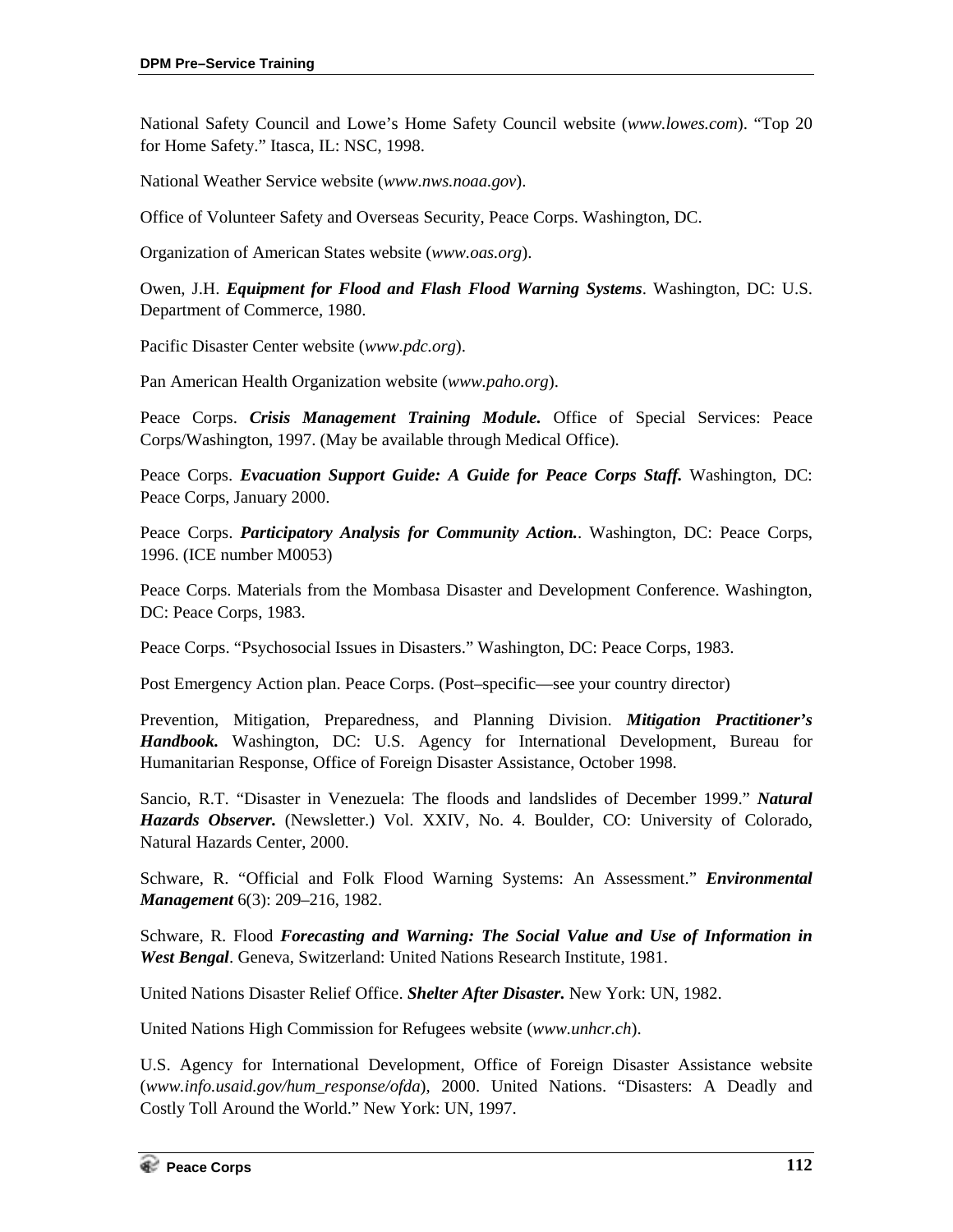National Safety Council and Lowe's Home Safety Council website (*www.lowes.com*). "Top 20 for Home Safety." Itasca, IL: NSC, 1998.

National Weather Service website (*www.nws.noaa.gov*).

Office of Volunteer Safety and Overseas Security, Peace Corps. Washington, DC.

Organization of American States website (*www.oas.org*).

Owen, J.H. *Equipment for Flood and Flash Flood Warning Systems*. Washington, DC: U.S. Department of Commerce, 1980.

Pacific Disaster Center website (*www.pdc.org*).

Pan American Health Organization website (*www.paho.org*).

Peace Corps. *Crisis Management Training Module.* Office of Special Services: Peace Corps/Washington, 1997. (May be available through Medical Office).

Peace Corps. *Evacuation Support Guide: A Guide for Peace Corps Staff.* Washington, DC: Peace Corps, January 2000.

Peace Corps. *Participatory Analysis for Community Action.*. Washington, DC: Peace Corps, 1996. (ICE number M0053)

Peace Corps. Materials from the Mombasa Disaster and Development Conference. Washington, DC: Peace Corps, 1983.

Peace Corps. "Psychosocial Issues in Disasters." Washington, DC: Peace Corps, 1983.

Post Emergency Action plan. Peace Corps. (Post–specific—see your country director)

Prevention, Mitigation, Preparedness, and Planning Division. *Mitigation Practitioner's Handbook.* Washington, DC: U.S. Agency for International Development, Bureau for Humanitarian Response, Office of Foreign Disaster Assistance, October 1998.

Sancio, R.T. "Disaster in Venezuela: The floods and landslides of December 1999." *Natural Hazards Observer.* (Newsletter.) Vol. XXIV, No. 4. Boulder, CO: University of Colorado, Natural Hazards Center, 2000.

Schware, R. "Official and Folk Flood Warning Systems: An Assessment." *Environmental Management* 6(3): 209–216, 1982.

Schware, R. Flood *Forecasting and Warning: The Social Value and Use of Information in West Bengal*. Geneva, Switzerland: United Nations Research Institute, 1981.

United Nations Disaster Relief Office. *Shelter After Disaster.* New York: UN, 1982.

United Nations High Commission for Refugees website (*www.unhcr.ch*).

U.S. Agency for International Development, Office of Foreign Disaster Assistance website (*www.info.usaid.gov/hum\_response/ofda*), 2000. United Nations. "Disasters: A Deadly and Costly Toll Around the World." New York: UN, 1997.